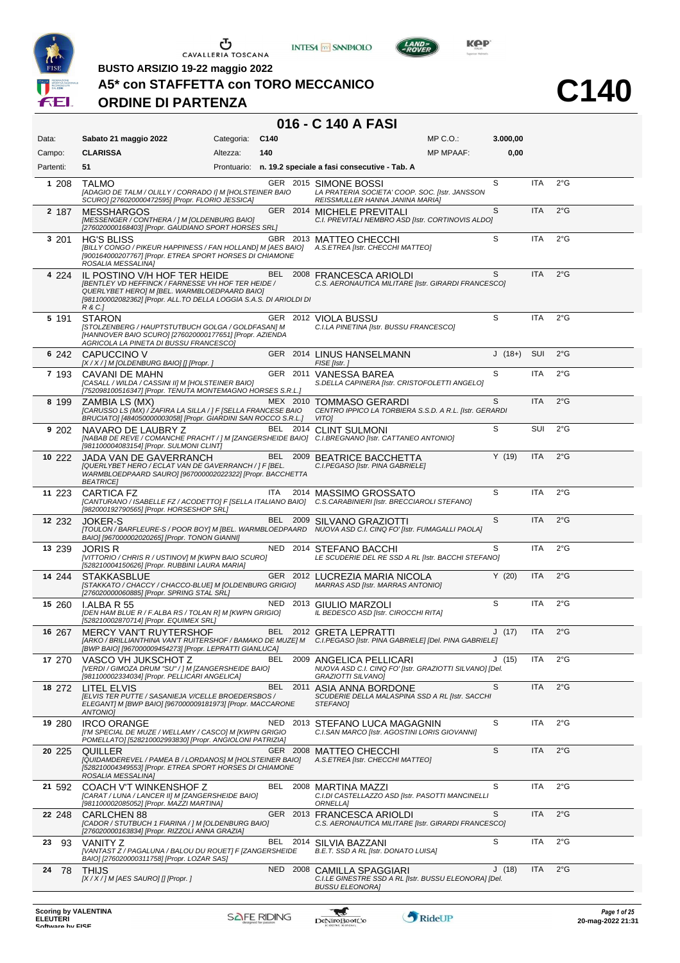





 $L$ AND<sub>=</sub>

**C140**

**BUSTO ARSIZIO 19-22 maggio 2022**

#### **A5\* con STAFFETTA con TORO MECCANICO**

#### **ORDINE DI PARTENZA**

| Data:     | Sabato 21 maggio 2022                                                                                                                                                                                                      | Categoria: | C140       |          | $MP C. O.$ :                                                                                                                                | 3.000,00 |            |               |
|-----------|----------------------------------------------------------------------------------------------------------------------------------------------------------------------------------------------------------------------------|------------|------------|----------|---------------------------------------------------------------------------------------------------------------------------------------------|----------|------------|---------------|
| Campo:    | <b>CLARISSA</b>                                                                                                                                                                                                            | Altezza:   | 140        |          | <b>MP MPAAF:</b>                                                                                                                            | 0,00     |            |               |
| Partenti: | 51                                                                                                                                                                                                                         |            |            |          | Prontuario: n. 19.2 speciale a fasi consecutive - Tab. A                                                                                    |          |            |               |
| 1 208     | <b>TALMO</b><br>[ADAGIO DE TALM / OLILLY / CORRADO I] M [HOLSTEINER BAIO<br>SCURO] [276020000472595] [Propr. FLORIO JESSICA]                                                                                               |            |            |          | GER 2015 SIMONE BOSSI<br>LA PRATERIA SOCIETA' COOP. SOC. [Istr. JANSSON<br>REISSMULLER HANNA JANINA MARIA]                                  | S        | ITA        | $2^{\circ}$ G |
| 2 187     | <b>MESSHARGOS</b><br>[MESSENGER / CONTHERA / ] M [OLDENBURG BAIO]<br>[276020000168403] [Propr. GAUDIANO SPORT HORSES SRL]                                                                                                  |            |            |          | GER 2014 MICHELE PREVITALI<br>C.I. PREVITALI NEMBRO ASD [Istr. CORTINOVIS ALDO]                                                             | S        | <b>ITA</b> | $2^{\circ}$ G |
| 3 201     | <b>HG'S BLISS</b><br>[BILLY CONGO / PIKEUR HAPPINESS / FAN HOLLAND] M [AES BAIO]<br>[900164000207767] [Propr. ETREA SPORT HORSES DI CHIAMONE<br>ROSALIA MESSALINA]                                                         |            |            |          | GBR 2013 MATTEO CHECCHI<br>A.S.ETREA [Istr. CHECCHI MATTEO]                                                                                 | S        | <b>ITA</b> | $2^{\circ}$ G |
| 4 224     | IL POSTINO V/H HOF TER HEIDE<br><b>IBENTLEY VD HEFFINCK / FARNESSE VH HOF TER HEIDE /</b><br>QUERLYBET HERO] M [BEL. WARMBLOEDPAARD BAIO]<br>[981100002082362] [Propr. ALL.TO DELLA LOGGIA S.A.S. DI ARIOLDI DI<br>R & C.] |            | BEL        |          | 2008 FRANCESCA ARIOLDI<br>C.S. AERONAUTICA MILITARE [Istr. GIRARDI FRANCESCO]                                                               | S        | <b>ITA</b> | $2^{\circ}$ G |
| 5 191     | <b>STARON</b><br>[STOLZENBERG / HAUPTSTUTBUCH GOLGA / GOLDFASAN] M<br>[HANNOVER BAIO SCURO] [276020000177651] [Propr. AZIENDA<br>AGRICOLA LA PINETA DI BUSSU FRANCESCO]                                                    |            |            |          | GER 2012 VIOLA BUSSU<br>C.I.LA PINETINA [Istr. BUSSU FRANCESCO]                                                                             | S        | <b>ITA</b> | $2^{\circ}$ G |
| 6 242     | CAPUCCINO V<br>[X / X / ] M [OLDENBURG BAIO] [] [Propr. ]                                                                                                                                                                  |            |            |          | GER 2014 LINUS HANSELMANN<br>FISE [Istr.]                                                                                                   | $J(18+)$ | SUI        | $2^{\circ}$ G |
| 7 193     | CAVANI DE MAHN<br>[CASALL / WILDA / CASSINI II] M [HOLSTEINER BAIO]<br>[752098100516347] [Propr. TENUTA MONTEMAGNO HORSES S.R.L.]                                                                                          |            |            |          | GER 2011 VANESSA BAREA<br>S.DELLA CAPINERA [Istr. CRISTOFOLETTI ANGELO]                                                                     | S        | <b>ITA</b> | $2^{\circ}$ G |
| 8 199     | ZAMBIA LS (MX)<br>[CARUSSO LS (MX) / ZAFIRA LA SILLA / ] F [SELLA FRANCESE BAIO<br>BRUCIATO] [484050000003058] [Propr. GIARDINI SAN ROCCO S.R.L.]                                                                          |            |            | MEX 2010 | <b>TOMMASO GERARDI</b><br>CENTRO IPPICO LA TORBIERA S.S.D. A R.L. [Istr. GERARDI<br>VITO]                                                   | S        | <b>ITA</b> | $2^{\circ}$ G |
| 9 202     | NAVARO DE LAUBRY Z<br>[981100004083154] [Propr. SULMONI CLINT]                                                                                                                                                             |            |            |          | BEL 2014 CLINT SULMONI<br>[NABAB DE REVE / COMANCHE PRACHT / ] M [ZANGERSHEIDE BAIO] C.I.BREGNANO [Istr. CATTANEO ANTONIO]                  | S        | <b>SUI</b> | $2^{\circ}$ G |
| 10 222    | <b>JADA VAN DE GAVERRANCH</b><br>[QUERLYBET HERO / ECLAT VAN DE GAVERRANCH / ] F [BEL.<br>WARMBLOEDPAARD SAUROJ [967000002022322] [Propr. BACCHETTA<br><b>BEATRICE</b>                                                     |            |            |          | BEL 2009 BEATRICE BACCHETTA<br>C.I.PEGASO [Istr. PINA GABRIELE]                                                                             | Y(19)    | <b>ITA</b> | $2^{\circ}$ G |
| 11 223    | <b>CARTICA FZ</b><br>[982000192790565] [Propr. HORSESHOP SRL]                                                                                                                                                              |            | <b>ITA</b> | 2014     | <b>MASSIMO GROSSATO</b><br>[CANTURANO / ISABELLE FZ / ACODETTO] F [SELLA ITALIANO BAIO] C.S.CARABINIERI [Istr. BRECCIAROLI STEFANO]         | S        | <b>ITA</b> | $2^{\circ}$ G |
| 12 232    | <b>JOKER-S</b><br>BAIO] [967000002020265] [Propr. TONON GIANNI]                                                                                                                                                            |            | BEL        | 2009     | SILVANO GRAZIOTTI<br>[TOULON / BARFLEURE-S / POOR BOY] M [BEL. WARMBLOEDPAARD NUOVA ASD C.I. CINQ FO' [Istr. FUMAGALLI PAOLA]               | S        | <b>ITA</b> | $2^{\circ}$ G |
| 13 239    | <b>JORIS R</b><br>[VITTORIO / CHRIS R / USTINOV] M [KWPN BAIO SCURO]<br>[528210004150626] [Propr. RUBBINI LAURA MARIA]                                                                                                     |            |            |          | NED 2014 STEFANO BACCHI<br>LE SCUDERIE DEL RE SSD A RL [Istr. BACCHI STEFANO]                                                               | S        | <b>ITA</b> | $2^{\circ}$ G |
| 14 244    | <b>STAKKASBLUE</b><br>[STAKKATO / CHACCY / CHACCO-BLUE] M [OLDENBURG GRIGIO]<br>[276020000060885] [Propr. SPRING STAL SRL]                                                                                                 |            |            |          | GER 2012 LUCREZIA MARIA NICOLA<br>MARRAS ASD [Istr. MARRAS ANTONIO]                                                                         | Y(20)    | <b>ITA</b> | $2^{\circ}$ G |
| 15 260    | <b>LALBA R55</b><br>[DEN HAM BLUE R / F.ALBA RS / TOLAN R] M [KWPN GRIGIO]<br>[528210002870714] [Propr. EQUIMEX SRL]                                                                                                       |            | NED.       |          | 2013 GIULIO MARZOLI<br>IL BEDESCO ASD [Istr. CIROCCHI RITA]                                                                                 | S        | <b>ITA</b> | $2^{\circ}$ G |
| 16 267    | <b>MERCY VAN'T RUYTERSHOF</b><br>[BWP BAIO] [967000009454273] [Propr. LEPRATTI GIANLUCA]                                                                                                                                   |            |            |          | BEL 2012 GRETA LEPRATTI<br>[ARKO / BRILLIANTHINA VAN'T RUITERSHOF / BAMAKO DE MUZE] M C.I.PEGASO [Istr. PINA GABRIELE] [Del. PINA GABRIELE] | J(17)    | <b>ITA</b> | $2^{\circ}$ G |
| 17 270    | VASCO VH JUKSCHOT Z<br>[VERDI / GIMOZA DRUM "SU" / ] M [ZANGERSHEIDE BAIO]<br>[981100002334034] [Propr. PELLICARI ANGELICA]                                                                                                |            | BEL        | 2009     | ANGELICA PELLICARI<br>NUOVA ASD C.I. CINQ FO' [Istr. GRAZIOTTI SILVANO] [Del.<br><b>GRAZIOTTI SILVANOI</b>                                  | J(15)    | ITA        | $2^{\circ}$ G |
| 18 272    | LITEL ELVIS<br><b>IELVIS TER PUTTE / SASANIEJA V/CELLE BROEDERSBOS /</b><br>ELEGANT] M [BWP BAIO] [967000009181973] [Propr. MACCARONE<br><b>ANTONIOI</b>                                                                   |            |            | BEL 2011 | ASIA ANNA BORDONE<br>SCUDERIE DELLA MALASPINA SSD A RL [Istr. SACCHI<br><i>STEFANO]</i>                                                     | S        | <b>ITA</b> | $2^{\circ}$ G |
| 19 280    | <b>IRCO ORANGE</b><br>[I'M SPECIAL DE MUZE / WELLAMY / CASCO] M [KWPN GRIGIO<br>POMELLATO] [528210002993830] [Propr. ANGIOLONI PATRIZIA]                                                                                   |            | NED        | 2013     | STEFANO LUCA MAGAGNIN<br>C.I.SAN MARCO [Istr. AGOSTINI LORIS GIOVANNI]                                                                      | S        | ITA        | $2^{\circ}$ G |
| 20 225    | <b>QUILLER</b><br>[QUIDAMDEREVEL / PAMEA B / LORDANOS] M [HOLSTEINER BAIO]<br>[528210004349553] [Propr. ETREA SPORT HORSES DI CHIAMONE<br>ROSALIA MESSALINA]                                                               |            |            | GER 2008 | <b>MATTEO CHECCHI</b><br>A.S.ETREA [Istr. CHECCHI MATTEO]                                                                                   | S        | <b>ITA</b> | $2^{\circ}$ G |
| 21 592    | <b>COACH V'T WINKENSHOF Z</b><br>[CARAT / LUNA / LANCER II] M [ZANGERSHEIDE BAIO]<br>[981100002085052] [Propr. MAZZI MARTINA]                                                                                              |            | BEL        | 2008     | MARTINA MAZZI<br>C.I.DI CASTELLAZZO ASD [Istr. PASOTTI MANCINELLI<br>ORNELLA]                                                               | S        | ITA        | $2^{\circ}$ G |
| 22 248    | <b>CARLCHEN 88</b><br>[CADOR / STUTBUCH 1 FIARINA / ] M [OLDENBURG BAIO]<br>[276020000163834] [Propr. RIZZOLI ANNA GRAZIA]                                                                                                 |            |            | GER 2013 | <b>FRANCESCA ARIOLDI</b><br>C.S. AERONAUTICA MILITARE [Istr. GIRARDI FRANCESCO]                                                             | S        | <b>ITA</b> | $2^{\circ}$ G |
| 23<br>93  | <b>VANITY Z</b><br>[VANTAST Z / PAGALUNA / BALOU DU ROUET] F [ZANGERSHEIDE<br>BAIO] [276020000311758] [Propr. LOZAR SAS]                                                                                                   |            | BEL        | 2014     | SILVIA BAZZANI<br>B.E.T. SSD A RL [Istr. DONATO LUISA]                                                                                      | S        | ITA        | $2^{\circ}$ G |
| 24<br>-78 | <b>THIJS</b><br>$[X/X]/M$ [AES SAURO] [] [Propr. ]                                                                                                                                                                         |            |            |          | NED 2008 CAMILLA SPAGGIARI<br>C.I.LE GINESTRE SSD A RL [Istr. BUSSU ELEONORA] [Del.<br><b>BUSSU ELEONORA]</b>                               | J(18)    | ITA        | 2°G           |
|           |                                                                                                                                                                                                                            |            |            |          |                                                                                                                                             |          |            |               |

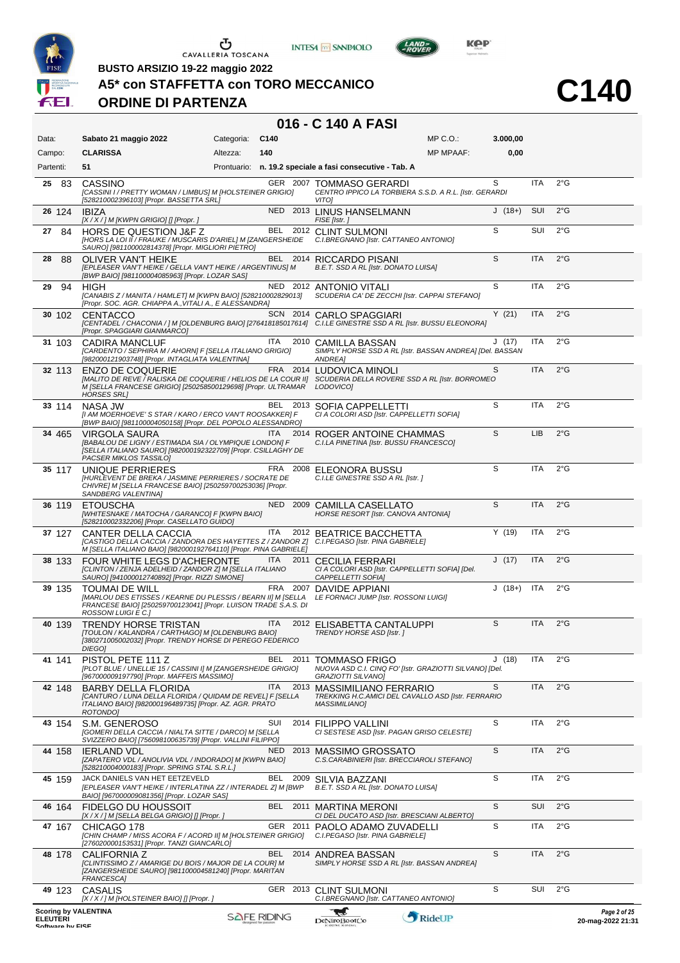





**C140**

**BUSTO ARSIZIO 19-22 maggio 2022**

# **A5\* con STAFFETTA con TORO MECCANICO**

# **ORDINE DI PARTENZA**

| Data:                                                              | Sabato 21 maggio 2022                                                                                                                                                                                                                   | Categoria: | C140               |          |                                                                                                            | MP C.O.:         | 3.000,00 |            |               |                                   |
|--------------------------------------------------------------------|-----------------------------------------------------------------------------------------------------------------------------------------------------------------------------------------------------------------------------------------|------------|--------------------|----------|------------------------------------------------------------------------------------------------------------|------------------|----------|------------|---------------|-----------------------------------|
| Campo:                                                             | <b>CLARISSA</b>                                                                                                                                                                                                                         | Altezza:   | 140                |          |                                                                                                            | <b>MP MPAAF:</b> | 0,00     |            |               |                                   |
| Partenti:                                                          | 51                                                                                                                                                                                                                                      |            |                    |          | Prontuario: n. 19.2 speciale a fasi consecutive - Tab. A                                                   |                  |          |            |               |                                   |
| 25 83                                                              | CASSINO<br>[CASSINI I / PRETTY WOMAN / LIMBUS] M [HOLSTEINER GRIGIO]<br>[528210002396103] [Propr. BASSETTA SRL]                                                                                                                         |            |                    |          | GER 2007 TOMMASO GERARDI<br>CENTRO IPPICO LA TORBIERA S.S.D. A R.L. [Istr. GERARDI<br>VITO]                |                  | S        | <b>ITA</b> | $2^{\circ}$ G |                                   |
| 26 124                                                             | <b>IBIZA</b><br>$[X/X]/M$ [KWPN GRIGIO] [] [Propr. ]                                                                                                                                                                                    |            |                    |          | NED 2013 LINUS HANSELMANN<br>FISE [Istr.]                                                                  |                  | $J(18+)$ | <b>SUI</b> | $2^{\circ}$ G |                                   |
| 84<br>27                                                           | HORS DE QUESTION J&F Z<br>[HORS LA LOI II / FRAUKE / MUSCARIS D'ARIEL] M [ZANGERSHEIDE<br>SAURO] [981100002814378] [Propr. MIGLIORI PIETRO]                                                                                             |            |                    |          | BEL 2012 CLINT SULMONI<br>C.I.BREGNANO [Istr. CATTANEO ANTONIO]                                            |                  | S        | SUI        | $2^{\circ}$ G |                                   |
| 28<br>88                                                           | <b>OLIVER VAN'T HEIKE</b><br>[EPLEASER VAN'T HEIKE / GELLA VAN'T HEIKE / ARGENTINUS] M<br>[BWP BAIO] [981100004085963] [Propr. LOZAR SAS]                                                                                               |            |                    | BEL 2014 | RICCARDO PISANI<br>B.E.T. SSD A RL [Istr. DONATO LUISA]                                                    |                  | S        | <b>ITA</b> | $2^{\circ}$ G |                                   |
| 94<br>29                                                           | HIGH<br>[CANABIS Z / MANITA / HAMLET] M [KWPN BAIO] [528210002829013]<br>[Propr. SOC. AGR. CHIAPPA A., VITALI A., E ALESSANDRA]                                                                                                         |            |                    | NED 2012 | <b>ANTONIO VITALI</b><br>SCUDERIA CA' DE ZECCHI [Istr. CAPPAI STEFANO]                                     |                  | S        | <b>ITA</b> | $2^{\circ}$ G |                                   |
| 30 102                                                             | <b>CENTACCO</b><br>[CENTADEL / CHACONIA / ] M [OLDENBURG BAIO] [276418185017614] C.I.LE GINESTRE SSD A RL [Istr. BUSSU ELEONORA]<br>[Propr. SPAGGIARI GIANMARCO]                                                                        |            |                    |          | SCN 2014 CARLO SPAGGIARI                                                                                   |                  | Y(21)    | <b>ITA</b> | $2^{\circ}$ G |                                   |
| 31 103                                                             | <b>CADIRA MANCLUF</b><br>[CARDENTO / SEPHIRA M / AHORN] F [SELLA ITALIANO GRIGIO]<br>[982000121903748] [Propr. INTAGLIATA VALENTINA]                                                                                                    |            | ITA                |          | 2010 CAMILLA BASSAN<br>SIMPLY HORSE SSD A RL [Istr. BASSAN ANDREA] [Del. BASSAN<br><b>ANDREA1</b>          |                  | J(17)    | ITA        | $2^{\circ}$ G |                                   |
| 32 113                                                             | <b>ENZO DE COQUERIE</b><br>[MALITO DE REVE / RALISKA DE COQUERIE / HELIOS DE LA COUR II] SCUDERIA DELLA ROVERE SSD A RL [Istr. BORROMEO<br>M [SELLA FRANCESE GRIGIO] [250258500129698] [Propr. ULTRAMAR LODOVICO]<br><b>HORSES SRLI</b> |            |                    |          | FRA 2014 LUDOVICA MINOLI                                                                                   |                  | S        | ITA        | $2^{\circ}$ G |                                   |
| 33 114                                                             | NASA JW<br>[I AM MOERHOEVE' S STAR / KARO / ERCO VAN'T ROOSAKKER] F<br>[BWP BAIO] [981100004050158] [Propr. DEL POPOLO ALESSANDRO]                                                                                                      |            |                    |          | BEL 2013 SOFIA CAPPELLETTI<br>CI A COLORI ASD [Istr. CAPPELLETTI SOFIA]                                    |                  | S        | ITA        | $2^{\circ}$ G |                                   |
| 34 465                                                             | VIRGOLA SAURA<br>[BABALOU DE LIGNY / ESTIMADA SIA / OLYMPIQUE LONDON] F<br>[SELLA ITALIANO SAURO] [982000192322709] [Propr. CSILLAGHY DE<br>PACSER MIKLOS TASSILO]                                                                      |            | ITA.               |          | 2014 ROGER ANTOINE CHAMMAS<br>C.I.LA PINETINA [Istr. BUSSU FRANCESCO]                                      |                  | S        | LIB        | $2^{\circ}$ G |                                   |
| 35 117                                                             | UNIQUE PERRIERES<br><b>IHURLEVENT DE BREKA / JASMINE PERRIERES / SOCRATE DE</b><br>CHIVRE] M [SELLA FRANCESE BAIO] [250259700253036] [Propr.<br>SANDBERG VALENTINA]                                                                     |            |                    | FRA 2008 | ELEONORA BUSSU<br>C.I.LE GINESTRE SSD A RL [Istr. ]                                                        |                  | S        | ITA        | $2^{\circ}$ G |                                   |
| 36 119                                                             | <b>ETOUSCHA</b><br>[WHITESNAKE / MATOCHA / GARANCO] F [KWPN BAIO]<br>[528210002332206] [Propr. CASELLATO GUIDO]                                                                                                                         |            | <b>NED</b>         | 2009     | CAMILLA CASELLATO<br>HORSE RESORT [Istr. CANOVA ANTONIA]                                                   |                  | S        | <b>ITA</b> | $2^{\circ}$ G |                                   |
| 37 127                                                             | CANTER DELLA CACCIA<br>ICASTIGO DELLA CACCIA / ZANDORA DES HAYETTES Z / ZANDOR Z]<br>M [SELLA ITALIANO BAIO] [982000192764110] [Propr. PINA GABRIELE]                                                                                   |            | ITA                | 2012     | <b>BEATRICE BACCHETTA</b><br>C.I.PEGASO [Istr. PINA GABRIELE]                                              |                  | Y(19)    | ITA        | $2^{\circ}$ G |                                   |
| 38 133                                                             | FOUR WHITE LEGS D'ACHERONTE<br>[CLINTON / ZENJA ADELHEID / ZANDOR Z] M [SELLA ITALIANO<br>SAURO] [941000012740892] [Propr. RIZZI SIMONE]                                                                                                |            | ITA                | 2011     | CECILIA FERRARI<br>CI A COLORI ASD [Istr. CAPPELLETTI SOFIA] [Del.<br>CAPPELLETTI SOFIA]                   |                  | J(17)    | <b>ITA</b> | $2^{\circ}$ G |                                   |
| 39 135                                                             | <b>TOUMAI DE WILL</b><br>[MARLOU DES ETISSES / KEARNE DU PLESSIS / BEARN II] M [SELLA<br>FRANCESE BAIO] [250259700123041] [Propr. LUISON TRADE S.A.S. DI<br>ROSSONI LUIGI E C.]                                                         |            |                    | FRA 2007 | DAVIDE APPIANI<br>LE FORNACI JUMP [Istr. ROSSONI LUIGI]                                                    |                  | $J(18+)$ | <b>ITA</b> | $2^{\circ}$ G |                                   |
| 40 139                                                             | TRENDY HORSE TRISTAN<br>[TOULON / KALANDRA / CARTHAGO] M [OLDENBURG BAIO]<br>[380271005002032] [Propr. TRENDY HORSE DI PEREGO FEDERICO<br>DIEGO]                                                                                        |            | <b>ITA</b>         |          | 2012 ELISABETTA CANTALUPPI<br>TRENDY HORSE ASD [Istr.]                                                     |                  | S        | <b>ITA</b> | $2^{\circ}$ G |                                   |
| 41 141                                                             | PISTOL PETE 111 Z<br>[PLOT BLUE / UNELLIE 15 / CASSINI I] M [ZANGERSHEIDE GRIGIO]<br>[967000009197790] [Propr. MAFFEIS MASSIMO]                                                                                                         |            | BEL                |          | 2011 TOMMASO FRIGO<br>NUOVA ASD C.I. CINQ FO' [Istr. GRAZIOTTI SILVANO] [Del.<br>GRAZIOTTI SILVANO]        |                  | J(18)    | ITA        | $2^{\circ}$ G |                                   |
| 42 148                                                             | <b>BARBY DELLA FLORIDA</b><br>[CANTURO / LUNA DELLA FLORIDA / QUIDAM DE REVEL] F [SELLA<br>ITALIANO BAIO] [982000196489735] [Propr. AZ. AGR. PRATO<br>ROTONDO]                                                                          |            | ITA                | 2013     | <b>MASSIMILIANO FERRARIO</b><br>TREKKING H.C.AMICI DEL CAVALLO ASD [Istr. FERRARIO<br><b>MASSIMILIANO]</b> |                  | S        | <b>ITA</b> | $2^{\circ}$ G |                                   |
| 43 154                                                             | S.M. GENEROSO<br><b>[GOMERI DELLA CACCIA / NIALTA SITTE / DARCO] M [SELLA</b><br>SVIZZERO BAIO] [756098100635739] [Propr. VALLINI FILIPPO]                                                                                              |            | SUI                |          | 2014 FILIPPO VALLINI<br>CI SESTESE ASD [Istr. PAGAN GRISO CELESTE]                                         |                  | S        | ITA        | $2^{\circ}$ G |                                   |
| 44 158                                                             | <b>IERLAND VDL</b><br>[ZAPATERO VDL / ANOLIVIA VDL / INDORADO] M [KWPN BAIO]<br>[528210004000183] [Propr. SPRING STAL S.R.L.]                                                                                                           |            | NED.               |          | 2013 MASSIMO GROSSATO<br>C.S.CARABINIERI [Istr. BRECCIAROLI STEFANO]                                       |                  | S        | <b>ITA</b> | $2^{\circ}$ G |                                   |
| 45 159                                                             | JACK DANIELS VAN HET EETZEVELD<br>[EPLEASER VAN'T HEIKE / INTERLATINA ZZ / INTERADEL Z] M [BWP<br>BAIO] [967000009081356] [Propr. LOZAR SAS]                                                                                            |            | BEL                | 2009     | SILVIA BAZZANI<br>B.E.T. SSD A RL [Istr. DONATO LUISA]                                                     |                  | S        | ITA        | $2^{\circ}$ G |                                   |
| 46 164                                                             | FIDELGO DU HOUSSOIT<br>[X / X / ] M [SELLA BELGA GRIGIO] [] [Propr. ]                                                                                                                                                                   |            | BEL                | 2011     | MARTINA MERONI<br>CI DEL DUCATO ASD [Istr. BRESCIANI ALBERTO]                                              |                  | S        | <b>SUI</b> | $2^{\circ}$ G |                                   |
| 47 167                                                             | CHICAGO 178<br>[CHIN CHAMP / MISS ACORA F / ACORD II] M [HOLSTEINER GRIGIO]<br>[276020000153531] [Propr. TANZI GIANCARLO]                                                                                                               |            |                    | GER 2011 | PAOLO ADAMO ZUVADELLI<br>C.I.PEGASO [Istr. PINA GABRIELE]                                                  |                  | S        | ITA        | $2^{\circ}$ G |                                   |
| 48 178                                                             | CALIFORNIA Z<br>[CLINTISSIMO Z / AMARIGE DU BOIS / MAJOR DE LA COUR] M<br>[ZANGERSHEIDE SAURO] [981100004581240] [Propr. MARITAN<br>FRANCESCA]                                                                                          |            | <b>BEL</b>         | 2014     | ANDREA BASSAN<br>SIMPLY HORSE SSD A RL [Istr. BASSAN ANDREA]                                               |                  | S        | <b>ITA</b> | $2^{\circ}$ G |                                   |
| 49 123                                                             | CASALIS<br>[X / X / ] M [HOLSTEINER BAIO] [] [Propr. ]                                                                                                                                                                                  |            |                    |          | GER 2013 CLINT SULMONI<br>C.I.BREGNANO [Istr. CATTANEO ANTONIO]                                            |                  | S        | SUI        | $2^{\circ}$ G |                                   |
| <b>Scoring by VALENTINA</b><br><b>ELEUTERI</b><br>Coffware by EICE |                                                                                                                                                                                                                                         |            | <b>SAFE RIDING</b> |          | w<br><b>DeNiroBootCo</b>                                                                                   | RideUP           |          |            |               | Page 2 of 25<br>20-mag-2022 21:31 |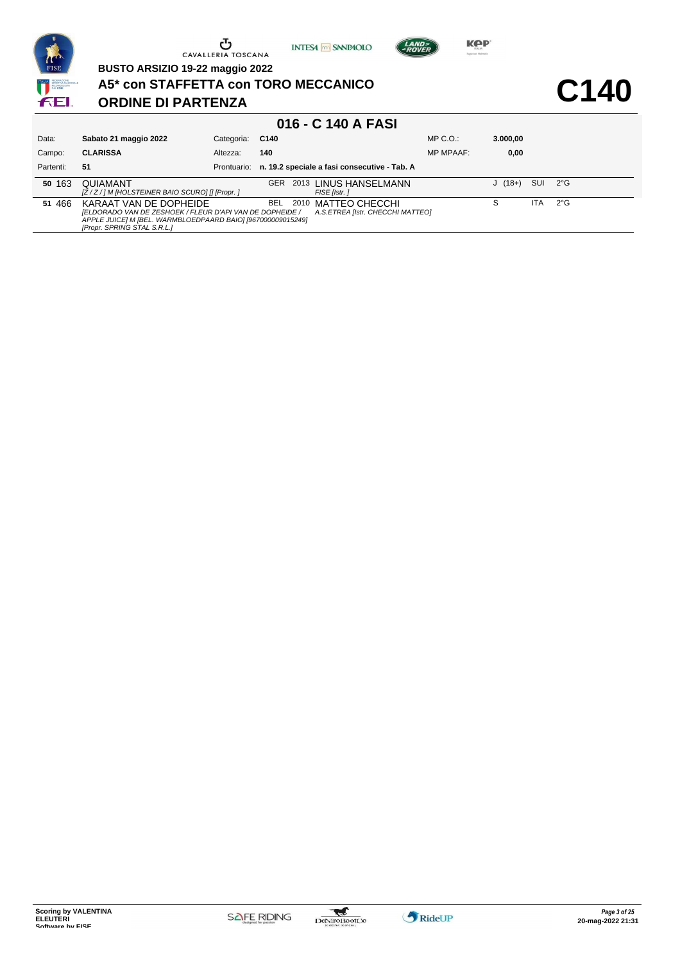

**BUSTO ARSIZIO 19-22 maggio 2022**

**A5\* con STAFFETTA con TORO MECCANICO**

# **ORDINE DI PARTENZA**

**C140**

**Kep** 

LAND-

| 016 - C 140 A FASI |                                                                                                                                                                                  |                 |            |  |                                                         |                  |          |     |               |  |  |
|--------------------|----------------------------------------------------------------------------------------------------------------------------------------------------------------------------------|-----------------|------------|--|---------------------------------------------------------|------------------|----------|-----|---------------|--|--|
| Data:              | Sabato 21 maggio 2022                                                                                                                                                            | Categoria: C140 |            |  |                                                         | $MP C. O.$ :     | 3.000.00 |     |               |  |  |
| Campo:             | <b>CLARISSA</b>                                                                                                                                                                  | Altezza:        | 140        |  |                                                         | <b>MP MPAAF:</b> | 0,00     |     |               |  |  |
| Partenti:          | 51                                                                                                                                                                               | Prontuario:     |            |  | n. 19.2 speciale a fasi consecutive - Tab. A            |                  |          |     |               |  |  |
| 50 163             | <b>QUIAMANT</b><br>[Z/Z/] M [HOLSTEINER BAIO SCURO] [] [Propr. ]                                                                                                                 |                 | <b>GER</b> |  | 2013 LINUS HANSELMANN<br>FISE [Istr.]                   |                  | $J(18+)$ | SUI | $2^{\circ}G$  |  |  |
| 51 466             | KARAAT VAN DE DOPHEIDE<br>[ELDORADO VAN DE ZESHOEK / FLEUR D'API VAN DE DOPHEIDE /<br>APPLE JUICE] M [BEL. WARMBLOEDPAARD BAIO] [967000009015249]<br>[Propr. SPRING STAL S.R.L.] |                 | BEL.       |  | 2010 MATTEO CHECCHI<br>A.S.ETREA Ilstr. CHECCHI MATTEOI |                  |          | ITA | $2^{\circ}$ G |  |  |

**INTESA** M SANPAOLO



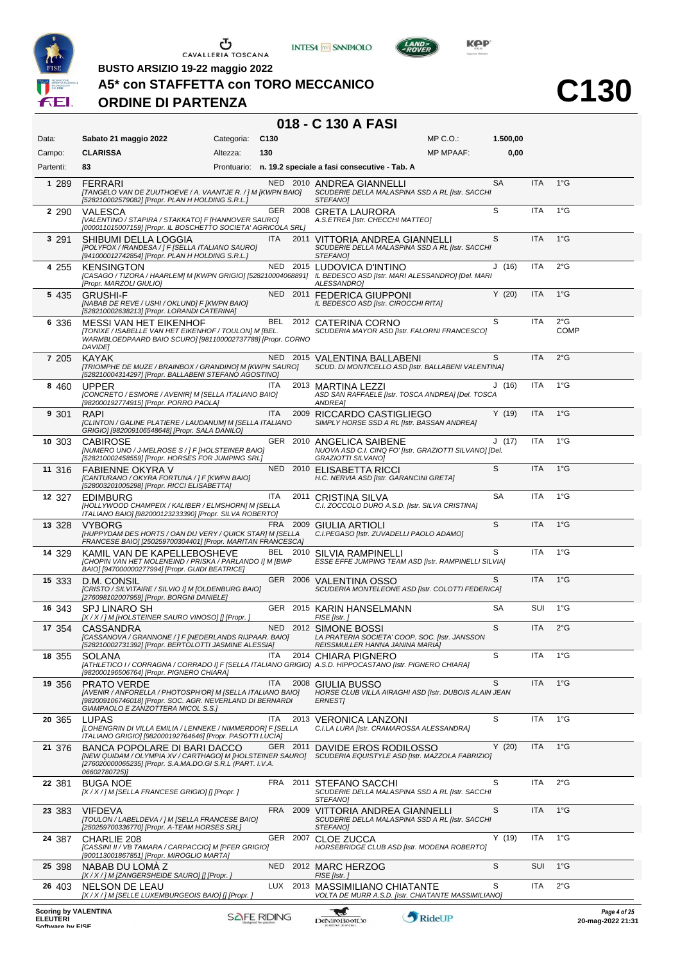





 $L$ AND<sub>7</sub>

**C130**

**BUSTO ARSIZIO 19-22 maggio 2022**

### **A5\* con STAFFETTA con TORO MECCANICO**

#### **ORDINE DI PARTENZA**

| Data:                                          | Sabato 21 maggio 2022                                                                                                                                                        | Categoria:         | C <sub>130</sub> |          |                                                                                                            | MP C.O.:         | 1.500,00  |            |                              |                                         |
|------------------------------------------------|------------------------------------------------------------------------------------------------------------------------------------------------------------------------------|--------------------|------------------|----------|------------------------------------------------------------------------------------------------------------|------------------|-----------|------------|------------------------------|-----------------------------------------|
| Campo:                                         | <b>CLARISSA</b>                                                                                                                                                              | Altezza:           | 130              |          |                                                                                                            | <b>MP MPAAF:</b> | 0.00      |            |                              |                                         |
| Partenti:                                      | 83                                                                                                                                                                           |                    |                  |          | Prontuario: n. 19.2 speciale a fasi consecutive - Tab. A                                                   |                  |           |            |                              |                                         |
| 1 289                                          | <b>FERRARI</b><br>[TANGELO VAN DE ZUUTHOEVE / A. VAANTJE R. / ] M [KWPN BAIO]<br>[528210002579082] [Propr. PLAN H HOLDING S.R.L.]                                            |                    |                  |          | NED 2010 ANDREA GIANNELLI<br>SCUDERIE DELLA MALASPINA SSD A RL [Istr. SACCHI<br>STEFANO]                   |                  | <b>SA</b> | <b>ITA</b> | $1^{\circ}G$                 |                                         |
| 2 2 9 0                                        | VALESCA<br>[VALENTINO / STAPIRA / STAKKATO] F [HANNOVER SAURO]<br>[000011015007159] [Propr. IL BOSCHETTO SOCIETA' AGRICOLA SRL]                                              |                    |                  |          | GER 2008 GRETA LAURORA<br>A.S.ETREA [Istr. CHECCHI MATTEO]                                                 |                  | S         | <b>ITA</b> | $1^{\circ}$ G                |                                         |
| 3 291                                          | SHIBUMI DELLA LOGGIA<br>[POLYFOX / IRANDESA / ] F [SELLA ITALIANO SAURO]<br>[941000012742854] [Propr. PLAN H HOLDING S.R.L.]                                                 |                    | <b>ITA</b>       |          | 2011 VITTORIA ANDREA GIANNELLI<br>SCUDERIE DELLA MALASPINA SSD A RL [Istr. SACCHI<br>STEFANO]              |                  | S         | <b>ITA</b> | $1^{\circ}$ G                |                                         |
| 4 255                                          | <b>KENSINGTON</b><br>[CASAGO / TIZORA / HAARLEM] M [KWPN GRIGIO] [528210004068891] IL BEDESCO ASD [Istr. MARI ALESSANDRO] [Del. MARI<br>[Propr. MARZOLI GIULIO]              |                    |                  |          | NED 2015 LUDOVICA D'INTINO<br>ALESSANDRO]                                                                  |                  | J(16)     | <b>ITA</b> | $2^{\circ}$ G                |                                         |
| 5 4 3 5                                        | <b>GRUSHI-F</b><br>[NABAB DE REVE / USHI / OKLUND] F [KWPN BAIO]<br>[528210002638213] [Propr. LORANDI CATERINA]                                                              |                    |                  |          | NED 2011 FEDERICA GIUPPONI<br>IL BEDESCO ASD [Istr. CIROCCHI RITA]                                         |                  | Y(20)     | <b>ITA</b> | $1^{\circ}$ G                |                                         |
| 6 336                                          | <b>MESSI VAN HET EIKENHOF</b><br>[TONIXE / ISABELLE VAN HET EIKENHOF / TOULON] M [BEL.<br>WARMBLOEDPAARD BAIO SCURO] [981100002737788] [Propr. CORNO<br>DAVIDE]              |                    | BEL              |          | 2012 CATERINA CORNO<br>SCUDERIA MAYOR ASD [Istr. FALORNI FRANCESCO]                                        |                  | S         | ITA        | $2^{\circ}$ G<br><b>COMP</b> |                                         |
| 7 205                                          | <b>KAYAK</b><br>[TRIOMPHE DE MUZE / BRAINBOX / GRANDINO] M [KWPN SAURO]<br>[528210004314297] [Propr. BALLABENI STEFANO AGOSTINO]                                             |                    |                  |          | NED 2015 VALENTINA BALLABENI<br>SCUD. DI MONTICELLO ASD [Istr. BALLABENI VALENTINA]                        |                  | S         | <b>ITA</b> | $2^{\circ}$ G                |                                         |
| 8 4 6 0                                        | <b>UPPFR</b><br>[CONCRETO / ESMORE / AVENIR] M [SELLA ITALIANO BAIO]<br>[982000192774915] [Propr. PORRO PAOLA]                                                               |                    | <b>ITA</b>       |          | 2013 MARTINA LEZZI<br>ASD SAN RAFFAELE [Istr. TOSCA ANDREA] [Del. TOSCA<br>ANDREA]                         |                  | J(16)     | ITA        | $1^{\circ}G$                 |                                         |
| 9 301                                          | <b>RAPI</b><br>[CLINTON / GALINE PLATIERE / LAUDANUM] M [SELLA ITALIANO<br>GRIGIO] [982009106548648] [Propr. SALA DANILO]                                                    |                    | <b>ITA</b>       | 2009     | RICCARDO CASTIGLIEGO<br>SIMPLY HORSE SSD A RL [Istr. BASSAN ANDREA]                                        |                  | Y(19)     | <b>ITA</b> | $1^{\circ}$ G                |                                         |
| 10 303                                         | <b>CABIROSE</b><br>[NUMERO UNO / J-MELROSE S / ] F [HOLSTEINER BAIO]<br>[528210002458559] [Propr. HORSES FOR JUMPING SRL]                                                    |                    |                  |          | GER 2010 ANGELICA SAIBENE<br>NUOVA ASD C.I. CINQ FO' [Istr. GRAZIOTTI SILVANO] [Del.<br>GRAZIOTTI SILVANO] |                  | J(17)     | <b>ITA</b> | $1^{\circ}G$                 |                                         |
| 11 316                                         | <b>FABIENNE OKYRA V</b><br>[CANTURANO / OKYRA FORTUNA / ] F [KWPN BAIO]<br>[528003201005298] [Propr. RICCI ELISABETTA]                                                       |                    |                  |          | NED 2010 ELISABETTA RICCI<br>H.C. NERVIA ASD [Istr. GARANCINI GRETA]                                       |                  | S         | <b>ITA</b> | $1^{\circ}$ G                |                                         |
| 12 327                                         | EDIMBURG<br>[HOLLYWOOD CHAMPEIX / KALIBER / ELMSHORN] M [SELLA<br>ITALIANO BAIO] [982000123233390] [Propr. SILVA ROBERTO]                                                    |                    | ITA              |          | 2011 CRISTINA SILVA<br>C.I. ZOCCOLO DURO A.S.D. [Istr. SILVA CRISTINA]                                     |                  | <b>SA</b> | ITA        | $1^{\circ}G$                 |                                         |
| 13 328                                         | <b>VYBORG</b><br>[HUPPYDAM DES HORTS / OAN DU VERY / QUICK STAR] M [SELLA<br>FRANCESE BAIO] [250259700304401] [Propr. MARITAN FRANCESCA]                                     |                    | <b>FRA</b>       |          | 2009 GIULIA ARTIOLI<br>C.I.PEGASO [Istr. ZUVADELLI PAOLO ADAMO]                                            |                  | S         | <b>ITA</b> | $1^{\circ}$ G                |                                         |
| 14 329                                         | KAMIL VAN DE KAPELLEBOSHEVE<br>[CHOPIN VAN HET MOLENEIND / PRISKA / PARLANDO I] M [BWP<br>BAIO] [947000000277994] [Propr. GUIDI BEATRICE]                                    |                    | BEL              | 2010     | SILVIA RAMPINELLI<br>ESSE EFFE JUMPING TEAM ASD [Istr. RAMPINELLI SILVIA]                                  |                  | S         | <b>ITA</b> | $1^{\circ}$ G                |                                         |
| 15 333                                         | D.M. CONSIL<br>[CRISTO / SILVITAIRE / SILVIO I] M [OLDENBURG BAIO]<br>[276098102007959] [Propr. BORGNI DANIELE]                                                              |                    |                  |          | GER 2006 VALENTINA OSSO<br>SCUDERIA MONTELEONE ASD [Istr. COLOTTI FEDERICA]                                |                  | S         | <b>ITA</b> | $1^{\circ}$ G                |                                         |
| 16 343                                         | <b>SPJ LINARO SH</b><br>[X / X / ] M [HOLSTEINER SAURO VINOSO] [] [Propr. ]                                                                                                  |                    |                  |          | GER 2015 KARIN HANSELMANN<br>FISE [Istr.]                                                                  |                  | <b>SA</b> | SUI        | $1^{\circ}$ G                |                                         |
| 17 354                                         | CASSANDRA<br>[CASSANOVA / GRANNONE / ] F [NEDERLANDS RIJPAAR. BAIO]<br>[528210002731392] [Propr. BERTOLOTTI JASMINE ALESSIA]                                                 |                    |                  |          | NED 2012 SIMONE BOSSI<br>LA PRATERIA SOCIETA' COOP. SOC. [Istr. JANSSON<br>REISSMULLER HANNA JANINA MARIAJ |                  | S         | <b>ITA</b> | $2^{\circ}$ G                |                                         |
| 18 355                                         | <b>SOLANA</b><br>[ATHLETICO I / CORRAGNA / CORRADO I] F [SELLA ITALIANO GRIGIO] A.S.D. HIPPOCASTANO [Istr. PIGNERO CHIARA]<br>[982000196506764] [Propr. PIGNERO CHIARA]      |                    | ITA              |          | 2014 CHIARA PIGNERO                                                                                        |                  | S         | ITA        | 1°G                          |                                         |
| 19 356                                         | PRATO VERDE<br>[AVENIR / ANFORELLA / PHOTOSPH'OR] M [SELLA ITALIANO BAIO]<br>[982009106746018] [Propr. SOC. AGR. NEVERLAND DI BERNARDI<br>GIAMPAOLO E ZANZOTTERA MICOL S.S.] |                    | <b>ITA</b>       |          | 2008 GIULIA BUSSO<br>HORSE CLUB VILLA AIRAGHI ASD [Istr. DUBOIS ALAIN JEAN<br><b>ERNEST</b>                |                  | S         | <b>ITA</b> | $1^{\circ}$ G                |                                         |
| 20 365                                         | <b>LUPAS</b><br>[LOHENGRIN DI VILLA EMILIA / LENNEKE / NIMMERDOR] F [SELLA<br>ITALIANO GRIGIO] [982000192764646] [Propr. PASOTTI LUCIA]                                      |                    | ITA              |          | 2013 VERONICA LANZONI<br>C.I.LA LURA [Istr. CRAMAROSSA ALESSANDRA]                                         |                  | S         | <b>ITA</b> | $1^{\circ}G$                 |                                         |
| 21 376                                         | BANCA POPOLARE DI BARI DACCO<br>[NEW QUIDAM / OLYMPIA XV / CARTHAGO] M [HOLSTEINER SAURO]<br>[276020000065235] [Propr. S.A.MA.DO.GI S.R.L (PART. I.V.A.<br>06602780725)]     |                    |                  | GER 2011 | DAVIDE EROS RODILOSSO<br>SCUDERIA EQUISTYLE ASD [Istr. MAZZOLA FABRIZIO]                                   |                  | Y(20)     | <b>ITA</b> | $1^{\circ}$ G                |                                         |
| 22 381                                         | <b>BUGA NOE</b><br>[X / X / ] M [SELLA FRANCESE GRIGIO] [] [Propr. ]                                                                                                         |                    |                  |          | FRA 2011 STEFANO SACCHI<br>SCUDERIE DELLA MALASPINA SSD A RL [Istr. SACCHI<br>STEFANO]                     |                  | S         | ITA        | $2^{\circ}$ G                |                                         |
| 23 383                                         | <b>VIFDEVA</b><br>[TOULON / LABELDEVA / ] M [SELLA FRANCESE BAIO]<br>[250259700336770] [Propr. A-TEAM HORSES SRL]                                                            |                    | FRA              | 2009     | VITTORIA ANDREA GIANNELLI<br>SCUDERIE DELLA MALASPINA SSD A RL [Istr. SACCHI<br>STEFANO]                   |                  | S         | <b>ITA</b> | $1^{\circ}$ G                |                                         |
| 24 387                                         | CHARLIE 208<br>[CASSINI II / VB TAMARA / CARPACCIO] M [PFER GRIGIO]<br>[900113001867851] [Propr. MIROGLIO MARTA]                                                             |                    | GER 2007         |          | CLOE ZUCCA<br>HORSEBRIDGE CLUB ASD [Istr. MODENA ROBERTO]                                                  |                  | Y(19)     | ITA        | $1^{\circ}$ G                |                                         |
| 25 398                                         | NABAB DU LOMA Z<br>[X / X / ] M [ZANGERSHEIDE SAURO] [] [Propr. ]                                                                                                            |                    | NED              |          | 2012 MARC HERZOG<br>FISE [Istr.]                                                                           |                  | S         | <b>SUI</b> | $1^{\circ}$ G                |                                         |
| 26 403                                         | NELSON DE LEAU<br>[X / X / ] M [SELLE LUXEMBURGEOIS BAIO] [] [Propr. ]                                                                                                       |                    | <b>LUX</b>       | 2013     | <b>MASSIMILIANO CHIATANTE</b><br>VOLTA DE MURR A.S.D. [Istr. CHIATANTE MASSIMILIANO]                       |                  | S         | ITA        | $2^{\circ}$ G                |                                         |
| <b>Scoring by VALENTINA</b><br><b>ELEUTERI</b> |                                                                                                                                                                              | <b>SAFE RIDING</b> |                  |          | æ<br>DeNiroBoot('o                                                                                         | RideUP           |           |            |                              | Page 4 of 25<br>$20 - ma - 202221 - 31$ |

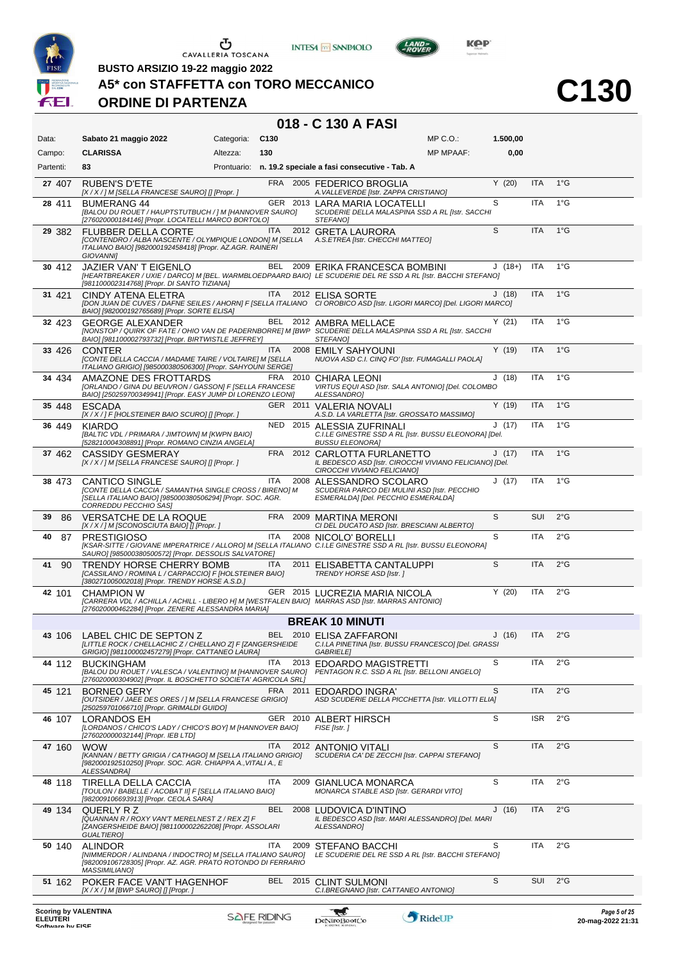





 $L$ AND

**C130**

**BUSTO ARSIZIO 19-22 maggio 2022**

#### **A5\* con STAFFETTA con TORO MECCANICO**

#### **ORDINE DI PARTENZA**

| Data:                                          | Sabato 21 maggio 2022                                                                                                                                                                                  | Categoria: | C130               | $MP C. O.$ :                                                                                                                                            | 1.500,00 |            |               |                                        |
|------------------------------------------------|--------------------------------------------------------------------------------------------------------------------------------------------------------------------------------------------------------|------------|--------------------|---------------------------------------------------------------------------------------------------------------------------------------------------------|----------|------------|---------------|----------------------------------------|
| Campo:                                         | <b>CLARISSA</b>                                                                                                                                                                                        | Altezza:   | 130                | <b>MP MPAAF:</b>                                                                                                                                        | 0,00     |            |               |                                        |
| Partenti:                                      | 83                                                                                                                                                                                                     |            |                    | Prontuario: n. 19.2 speciale a fasi consecutive - Tab. A                                                                                                |          |            |               |                                        |
| 27 407                                         | <b>RUBEN'S D'ETE</b><br>[X / X / ] M [SELLA FRANCESE SAURO] [] [Propr. ]                                                                                                                               |            |                    | FRA 2005 FEDERICO BROGLIA<br>A. VALLEVERDE [Istr. ZAPPA CRISTIANO]                                                                                      | Y(20)    | <b>ITA</b> | $1^{\circ}$ G |                                        |
| 28 411                                         | <b>BUMERANG 44</b><br>[BALOU DU ROUET / HAUPTSTUTBUCH / ] M [HANNOVER SAURO]<br>[276020000184146] [Propr. LOCATELLI MARCO BORTOLO]                                                                     |            |                    | GER 2013 LARA MARIA LOCATELLI<br>SCUDERIE DELLA MALASPINA SSD A RL [Istr. SACCHI<br>STEFANO]                                                            | S        | <b>ITA</b> | $1^{\circ}$ G |                                        |
| 29 382                                         | <b>FLUBBER DELLA CORTE</b><br>[CONTENDRO / ALBA NASCENTE / OLYMPIQUE LONDON] M [SELLA A.S.ETREA [Istr. CHECCHI MATTEO]<br>ITALIANO BAIO] [982000192458418] [Propr. AZ.AGR. RAINER]<br><b>GIOVANNII</b> |            | <b>ITA</b>         | 2012 GRETA LAURORA                                                                                                                                      | S        | <b>ITA</b> | $1^{\circ}$ G |                                        |
| 30 412                                         | JAZIER VAN'T EIGENLO<br>[981100002314768] [Propr. DI SANTO TIZIANA]                                                                                                                                    |            |                    | BEL 2009 ERIKA FRANCESCA BOMBINI<br>[HEARTBREAKER / UXIE / DARCO] M [BEL. WARMBLOEDPAARD BAIO] LE SCUDERIE DEL RE SSD A RL [Istr. BACCHI STEFANO]       | $J(18+)$ | <b>ITA</b> | $1^{\circ}$ G |                                        |
| 31 421                                         | CINDY ATENA ELETRA<br>BAIO] [982000192765689] [Propr. SORTE ELISA]                                                                                                                                     |            | <b>ITA</b>         | 2012 ELISA SORTE<br>[DON JUAN DE CUVES / DAFNE SEILES / AHORN] F [SELLA ITALIANO CI OROBICO ASD [Istr. LIGORI MARCO] [Del. LIGORI MARCO]                | J(18)    | <b>ITA</b> | $1^{\circ}$ G |                                        |
| 32 423                                         | <b>GEORGE ALEXANDER</b><br>BAIO] [981100002793732] [Propr. BIRTWISTLE JEFFREY]                                                                                                                         |            |                    | BEL 2012 AMBRA MELLACE<br>[NONSTOP / QUIRK OF FATE / OHIO VAN DE PADERNBORRE] M [BWP SCUDERIE DELLA MALASPINA SSD A RL [Istr. SACCHI<br>STEFANO]        | Y(21)    | <b>ITA</b> | $1^{\circ}$ G |                                        |
| 33 426                                         | <b>CONTER</b><br>[CONTE DELLA CACCIA / MADAME TAIRE / VOLTAIRE] M [SELLA<br>ITALIANO GRIGIO] [985000380506300] [Propr. SAHYOUNI SERGE]                                                                 |            | ITA.               | 2008 EMILY SAHYOUNI<br>NUOVA ASD C.I. CINQ FO' [Istr. FUMAGALLI PAOLA]                                                                                  | Y(19)    | <b>ITA</b> | $1^{\circ}$ G |                                        |
| 34 434                                         | AMAZONE DES FROTTARDS<br>[ORLANDO / GINA DU BEUVRON / GASSON] F [SELLA FRANCESE<br>BAIO] [250259700349941] [Propr. EASY JUMP DI LORENZO LEONI]                                                         |            |                    | FRA 2010 CHIARA LEONI<br>VIRTUS EQUI ASD [Istr. SALA ANTONIO] [Del. COLOMBO<br>ALESSANDRO]                                                              | J(18)    | <b>ITA</b> | $1^{\circ}G$  |                                        |
| 35 448                                         | <b>ESCADA</b><br>[X / X / ] F [HOLSTEINER BAIO SCURO] [] [Propr. ]                                                                                                                                     |            |                    | GER 2011 VALERIA NOVALI<br>A.S.D. LA VARLETTA [Istr. GROSSATO MASSIMO]                                                                                  | Y(19)    | <b>ITA</b> | $1^{\circ}$ G |                                        |
| 36 449                                         | KIARDO<br>[BALTIC VDL / PRIMARA / JIMTOWN] M [KWPN BAIO]<br>[528210004308891] [Propr. ROMANO CINZIA ANGELA]                                                                                            |            |                    | NED 2015 ALESSIA ZUFRINALI<br>C.I.LE GINESTRE SSD A RL [Istr. BUSSU ELEONORA] [Del.<br>BUSSU ELEONORA]                                                  | J(17)    | <b>ITA</b> | $1^{\circ}G$  |                                        |
| 37462                                          | CASSIDY GESMERAY<br>[X / X / ] M [SELLA FRANCESE SAURO] [] [Propr. ]                                                                                                                                   |            |                    | FRA 2012 CARLOTTA FURLANETTO<br>IL BEDESCO ASD [Istr. CIROCCHI VIVIANO FELICIANO] [Del.<br>CIROCCHI VIVIANO FELICIANO]                                  | J(17)    | <b>ITA</b> | $1^{\circ}$ G |                                        |
| 38473                                          | <b>CANTICO SINGLE</b><br>[CONTE DELLA CACCIA / SAMANTHA SINGLE CROSS / BIRENO] M<br>[SELLA ITALIANO BAIO] [985000380506294] [Propr. SOC. AGR.<br>CORREDDU PECCHIO SAS]                                 |            | <b>ITA</b>         | 2008 ALESSANDRO SCOLARO<br>SCUDERIA PARCO DEI MULINI ASD [Istr. PECCHIO<br>ESMERALDA] [Del. PECCHIO ESMERALDA]                                          | J(17)    | <b>ITA</b> | $1^{\circ}$ G |                                        |
| 86<br>39                                       | <b>VERSATCHE DE LA ROQUE</b><br>[X / X / ] M [SCONOSCIUTA BAIO] [] [Propr. ]                                                                                                                           |            |                    | FRA 2009 MARTINA MERONI<br>CI DEL DUCATO ASD [Istr. BRESCIANI ALBERTO]                                                                                  | S        | SUI        | $2^{\circ}$ G |                                        |
| 40<br>87                                       | <b>PRESTIGIOSO</b><br>SAURO] [985000380500572] [Propr. DESSOLIS SALVATORE]                                                                                                                             |            | ITA                | 2008 NICOLO' BORELLI<br>[KSAR-SITTE / GIOVANE IMPERATRICE / ALLORO] M [SELLA ITALIANO C.I.LE GINESTRE SSD A RL [Istr. BUSSU ELEONORA]                   | S        | <b>ITA</b> | $2^{\circ}$ G |                                        |
| 90<br>41                                       | TRENDY HORSE CHERRY BOMB<br>[CASSILANO / ROMINA L / CARPACCIO] F [HOLSTEINER BAIO]<br>[380271005002018] [Propr. TRENDY HORSE A.S.D.]                                                                   |            | <b>ITA</b>         | 2011 ELISABETTA CANTALUPPI<br>TRENDY HORSE ASD [Istr.]                                                                                                  | S        | <b>ITA</b> | $2^{\circ}$ G |                                        |
| 42 101                                         | <b>CHAMPION W</b><br>[276020000462284] [Propr. ZENERE ALESSANDRA MARIA]                                                                                                                                |            |                    | GER 2015 LUCREZIA MARIA NICOLA<br>[CARRERA VDL / ACHILLA / ACHILL - LIBERO H] M [WESTFALEN BAIO] MARRAS ASD [Istr. MARRAS ANTONIO]                      | Y(20)    | <b>ITA</b> | $2^{\circ}$ G |                                        |
|                                                |                                                                                                                                                                                                        |            |                    | <b>BREAK 10 MINUTI</b>                                                                                                                                  |          |            |               |                                        |
| 43 106                                         | LABEL CHIC DE SEPTON Z<br>GRIGIO] [981100002457279] [Propr. CATTANEO LAURA]                                                                                                                            |            |                    | BEL 2010 ELISA ZAFFARONI<br>[LITTLE ROCK / CHELLACHIC Z / CHELLANO Z] F [ZANGERSHEIDE C.I.LA PINETINA [Istr. BUSSU FRANCESCO] [Del. GRASSI<br>GABRIELE] | J(16)    | ITA        | $2^{\circ}$ G |                                        |
| 44 112                                         | <b>BUCKINGHAM</b><br>[BALOU DU ROUET / VALESCA / VALENTINO] M [HANNOVER SAURO]<br>[276020000304902] [Propr. IL BOSCHETTO SOCIETA' AGRICOLA SRL]                                                        |            | <b>ITA</b>         | 2013 EDOARDO MAGISTRETTI<br>PENTAGON R.C. SSD A RL [Istr. BELLONI ANGELO]                                                                               | S        | <b>ITA</b> | $2^{\circ}$ G |                                        |
| 45 121                                         | <b>BORNEO GERY</b><br>[OUTSIDER / JAEE DES ORES / ] M [SELLA FRANCESE GRIGIO]<br>[250259701066710] [Propr. GRIMALDI GUIDO]                                                                             |            | FRA                | 2011 EDOARDO INGRA'<br>ASD SCUDERIE DELLA PICCHETTA [Istr. VILLOTTI ELIA]                                                                               | S        | <b>ITA</b> | 2°G           |                                        |
| 46 107                                         | <b>LORANDOS EH</b><br>[LORDANOS / CHICO'S LADY / CHICO'S BOY] M [HANNOVER BAIO]<br>[276020000032144] [Propr. IEB LTD]                                                                                  |            |                    | GER 2010 ALBERT HIRSCH<br>FISE [Istr.]                                                                                                                  | S        | <b>ISR</b> | $2^{\circ}$ G |                                        |
| 47 160                                         | <b>WOW</b><br>[KANNAN / BETTY GRIGIA / CATHAGO] M [SELLA ITALIANO GRIGIO]<br>[982000192510250] [Propr. SOC. AGR. CHIAPPA A., VITALI A., E<br>ALESSANDRA]                                               |            | <b>ITA</b>         | 2012 ANTONIO VITALI<br>SCUDERIA CA' DE ZECCHI [Istr. CAPPAI STEFANO]                                                                                    | S        | <b>ITA</b> | $2^{\circ}$ G |                                        |
| 48 118                                         | TIRELLA DELLA CACCIA<br>[TOULON / BABELLE / ACOBAT II] F [SELLA ITALIANO BAIO]<br>[982009106693913] [Propr. CEOLA SARA]                                                                                |            | <b>ITA</b>         | 2009 GIANLUCA MONARCA<br>MONARCA STABLE ASD [Istr. GERARDI VITO]                                                                                        | S        | <b>ITA</b> | $2^{\circ}$ G |                                        |
| 49 134                                         | QUERLY R Z<br>[QUANNAN R / ROXY VAN'T MERELNEST Z / REX Z] F<br>[ZANGERSHEIDE BAIO] [981100002262208] [Propr. ASSOLARI<br><b>GUALTIERO]</b>                                                            |            | BEL                | 2008 LUDOVICA D'INTINO<br>IL BEDESCO ASD [Istr. MARI ALESSANDRO] [Del. MARI<br>ALESSANDRO]                                                              | J(16)    | <b>ITA</b> | $2^{\circ}$ G |                                        |
| 50 140                                         | <b>ALINDOR</b><br>[NIMMERDOR / ALINDANA / INDOCTRO] M [SELLA ITALIANO SAURO]<br>[982009106728305] [Propr. AZ. AGR. PRATO ROTONDO DI FERRARIO<br><b>MASSIMILIANO]</b>                                   |            | ITA                | 2009 STEFANO BACCHI<br>LE SCUDERIE DEL RE SSD A RL [Istr. BACCHI STEFANO]                                                                               | S        | <b>ITA</b> | $2^{\circ}$ G |                                        |
| 51 162                                         | POKER FACE VAN'T HAGENHOF<br>$[X/X]/M$ [BWP SAURO] [] [Propr. ]                                                                                                                                        |            |                    | BEL 2015 CLINT SULMONI<br>C.I.BREGNANO [Istr. CATTANEO ANTONIO]                                                                                         | S        | SUI        | $2^{\circ}$ G |                                        |
| <b>Scoring by VALENTINA</b><br><b>ELEUTERI</b> |                                                                                                                                                                                                        |            | <b>SAFE RIDING</b> | RideUP<br>DeNiroBoot('o                                                                                                                                 |          |            |               | Page 5 of 25<br>$20$ -mag-2022 $21.31$ |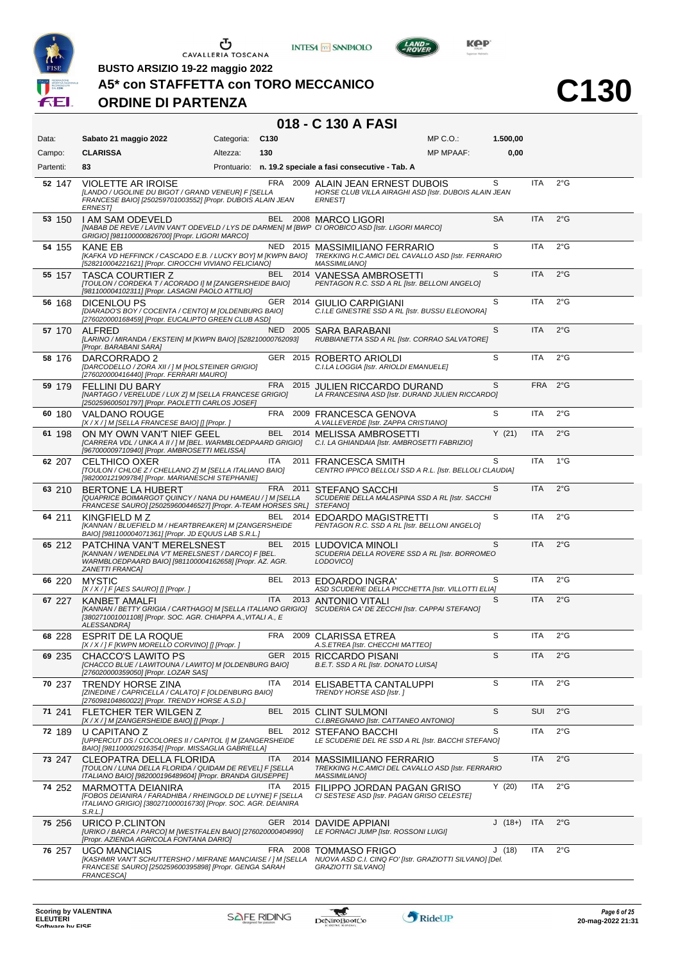

**BUSTO ARSIZIO 19-22 maggio 2022**





**A5\* con STAFFETTA con TORO MECCANICO**

# **ORDINE DI PARTENZA**

| Data:     | Sabato 21 maggio 2022                                                                                                                                           | Categoria: | C <sub>130</sub> |          | MP C.O.:                                                                                                                          | 1.500,00  |            |               |
|-----------|-----------------------------------------------------------------------------------------------------------------------------------------------------------------|------------|------------------|----------|-----------------------------------------------------------------------------------------------------------------------------------|-----------|------------|---------------|
| Campo:    | <b>CLARISSA</b>                                                                                                                                                 | Altezza:   | 130              |          | <b>MP MPAAF:</b>                                                                                                                  | 0,00      |            |               |
| Partenti: | 83                                                                                                                                                              |            |                  |          | Prontuario: n. 19.2 speciale a fasi consecutive - Tab. A                                                                          |           |            |               |
| 52 147    | <b>VIOLETTE AR IROISE</b><br>[LANDO / UGOLINE DU BIGOT / GRAND VENEUR] F [SELLA<br>FRANCESE BAIO] [250259701003552] [Propr. DUBOIS ALAIN JEAN<br><b>ERNESTI</b> |            |                  |          | FRA 2009 ALAIN JEAN ERNEST DUBOIS<br>HORSE CLUB VILLA AIRAGHI ASD [Istr. DUBOIS ALAIN JEAN<br><b>ERNESTI</b>                      | S         | <b>ITA</b> | $2^{\circ}$ G |
| 53 150    | I AM SAM ODEVELD<br>GRIGIO] [981100000826700] [Propr. LIGORI MARCO]                                                                                             |            |                  |          | BEL 2008 MARCO LIGORI<br>[NABAB DE REVE / LAVIN VAN'T ODEVELD / LYS DE DARMEN] M [BWP CI OROBICO ASD [Istr. LIGORI MARCO]         | <b>SA</b> | <b>ITA</b> | $2^{\circ}$ G |
| 54 155    | <b>KANE EB</b><br>[KAFKA VD HEFFINCK / CASCADO E.B. / LUCKY BOY] M [KWPN BAIO]<br>[528210004221621] [Propr. CIROCCHI VIVIANO FELICIANO]                         |            |                  | NED 2015 | <b>MASSIMILIANO FERRARIO</b><br>TREKKING H.C.AMICI DEL CAVALLO ASD [Istr. FERRARIO<br><b>MASSIMILIANO]</b>                        | S         | <b>ITA</b> | $2^{\circ}$ G |
| 55 157    | <b>TASCA COURTIER Z</b><br>[TOULON / CORDEKA T / ACORADO I] M [ZANGERSHEIDE BAIO]<br>[981100004102311] [Propr. LASAGNI PAOLO ATTILIO]                           |            |                  |          | BEL 2014 VANESSA AMBROSETTI<br>PENTAGON R.C. SSD A RL [Istr. BELLONI ANGELO]                                                      | S         | <b>ITA</b> | $2^{\circ}$ G |
| 56 168    | DICENLOU PS<br>[DIARADO'S BOY / COCENTA / CENTO] M [OLDENBURG BAIO]<br>[276020000168459] [Propr. EUCALIPTO GREEN CLUB ASD]                                      |            |                  |          | GER 2014 GIULIO CARPIGIANI<br>C.I.LE GINESTRE SSD A RL [Istr. BUSSU ELEONORA]                                                     | S         | ITA        | 2°G           |
| 57 170    | <b>ALFRED</b><br>[LARINO / MIRANDA / EKSTEIN] M [KWPN BAIO] [528210000762093]<br>[Propr. BARABANI SARA]                                                         |            |                  |          | NED 2005 SARA BARABANI<br>RUBBIANETTA SSD A RL [Istr. CORRAO SALVATORE]                                                           | S         | <b>ITA</b> | $2^{\circ}$ G |
| 58 176    | DARCORRADO 2<br>[DARCODELLO / ZORA XII / ] M [HOLSTEINER GRIGIO]<br>[276020000416440] [Propr. FERRARI MAURO]                                                    |            |                  |          | GER 2015 ROBERTO ARIOLDI<br>C.I.LA LOGGIA [Istr. ARIOLDI EMANUELE]                                                                | S         | <b>ITA</b> | $2^{\circ}$ G |
| 59 179    | <b>FELLINI DU BARY</b><br>[NARTAGO / VERELUDE / LUX Z] M [SELLA FRANCESE GRIGIO]<br>[250259600501797] [Propr. PAOLETTI CARLOS JOSEF]                            |            | FRA              |          | 2015 JULIEN RICCARDO DURAND<br>LA FRANCESINA ASD [Istr. DURAND JULIEN RICCARDO]                                                   | S         | <b>FRA</b> | $2^{\circ}$ G |
| 60 180    | <b>VALDANO ROUGE</b><br>[X / X / ] M [SELLA FRANCESE BAIO] [] [Propr. ]                                                                                         |            | FRA              |          | 2009 FRANCESCA GENOVA<br>A. VALLEVERDE [Istr. ZAPPA CRISTIANO]                                                                    | S         | ITA        | $2^{\circ}$ G |
| 61 198    | ON MY OWN VAN'T NIEF GEEL<br>[CARRERA VDL / UNKA A II / ] M [BEL. WARMBLOEDPAARD GRIGIO]<br>[967000009710940] [Propr. AMBROSETTI MELISSA]                       |            | <b>BEL</b>       |          | 2014 MELISSA AMBROSETTI<br>C.I. LA GHIANDAIA [Istr. AMBROSETTI FABRIZIO]                                                          | Y(21)     | <b>ITA</b> | $2^{\circ}$ G |
| 62 207    | <b>CELTHICO OXER</b><br>[TOULON / CHLOE Z / CHELLANO Z] M [SELLA ITALIANO BAIO]<br>[982000121909784] [Propr. MARIANESCHI STEPHANIE]                             |            | ITA.             | 2011     | <b>FRANCESCA SMITH</b><br>CENTRO IPPICO BELLOLI SSD A R.L. [Istr. BELLOLI CLAUDIA]                                                | S         | <b>ITA</b> | $1^{\circ}$ G |
| 63 210    | BERTONE LA HUBERT<br>[QUAPRICE BOIMARGOT QUINCY / NANA DU HAMEAU / ] M [SELLA<br>FRANCESE SAURO] [250259600446527] [Propr. A-TEAM HORSES SRL] STEFANO]          |            | FRA 2011         |          | <b>STEFANO SACCHI</b><br>SCUDERIE DELLA MALASPINA SSD A RL [Istr. SACCHI                                                          | S         | ITA        | 2°G           |
| 64 211    | KINGFIELD MZ<br>[KANNAN / BLUEFIELD M / HEARTBREAKER] M [ZANGERSHEIDE<br>BAIO] [981100004071361] [Propr. JD EQUUS LAB S.R.L.]                                   |            |                  | BEL 2014 | <b>EDOARDO MAGISTRETTI</b><br>PENTAGON R.C. SSD A RL [Istr. BELLONI ANGELO]                                                       | S         | ITA        | 2°G           |
| 65 212    | PATCHINA VAN'T MERELSNEST<br>[KANNAN / WENDELINA V'T MERELSNEST / DARCO] F [BEL.<br>WARMBLOEDPAARD BAIO] [981100004162658] [Propr. AZ. AGR.<br>ZANETTI FRANCAJ  |            |                  |          | BEL 2015 LUDOVICA MINOLI<br>SCUDERIA DELLA ROVERE SSD A RL [Istr. BORROMEO<br>LODOVICO]                                           | S         | <b>ITA</b> | $2^{\circ}$ G |
| 66 220    | <b>MYSTIC</b><br>$[X/X/]$ F [AES SAURO] [] [Propr. ]                                                                                                            |            | BEL              |          | 2013 EDOARDO INGRA'<br>ASD SCUDERIE DELLA PICCHETTA [Istr. VILLOTTI ELIA]                                                         | S         | <b>ITA</b> | $2^{\circ}$ G |
| 67 227    | <b>KANBET AMALFI</b><br>[380271001001108] [Propr. SOC. AGR. CHIAPPA A., VITALI A., E<br>ALESSANDRA1                                                             |            | <b>ITA</b>       |          | 2013 ANTONIO VITALI<br>[KANNAN / BETTY GRIGIA / CARTHAGO] M [SELLA ITALIANO GRIGIO] SCUDERIA CA' DE ZECCHI [Istr. CAPPAI STEFANO] | S         | <b>ITA</b> | $2^{\circ}$ G |
| 68 228    | <b>ESPRIT DE LA ROQUE</b><br>[X / X / ] F [KWPN MORELLO CORVINO] [] [Propr. ]                                                                                   |            | FRA              |          | 2009 CLARISSA ETREA<br>A.S.ETREA [Istr. CHECCHI MATTEO]                                                                           | S         | <b>ITA</b> | $2^{\circ}$ G |
| 69 235    | CHACCO'S LAWITO PS<br>[CHACCO BLUE / LAWITOUNA / LAWITO] M [OLDENBURG BAIO]<br>[276020000359050] [Propr. LOZAR SAS]                                             |            |                  |          | GER 2015 RICCARDO PISANI<br>B.E.T. SSD A RL [Istr. DONATO LUISA]                                                                  | S         | <b>ITA</b> | 2°G           |
| 70 237    | <b>TRENDY HORSE ZINA</b><br>[ZINEDINE / CAPRICELLA / CALATO] F [OLDENBURG BAIO]<br>[276098104860022] [Propr. TRENDY HORSE A.S.D.]                               |            | <b>ITA</b>       |          | 2014 ELISABETTA CANTALUPPI<br>TRENDY HORSE ASD [Istr.]                                                                            | S         | <b>ITA</b> | 2°G           |
| 71 241    | FLETCHER TER WILGEN Z<br>[X / X / ] M [ZANGERSHEIDE BAIO] [] [Propr. ]                                                                                          |            | BEL              |          | 2015 CLINT SULMONI<br>C.I.BREGNANO [Istr. CATTANEO ANTONIO]                                                                       | S         | <b>SUI</b> | $2^{\circ}$ G |
| 72 189    | U CAPITANO Z<br>[UPPERCUT DS / COCOLORES II / CAPITOL I] M [ZANGERSHEIDE<br>BAIO] [981100002916354] [Propr. MISSAGLIA GABRIELLA]                                |            | BEL              | 2012     | <b>STEFANO BACCHI</b><br>LE SCUDERIE DEL RE SSD A RL [Istr. BACCHI STEFANO]                                                       | S         | ITA        | $2^{\circ}$ G |
| 73 247    | CLEOPATRA DELLA FLORIDA<br>[TOULON / LUNA DELLA FLORIDA / QUIDAM DE REVEL] F [SELLA<br>ITALIANO BAIO] [982000196489604] [Propr. BRANDA GIUSEPPE]                |            | ITA.             | 2014     | MASSIMILIANO FERRARIO<br>TREKKING H.C.AMICI DEL CAVALLO ASD [Istr. FERRARIO<br><b>MASSIMILIANO]</b>                               | S         | <b>ITA</b> | $2^{\circ}$ G |
| 74 252    | MARMOTTA DEIANIRA<br>[FOBOS DEIANIRA / FARADHIBA / RHEINGOLD DE LUYNE] F [SELLA<br>ITALIANO GRIGIO] [380271000016730] [Propr. SOC. AGR. DEIANIRA<br>S.R.L.1     |            | ITA              |          | 2015 FILIPPO JORDAN PAGAN GRISO<br>CI SESTESE ASD [Istr. PAGAN GRISO CELESTE]                                                     | Y(20)     | ITA        | $2^{\circ}$ G |
| 75 256    | URICO P.CLINTON<br>[URIKO / BARCA / PARCO] M [WESTFALEN BAIO] [276020000404990]<br>[Propr. AZIENDA AGRICOLA FONTANA DARIO]                                      |            |                  | GER 2014 | DAVIDE APPIANI<br>LE FORNACI JUMP [Istr. ROSSONI LUIGI]                                                                           | $J(18+)$  | <b>ITA</b> | $2^{\circ}$ G |
| 76 257    | <b>UGO MANCIAIS</b><br>[KASHMIR VAN'T SCHUTTERSHO / MIFRANE MANCIAISE / ] M [SELLA<br>FRANCESE SAURO] [250259600395898] [Propr. GENGA SARAH<br>FRANCESCA]       |            |                  | FRA 2008 | <b>TOMMASO FRIGO</b><br>NUOVA ASD C.I. CINQ FO' [Istr. GRAZIOTTI SILVANO] [Del.<br>GRAZIOTTI SILVANO]                             | J(18)     | ITA        | $2^{\circ}$ G |



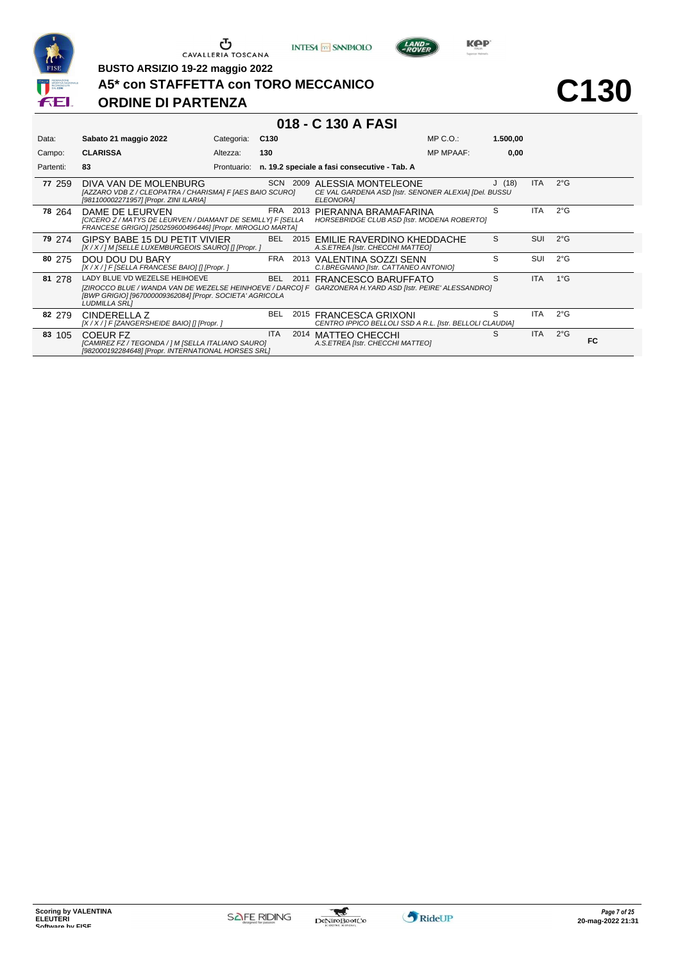

**INTESA** M SANPAOLO



**C130**

#### **A5\* con STAFFETTA con TORO MECCANICO**

# **ORDINE DI PARTENZA**

**BUSTO ARSIZIO 19-22 maggio 2022**

| Data:     | Sabato 21 maggio 2022                                                                                                                                                                                                   | Categoria:  | C <sub>130</sub> |          |                                                                                          | $MP C. O.$ :     | 1.500,00 |            |               |           |
|-----------|-------------------------------------------------------------------------------------------------------------------------------------------------------------------------------------------------------------------------|-------------|------------------|----------|------------------------------------------------------------------------------------------|------------------|----------|------------|---------------|-----------|
| Campo:    | <b>CLARISSA</b>                                                                                                                                                                                                         | Altezza:    | 130              |          |                                                                                          | <b>MP MPAAF:</b> | 0,00     |            |               |           |
| Partenti: | 83                                                                                                                                                                                                                      | Prontuario: |                  |          | n. 19.2 speciale a fasi consecutive - Tab. A                                             |                  |          |            |               |           |
| 77 259    | DIVA VAN DE MOLENBURG<br>[AZZARO VDB Z / CLEOPATRA / CHARISMA] F [AES BAIO SCURO]<br>[981100002271957] [Propr. ZINI ILARIA]                                                                                             |             |                  | SCN 2009 | ALESSIA MONTELEONE<br>CE VAL GARDENA ASD [Istr. SENONER ALEXIA] [Del. BUSSU<br>ELEONORA] |                  | J(18)    | ITA.       | $2^{\circ}$ G |           |
| 78 264    | DAME DE LEURVEN<br>[CICERO Z / MATYS DE LEURVEN / DIAMANT DE SEMILLY] F [SELLA<br>FRANCESE GRIGIO] [250259600496446] [Propr. MIROGLIO MARTA]                                                                            |             | FRA              | 2013     | PIERANNA BRAMAFARINA<br><b>HORSEBRIDGE CLUB ASD [Istr. MODENA ROBERTO]</b>               |                  | S        | ITA.       | $2^{\circ}$ G |           |
| 79 274    | GIPSY BABE 15 DU PETIT VIVIER<br>[X / X / ] M [SELLE LUXEMBURGEOIS SAURO] [] [Propr. ]                                                                                                                                  |             | BEL              |          | 2015 EMILIE RAVERDINO KHEDDACHE<br>A.S.ETREA [Istr. CHECCHI MATTEO]                      |                  | S        | SUI        | $2^{\circ}G$  |           |
| 80 275    | DOU DOU DU BARY<br>[X / X / ] F [SELLA FRANCESE BAIO] [] [Propr. ]                                                                                                                                                      |             | FRA              | 2013     | VALENTINA SOZZI SENN<br>C.I.BREGNANO [Istr. CATTANEO ANTONIO]                            |                  | S        | SUI        | $2^{\circ}$ G |           |
| 81 278    | LADY BLUE VD WEZELSE HEIHOEVE<br>[ZIROCCO BLUE / WANDA VAN DE WEZELSE HEINHOEVE / DARCO] F GARZONERA H. YARD ASD [Istr. PEIRE' ALESSANDRO]<br>[BWP GRIGIO] [967000009362084] [Propr. SOCIETA' AGRICOLA<br>LUDMILLA SRL] |             | <b>BEL</b>       | 2011     | FRANCESCO BARUFFATO                                                                      |                  | S.       | <b>ITA</b> | $1^{\circ}$ G |           |
| 82 279    | CINDERELLA Z<br>[X / X / ] F [ZANGERSHEIDE BAIO] [] [Propr. ]                                                                                                                                                           |             | BEL              |          | 2015 FRANCESCA GRIXONI<br>CENTRO IPPICO BELLOLI SSD A R.L. [Istr. BELLOLI CLAUDIA]       |                  | S.       | ITA.       | $2^{\circ}$ G |           |
| 83 105    | COEUR FZ<br>[CAMIREZ FZ / TEGONDA / ] M [SELLA ITALIANO SAURO]<br>[982000192284648] [Propr. INTERNATIONAL HORSES SRL]                                                                                                   |             | <b>ITA</b>       |          | 2014 MATTEO CHECCHI<br>A.S.ETREA [Istr. CHECCHI MATTEO]                                  |                  | S        | <b>ITA</b> | $2^{\circ}$ G | <b>FC</b> |

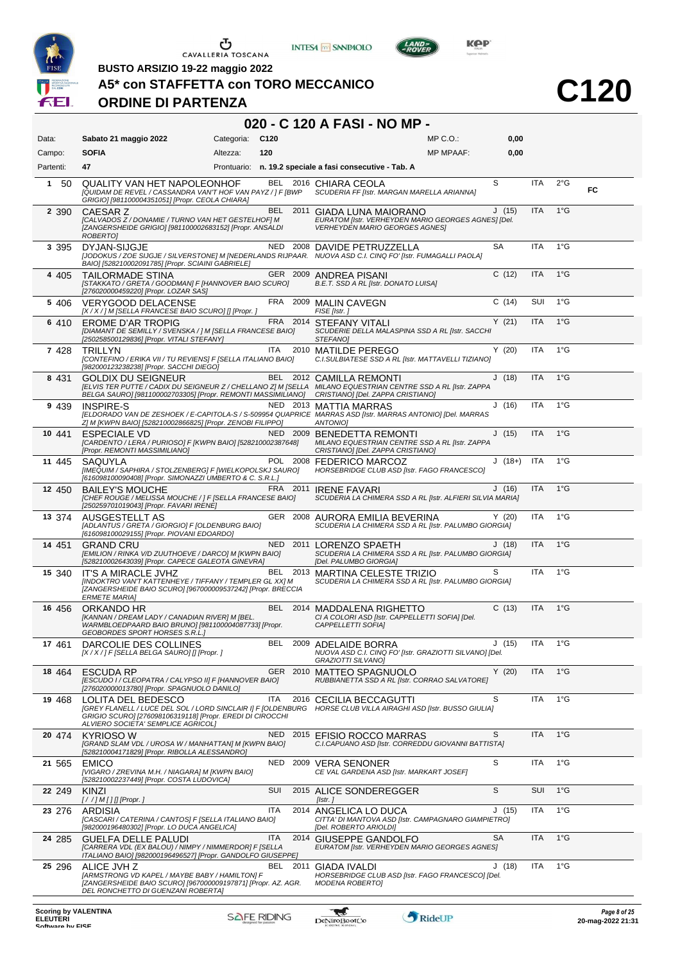

**INTESA** M SANPAOLO



**C120**

 $LAND =$ 

**BUSTO ARSIZIO 19-22 maggio 2022**

### **A5\* con STAFFETTA con TORO MECCANICO**

### **ORDINE DI PARTENZA**

# **020 - C 120 A FASI - NO MP -**

| Data:     | Sabato 21 maggio 2022                                                                                                                                                                                                                          | Categoria: | C <sub>120</sub> |          |                                                                                                                          | MP C. O.         | 0,00     |            |               |    |
|-----------|------------------------------------------------------------------------------------------------------------------------------------------------------------------------------------------------------------------------------------------------|------------|------------------|----------|--------------------------------------------------------------------------------------------------------------------------|------------------|----------|------------|---------------|----|
| Campo:    | <b>SOFIA</b>                                                                                                                                                                                                                                   | Altezza:   | 120              |          |                                                                                                                          | <b>MP MPAAF:</b> | 0,00     |            |               |    |
| Partenti: | 47                                                                                                                                                                                                                                             |            |                  |          | Prontuario: n. 19.2 speciale a fasi consecutive - Tab. A                                                                 |                  |          |            |               |    |
| 50<br>1   | QUALITY VAN HET NAPOLEONHOF<br>[QUIDAM DE REVEL / CASSANDRA VAN'T HOF VAN PAYZ / ] F [BWP<br>GRIGIO] [981100004351051] [Propr. CEOLA CHIARA]                                                                                                   |            |                  |          | BEL 2016 CHIARA CEOLA<br>SCUDERIA FF [Istr. MARGAN MARELLA ARIANNA]                                                      |                  | S        | <b>ITA</b> | $2^{\circ}$ G | FC |
| 2 3 9 0   | CAESAR <sub>Z</sub><br>[CALVADOS Z / DONAMIE / TURNO VAN HET GESTELHOF] M<br>[ZANGERSHEIDE GRIGIO] [981100002683152] [Propr. ANSALDI<br>ROBERTO]                                                                                               |            | BEL.             |          | 2011 GIADA LUNA MAIORANO<br>EURATOM [Istr. VERHEYDEN MARIO GEORGES AGNES] [Del.<br><b>VERHEYDEN MARIO GEORGES AGNES]</b> |                  | J(15)    | <b>ITA</b> | $1^{\circ}$ G |    |
| 3 3 9 5   | DYJAN-SIJGJE<br>[JODOKUS / ZOE SIJGJE / SILVERSTONE] M [NEDERLANDS RIJPAAR. NUOVA ASD C.I. CINQ FO' [Istr. FUMAGALLI PAOLA]<br>BAIO] [528210002091785] [Propr. SCIAINI GABRIELE]                                                               |            |                  |          | NED 2008 DAVIDE PETRUZZELLA                                                                                              |                  | SA       | ITA        | $1^{\circ}$ G |    |
| 4 4 0 5   | <b>TAILORMADE STINA</b><br>[STAKKATO / GRETA / GOODMAN] F [HANNOVER BAIO SCURO]<br>[276020000459220] [Propr. LOZAR SAS]                                                                                                                        |            |                  | GER 2009 | <b>ANDREA PISANI</b><br>B.E.T. SSD A RL [Istr. DONATO LUISA]                                                             |                  | C(12)    | <b>ITA</b> | $1^{\circ}$ G |    |
| 5 406     | <b>VERYGOOD DELACENSE</b><br>[X / X / ] M [SELLA FRANCESE BAIO SCURO] [] [Propr. ]                                                                                                                                                             |            |                  |          | FRA 2009 MALIN CAVEGN<br>FISE [Istr.]                                                                                    |                  | C(14)    | <b>SUI</b> | $1^{\circ}$ G |    |
| 6 410     | EROME D'AR TROPIG<br>[DIAMANT DE SEMILLY / SVENSKA / ] M [SELLA FRANCESE BAIO]<br>[250258500129836] [Propr. VITALI STEFANY]                                                                                                                    |            |                  |          | FRA 2014 STEFANY VITALI<br>SCUDERIE DELLA MALASPINA SSD A RL [Istr. SACCHI<br>STEFANO]                                   |                  | Y(21)    | <b>ITA</b> | $1^{\circ}$ G |    |
| 7 4 2 8   | <b>TRILLYN</b><br>[CONTEFINO / ERIKA VII / TU REVIENS] F [SELLA ITALIANO BAIO]<br>[982000123238238] [Propr. SACCHI DIEGO]                                                                                                                      |            | ITA              | 2010     | <b>MATILDE PEREGO</b><br>C.I.SULBIATESE SSD A RL [Istr. MATTAVELLI TIZIANO]                                              |                  | Y(20)    | ITA        | $1^{\circ}$ G |    |
| 8 4 3 1   | <b>GOLDIX DU SEIGNEUR</b><br>[ELVIS TER PUTTE / CADIX DU SEIGNEUR Z / CHELLANO Z] M [SELLA MILANO EQUESTRIAN CENTRE SSD A RL [Istr. ZAPPA<br>BELGA SAURO] [981100002703305] [Propr. REMONTI MASSIMILIANO]                                      |            |                  |          | BEL 2012 CAMILLA REMONTI<br>CRISTIANO] [Del. ZAPPA CRISTIANO]                                                            |                  | J(18)    | <b>ITA</b> | $1^{\circ}$ G |    |
| 9 4 3 9   | <b>INSPIRE-S</b><br>[ELDORADO VAN DE ZESHOEK / E-CAPITOLA-S / S-509954 QUAPRICE MARRAS ASD [Istr. MARRAS ANTONIO] [Del. MARRAS<br>Z] M [KWPN BAIO] [528210002866825] [Propr. ZENOBI FILIPPO]                                                   |            |                  |          | NED 2013 MATTIA MARRAS<br><b>ANTONIOI</b>                                                                                |                  | J(16)    | ITA        | $1^{\circ}$ G |    |
| 10 441    | <b>ESPECIALE VD</b><br>[CARDENTO / LERA / PURIOSO] F [KWPN BAIO] [528210002387648]<br>[Propr. REMONTI MASSIMILIANO]                                                                                                                            |            |                  | NED 2009 | <b>BENEDETTA REMONTI</b><br>MILANO EQUESTRIAN CENTRE SSD A RL [Istr. ZAPPA<br>CRISTIANO] [Del. ZAPPA CRISTIANO]          |                  | J(15)    | <b>ITA</b> | $1^{\circ}$ G |    |
| 11 445    | SAQUYLA<br>[IMEQUIM / SAPHIRA / STOLZENBERG] F [WIELKOPOLSKJ SAURO]<br>[616098100090408] [Propr. SIMONAZZI UMBERTO & C. S.R.L.]                                                                                                                |            |                  | POL 2008 | <b>FEDERICO MARCOZ</b><br>HORSEBRIDGE CLUB ASD [Istr. FAGO FRANCESCO]                                                    |                  | $J(18+)$ | <b>ITA</b> | $1^{\circ}$ G |    |
| 12 450    | <b>BAILEY'S MOUCHE</b><br>[CHEF ROUGE / MELISSA MOUCHE / ] F [SELLA FRANCESE BAIO]<br>[250259701019043] [Propr. FAVARI IRENE]                                                                                                                  |            |                  | FRA 2011 | <b>IRENE FAVARI</b><br>SCUDERIA LA CHIMERA SSD A RL [Istr. ALFIERI SILVIA MARIA]                                         |                  | J(16)    | <b>ITA</b> | $1^{\circ}$ G |    |
| 13 374    | AUSGESTELLT AS<br>[ADLANTUS / GRETA / GIORGIO] F [OLDENBURG BAIO]<br>[616098100029155] [Propr. PIOVANI EDOARDO]                                                                                                                                |            |                  | GER 2008 | AURORA EMILIA BEVERINA<br>SCUDERIA LA CHIMERA SSD A RL [Istr. PALUMBO GIORGIA]                                           |                  | Y(20)    | <b>ITA</b> | $1^{\circ}$ G |    |
| 14 451    | <b>GRAND CRU</b><br>[EMILION / RINKA V/D ZUUTHOEVE / DARCO] M [KWPN BAIO]<br>[528210002643039] [Propr. CAPECE GALEOTA GINEVRA]                                                                                                                 |            | <b>NED</b>       | 2011     | LORENZO SPAETH<br>SCUDERIA LA CHIMERA SSD A RL [Istr. PALUMBO GIORGIA]<br>[Del. PALUMBO GIORGIA]                         |                  | J(18)    | <b>ITA</b> | $1^{\circ}$ G |    |
| 15 340    | IT'S A MIRACLE JVHZ<br>[INDOKTRO VAN'T KATTENHEYE / TIFFANY / TEMPLER GL XX] M<br>[ZANGERSHEIDE BAIO SCURO] [967000009537242] [Propr. BRECCIA<br><b>ERMETE MARIA]</b>                                                                          |            | BEL              | 2013     | MARTINA CELESTE TRIZIO<br>SCUDERIA LA CHIMERA SSD A RL [Istr. PALUMBO GIORGIA]                                           |                  | S        | ITA        | $1^{\circ}$ G |    |
| 16 456    | ORKANDO HR<br>[KANNAN / DREAM LADY / CANADIAN RIVER] M [BEL.<br>WARMBLOEDPAARD BAIO BRUNO] [981100004087733] [Propr.<br><b>GEOBORDES SPORT HORSES S.R.L.]</b>                                                                                  |            |                  | BEL 2014 | <b>MADDALENA RIGHETTO</b><br>CI A COLORI ASD [Istr. CAPPELLETTI SOFIA] [Del.<br>CAPPELLETTI SOFIA]                       |                  | C(13)    | <b>ITA</b> | $1^{\circ}$ G |    |
| 17 461    | DARCOLIE DES COLLINES<br>$[X/X$ / ] F [SELLA BELGA SAURO] [] [Propr. ]                                                                                                                                                                         |            | BEL              |          | 2009 ADELAIDE BORRA<br>NUOVA ASD C.I. CINQ FO' [Istr. GRAZIOTTI SILVANO] [Del.<br><b>GRAZIOTTI SILVANOI</b>              |                  | J(15)    | <b>ITA</b> | $1^{\circ}$ G |    |
| 18 4 64   | <b>ESCUDA RP</b><br>[ESCUDO I / CLEOPATRA / CALYPSO II] F [HANNOVER BAIO]<br>[276020000013780] [Propr. SPAGNUOLO DANILO]                                                                                                                       |            |                  |          | GER 2010 MATTEO SPAGNUOLO<br>RUBBIANETTA SSD A RL [Istr. CORRAO SALVATORE]                                               |                  | Y(20)    | ITA        | $1^{\circ}$ G |    |
| 19 4 68   | <b>LOLITA DEL BEDESCO</b><br>[GREY FLANELL / LUCE DEL SOL / LORD SINCLAIR I] F [OLDENBURG HORSE CLUB VILLA AIRAGHI ASD [Istr. BUSSO GIULIA]<br>GRIGIO SCURO] [276098106319118] [Propr. EREDI DI CIROCCHI<br>ALVIERO SOCIETA' SEMPLICE AGRICOLI |            | ITA              |          | 2016 CECILIA BECCAGUTTI                                                                                                  |                  | S        | ITA        | $1^{\circ}$ G |    |
| 20 474    | <b>KYRIOSO W</b><br>[GRAND SLAM VDL / UROSA W / MANHATTAN] M [KWPN BAIO]<br>[528210004171829] [Propr. RIBOLLA ALESSANDRO]                                                                                                                      |            | <b>NED</b>       |          | 2015 EFISIO ROCCO MARRAS<br>C.I.CAPUANO ASD [Istr. CORREDDU GIOVANNI BATTISTA]                                           |                  | S        | <b>ITA</b> | $1^{\circ}$ G |    |
| 21 565    | <b>EMICO</b><br>[VIGARO / ZREVINA M.H. / NIAGARA] M [KWPN BAIO]<br>[528210002237449] [Propr. COSTA LUDOVICA]                                                                                                                                   |            | NED              |          | 2009 VERA SENONER<br>CE VAL GARDENA ASD [Istr. MARKART JOSEF]                                                            |                  | S        | ITA        | $1^{\circ}$ G |    |
| 22 249    | KINZI<br>[//]M[][][Propr. ]                                                                                                                                                                                                                    |            | SUI              |          | 2015 ALICE SONDEREGGER<br>[Istr.]                                                                                        |                  | S        | <b>SUI</b> | $1^{\circ}$ G |    |
| 23 276    | ARDISIA<br>[CASCARI / CATERINA / CANTOS] F [SELLA ITALIANO BAIO]<br>[982000196480302] [Propr. LO DUCA ANGELICA]                                                                                                                                |            | <b>ITA</b>       |          | 2014 ANGELICA LO DUCA<br>CITTA' DI MANTOVA ASD [Istr. CAMPAGNARO GIAMPIETRO]<br>[Del. ROBERTO ARIOLDI]                   |                  | J(15)    | ITA        | $1^{\circ}$ G |    |
| 24 285    | GUELFA DELLE PALUDI<br>[CARRERA VDL (EX BALOU) / NIMPY / NIMMERDOR] F [SELLA<br>ITALIANO BAIO] [982000196496527] [Propr. GANDOLFO GIUSEPPE]                                                                                                    |            | <b>ITA</b>       | 2014     | GIUSEPPE GANDOLFO<br>EURATOM [Istr. VERHEYDEN MARIO GEORGES AGNES]                                                       |                  | SA       | <b>ITA</b> | $1^{\circ}$ G |    |
| 25 296    | ALICE JVH Z<br>[ARMSTRONG VD KAPEL / MAYBE BABY / HAMILTON] F<br>[ZANGERSHEIDE BAIO SCURO] [967000009197871] [Propr. AZ. AGR.<br>DEL RONCHETTO DI GUENZANI ROBERTAJ                                                                            |            | <b>BEL</b>       | 2011     | GIADA IVALDI<br>HORSEBRIDGE CLUB ASD [Istr. FAGO FRANCESCO] [Del.<br><b>MODENA ROBERTOJ</b>                              |                  | J(18)    | ITA        | $1^{\circ}$ G |    |
|           |                                                                                                                                                                                                                                                |            |                  |          |                                                                                                                          |                  |          |            |               |    |

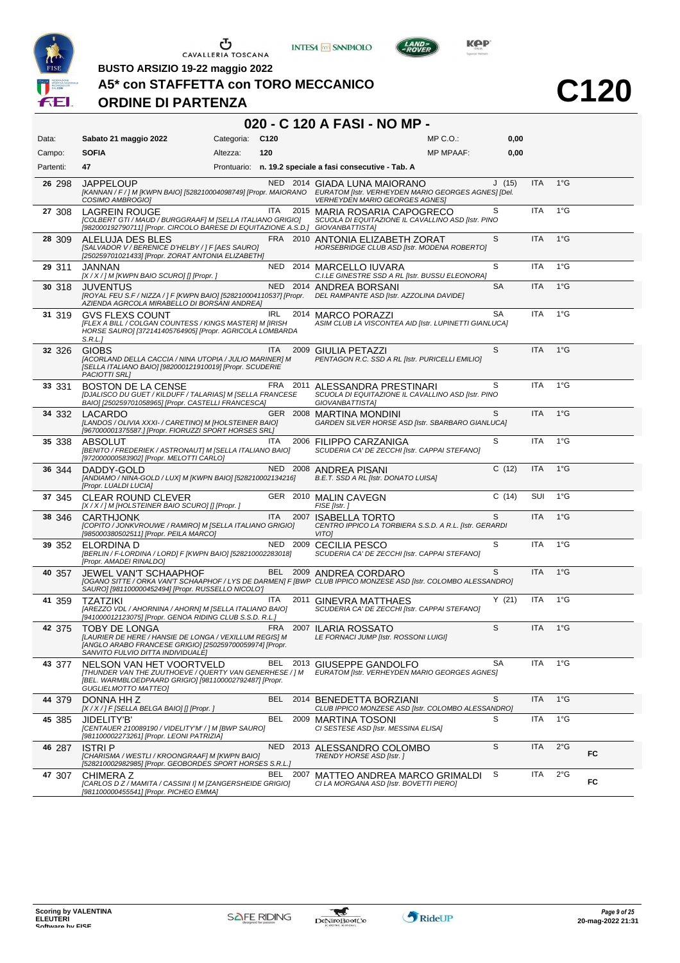





LAND-

**C120**

**BUSTO ARSIZIO 19-22 maggio 2022**

#### **A5\* con STAFFETTA con TORO MECCANICO**

#### **ORDINE DI PARTENZA**

#### **020 - C 120 A FASI - NO MP -**

| Data:     | Sabato 21 maggio 2022                                                                                                                                                          | Categoria: | C <sub>120</sub> |          | $MP C. O.$ :                                                                                                                                                                                  | 0,00      |            |               |    |
|-----------|--------------------------------------------------------------------------------------------------------------------------------------------------------------------------------|------------|------------------|----------|-----------------------------------------------------------------------------------------------------------------------------------------------------------------------------------------------|-----------|------------|---------------|----|
| Campo:    | <b>SOFIA</b>                                                                                                                                                                   | Altezza:   | 120              |          | <b>MP MPAAF:</b>                                                                                                                                                                              | 0,00      |            |               |    |
| Partenti: | 47                                                                                                                                                                             |            |                  |          | Prontuario: n. 19.2 speciale a fasi consecutive - Tab. A                                                                                                                                      |           |            |               |    |
| 26 298    | <b>JAPPELOUP</b><br>COSIMO AMBROGIO]                                                                                                                                           |            |                  |          | NED 2014 GIADA LUNA MAIORANO<br>[KANNAN / F / ] M [KWPN BAIO] [528210004098749] [Propr. MAIORANO EURATOM [Istr. VERHEYDEN MARIO GEORGES AGNES] [Del.<br><b>VERHEYDEN MARIO GEORGES AGNES]</b> | J(15)     | <b>ITA</b> | $1^{\circ}$ G |    |
| 27 308    | <b>LAGREIN ROUGE</b><br>[COLBERT GTI / MAUD / BURGGRAAF] M [SELLA ITALIANO GRIGIO]<br>[982000192790711] [Propr. CIRCOLO BARESE DI EQUITAZIONE A.S.D.] GIOVANBATTISTA]          |            | <b>ITA</b>       |          | 2015 MARIA ROSARIA CAPOGRECO<br>SCUOLA DI EQUITAZIONE IL CAVALLINO ASD [Istr. PINO                                                                                                            | S         | <b>ITA</b> | $1^{\circ}$ G |    |
| 28 309    | ALELUJA DES BLES<br>[SALVADOR V / BERENICE D'HELBY / ] F [AES SAURO]<br>[250259701021433] [Propr. ZORAT ANTONIA ELIZABETH]                                                     |            |                  |          | FRA 2010 ANTONIA ELIZABETH ZORAT<br>HORSEBRIDGE CLUB ASD [Istr. MODENA ROBERTO]                                                                                                               | S         | <b>ITA</b> | $1^{\circ}$ G |    |
| 29 311    | JANNAN<br>[X / X / ] M [KWPN BAIO SCURO] [] [Propr. ]                                                                                                                          |            | <b>NED</b>       |          | 2014 MARCELLO IUVARA<br>C.I.LE GINESTRE SSD A RL [Istr. BUSSU ELEONORA]                                                                                                                       | S         | <b>ITA</b> | $1^{\circ}G$  |    |
| 30 318    | <b>JUVENTUS</b><br>[ROYAL FEU S.F / NIZZA / ] F [KWPN BAIO] [528210004110537] [Propr.<br>AZIENDA AGRCOLA MIRABELLO DI BORSANI ANDREA]                                          |            |                  |          | NED 2014 ANDREA BORSANI<br>DEL RAMPANTE ASD [Istr. AZZOLINA DAVIDE]                                                                                                                           | <b>SA</b> | <b>ITA</b> | $1^{\circ}$ G |    |
| 31 319    | <b>GVS FLEXS COUNT</b><br>[FLEX A BILL / COLGAN COUNTESS / KINGS MASTER] M [IRISH<br>HORSE SAURO] [372141405764905] [Propr. AGRICOLA LOMBARDA<br>S.R.L.                        |            | IRL              |          | 2014 MARCO PORAZZI<br>ASIM CLUB LA VISCONTEA AID [Istr. LUPINETTI GIANLUCA]                                                                                                                   | <b>SA</b> | <b>ITA</b> | $1^{\circ}$ G |    |
| 32 326    | <b>GIOBS</b><br>[ACORLAND DELLA CACCIA / NINA UTOPIA / JULIO MARINER] M<br>[SELLA ITALIANO BAIO] [982000121910019] [Propr. SCUDERIE<br>PACIOTTI SRL]                           |            | <b>ITA</b>       |          | 2009 GIULIA PETAZZI<br>PENTAGON R.C. SSD A RL [Istr. PURICELLI EMILIO]                                                                                                                        | S         | <b>ITA</b> | $1^{\circ}$ G |    |
| 33 331    | <b>BOSTON DE LA CENSE</b><br>[DJALISCO DU GUET / KILDUFF / TALARIAS] M [SELLA FRANCESE<br>BAIO] [250259701058965] [Propr. CASTELLI FRANCESCA]                                  |            | FRA              | 2011     | ALESSANDRA PRESTINARI<br>SCUOLA DI EQUITAZIONE IL CAVALLINO ASD [Istr. PINO<br>GIOVANBATTISTA]                                                                                                | S         | ITA        | $1^{\circ}$ G |    |
| 34 332    | LACARDO<br>[LANDOS / OLIVIA XXXI- / CARETINO] M [HOLSTEINER BAIO]<br>[967000001375587.] [Propr. FIORUZZI SPORT HORSES SRL]                                                     |            |                  |          | GER 2008 MARTINA MONDINI<br>GARDEN SILVER HORSE ASD [Istr. SBARBARO GIANLUCA]                                                                                                                 | S         | <b>ITA</b> | $1^{\circ}$ G |    |
| 35 338    | ABSOLUT<br>[BENITO / FREDERIEK / ASTRONAUT] M [SELLA ITALIANO BAIO]<br>[972000000583902] [Propr. MELOTTI CARLO]                                                                |            | <b>ITA</b>       |          | 2006 FILIPPO CARZANIGA<br>SCUDERIA CA' DE ZECCHI [Istr. CAPPAI STEFANO]                                                                                                                       | S         | <b>ITA</b> | $1^{\circ}$ G |    |
| 36 344    | DADDY-GOLD<br>[ANDIAMO / NINA-GOLD / LUX] M [KWPN BAIO] [528210002134216]<br>[Propr. LUALDI LUCIA]                                                                             |            |                  |          | NED 2008 ANDREA PISANI<br>B.E.T. SSD A RL [Istr. DONATO LUISA]                                                                                                                                | C(12)     | <b>ITA</b> | $1^{\circ}$ G |    |
| 37 345    | <b>CLEAR ROUND CLEVER</b><br>[X / X / ] M [HOLSTEINER BAIO SCURO] [] [Propr. ]                                                                                                 |            |                  |          | GER 2010 MALIN CAVEGN<br>FISE [Istr.]                                                                                                                                                         | C(14)     | SUI        | $1^{\circ}$ G |    |
| 38 346    | <b>CARTHJONK</b><br>[COPITO / JONKVROUWE / RAMIRO] M [SELLA ITALIANO GRIGIO]<br>[985000380502511] [Propr. PEILA MARCO]                                                         |            | <b>ITA</b>       | 2007     | <b>ISABELLA TORTO</b><br>CENTRO IPPICO LA TORBIERA S.S.D. A R.L. [Istr. GERARDI<br><b>VITO1</b>                                                                                               | S         | <b>ITA</b> | $1^{\circ}$ G |    |
| 39 352    | ELORDINA D<br>[BERLIN / F-LORDINA / LORD] F [KWPN BAIO] [528210002283018]<br>[Propr. AMADEI RINALDO]                                                                           |            |                  | NED 2009 | CECILIA PESCO<br>SCUDERIA CA' DE ZECCHI [Istr. CAPPAI STEFANO]                                                                                                                                | S         | <b>ITA</b> | $1^{\circ}$ G |    |
| 40 357    | <b>JEWEL VAN'T SCHAAPHOF</b><br>SAURO] [981100000452494] [Propr. RUSSELLO NICOLO']                                                                                             |            | BEL              | 2009     | ANDREA CORDARO<br>[OGANO SITTE / ORKA VAN'T SCHAAPHOF / LYS DE DARMEN] F [BWP CLUB IPPICO MONZESE ASD [Istr. COLOMBO ALESSANDRO]                                                              | S         | <b>ITA</b> | $1^{\circ}$ G |    |
| 41 359    | <b>TZATZIKI</b><br>[AREZZO VDL / AHORNINA / AHORN] M [SELLA ITALIANO BAIO]<br>[941000012123075] [Propr. GENOA RIDING CLUB S.S.D. R.L.]                                         |            | ITA              | 2011     | GINEVRA MATTHAES<br>SCUDERIA CA' DE ZECCHI [Istr. CAPPAI STEFANO]                                                                                                                             | Y(21)     | ITA        | $1^{\circ}$ G |    |
| 42 375    | <b>TOBY DE LONGA</b><br>[LAURIER DE HERE / HANSIE DE LONGA / VEXILLUM REGIS] M<br>[ANGLO ARABO FRANCESE GRIGIO] [250259700059974] [Propr.<br>SANVITO FULVIO DITTA INDIVIDUALEJ |            | FRA              |          | 2007 ILARIA ROSSATO<br>LE FORNACI JUMP [Istr. ROSSONI LUIGI]                                                                                                                                  | S         | <b>ITA</b> | $1^{\circ}$ G |    |
| 43 377    | NELSON VAN HET VOORTVELD<br>[THUNDER VAN THE ZUUTHOEVE / QUERTY VAN GENERHESE / ] M<br>[BEL. WARMBLOEDPAARD GRIGIO] [981100002792487] [Propr.<br><b>GUGLIELMOTTO MATTEO]</b>   |            |                  |          | BEL 2013 GIUSEPPE GANDOLFO<br>EURATOM [Istr. VERHEYDEN MARIO GEORGES AGNES]                                                                                                                   | SА        | ITA        | $1^{\circ}$ G |    |
| 44 379    | DONNA HHZ<br>[X / X / ] F [SELLA BELGA BAIO] [] [Propr. ]                                                                                                                      |            | <b>BEL</b>       |          | 2014 BENEDETTA BORZIANI<br>CLUB IPPICO MONZESE ASD [Istr. COLOMBO ALESSANDRO]                                                                                                                 | S         | <b>ITA</b> | $1^{\circ}$ G |    |
| 45 385    | JIDELITY'B'<br>[CENTAUER 210089190 / VIDELITY'M' / ] M [BWP SAURO]<br>[981100002273261] [Propr. LEONI PATRIZIA]                                                                |            | <b>BEL</b>       | 2009     | MARTINA TOSONI<br>CI SESTESE ASD [Istr. MESSINA ELISA]                                                                                                                                        | S         | <b>ITA</b> | $1^{\circ}$ G |    |
| 46 287    | <b>ISTRIP</b><br>[CHARISMA / WESTLI / KROONGRAAF] M [KWPN BAIO]<br>[528210002982985] [Propr. GEOBORDES SPORT HORSES S.R.L.]                                                    |            | <b>NED</b>       |          | 2013 ALESSANDRO COLOMBO<br>TRENDY HORSE ASD [Istr. ]                                                                                                                                          | S         | <b>ITA</b> | $2^{\circ}$ G | FC |
| 47 307    | <b>CHIMERAZ</b><br>[CARLOS D Z / MAMITA / CASSINI I] M [ZANGERSHEIDE GRIGIO]<br>[981100000455541] [Propr. PICHEO EMMA]                                                         |            | BEL              | 2007     | MATTEO ANDREA MARCO GRIMALDI<br>CI LA MORGANA ASD [Istr. BOVETTI PIERO]                                                                                                                       | S         | ITA        | $2^{\circ}$ G | FC |

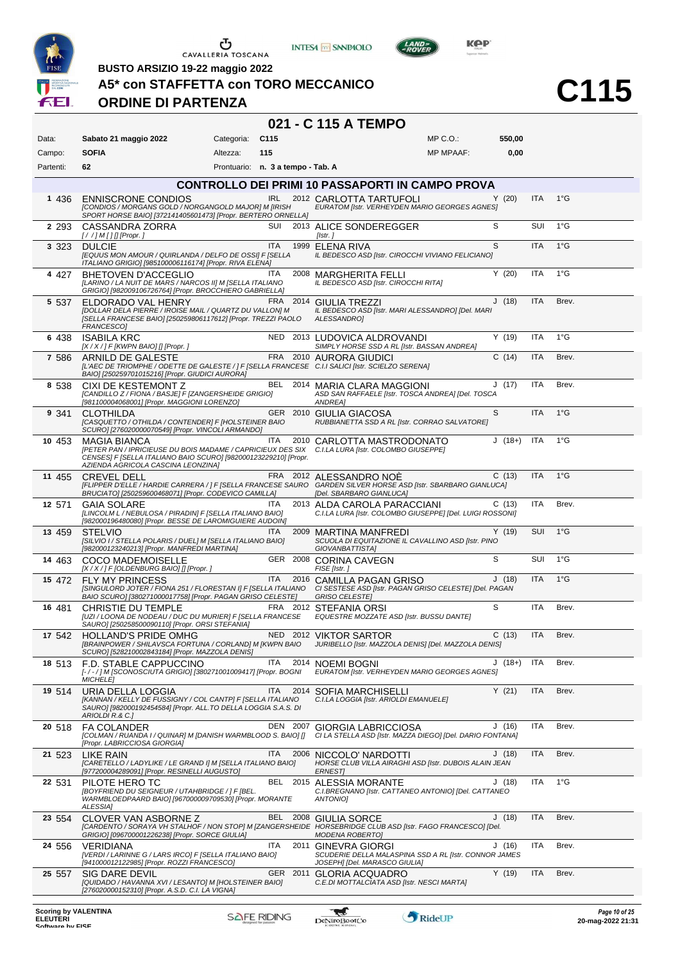

**INTESA** M SANPAOLO

**021 - C 115 A TEMPO**



**BUSTO ARSIZIO 19-22 maggio 2022**

# **A5\* con STAFFETTA con TORO MECCANICO**

#### **ORDINE DI PARTENZA**

| Data:     | Sabato 21 maggio 2022                                                                                                                                                    | Categoria:                        | C115       |      | $MP C. O.$ :                                                                                                                                                          | 550,00   |            |               |
|-----------|--------------------------------------------------------------------------------------------------------------------------------------------------------------------------|-----------------------------------|------------|------|-----------------------------------------------------------------------------------------------------------------------------------------------------------------------|----------|------------|---------------|
| Campo:    | <b>SOFIA</b>                                                                                                                                                             | Altezza:                          | 115        |      | <b>MP MPAAF:</b>                                                                                                                                                      | 0,00     |            |               |
| Partenti: | 62                                                                                                                                                                       | Prontuario: n. 3 a tempo - Tab. A |            |      |                                                                                                                                                                       |          |            |               |
|           |                                                                                                                                                                          |                                   |            |      | <b>CONTROLLO DEI PRIMI 10 PASSAPORTI IN CAMPO PROVA</b>                                                                                                               |          |            |               |
| 1 436     | <b>ENNISCRONE CONDIOS</b><br>[CONDIOS / MORGANS GOLD / NORGANGOLD MAJOR] M [IRISH<br>SPORT HORSE BAIOJ [372141405601473] [Propr. BERTERO ORNELLA]                        |                                   |            |      | IRL 2012 CARLOTTA TARTUFOLI<br>EURATOM [Istr. VERHEYDEN MARIO GEORGES AGNES]                                                                                          | Y(20)    | <b>ITA</b> | $1^{\circ}$ G |
| 2 2 9 3   | CASSANDRA ZORRA<br>$[!//]M[]$ [Propr.]                                                                                                                                   |                                   | SUI        |      | 2013 ALICE SONDEREGGER<br>[Istr.]                                                                                                                                     | S        | <b>SUI</b> | $1^{\circ}$ G |
| 3 3 2 3   | <b>DULCIE</b><br>[EQUUS MON AMOUR / QUIRLANDA / DELFO DE OSSI] F [SELLA<br>ITALIANO GRIGIO] [985100006116174] [Propr. RIVA ELENA]                                        |                                   | <b>ITA</b> |      | 1999 ELENA RIVA<br>IL BEDESCO ASD [Istr. CIROCCHI VIVIANO FELICIANO]                                                                                                  | S        | <b>ITA</b> | 1°G           |
| 4 4 2 7   | BHETOVEN D'ACCEGLIO<br>[LARINO / LA NUIT DE MARS / NARCOS II] M [SELLA ITALIANO<br>GRIGIO] [982009106726764] [Propr. BROCCHIERO GABRIELLA]                               |                                   | ITA.       |      | 2008 MARGHERITA FELLI<br>IL BEDESCO ASD [Istr. CIROCCHI RITA]                                                                                                         | Y(20)    | ITA        | $1^{\circ}$ G |
| 5 5 3 7   | ELDORADO VAL HENRY<br>[DOLLAR DELA PIERRE / IROISE MAIL / QUARTZ DU VALLON] M<br>[SELLA FRANCESE BAIO] [250259806117612] [Propr. TREZZI PAOLO<br>FRANCESCO]              |                                   |            |      | FRA 2014 GIULIA TREZZI<br>IL BEDESCO ASD [Istr. MARI ALESSANDRO] [Del. MARI<br>ALESSANDRO]                                                                            | J(18)    | <b>ITA</b> | Brev.         |
| 6 438     | <b>ISABILA KRC</b><br>$[X/X$ / ] F [KWPN BAIO] [] [Propr. ]                                                                                                              |                                   |            |      | NED 2013 LUDOVICA ALDROVANDI<br>SIMPLY HORSE SSD A RL [Istr. BASSAN ANDREA]                                                                                           | Y(19)    | <b>ITA</b> | $1^{\circ}$ G |
| 7 586     | ARNILD DE GALESTE<br>[L'AEC DE TRIOMPHE / ODETTE DE GALESTE / ] F [SELLA FRANCESE C.I.I SALICI [Istr. SCIELZO SERENA]<br>BAIO] [250259701015216] [Propr. GIUDICI AURORA] |                                   |            |      | FRA 2010 AURORA GIUDICI                                                                                                                                               | C(14)    | <b>ITA</b> | Brev.         |
| 8 538     | CIXI DE KESTEMONT Z<br>[CANDILLO Z / FIONA / BASJE] F [ZANGERSHEIDE GRIGIO]<br>[981100004068001] [Propr. MAGGIONI LORENZO]                                               |                                   |            |      | BEL 2014 MARIA CLARA MAGGIONI<br>ASD SAN RAFFAELE [Istr. TOSCA ANDREA] [Del. TOSCA<br>ANDREA]                                                                         | J(17)    | ITA        | Brev.         |
| 9 341     | <b>CLOTHILDA</b><br>[CASQUETTO / OTHILDA / CONTENDER] F [HOLSTEINER BAIO<br>SCURO] [276020000070549] [Propr. VINCOLI ARMANDO]                                            |                                   |            |      | GER 2010 GIULIA GIACOSA<br>RUBBIANETTA SSD A RL [Istr. CORRAO SALVATORE]                                                                                              | S        | <b>ITA</b> | $1^{\circ}$ G |
| 10 453    | <b>MAGIA BIANCA</b><br>CENSES] F [SELLA ITALIANO BAIO SCURO] [982000123229210] [Propr.<br>AZIENDA AGRICOLA CASCINA LEONZINA]                                             |                                   | ITA        |      | 2010 CARLOTTA MASTRODONATO<br>[PETER PAN / IPRICIEUSE DU BOIS MADAME / CAPRICIEUX DES SIX C.I.LA LURA [Istr. COLOMBO GIUSEPPE]                                        | $J(18+)$ | <b>ITA</b> | $1^{\circ}$ G |
| 11 455    | <b>CREVEL DELL</b><br>BRUCIATO] [250259600468071] [Propr. CODEVICO CAMILLA]                                                                                              |                                   |            |      | FRA 2012 ALESSANDRO NOĖ<br>[FLIPPER D'ELLE / HARDIE CARRERA / ] F [SELLA FRANCESE SAURO GARDEN SILVER HORSE ASD [Istr. SBARBARO GIANLUCA]<br>[Del. SBARBARO GIANLUCA] | C(13)    | <b>ITA</b> | $1^{\circ}$ G |
| 12 571    | <b>GAIA SOLARE</b><br>[LINCOLM L / NEBULOSA / PIRADIN] F [SELLA ITALIANO BAIO]<br>[982000196480080] [Propr. BESSE DE LAROMIGUIERE AUDOIN]                                |                                   | <b>ITA</b> |      | 2013 ALDA CAROLA PARACCIANI<br>C.I.LA LURA [Istr. COLOMBO GIUSEPPE] [Del. LUIGI ROSSONI]                                                                              | C(13)    | ITA        | Brev.         |
| 13 459    | <b>STELVIO</b><br>[SILVIO I / STELLA POLARIS / DUEL] M [SELLA ITALIANO BAIO]<br>[982000123240213] [Propr. MANFREDI MARTINA]                                              |                                   | ITA        |      | 2009 MARTINA MANFREDI<br>SCUOLA DI EQUITAZIONE IL CAVALLINO ASD [Istr. PINO<br>GIOVANBATTISTA]                                                                        | Y(19)    | SUI        | $1^{\circ}$ G |
| 14 463    | <b>COCO MADEMOISELLE</b><br>[X / X / ] F [OLDENBURG BAIO] [] [Propr. ]                                                                                                   |                                   |            |      | GER 2008 CORINA CAVEGN<br>FISE [Istr.]                                                                                                                                | S        | SUI        | $1^{\circ}$ G |
| 15 472    | <b>FLY MY PRINCESS</b><br>BAIO SCURO] [380271000017758] [Propr. PAGAN GRISO CELESTE]                                                                                     |                                   | ITA        |      | 2016 CAMILLA PAGAN GRISO<br>[SINGULORD JOTER / FIONA 251 / FLORESTAN I] F [SELLA ITALIANO CI SESTESE ASD [Istr. PAGAN GRISO CELESTE] [Del. PAGAN<br>GRISO CELESTEJ    | J(18)    | <b>ITA</b> | $1^{\circ}$ G |
| 16 481    | CHRISTIE DU TEMPLE<br>[UZI / LOONA DE NODEAU / DUC DU MURIER] F [SELLA FRANCESE<br>SAURO] [250258500090110] [Propr. ORSI STEFANIA]                                       |                                   |            |      | FRA 2012 STEFANIA ORSI<br>EQUESTRE MOZZATE ASD [Istr. BUSSU DANTE]                                                                                                    | S        | ITA        | Brev.         |
| 17 542    | <b>HOLLAND'S PRIDE OMHG</b><br>SCURO] [528210002843184] [Propr. MAZZOLA DENIS]                                                                                           |                                   |            |      | NED 2012 VIKTOR SARTOR<br>[BRAINPOWER / SHILAVSCA FORTUNA / CORLAND] M [KWPN BAIO JURIBELLO [Istr. MAZZOLA DENIS] [Del. MAZZOLA DENIS]                                | C(13)    | ITA        | Brev.         |
| 18 513    | F.D. STABLE CAPPUCCINO<br>[-/-/] M [SCONOSCIUTA GRIGIO] [380271001009417] [Propr. BOGNI<br><b>MICHELE</b>                                                                |                                   | ITA        |      | 2014 NOEMI BOGNI<br>EURATOM [Istr. VERHEYDEN MARIO GEORGES AGNES]                                                                                                     | $J(18+)$ | ITA        | Brev.         |
| 19 514    | URIA DELLA LOGGIA<br>[KANNAN / KELLY DE FUSSIGNY / COL CANTP] F [SELLA ITALIANO<br>SAURO] [982000192454584] [Propr. ALL.TO DELLA LOGGIA S.A.S. DI<br>ARIOLDI R.& C.]     |                                   | ITA.       |      | 2014 SOFIA MARCHISELLI<br>C.I.LA LOGGIA [Istr. ARIOLDI EMANUELE]                                                                                                      | Y(21)    | <b>ITA</b> | Brev.         |
| 20 518    | <b>FA COLANDER</b><br>[COLMAN / RUANDA I / QUINAR] M [DANISH WARMBLOOD S. BAIO] []<br>[Propr. LABRICCIOSA GIORGIA]                                                       |                                   | DEN 2007   |      | <b>GIORGIA LABRICCIOSA</b><br>CI LA STELLA ASD [Istr. MAZZA DIEGO] [Del. DARIO FONTANA]                                                                               | J(16)    | ITA        | Brev.         |
| 21 523    | LIKE RAIN<br>[CARETELLO / LADYLIKE / LE GRAND I] M [SELLA ITALIANO BAIO]<br>[977200004289091] [Propr. RESINELLI AUGUSTO]                                                 |                                   | <b>ITA</b> | 2006 | NICCOLO' NARDOTTI<br>HORSE CLUB VILLA AIRAGHI ASD [Istr. DUBOIS ALAIN JEAN<br>ERNEST]                                                                                 | J(18)    | <b>ITA</b> | Brev.         |
| 22 531    | PILOTE HERO TC<br>[BOYFRIEND DU SEIGNEUR / UTAHBRIDGE / ] F [BEL.<br>WARMBLOEDPAARD BAIO] [967000009709530] [Propr. MORANTE<br><b>ALESSIA]</b>                           |                                   |            |      | BEL 2015 ALESSIA MORANTE<br>C.I.BREGNANO [Istr. CATTANEO ANTONIO] [Del. CATTANEO<br>ANTONIO]                                                                          | J(18)    | ITA        | $1^{\circ}$ G |
| 23 554    | CLOVER VAN ASBORNE Z<br>GRIGIO] [096700001226238] [Propr. SORCE GIULIA]                                                                                                  |                                   |            |      | BEL 2008 GIULIA SORCE<br>[CARDENTO / SORAYA VH STALHOF / NON STOP] M [ZANGERSHEIDE HORSEBRIDGE CLUB ASD [Istr. FAGO FRANCESCO] [Del.<br><b>MODENA ROBERTOJ</b>        | J(18)    | <b>ITA</b> | Brev.         |
| 24 556    | <b>VERIDIANA</b><br>[VERDI / LARINNE G / LARS IRCO] F [SELLA ITALIANO BAIO]<br>[941000012122985] [Propr. ROZZI FRANCESCO]                                                |                                   | <b>ITA</b> |      | 2011 GINEVRA GIORGI<br>SCUDERIE DELLA MALASPINA SSD A RL [Istr. CONNOR JAMES<br>JOSEPH] [Del. MARASCO GIULIA]                                                         | J(16)    | ITA        | Brev.         |
| 25 557    | SIG DARE DEVIL<br>[QUIDADO / HAVANNA XVI / LESANTO] M [HOLSTEINER BAIO]<br>[276020000152310] [Propr. A.S.D. C.I. LA VIGNA]                                               |                                   |            |      | GER 2011 GLORIA ACQUADRO<br>C.E.DI MOTTALCIATA ASD [Istr. NESCI MARTA]                                                                                                | Y(19)    | ITA        | Brev.         |
|           |                                                                                                                                                                          |                                   |            |      |                                                                                                                                                                       |          |            |               |

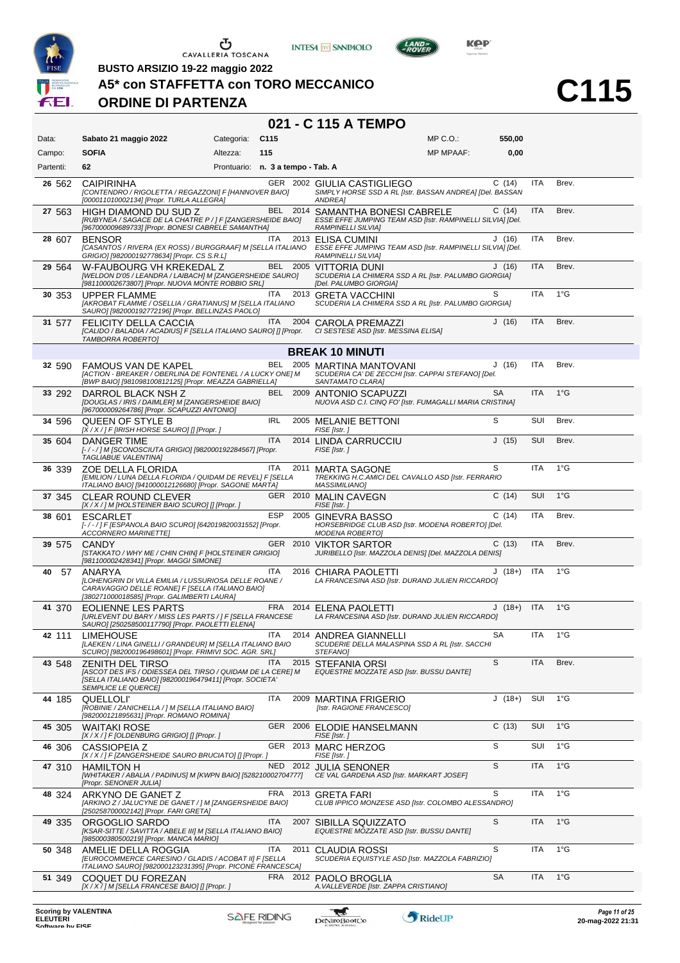





 $L$ AND

**C115**

**BUSTO ARSIZIO 19-22 maggio 2022**

#### **A5\* con STAFFETTA con TORO MECCANICO**

### **ORDINE DI PARTENZA**

### **021 - C 115 A TEMPO**

| Data:     | Sabato 21 maggio 2022                                                                                                                                                           | Categoria:                        | C115       |      |                                                                                                                             | $MP C. O.$ :     | 550,00    |            |               |
|-----------|---------------------------------------------------------------------------------------------------------------------------------------------------------------------------------|-----------------------------------|------------|------|-----------------------------------------------------------------------------------------------------------------------------|------------------|-----------|------------|---------------|
| Campo:    | <b>SOFIA</b>                                                                                                                                                                    | Altezza:                          | 115        |      |                                                                                                                             | <b>MP MPAAF:</b> | 0,00      |            |               |
| Partenti: | 62                                                                                                                                                                              | Prontuario: n. 3 a tempo - Tab. A |            |      |                                                                                                                             |                  |           |            |               |
| 26 562    | <b>CAIPIRINHA</b><br>[CONTENDRO / RIGOLETTA / REGAZZONI] F [HANNOVER BAIO]<br>[000011010002134] [Propr. TURLA ALLEGRA]                                                          |                                   |            |      | GER 2002 GIULIA CASTIGLIEGO<br>SIMPLY HORSE SSD A RL [Istr. BASSAN ANDREA] [Del. BASSAN<br><b>ANDREA1</b>                   |                  | C(14)     | <b>ITA</b> | Brev.         |
| 27 563    | <b>HIGH DIAMOND DU SUD Z</b><br>[RUBYNEA / SAGACE DE LA CHATRE P / ] F [ZANGERSHEIDE BAIO]<br>[967000009689733] [Propr. BONESI CABRELE SAMANTHA]                                |                                   |            |      | BEL 2014 SAMANTHA BONESI CABRELE<br>ESSE EFFE JUMPING TEAM ASD [Istr. RAMPINELLI SILVIA] [Del.<br><b>RAMPINELLI SILVIA]</b> |                  | C(14)     | <b>ITA</b> | Brev.         |
| 28 607    | <b>BENSOR</b><br>[CASANTOS / RIVERA (EX ROSS) / BURGGRAAF] M [SELLA ITALIANO<br>GRIGIO] [982000192778634] [Propr. CS S.R.L]                                                     |                                   | <b>ITA</b> |      | 2013 ELISA CUMINI<br>ESSE EFFE JUMPING TEAM ASD [Istr. RAMPINELLI SILVIA] [Del.<br>RAMPINELLI SILVIA]                       |                  | J(16)     | ITA        | Brev.         |
| 29 564    | W-FAUBOURG VH KREKEDAL Z<br>[WELDON D'05 / LEANDRA / LAIBACH] M [ZANGERSHEIDE SAURO]<br>[981100002673807] [Propr. NUOVA MONTE ROBBIO SRL]                                       |                                   |            |      | BEL 2005 VITTORIA DUNI<br>SCUDERIA LA CHIMERA SSD A RL [Istr. PALUMBO GIORGIA]<br>[Del. PALUMBO GIORGIA]                    |                  | J(16)     | ITA        | Brev.         |
| 30 353    | <b>UPPER FLAMME</b><br>[AKROBAT FLAMME / OSELLIA / GRATIANUS] M [SELLA ITALIANO<br>SAURO] [982000192772196] [Propr. BELLINZAS PAOLO]                                            |                                   | ITA.       |      | 2013 GRETA VACCHINI<br>SCUDERIA LA CHIMERA SSD A RL [Istr. PALUMBO GIORGIA]                                                 |                  | S         | <b>ITA</b> | $1^{\circ}$ G |
| 31 577    | FELICITY DELLA CACCIA<br>[CALIDO / BALADIA / ACADIUS] F [SELLA ITALIANO SAURO] [] [Propr.<br>TAMBORRA ROBERTO]                                                                  |                                   | ITA.       |      | 2004 CAROLA PREMAZZI<br>CI SESTESE ASD [Istr. MESSINA ELISA]                                                                |                  | J(16)     | ITA        | Brev.         |
|           |                                                                                                                                                                                 |                                   |            |      | <b>BREAK 10 MINUTI</b>                                                                                                      |                  |           |            |               |
| 32 590    | FAMOUS VAN DE KAPEL<br>[ACTION - BREAKER / OBERLINA DE FONTENEL / A LUCKY ONE] M<br>[BWP BAIO] [981098100812125] [Propr. MEAZZA GABRIELLA]                                      |                                   |            |      | BEL 2005 MARTINA MANTOVANI<br>SCUDERIA CA' DE ZECCHI [Istr. CAPPAI STEFANO] [Del.<br>SANTAMATO CLARAI                       |                  | J(16)     | ITA        | Brev.         |
| 33 292    | DARROL BLACK NSH Z<br>[DOUGLAS / IRIS / DAIMLER] M [ZANGERSHEIDE BAIO]<br>[967000009264786] [Propr. SCAPUZZI ANTONIO]                                                           |                                   |            |      | BEL 2009 ANTONIO SCAPUZZI<br>NUOVA ASD C.I. CINQ FO' [Istr. FUMAGALLI MARIA CRISTINA]                                       |                  | <b>SA</b> | <b>ITA</b> | $1^{\circ}$ G |
| 34 596    | QUEEN OF STYLE B<br>[X / X / ] F [IRISH HORSE SAURO] [] [Propr. ]                                                                                                               |                                   | <b>IRL</b> |      | 2005 MELANIE BETTONI<br>FISE [Istr.]                                                                                        |                  | S         | SUI        | Brev.         |
| 35 604    | DANGER TIME<br>[-/-/] M [SCONOSCIUTA GRIGIO] [982000192284567] [Propr.<br>TAGLIABUE VALENTINAJ                                                                                  |                                   | <b>ITA</b> |      | 2014 LINDA CARRUCCIU<br>FISE [Istr.]                                                                                        |                  | J(15)     | SUI        | Brev.         |
| 36 339    | ZOE DELLA FLORIDA<br>[EMILION / LUNA DELLA FLORIDA / QUIDAM DE REVEL] F [SELLA<br>ITALIANO BAIO] [941000012126680] [Propr. SAGONE MARTA]                                        |                                   | <b>ITA</b> | 2011 | <b>MARTA SAGONE</b><br>TREKKING H.C.AMICI DEL CAVALLO ASD [Istr. FERRARIO<br><b>MASSIMILIANO]</b>                           |                  | S         | <b>ITA</b> | $1^{\circ}$ G |
| 37 345    | <b>CLEAR ROUND CLEVER</b><br>[X / X / ] M [HOLSTEINER BAIO SCURO] [] [Propr. ]                                                                                                  |                                   |            |      | GER 2010 MALIN CAVEGN<br>FISE [Istr.]                                                                                       |                  | C(14)     | <b>SUI</b> | $1^{\circ}$ G |
| 38 601    | <b>ESCARLET</b><br>[-/-/] F [ESPANOLA BAIO SCURO] [642019820031552] [Propr.<br><b>ACCORNERO MARINETTE]</b>                                                                      |                                   | <b>ESP</b> | 2005 | <b>GINEVRA BASSO</b><br>HORSEBRIDGE CLUB ASD [Istr. MODENA ROBERTO] [Del.<br><b>MODENA ROBERTOJ</b>                         |                  | C(14)     | ITA        | Brev.         |
| 39 575    | <b>CANDY</b><br>[STAKKATO / WHY ME / CHIN CHIN] F [HOLSTEINER GRIGIO]<br>[981100002428341] [Propr. MAGGI SIMONE]                                                                |                                   | <b>GER</b> | 2010 | <b>VIKTOR SARTOR</b><br>JURIBELLO [Istr. MAZZOLA DENIS] [Del. MAZZOLA DENIS]                                                |                  | C(13)     | ITA        | Brev.         |
| 57<br>40  | ANARYA<br>[LOHENGRIN DI VILLA EMILIA / LUSSURIOSA DELLE ROANE /<br>CARAVAGGIO DELLE ROANE] F [SELLA ITALIANO BAIO]<br>[380271000018585] [Propr. GALIMBERTI LAURA]               |                                   | <b>ITA</b> | 2016 | CHIARA PAOLETTI<br>LA FRANCESINA ASD [Istr. DURAND JULIEN RICCARDO]                                                         |                  | $J(18+)$  | ITA        | $1^{\circ}$ G |
| 41 370    | EOLIENNE LES PARTS<br>[URLEVENT DU BARY / MISS LES PARTS / ] F [SELLA FRANCESE<br>SAURO] [250258500117790] [Propr. PAOLETTI ELENA]                                              |                                   |            |      | FRA 2014 ELENA PAOLETTI<br>LA FRANCESINA ASD [Istr. DURAND JULIEN RICCARDO]                                                 |                  | $J(18+)$  | <b>ITA</b> | $1^{\circ}$ G |
| 42 111    | <b>LIMEHOUSE</b><br>[LAEKEN / LINA GINELLI / GRANDEUR] M [SELLA ITALIANO BAIO<br>SCURO] [982000196498601] [Propr. FRIMIVI SOC. AGR. SRL]                                        |                                   | ITA        |      | 2014 ANDREA GIANNELLI<br>SCUDERIE DELLA MALASPINA SSD A RL [Istr. SACCHI<br>STEFANO]                                        |                  | <b>SA</b> | ITA        | $1^{\circ}G$  |
| 43 548    | <b>ZENITH DEL TIRSO</b><br>[ASCOT DES IFS / ODIESSEA DEL TIRSO / QUIDAM DE LA CERE] M<br>[SELLA ITALIANO BAIO] [982000196479411] [Propr. SOCIETA'<br><b>SEMPLICE LE QUERCE]</b> |                                   | ITA        | 2015 | <b>STEFANIA ORSI</b><br>EQUESTRE MOZZATE ASD [Istr. BUSSU DANTE]                                                            |                  | S         | <b>ITA</b> | Brev.         |
| 44 185    | <b>QUELLOLI</b><br>[ROBINIE / ZANICHELLA / ] M [SELLA ITALIANO BAIO]<br>[982000121895631] [Propr. ROMANO ROMINA]                                                                |                                   | <b>ITA</b> |      | 2009 MARTINA FRIGERIO<br>[Istr. RAGIONE FRANCESCO]                                                                          |                  | $J(18+)$  | SUI        | $1^{\circ}G$  |
| 45 305    | <b>WAITAKI ROSE</b><br>[X / X / ] F [OLDENBURG GRIGIO] [] [Propr. ]                                                                                                             |                                   |            |      | GER 2006 ELODIE HANSELMANN<br>FISE [Istr.]                                                                                  |                  | C(13)     | <b>SUI</b> | $1^{\circ}G$  |
| 46 306    | CASSIOPEIA Z<br>[X / X / ] F [ZANGERSHEIDE SAURO BRUCIATO] [] [Propr. ]                                                                                                         |                                   |            |      | GER 2013 MARC HERZOG<br>FISE [Istr.]                                                                                        |                  | S         | SUI        | $1^{\circ}$ G |
| 47 310    | <b>HAMILTON H</b><br>[WHITAKER / ABALIA / PADINUS] M [KWPN BAIO] [528210002704777]<br>[Propr. SENONER JULIA]                                                                    |                                   |            |      | NED 2012 JULIA SENONER<br>CE VAL GARDENA ASD [Istr. MARKART JOSEF]                                                          |                  | S         | <b>ITA</b> | 1°G           |
| 48 324    | ARKYNO DE GANET Z<br>[ARKINO Z / JALUCYNE DE GANET / ] M [ZANGERSHEIDE BAIO]<br>[250258700002142] [Propr. FARI GRETA]                                                           |                                   | FRA        |      | 2013 GRETA FARI<br>CLUB IPPICO MONZESE ASD [Istr. COLOMBO ALESSANDRO]                                                       |                  | S         | ITA        | $1^{\circ}$ G |
| 49 335    | ORGOGLIO SARDO<br>[KSAR-SITTE / SAVITTA / ABELE III] M [SELLA ITALIANO BAIO]<br>[985000380500219] [Propr. MANCA MARIO]                                                          |                                   | ITA        |      | 2007 SIBILLA SQUIZZATO<br>EQUESTRE MOZZATE ASD [Istr. BUSSU DANTE]                                                          |                  | S         | <b>ITA</b> | $1^{\circ}$ G |
| 50 348    | AMELIE DELLA ROGGIA<br>[EUROCOMMERCE CARESINO / GLADIS / ACOBAT II] F [SELLA<br>ITALIANO SAURO] [982000123231395] [Propr. PICONE FRANCESCA]                                     |                                   | ITA.       |      | 2011 CLAUDIA ROSSI<br>SCUDERIA EQUISTYLE ASD [Istr. MAZZOLA FABRIZIO]                                                       |                  | S         | <b>ITA</b> | $1^{\circ}$ G |
| 51 349    | COQUET DU FOREZAN<br>[X / X / ] M [SELLA FRANCESE BAIO] [] [Propr. ]                                                                                                            |                                   |            |      | FRA 2012 PAOLO BROGLIA<br>A. VALLEVERDE [Istr. ZAPPA CRISTIANO]                                                             |                  | SA        | <b>ITA</b> | $1^{\circ}$ G |
|           |                                                                                                                                                                                 |                                   |            |      |                                                                                                                             |                  |           |            |               |

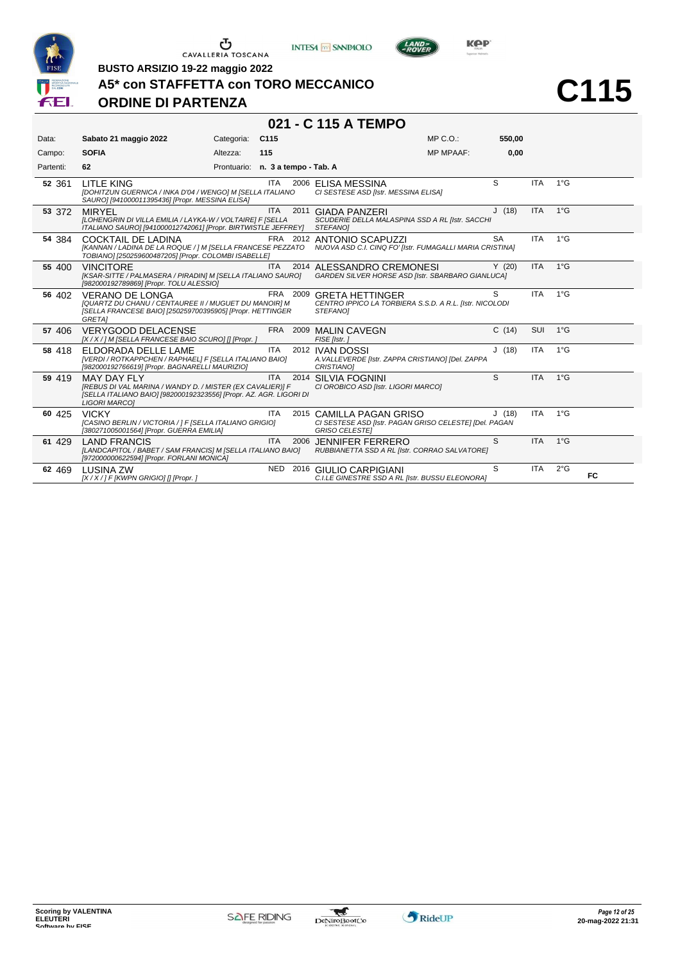





**C115**

**BUSTO ARSIZIO 19-22 maggio 2022**

#### **A5\* con STAFFETTA con TORO MECCANICO**

### **ORDINE DI PARTENZA**

### **021 - C 115 A TEMPO**

| Data:     | Sabato 21 maggio 2022                                                                                                                                                  | Categoria:  | C <sub>115</sub>      |      |                                                                                                             | MP C.O.:         | 550,00    |            |               |    |
|-----------|------------------------------------------------------------------------------------------------------------------------------------------------------------------------|-------------|-----------------------|------|-------------------------------------------------------------------------------------------------------------|------------------|-----------|------------|---------------|----|
| Campo:    | <b>SOFIA</b>                                                                                                                                                           | Altezza:    | 115                   |      |                                                                                                             | <b>MP MPAAF:</b> | 0,00      |            |               |    |
| Partenti: | 62                                                                                                                                                                     | Prontuario: | n. 3 a tempo - Tab. A |      |                                                                                                             |                  |           |            |               |    |
| 52 361    | LITLE KING<br>[DOHITZUN GUERNICA / INKA D'04 / WENGO] M [SELLA ITALIANO<br>SAURO] [941000011395436] [Propr. MESSINA ELISA]                                             |             | ITA                   |      | 2006 ELISA MESSINA<br>CI SESTESE ASD [Istr. MESSINA ELISA]                                                  |                  | S         | <b>ITA</b> | 1°G           |    |
| 53 372    | <b>MIRYEL</b><br>[LOHENGRIN DI VILLA EMILIA / LAYKA-W / VOLTAIRE] F [SELLA<br>ITALIANO SAURO] [941000012742061] [Propr. BIRTWISTLE JEFFREY]                            |             | <b>ITA</b>            |      | 2011 GIADA PANZERI<br>SCUDERIE DELLA MALASPINA SSD A RL [Istr. SACCHI<br><b>STEFANOI</b>                    |                  | J(18)     | <b>ITA</b> | $1^{\circ}$ G |    |
| 54 384    | <b>COCKTAIL DE LADINA</b><br>[KANNAN / LADINA DE LA ROQUE / ] M [SELLA FRANCESE PEZZATO<br>TOBIANO] [250259600487205] [Propr. COLOMBI ISABELLE]                        |             |                       |      | FRA 2012 ANTONIO SCAPUZZI<br>NUOVA ASD C.I. CINQ FO' [Istr. FUMAGALLI MARIA CRISTINA]                       |                  | <b>SA</b> | <b>ITA</b> | $1^{\circ}$ G |    |
| 55 400    | <b>VINCITORE</b><br>[KSAR-SITTE / PALMASERA / PIRADIN] M [SELLA ITALIANO SAURO]<br>[982000192789869] [Propr. TOLU ALESSIO]                                             |             | <b>ITA</b>            |      | 2014 ALESSANDRO CREMONESI<br>GARDEN SILVER HORSE ASD [Istr. SBARBARO GIANLUCA]                              |                  | Y(20)     | <b>ITA</b> | $1^{\circ}$ G |    |
| 56 402    | VERANO DE LONGA<br>[QUARTZ DU CHANU / CENTAUREE II / MUGUET DU MANOIR] M<br>[SELLA FRANCESE BAIO] [250259700395905] [Propr. HETTINGER<br>GRETA]                        |             | FRA 2009              |      | <b>GRETA HETTINGER</b><br>CENTRO IPPICO LA TORBIERA S.S.D. A R.L. [Istr. NICOLODI<br>STEFANOI               |                  | S         | <b>ITA</b> | $1^{\circ}$ G |    |
| 57 406    | <b>VERYGOOD DELACENSE</b><br>[X / X / ] M [SELLA FRANCESE BAIO SCURO] [] [Propr. ]                                                                                     |             |                       |      | FRA 2009 MALIN CAVEGN<br>FISE [Istr.]                                                                       |                  | C(14)     | SUI        | $1^{\circ}$ G |    |
| 58 418    | ELDORADA DELLE LAME<br>[VERDI / ROTKAPPCHEN / RAPHAEL] F [SELLA ITALIANO BAIO]<br>[982000192766619] [Propr. BAGNARELLI MAURIZIO]                                       |             | <b>ITA</b>            |      | 2012 IVAN DOSSI<br>A. VALLEVERDE [Istr. ZAPPA CRISTIANO] [Del. ZAPPA<br><b>CRISTIANO1</b>                   |                  | J(18)     | <b>ITA</b> | $1^{\circ}$ G |    |
| 59 419    | MAY DAY FLY<br>[REBUS DI VAL MARINA / WANDY D. / MISTER (EX CAVALIER)] F<br>[SELLA ITALIANO BAIO] [982000192323556] [Propr. AZ. AGR. LIGORI DI<br><b>LIGORI MARCOI</b> |             | <b>ITA</b>            | 2014 | <b>SILVIA FOGNINI</b><br>CI OROBICO ASD [Istr. LIGORI MARCO]                                                |                  | S         | <b>ITA</b> | $1^{\circ}$ G |    |
| 60 425    | <b>VICKY</b><br>[CASINO BERLIN / VICTORIA / ] F [SELLA ITALIANO GRIGIO]<br>[380271005001564] [Propr. GUERRA EMILIA]                                                    |             | <b>ITA</b>            |      | 2015 CAMILLA PAGAN GRISO<br>CI SESTESE ASD [Istr. PAGAN GRISO CELESTE] [Del. PAGAN<br><b>GRISO CELESTEI</b> |                  | J(18)     | <b>ITA</b> | $1^{\circ}$ G |    |
| 61 429    | <b>LAND FRANCIS</b><br>[LANDCAPITOL / BABET / SAM FRANCIS] M [SELLA ITALIANO BAIO]<br>[972000000622594] [Propr. FORLANI MONICA]                                        |             | <b>ITA</b>            |      | 2006 JENNIFER FERRERO<br>RUBBIANETTA SSD A RL [Istr. CORRAO SALVATORE]                                      |                  | S         | <b>ITA</b> | $1^{\circ}$ G |    |
| 62 469    | <b>LUSINA ZW</b><br>$[X/X/]$ F [KWPN GRIGIO] [] [Propr. ]                                                                                                              |             |                       |      | NED 2016 GIULIO CARPIGIANI<br>C.I.LE GINESTRE SSD A RL [Istr. BUSSU ELEONORA]                               |                  | S         | <b>ITA</b> | $2^{\circ}$ G | FC |

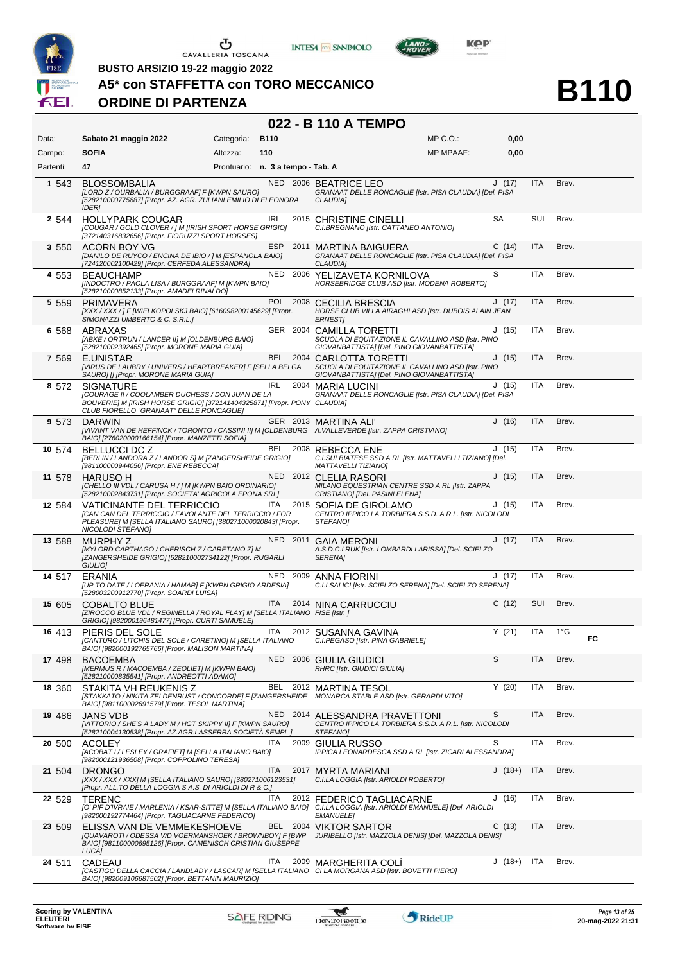





**BUSTO ARSIZIO 19-22 maggio 2022**

#### **A5\* con STAFFETTA con TORO MECCANICO**

#### **ORDINE DI PARTENZA**

#### **022 - B 110 A TEMPO**

| <b>SOFIA</b><br>Altezza:<br>110<br><b>MP MPAAF:</b><br>0,00<br>Campo:<br>47<br>Partenti:<br>Prontuario: n. 3 a tempo - Tab. A<br>J(17)<br>ITA<br>Brev.<br>NED 2006 BEATRICE LEO<br>1 543<br><b>BLOSSOMBALIA</b><br>[LORD Z / OURBALIA / BURGGRAAF] F [KWPN SAURO]<br>GRANAAT DELLE RONCAGLIE [Istr. PISA CLAUDIA] [Del. PISA<br>[528210000775887] [Propr. AZ. AGR. ZULIANI EMILIO DI ELEONORA<br><b>CLAUDIA1</b><br><b>IDERI</b><br>SA<br>SUI<br>Brev.<br>2 544<br><b>HOLLYPARK COUGAR</b><br>IRL<br>2015 CHRISTINE CINELLI<br>[COUGAR / GOLD CLOVER / ] M [IRISH SPORT HORSE GRIGIO]<br>C.I.BREGNANO [Istr. CATTANEO ANTONIO]<br>[372140316832656] [Propr. FIORUZZI SPORT HORSES]<br><b>ESP</b><br>C(14)<br><b>ITA</b><br>2011 MARTINA BAIGUERA<br>Brev.<br>3 5 5 0<br>ACORN BOY VG<br>[DANILO DE RUYCO / ENCINA DE IBIO / ] M [ESPANOLA BAIO]<br>GRANAAT DELLE RONCAGLIE [Istr. PISA CLAUDIA] [Del. PISA<br>[724120002100429] [Propr. CERFEDA ALESSANDRA]<br>CLAUDIA]<br>S<br>NED 2006 YELIZAVETA KORNILOVA<br><b>ITA</b><br>Brev.<br><b>BEAUCHAMP</b><br>4 553<br>[INDOCTRO / PAOLA LISA / BURGGRAAF] M [KWPN BAIO]<br>HORSEBRIDGE CLUB ASD [Istr. MODENA ROBERTO]<br>[528210000852133] [Propr. AMADEI RINALDO]<br>POL 2008 CECILIA BRESCIA<br>J(17)<br><b>ITA</b><br>Brev.<br>5 5 5 9<br><b>PRIMAVERA</b><br>HORSE CLUB VILLA AIRAGHI ASD [Istr. DUBOIS ALAIN JEAN<br>[XXX / XXX / ] F [WIELKOPOLSKJ BAIO] [616098200145629] [Propr.<br>SIMONAZZI UMBERTO & C. S.R.L.J<br><b>ERNEST</b><br>ITA<br>Brev.<br>GER 2004 CAMILLA TORETTI<br>J(15)<br>ABRAXAS<br>6 568<br>SCUOLA DI EQUITAZIONE IL CAVALLINO ASD [Istr. PINO<br>[ABKE / ORTRUN / LANCER II] M [OLDENBURG BAIO]<br>[528210002392465] [Propr. MORONE MARIA GUIA]<br>GIOVANBATTISTA] [Del. PINO GIOVANBATTISTA]<br>ITA<br>E.UNISTAR<br>BEL 2004 CARLOTTA TORETTI<br>J(15)<br>Brev.<br>7 569<br>[VIRUS DE LAUBRY / UNIVERS / HEARTBREAKER] F [SELLA BELGA<br>SCUOLA DI EQUITAZIONE IL CAVALLINO ASD [Istr. PINO<br>GIOVANBATTISTA] [Del. PINO GIOVANBATTISTA]<br>SAURO] [] [Propr. MORONE MARIA GUIA]<br>IRL<br><b>ITA</b><br>Brev.<br><b>SIGNATURE</b><br>2004 MARIA LUCINI<br>J(15)<br>8 572<br>GRANAAT DELLE RONCAGLIE [Istr. PISA CLAUDIA] [Del. PISA<br><b>[COURAGE II / COOLAMBER DUCHESS / DON JUAN DE LA</b><br>BOUVERIE] M [IRISH HORSE GRIGIO] [372141404325871] [Propr. PONY CLAUDIA]<br>CLUB FIORELLO "GRANAAT" DELLE RONCAGLIE]<br>GER 2013 MARTINA ALI'<br>J(16)<br><b>ITA</b><br>Brev.<br>9 573<br><b>DARWIN</b><br>[VIVANT VAN DE HEFFINCK / TORONTO / CASSINI II] M [OLDENBURG A. VALLEVERDE [Istr. ZAPPA CRISTIANO]<br>BAIO] [276020000166154] [Propr. MANZETTI SOFIA]<br>BEL 2008 REBECCA ENE<br>J(15)<br><b>ITA</b><br>BELLUCCI DC Z<br>Brev.<br>10 574<br>[BERLIN / LANDORA Z / LANDOR S] M [ZANGERSHEIDE GRIGIO]<br>C.I.SULBIATESE SSD A RL [Istr. MATTAVELLI TIZIANO] [Del.<br>[981100000944056] [Propr. ENE REBECCA]<br>MATTAVELLI TIZIANO]<br>NED 2012 CLELIA RASORI<br>J(15)<br><b>ITA</b><br>Brev.<br>11 578<br><b>HARUSO H</b><br>[CHELLO III VDL / CARUSA H / ] M [KWPN BAIO ORDINARIO]<br>MILANO EQUESTRIAN CENTRE SSD A RL [Istr. ZAPPA<br>[528210002843731] [Propr. SOCIETA' AGRICOLA EPONA SRL]<br>CRISTIANO] [Del. PASINI ELENA]<br><b>ITA</b><br>J(15)<br><b>ITA</b><br>Brev.<br>2015 SOFIA DE GIROLAMO<br>12 584<br>VATICINANTE DEL TERRICCIO<br>[CAN CAN DEL TERRICCIO / FAVOLANTE DEL TERRICCIO / FOR<br>CENTRO IPPICO LA TORBIERA S.S.D. A R.L. [Istr. NICOLODI<br>PLEASURE] M [SELLA ITALIANO SAURO] [380271000020843] [Propr.<br>STEFANO]<br>NICOLODI STEFANO]<br>NED 2011 GAIA MERONI<br>J(17)<br><b>ITA</b><br>Brev.<br>13 588<br><b>MURPHY Z</b><br>[MYLORD CARTHAGO / CHERISCH Z / CARETANO Z] M<br>A.S.D.C.I.RUK [Istr. LOMBARDI LARISSA] [Del. SCIELZO<br>[ZANGERSHEIDE GRIGIO] [528210002734122] [Propr. RUGARLI<br>SERENA]<br><b>GIULIOI</b><br>NED 2009 ANNA FIORINI<br>J(17)<br><b>ITA</b><br>Brev.<br>ERANIA<br>14 517<br>C.I.I SALICI [Istr. SCIELZO SERENA] [Del. SCIELZO SERENA]<br>[UP TO DATE / LOERANIA / HAMAR] F [KWPN GRIGIO ARDESIA]<br>[528003200912770] [Propr. SOARDI LUISA]<br>ITA<br>C(12)<br>SUI<br>Brev.<br><b>COBALTO BLUE</b><br>2014 NINA CARRUCCIU<br>15 605<br>[ZIROCCO BLUE VDL / REGINELLA / ROYAL FLAY] M [SELLA ITALIANO FISE [Istr. ]<br>GRIGIO] [982000196481477] [Propr. CURTI SAMUELE]<br>Y(21)<br>ITA<br><b>ITA</b><br>$1^{\circ}G$<br>2012 SUSANNA GAVINA<br>PIERIS DEL SOLE<br>16 413<br>FC<br>[CANTURO / LITCHIS DEL SOLE / CARETINO] M [SELLA ITALIANO<br>C.I.PEGASO [Istr. PINA GABRIELE]<br>BAIO] [982000192765766] [Propr. MALISON MARTINA]<br>S<br><b>ITA</b><br>NED<br>Brev.<br>2006 GIULIA GIUDICI<br>17 498<br><b>BACOEMBA</b><br>[MERMUS R / MACOEMBA / ZEOLIET] M [KWPN BAIO]<br><b>RHRC [Istr. GIUDICI GIULIA]</b><br>[528210000835541] [Propr. ANDREOTTI ADAMO]<br>Y(20)<br>ITA<br>BEL<br>Brev.<br>18 360<br>STAKITA VH REUKENIS Z<br>2012 MARTINA TESOL<br>[STAKKATO / NIKITA ZELDENRUST / CONCORDE] F [ZANGERSHEIDE MONARCA STABLE ASD [Istr. GERARDI VITO]<br>BAIO] [981100002691579] [Propr. TESOL MARTINA]<br>S<br>NED 2014<br>ITA<br>Brev.<br>19 486<br>ALESSANDRA PRAVETTONI<br>JANS VDB<br>[VITTORIO / SHE'S A LADY M / HGT SKIPPY II] F [KWPN SAURO]<br>CENTRO IPPICO LA TORBIERA S.S.D. A R.L. [Istr. NICOLODI<br>[528210004130538] [Propr. AZ.AGR.LASSERRA SOCIETÀ SEMPL.]<br>STEFANO]<br>S<br>ITA<br>2009<br><b>GIULIA RUSSO</b><br>ITA<br>Brev.<br>20 500<br><b>ACOLEY</b><br>[ACOBAT I / LESLEY / GRAFIET] M [SELLA ITALIANO BAIO]<br>IPPICA LEONARDESCA SSD A RL [Istr. ZICARI ALESSANDRA]<br>[982000121936508] [Propr. COPPOLINO TERESA]<br><b>ITA</b><br>ITA<br>$J(18+)$<br>Brev.<br>21 504<br><b>DRONGO</b><br>2017<br>MYRTA MARIANI<br>[XXX / XXX / XXX] M [SELLA ITALIANO SAURO] [380271006123531]<br>C.I.LA LOGGIA [Istr. ARIOLDI ROBERTO]<br>[Propr. ALL.TO DELLA LOGGIA S.A.S. DI ARIOLDI DI R & C.]<br>ITA<br>J(16)<br>ITA<br>Brev.<br>22 529<br>2012 FEDERICO TAGLIACARNE<br><b>TERENC</b><br>[O' PIF D'IVRAIE / MARLENIA / KSAR-SITTE] M [SELLA ITALIANO BAIO] C.I.LA LOGGIA [Istr. ARIOLDI EMANUELE] [Del. ARIOLDI<br>[982000192774464] [Propr. TAGLIACARNE FEDERICO]<br><b>EMANUELE]</b><br>C(13)<br>BEL 2004<br>ITA<br>Brev.<br><b>VIKTOR SARTOR</b><br>23 509<br>ELISSA VAN DE VEMMEKESHOEVE<br>[QUAVAROTI / ODESSA V/D VOERMANSHOEK / BROWNBOY] F [BWP<br>JURIBELLO [Istr. MAZZOLA DENIS] [Del. MAZZOLA DENIS]<br>BAIO] [981100000695126] [Propr. CAMENISCH CRISTIAN GIUSEPPE<br>LUCA]<br><b>ITA</b><br>$J(18+)$<br>ITA<br>Brev.<br><b>CADEAU</b><br>2009 MARGHERITA COLI<br>24 511<br>[CASTIGO DELLA CACCIA / LANDLADY / LASCAR] M [SELLA ITALIANO CI LA MORGANA ASD [Istr. BOVETTI PIERO]<br>BAIO] [982009106687502] [Propr. BETTANIN MAURIZIO] | Data: | Sabato 21 maggio 2022 | Categoria: | <b>B110</b> | $MP C. O.$ : | 0,00 |  |  |
|----------------------------------------------------------------------------------------------------------------------------------------------------------------------------------------------------------------------------------------------------------------------------------------------------------------------------------------------------------------------------------------------------------------------------------------------------------------------------------------------------------------------------------------------------------------------------------------------------------------------------------------------------------------------------------------------------------------------------------------------------------------------------------------------------------------------------------------------------------------------------------------------------------------------------------------------------------------------------------------------------------------------------------------------------------------------------------------------------------------------------------------------------------------------------------------------------------------------------------------------------------------------------------------------------------------------------------------------------------------------------------------------------------------------------------------------------------------------------------------------------------------------------------------------------------------------------------------------------------------------------------------------------------------------------------------------------------------------------------------------------------------------------------------------------------------------------------------------------------------------------------------------------------------------------------------------------------------------------------------------------------------------------------------------------------------------------------------------------------------------------------------------------------------------------------------------------------------------------------------------------------------------------------------------------------------------------------------------------------------------------------------------------------------------------------------------------------------------------------------------------------------------------------------------------------------------------------------------------------------------------------------------------------------------------------------------------------------------------------------------------------------------------------------------------------------------------------------------------------------------------------------------------------------------------------------------------------------------------------------------------------------------------------------------------------------------------------------------------------------------------------------------------------------------------------------------------------------------------------------------------------------------------------------------------------------------------------------------------------------------------------------------------------------------------------------------------------------------------------------------------------------------------------------------------------------------------------------------------------------------------------------------------------------------------------------------------------------------------------------------------------------------------------------------------------------------------------------------------------------------------------------------------------------------------------------------------------------------------------------------------------------------------------------------------------------------------------------------------------------------------------------------------------------------------------------------------------------------------------------------------------------------------------------------------------------------------------------------------------------------------------------------------------------------------------------------------------------------------------------------------------------------------------------------------------------------------------------------------------------------------------------------------------------------------------------------------------------------------------------------------------------------------------------------------------------------------------------------------------------------------------------------------------------------------------------------------------------------------------------------------------------------------------------------------------------------------------------------------------------------------------------------------------------------------------------------------------------------------------------------------------------------------------------------------------------------------------------------------------------------------------------------------------------------------------------------------------------------------------------------------------------------------------------------------------------------------------------------------------------------------------------------------------------------------------------------------------------------------------------------------------------------------------------------------------------------------------------------------------------------------------------------------------------------------------------------------------------------------------------------------------------------------------------------------------------------------------------------------------------------------------------------------------------------------------------------------------------------------------------------------------------------------------------------------------------------------------------------------------------------------------------------------------------------------------------------------------------------------------------------------------------------------------------------------------------------------------------------------------------------------------------------------------------------------------------------------------------------------------------------|-------|-----------------------|------------|-------------|--------------|------|--|--|
|                                                                                                                                                                                                                                                                                                                                                                                                                                                                                                                                                                                                                                                                                                                                                                                                                                                                                                                                                                                                                                                                                                                                                                                                                                                                                                                                                                                                                                                                                                                                                                                                                                                                                                                                                                                                                                                                                                                                                                                                                                                                                                                                                                                                                                                                                                                                                                                                                                                                                                                                                                                                                                                                                                                                                                                                                                                                                                                                                                                                                                                                                                                                                                                                                                                                                                                                                                                                                                                                                                                                                                                                                                                                                                                                                                                                                                                                                                                                                                                                                                                                                                                                                                                                                                                                                                                                                                                                                                                                                                                                                                                                                                                                                                                                                                                                                                                                                                                                                                                                                                                                                                                                                                                                                                                                                                                                                                                                                                                                                                                                                                                                                                                                                                                                                                                                                                                                                                                                                                                                                                                                                                                                                                                                                                                                                                                                                                                                                                                                                                                                                                                                                                                                                                                                              |       |                       |            |             |              |      |  |  |
|                                                                                                                                                                                                                                                                                                                                                                                                                                                                                                                                                                                                                                                                                                                                                                                                                                                                                                                                                                                                                                                                                                                                                                                                                                                                                                                                                                                                                                                                                                                                                                                                                                                                                                                                                                                                                                                                                                                                                                                                                                                                                                                                                                                                                                                                                                                                                                                                                                                                                                                                                                                                                                                                                                                                                                                                                                                                                                                                                                                                                                                                                                                                                                                                                                                                                                                                                                                                                                                                                                                                                                                                                                                                                                                                                                                                                                                                                                                                                                                                                                                                                                                                                                                                                                                                                                                                                                                                                                                                                                                                                                                                                                                                                                                                                                                                                                                                                                                                                                                                                                                                                                                                                                                                                                                                                                                                                                                                                                                                                                                                                                                                                                                                                                                                                                                                                                                                                                                                                                                                                                                                                                                                                                                                                                                                                                                                                                                                                                                                                                                                                                                                                                                                                                                                              |       |                       |            |             |              |      |  |  |
|                                                                                                                                                                                                                                                                                                                                                                                                                                                                                                                                                                                                                                                                                                                                                                                                                                                                                                                                                                                                                                                                                                                                                                                                                                                                                                                                                                                                                                                                                                                                                                                                                                                                                                                                                                                                                                                                                                                                                                                                                                                                                                                                                                                                                                                                                                                                                                                                                                                                                                                                                                                                                                                                                                                                                                                                                                                                                                                                                                                                                                                                                                                                                                                                                                                                                                                                                                                                                                                                                                                                                                                                                                                                                                                                                                                                                                                                                                                                                                                                                                                                                                                                                                                                                                                                                                                                                                                                                                                                                                                                                                                                                                                                                                                                                                                                                                                                                                                                                                                                                                                                                                                                                                                                                                                                                                                                                                                                                                                                                                                                                                                                                                                                                                                                                                                                                                                                                                                                                                                                                                                                                                                                                                                                                                                                                                                                                                                                                                                                                                                                                                                                                                                                                                                                              |       |                       |            |             |              |      |  |  |
|                                                                                                                                                                                                                                                                                                                                                                                                                                                                                                                                                                                                                                                                                                                                                                                                                                                                                                                                                                                                                                                                                                                                                                                                                                                                                                                                                                                                                                                                                                                                                                                                                                                                                                                                                                                                                                                                                                                                                                                                                                                                                                                                                                                                                                                                                                                                                                                                                                                                                                                                                                                                                                                                                                                                                                                                                                                                                                                                                                                                                                                                                                                                                                                                                                                                                                                                                                                                                                                                                                                                                                                                                                                                                                                                                                                                                                                                                                                                                                                                                                                                                                                                                                                                                                                                                                                                                                                                                                                                                                                                                                                                                                                                                                                                                                                                                                                                                                                                                                                                                                                                                                                                                                                                                                                                                                                                                                                                                                                                                                                                                                                                                                                                                                                                                                                                                                                                                                                                                                                                                                                                                                                                                                                                                                                                                                                                                                                                                                                                                                                                                                                                                                                                                                                                              |       |                       |            |             |              |      |  |  |
|                                                                                                                                                                                                                                                                                                                                                                                                                                                                                                                                                                                                                                                                                                                                                                                                                                                                                                                                                                                                                                                                                                                                                                                                                                                                                                                                                                                                                                                                                                                                                                                                                                                                                                                                                                                                                                                                                                                                                                                                                                                                                                                                                                                                                                                                                                                                                                                                                                                                                                                                                                                                                                                                                                                                                                                                                                                                                                                                                                                                                                                                                                                                                                                                                                                                                                                                                                                                                                                                                                                                                                                                                                                                                                                                                                                                                                                                                                                                                                                                                                                                                                                                                                                                                                                                                                                                                                                                                                                                                                                                                                                                                                                                                                                                                                                                                                                                                                                                                                                                                                                                                                                                                                                                                                                                                                                                                                                                                                                                                                                                                                                                                                                                                                                                                                                                                                                                                                                                                                                                                                                                                                                                                                                                                                                                                                                                                                                                                                                                                                                                                                                                                                                                                                                                              |       |                       |            |             |              |      |  |  |
|                                                                                                                                                                                                                                                                                                                                                                                                                                                                                                                                                                                                                                                                                                                                                                                                                                                                                                                                                                                                                                                                                                                                                                                                                                                                                                                                                                                                                                                                                                                                                                                                                                                                                                                                                                                                                                                                                                                                                                                                                                                                                                                                                                                                                                                                                                                                                                                                                                                                                                                                                                                                                                                                                                                                                                                                                                                                                                                                                                                                                                                                                                                                                                                                                                                                                                                                                                                                                                                                                                                                                                                                                                                                                                                                                                                                                                                                                                                                                                                                                                                                                                                                                                                                                                                                                                                                                                                                                                                                                                                                                                                                                                                                                                                                                                                                                                                                                                                                                                                                                                                                                                                                                                                                                                                                                                                                                                                                                                                                                                                                                                                                                                                                                                                                                                                                                                                                                                                                                                                                                                                                                                                                                                                                                                                                                                                                                                                                                                                                                                                                                                                                                                                                                                                                              |       |                       |            |             |              |      |  |  |
|                                                                                                                                                                                                                                                                                                                                                                                                                                                                                                                                                                                                                                                                                                                                                                                                                                                                                                                                                                                                                                                                                                                                                                                                                                                                                                                                                                                                                                                                                                                                                                                                                                                                                                                                                                                                                                                                                                                                                                                                                                                                                                                                                                                                                                                                                                                                                                                                                                                                                                                                                                                                                                                                                                                                                                                                                                                                                                                                                                                                                                                                                                                                                                                                                                                                                                                                                                                                                                                                                                                                                                                                                                                                                                                                                                                                                                                                                                                                                                                                                                                                                                                                                                                                                                                                                                                                                                                                                                                                                                                                                                                                                                                                                                                                                                                                                                                                                                                                                                                                                                                                                                                                                                                                                                                                                                                                                                                                                                                                                                                                                                                                                                                                                                                                                                                                                                                                                                                                                                                                                                                                                                                                                                                                                                                                                                                                                                                                                                                                                                                                                                                                                                                                                                                                              |       |                       |            |             |              |      |  |  |
|                                                                                                                                                                                                                                                                                                                                                                                                                                                                                                                                                                                                                                                                                                                                                                                                                                                                                                                                                                                                                                                                                                                                                                                                                                                                                                                                                                                                                                                                                                                                                                                                                                                                                                                                                                                                                                                                                                                                                                                                                                                                                                                                                                                                                                                                                                                                                                                                                                                                                                                                                                                                                                                                                                                                                                                                                                                                                                                                                                                                                                                                                                                                                                                                                                                                                                                                                                                                                                                                                                                                                                                                                                                                                                                                                                                                                                                                                                                                                                                                                                                                                                                                                                                                                                                                                                                                                                                                                                                                                                                                                                                                                                                                                                                                                                                                                                                                                                                                                                                                                                                                                                                                                                                                                                                                                                                                                                                                                                                                                                                                                                                                                                                                                                                                                                                                                                                                                                                                                                                                                                                                                                                                                                                                                                                                                                                                                                                                                                                                                                                                                                                                                                                                                                                                              |       |                       |            |             |              |      |  |  |
|                                                                                                                                                                                                                                                                                                                                                                                                                                                                                                                                                                                                                                                                                                                                                                                                                                                                                                                                                                                                                                                                                                                                                                                                                                                                                                                                                                                                                                                                                                                                                                                                                                                                                                                                                                                                                                                                                                                                                                                                                                                                                                                                                                                                                                                                                                                                                                                                                                                                                                                                                                                                                                                                                                                                                                                                                                                                                                                                                                                                                                                                                                                                                                                                                                                                                                                                                                                                                                                                                                                                                                                                                                                                                                                                                                                                                                                                                                                                                                                                                                                                                                                                                                                                                                                                                                                                                                                                                                                                                                                                                                                                                                                                                                                                                                                                                                                                                                                                                                                                                                                                                                                                                                                                                                                                                                                                                                                                                                                                                                                                                                                                                                                                                                                                                                                                                                                                                                                                                                                                                                                                                                                                                                                                                                                                                                                                                                                                                                                                                                                                                                                                                                                                                                                                              |       |                       |            |             |              |      |  |  |
|                                                                                                                                                                                                                                                                                                                                                                                                                                                                                                                                                                                                                                                                                                                                                                                                                                                                                                                                                                                                                                                                                                                                                                                                                                                                                                                                                                                                                                                                                                                                                                                                                                                                                                                                                                                                                                                                                                                                                                                                                                                                                                                                                                                                                                                                                                                                                                                                                                                                                                                                                                                                                                                                                                                                                                                                                                                                                                                                                                                                                                                                                                                                                                                                                                                                                                                                                                                                                                                                                                                                                                                                                                                                                                                                                                                                                                                                                                                                                                                                                                                                                                                                                                                                                                                                                                                                                                                                                                                                                                                                                                                                                                                                                                                                                                                                                                                                                                                                                                                                                                                                                                                                                                                                                                                                                                                                                                                                                                                                                                                                                                                                                                                                                                                                                                                                                                                                                                                                                                                                                                                                                                                                                                                                                                                                                                                                                                                                                                                                                                                                                                                                                                                                                                                                              |       |                       |            |             |              |      |  |  |
|                                                                                                                                                                                                                                                                                                                                                                                                                                                                                                                                                                                                                                                                                                                                                                                                                                                                                                                                                                                                                                                                                                                                                                                                                                                                                                                                                                                                                                                                                                                                                                                                                                                                                                                                                                                                                                                                                                                                                                                                                                                                                                                                                                                                                                                                                                                                                                                                                                                                                                                                                                                                                                                                                                                                                                                                                                                                                                                                                                                                                                                                                                                                                                                                                                                                                                                                                                                                                                                                                                                                                                                                                                                                                                                                                                                                                                                                                                                                                                                                                                                                                                                                                                                                                                                                                                                                                                                                                                                                                                                                                                                                                                                                                                                                                                                                                                                                                                                                                                                                                                                                                                                                                                                                                                                                                                                                                                                                                                                                                                                                                                                                                                                                                                                                                                                                                                                                                                                                                                                                                                                                                                                                                                                                                                                                                                                                                                                                                                                                                                                                                                                                                                                                                                                                              |       |                       |            |             |              |      |  |  |
|                                                                                                                                                                                                                                                                                                                                                                                                                                                                                                                                                                                                                                                                                                                                                                                                                                                                                                                                                                                                                                                                                                                                                                                                                                                                                                                                                                                                                                                                                                                                                                                                                                                                                                                                                                                                                                                                                                                                                                                                                                                                                                                                                                                                                                                                                                                                                                                                                                                                                                                                                                                                                                                                                                                                                                                                                                                                                                                                                                                                                                                                                                                                                                                                                                                                                                                                                                                                                                                                                                                                                                                                                                                                                                                                                                                                                                                                                                                                                                                                                                                                                                                                                                                                                                                                                                                                                                                                                                                                                                                                                                                                                                                                                                                                                                                                                                                                                                                                                                                                                                                                                                                                                                                                                                                                                                                                                                                                                                                                                                                                                                                                                                                                                                                                                                                                                                                                                                                                                                                                                                                                                                                                                                                                                                                                                                                                                                                                                                                                                                                                                                                                                                                                                                                                              |       |                       |            |             |              |      |  |  |
|                                                                                                                                                                                                                                                                                                                                                                                                                                                                                                                                                                                                                                                                                                                                                                                                                                                                                                                                                                                                                                                                                                                                                                                                                                                                                                                                                                                                                                                                                                                                                                                                                                                                                                                                                                                                                                                                                                                                                                                                                                                                                                                                                                                                                                                                                                                                                                                                                                                                                                                                                                                                                                                                                                                                                                                                                                                                                                                                                                                                                                                                                                                                                                                                                                                                                                                                                                                                                                                                                                                                                                                                                                                                                                                                                                                                                                                                                                                                                                                                                                                                                                                                                                                                                                                                                                                                                                                                                                                                                                                                                                                                                                                                                                                                                                                                                                                                                                                                                                                                                                                                                                                                                                                                                                                                                                                                                                                                                                                                                                                                                                                                                                                                                                                                                                                                                                                                                                                                                                                                                                                                                                                                                                                                                                                                                                                                                                                                                                                                                                                                                                                                                                                                                                                                              |       |                       |            |             |              |      |  |  |
|                                                                                                                                                                                                                                                                                                                                                                                                                                                                                                                                                                                                                                                                                                                                                                                                                                                                                                                                                                                                                                                                                                                                                                                                                                                                                                                                                                                                                                                                                                                                                                                                                                                                                                                                                                                                                                                                                                                                                                                                                                                                                                                                                                                                                                                                                                                                                                                                                                                                                                                                                                                                                                                                                                                                                                                                                                                                                                                                                                                                                                                                                                                                                                                                                                                                                                                                                                                                                                                                                                                                                                                                                                                                                                                                                                                                                                                                                                                                                                                                                                                                                                                                                                                                                                                                                                                                                                                                                                                                                                                                                                                                                                                                                                                                                                                                                                                                                                                                                                                                                                                                                                                                                                                                                                                                                                                                                                                                                                                                                                                                                                                                                                                                                                                                                                                                                                                                                                                                                                                                                                                                                                                                                                                                                                                                                                                                                                                                                                                                                                                                                                                                                                                                                                                                              |       |                       |            |             |              |      |  |  |
|                                                                                                                                                                                                                                                                                                                                                                                                                                                                                                                                                                                                                                                                                                                                                                                                                                                                                                                                                                                                                                                                                                                                                                                                                                                                                                                                                                                                                                                                                                                                                                                                                                                                                                                                                                                                                                                                                                                                                                                                                                                                                                                                                                                                                                                                                                                                                                                                                                                                                                                                                                                                                                                                                                                                                                                                                                                                                                                                                                                                                                                                                                                                                                                                                                                                                                                                                                                                                                                                                                                                                                                                                                                                                                                                                                                                                                                                                                                                                                                                                                                                                                                                                                                                                                                                                                                                                                                                                                                                                                                                                                                                                                                                                                                                                                                                                                                                                                                                                                                                                                                                                                                                                                                                                                                                                                                                                                                                                                                                                                                                                                                                                                                                                                                                                                                                                                                                                                                                                                                                                                                                                                                                                                                                                                                                                                                                                                                                                                                                                                                                                                                                                                                                                                                                              |       |                       |            |             |              |      |  |  |
|                                                                                                                                                                                                                                                                                                                                                                                                                                                                                                                                                                                                                                                                                                                                                                                                                                                                                                                                                                                                                                                                                                                                                                                                                                                                                                                                                                                                                                                                                                                                                                                                                                                                                                                                                                                                                                                                                                                                                                                                                                                                                                                                                                                                                                                                                                                                                                                                                                                                                                                                                                                                                                                                                                                                                                                                                                                                                                                                                                                                                                                                                                                                                                                                                                                                                                                                                                                                                                                                                                                                                                                                                                                                                                                                                                                                                                                                                                                                                                                                                                                                                                                                                                                                                                                                                                                                                                                                                                                                                                                                                                                                                                                                                                                                                                                                                                                                                                                                                                                                                                                                                                                                                                                                                                                                                                                                                                                                                                                                                                                                                                                                                                                                                                                                                                                                                                                                                                                                                                                                                                                                                                                                                                                                                                                                                                                                                                                                                                                                                                                                                                                                                                                                                                                                              |       |                       |            |             |              |      |  |  |
|                                                                                                                                                                                                                                                                                                                                                                                                                                                                                                                                                                                                                                                                                                                                                                                                                                                                                                                                                                                                                                                                                                                                                                                                                                                                                                                                                                                                                                                                                                                                                                                                                                                                                                                                                                                                                                                                                                                                                                                                                                                                                                                                                                                                                                                                                                                                                                                                                                                                                                                                                                                                                                                                                                                                                                                                                                                                                                                                                                                                                                                                                                                                                                                                                                                                                                                                                                                                                                                                                                                                                                                                                                                                                                                                                                                                                                                                                                                                                                                                                                                                                                                                                                                                                                                                                                                                                                                                                                                                                                                                                                                                                                                                                                                                                                                                                                                                                                                                                                                                                                                                                                                                                                                                                                                                                                                                                                                                                                                                                                                                                                                                                                                                                                                                                                                                                                                                                                                                                                                                                                                                                                                                                                                                                                                                                                                                                                                                                                                                                                                                                                                                                                                                                                                                              |       |                       |            |             |              |      |  |  |
|                                                                                                                                                                                                                                                                                                                                                                                                                                                                                                                                                                                                                                                                                                                                                                                                                                                                                                                                                                                                                                                                                                                                                                                                                                                                                                                                                                                                                                                                                                                                                                                                                                                                                                                                                                                                                                                                                                                                                                                                                                                                                                                                                                                                                                                                                                                                                                                                                                                                                                                                                                                                                                                                                                                                                                                                                                                                                                                                                                                                                                                                                                                                                                                                                                                                                                                                                                                                                                                                                                                                                                                                                                                                                                                                                                                                                                                                                                                                                                                                                                                                                                                                                                                                                                                                                                                                                                                                                                                                                                                                                                                                                                                                                                                                                                                                                                                                                                                                                                                                                                                                                                                                                                                                                                                                                                                                                                                                                                                                                                                                                                                                                                                                                                                                                                                                                                                                                                                                                                                                                                                                                                                                                                                                                                                                                                                                                                                                                                                                                                                                                                                                                                                                                                                                              |       |                       |            |             |              |      |  |  |
|                                                                                                                                                                                                                                                                                                                                                                                                                                                                                                                                                                                                                                                                                                                                                                                                                                                                                                                                                                                                                                                                                                                                                                                                                                                                                                                                                                                                                                                                                                                                                                                                                                                                                                                                                                                                                                                                                                                                                                                                                                                                                                                                                                                                                                                                                                                                                                                                                                                                                                                                                                                                                                                                                                                                                                                                                                                                                                                                                                                                                                                                                                                                                                                                                                                                                                                                                                                                                                                                                                                                                                                                                                                                                                                                                                                                                                                                                                                                                                                                                                                                                                                                                                                                                                                                                                                                                                                                                                                                                                                                                                                                                                                                                                                                                                                                                                                                                                                                                                                                                                                                                                                                                                                                                                                                                                                                                                                                                                                                                                                                                                                                                                                                                                                                                                                                                                                                                                                                                                                                                                                                                                                                                                                                                                                                                                                                                                                                                                                                                                                                                                                                                                                                                                                                              |       |                       |            |             |              |      |  |  |
|                                                                                                                                                                                                                                                                                                                                                                                                                                                                                                                                                                                                                                                                                                                                                                                                                                                                                                                                                                                                                                                                                                                                                                                                                                                                                                                                                                                                                                                                                                                                                                                                                                                                                                                                                                                                                                                                                                                                                                                                                                                                                                                                                                                                                                                                                                                                                                                                                                                                                                                                                                                                                                                                                                                                                                                                                                                                                                                                                                                                                                                                                                                                                                                                                                                                                                                                                                                                                                                                                                                                                                                                                                                                                                                                                                                                                                                                                                                                                                                                                                                                                                                                                                                                                                                                                                                                                                                                                                                                                                                                                                                                                                                                                                                                                                                                                                                                                                                                                                                                                                                                                                                                                                                                                                                                                                                                                                                                                                                                                                                                                                                                                                                                                                                                                                                                                                                                                                                                                                                                                                                                                                                                                                                                                                                                                                                                                                                                                                                                                                                                                                                                                                                                                                                                              |       |                       |            |             |              |      |  |  |
|                                                                                                                                                                                                                                                                                                                                                                                                                                                                                                                                                                                                                                                                                                                                                                                                                                                                                                                                                                                                                                                                                                                                                                                                                                                                                                                                                                                                                                                                                                                                                                                                                                                                                                                                                                                                                                                                                                                                                                                                                                                                                                                                                                                                                                                                                                                                                                                                                                                                                                                                                                                                                                                                                                                                                                                                                                                                                                                                                                                                                                                                                                                                                                                                                                                                                                                                                                                                                                                                                                                                                                                                                                                                                                                                                                                                                                                                                                                                                                                                                                                                                                                                                                                                                                                                                                                                                                                                                                                                                                                                                                                                                                                                                                                                                                                                                                                                                                                                                                                                                                                                                                                                                                                                                                                                                                                                                                                                                                                                                                                                                                                                                                                                                                                                                                                                                                                                                                                                                                                                                                                                                                                                                                                                                                                                                                                                                                                                                                                                                                                                                                                                                                                                                                                                              |       |                       |            |             |              |      |  |  |
|                                                                                                                                                                                                                                                                                                                                                                                                                                                                                                                                                                                                                                                                                                                                                                                                                                                                                                                                                                                                                                                                                                                                                                                                                                                                                                                                                                                                                                                                                                                                                                                                                                                                                                                                                                                                                                                                                                                                                                                                                                                                                                                                                                                                                                                                                                                                                                                                                                                                                                                                                                                                                                                                                                                                                                                                                                                                                                                                                                                                                                                                                                                                                                                                                                                                                                                                                                                                                                                                                                                                                                                                                                                                                                                                                                                                                                                                                                                                                                                                                                                                                                                                                                                                                                                                                                                                                                                                                                                                                                                                                                                                                                                                                                                                                                                                                                                                                                                                                                                                                                                                                                                                                                                                                                                                                                                                                                                                                                                                                                                                                                                                                                                                                                                                                                                                                                                                                                                                                                                                                                                                                                                                                                                                                                                                                                                                                                                                                                                                                                                                                                                                                                                                                                                                              |       |                       |            |             |              |      |  |  |
|                                                                                                                                                                                                                                                                                                                                                                                                                                                                                                                                                                                                                                                                                                                                                                                                                                                                                                                                                                                                                                                                                                                                                                                                                                                                                                                                                                                                                                                                                                                                                                                                                                                                                                                                                                                                                                                                                                                                                                                                                                                                                                                                                                                                                                                                                                                                                                                                                                                                                                                                                                                                                                                                                                                                                                                                                                                                                                                                                                                                                                                                                                                                                                                                                                                                                                                                                                                                                                                                                                                                                                                                                                                                                                                                                                                                                                                                                                                                                                                                                                                                                                                                                                                                                                                                                                                                                                                                                                                                                                                                                                                                                                                                                                                                                                                                                                                                                                                                                                                                                                                                                                                                                                                                                                                                                                                                                                                                                                                                                                                                                                                                                                                                                                                                                                                                                                                                                                                                                                                                                                                                                                                                                                                                                                                                                                                                                                                                                                                                                                                                                                                                                                                                                                                                              |       |                       |            |             |              |      |  |  |
|                                                                                                                                                                                                                                                                                                                                                                                                                                                                                                                                                                                                                                                                                                                                                                                                                                                                                                                                                                                                                                                                                                                                                                                                                                                                                                                                                                                                                                                                                                                                                                                                                                                                                                                                                                                                                                                                                                                                                                                                                                                                                                                                                                                                                                                                                                                                                                                                                                                                                                                                                                                                                                                                                                                                                                                                                                                                                                                                                                                                                                                                                                                                                                                                                                                                                                                                                                                                                                                                                                                                                                                                                                                                                                                                                                                                                                                                                                                                                                                                                                                                                                                                                                                                                                                                                                                                                                                                                                                                                                                                                                                                                                                                                                                                                                                                                                                                                                                                                                                                                                                                                                                                                                                                                                                                                                                                                                                                                                                                                                                                                                                                                                                                                                                                                                                                                                                                                                                                                                                                                                                                                                                                                                                                                                                                                                                                                                                                                                                                                                                                                                                                                                                                                                                                              |       |                       |            |             |              |      |  |  |
|                                                                                                                                                                                                                                                                                                                                                                                                                                                                                                                                                                                                                                                                                                                                                                                                                                                                                                                                                                                                                                                                                                                                                                                                                                                                                                                                                                                                                                                                                                                                                                                                                                                                                                                                                                                                                                                                                                                                                                                                                                                                                                                                                                                                                                                                                                                                                                                                                                                                                                                                                                                                                                                                                                                                                                                                                                                                                                                                                                                                                                                                                                                                                                                                                                                                                                                                                                                                                                                                                                                                                                                                                                                                                                                                                                                                                                                                                                                                                                                                                                                                                                                                                                                                                                                                                                                                                                                                                                                                                                                                                                                                                                                                                                                                                                                                                                                                                                                                                                                                                                                                                                                                                                                                                                                                                                                                                                                                                                                                                                                                                                                                                                                                                                                                                                                                                                                                                                                                                                                                                                                                                                                                                                                                                                                                                                                                                                                                                                                                                                                                                                                                                                                                                                                                              |       |                       |            |             |              |      |  |  |
|                                                                                                                                                                                                                                                                                                                                                                                                                                                                                                                                                                                                                                                                                                                                                                                                                                                                                                                                                                                                                                                                                                                                                                                                                                                                                                                                                                                                                                                                                                                                                                                                                                                                                                                                                                                                                                                                                                                                                                                                                                                                                                                                                                                                                                                                                                                                                                                                                                                                                                                                                                                                                                                                                                                                                                                                                                                                                                                                                                                                                                                                                                                                                                                                                                                                                                                                                                                                                                                                                                                                                                                                                                                                                                                                                                                                                                                                                                                                                                                                                                                                                                                                                                                                                                                                                                                                                                                                                                                                                                                                                                                                                                                                                                                                                                                                                                                                                                                                                                                                                                                                                                                                                                                                                                                                                                                                                                                                                                                                                                                                                                                                                                                                                                                                                                                                                                                                                                                                                                                                                                                                                                                                                                                                                                                                                                                                                                                                                                                                                                                                                                                                                                                                                                                                              |       |                       |            |             |              |      |  |  |



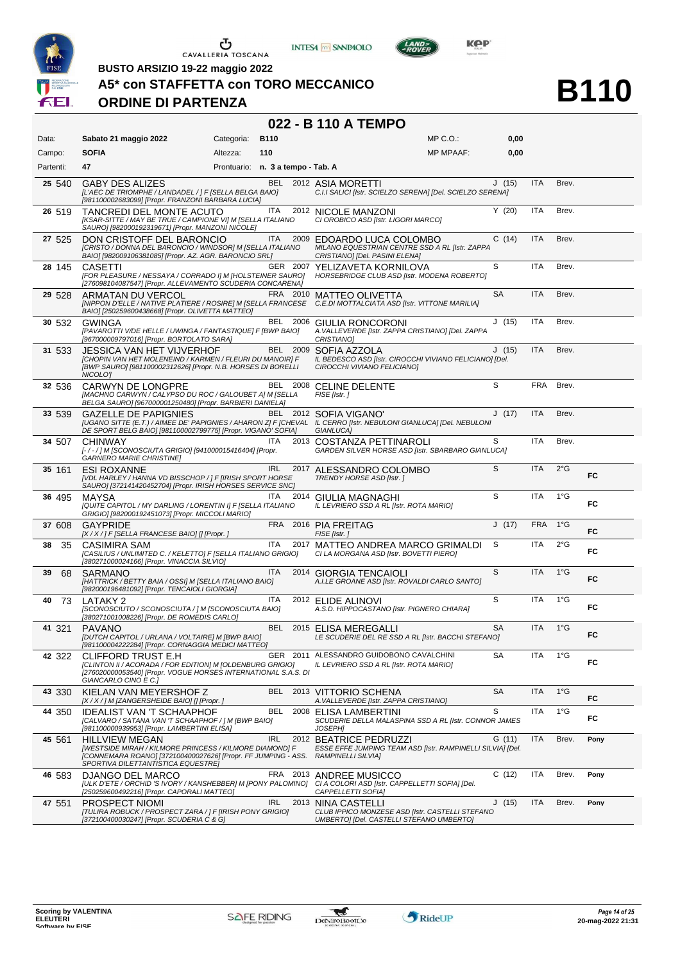





LAND-

**B110**

**BUSTO ARSIZIO 19-22 maggio 2022**

#### **A5\* con STAFFETTA con TORO MECCANICO**

### **ORDINE DI PARTENZA**

#### **022 - B 110 A TEMPO**

| Data:     | Sabato 21 maggio 2022                                                                                                                                                                                      | Categoria: B110                   |            |          | $MP C. O.$ :                                                                                                                                                | 0,00      |            |               |      |
|-----------|------------------------------------------------------------------------------------------------------------------------------------------------------------------------------------------------------------|-----------------------------------|------------|----------|-------------------------------------------------------------------------------------------------------------------------------------------------------------|-----------|------------|---------------|------|
| Campo:    | <b>SOFIA</b>                                                                                                                                                                                               | Altezza:                          | 110        |          | <b>MP MPAAF:</b>                                                                                                                                            | 0,00      |            |               |      |
| Partenti: | 47                                                                                                                                                                                                         | Prontuario: n. 3 a tempo - Tab. A |            |          |                                                                                                                                                             |           |            |               |      |
| 25 540    | <b>GABY DES ALIZES</b><br>[L'AEC DE TRIOMPHE / LANDADEL / ] F [SELLA BELGA BAIO]<br>[981100002683099] [Propr. FRANZONI BARBARA LUCIA]                                                                      |                                   | <b>BEL</b> |          | 2012 ASIA MORETTI<br>C.I.I SALICI [Istr. SCIELZO SERENA] [Del. SCIELZO SERENA]                                                                              | J(15)     | ITA        | Brev.         |      |
| 26 519    | TANCREDI DEL MONTE ACUTO<br>[KSAR-SITTE / MAY BE TRUE / CAMPIONE VI] M [SELLA ITALIANO<br>SAURO] [982000192319671] [Propr. MANZONI NICOLE]                                                                 |                                   | ITA.       |          | 2012 NICOLE MANZONI<br>CI OROBICO ASD [Istr. LIGORI MARCO]                                                                                                  | Y(20)     | <b>ITA</b> | Brev.         |      |
| 27 525    | DON CRISTOFF DEL BARONCIO<br>[CRISTO / DONNA DEL BARONCIO / WINDSOR] M [SELLA ITALIANO<br>BAIO] [982009106381085] [Propr. AZ. AGR. BARONCIO SRL]                                                           |                                   | ITA.       | 2009     | EDOARDO LUCA COLOMBO<br>MILANO EQUESTRIAN CENTRE SSD A RL [Istr. ZAPPA<br>CRISTIANO] [Del. PASINI ELENA]                                                    | C(14)     | ITA        | Brev.         |      |
| 28 145    | CASETTI<br>[FOR PLEASURE / NESSAYA / CORRADO I] M [HOLSTEINER SAURO]<br>[276098104087547] [Propr. ALLEVAMENTO SCUDERIA CONCARENA]                                                                          |                                   |            | GER 2007 | YELIZAVETA KORNILOVA<br><b>HORSEBRIDGE CLUB ASD [Istr. MODENA ROBERTO]</b>                                                                                  | S         | <b>ITA</b> | Brev.         |      |
| 29 528    | ARMATAN DU VERCOL<br>BAIO] [250259600438668] [Propr. OLIVETTA MATTEO]                                                                                                                                      |                                   |            |          | FRA 2010 MATTEO OLIVETTA<br>[NIPPON D'ELLE / NATIVE PLATIERE / ROSIRE] M [SELLA FRANCESE C.E.DI MOTTALCIATA ASD [Istr. VITTONE MARILIA]                     | <b>SA</b> | <b>ITA</b> | Brev.         |      |
| 30 532    | GWINGA<br>[PAVAROTTI V/DE HELLE / UWINGA / FANTASTIQUE] F [BWP BAIO]<br>[967000009797016] [Propr. BORTOLATO SARA]                                                                                          |                                   |            |          | BEL 2006 GIULIA RONCORONI<br>A. VALLEVERDE [Istr. ZAPPA CRISTIANO] [Del. ZAPPA<br><b>CRISTIANO1</b>                                                         | J(15)     | <b>ITA</b> | Brev.         |      |
| 31 533    | JESSICA VAN HET VIJVERHOF<br>[CHOPIN VAN HET MOLENEIND / KARMEN / FLEURI DU MANOIR] F<br>[BWP SAURO] [981100002312626] [Propr. N.B. HORSES DI BORELLI<br>NICOLO']                                          |                                   |            |          | BEL 2009 SOFIA AZZOLA<br>IL BEDESCO ASD [Istr. CIROCCHI VIVIANO FELICIANO] [Del.<br>CIROCCHI VIVIANO FELICIANO]                                             | J(15)     | <b>ITA</b> | Brev.         |      |
| 32 536    | <b>CARWYN DE LONGPRE</b><br>[MACHNO CARWYN / CALYPSO DU ROC / GALOUBET A] M [SELLA<br>BELGA SAURO] [967000001250480] [Propr. BARBIERI DANIELA]                                                             |                                   |            |          | BEL 2008 CELINE DELENTE<br>FISE [Istr.]                                                                                                                     | S         | <b>FRA</b> | Brev.         |      |
| 33 539    | <b>GAZELLE DE PAPIGNIES</b><br>DE SPORT BELG BAIO] [981100002799775] [Propr. VIGANO' SOFIA]                                                                                                                |                                   | BEL        |          | 2012 SOFIA VIGANO'<br>[UGANO SITTE (E.T.) / AIMEE DE' PAPIGNIES / AHARON Z] F [CHEVAL IL CERRO [Istr. NEBULONI GIANLUCA] [Del. NEBULONI<br><b>GIANLUCAI</b> | J(17)     | <b>ITA</b> | Brev.         |      |
| 34 507    | <b>CHINWAY</b><br>[-/-/] M [SCONOSCIUTA GRIGIO] [941000015416404] [Propr.<br><b>GARNERO MARIE CHRISTINE]</b>                                                                                               |                                   | ITA.       |          | 2013 COSTANZA PETTINAROLI<br>GARDEN SILVER HORSE ASD [Istr. SBARBARO GIANLUCA]                                                                              | S         | <b>ITA</b> | Brev.         |      |
| 35 161    | <b>ESI ROXANNE</b><br>[VDL HARLEY / HANNA VD BISSCHOP / ] F [IRISH SPORT HORSE<br>SAURO] [372141420452704] [Propr. IRISH HORSES SERVICE SNC]                                                               |                                   | <b>IRL</b> | 2017     | ALESSANDRO COLOMBO<br>TRENDY HORSE ASD [Istr.]                                                                                                              | S         | ITA        | $2^{\circ}$ G | FC   |
| 36 495    | MAYSA<br>[QUITE CAPITOL / MY DARLING / LORENTIN I] F [SELLA ITALIANO<br>GRIGIO] [982000192451073] [Propr. MICCOLI MARIO]                                                                                   |                                   | ITA.       | 2014     | GIULIA MAGNAGHI<br>IL LEVRIERO SSD A RL [Istr. ROTA MARIO]                                                                                                  | S         | ITA        | $1^{\circ}G$  | FC   |
| 37 608    | <b>GAYPRIDE</b><br>[X / X / ] F [SELLA FRANCESE BAIO] [] [Propr. ]                                                                                                                                         |                                   | <b>FRA</b> |          | 2016 PIA FREITAG<br>FISE [Istr.]                                                                                                                            | J(17)     | <b>FRA</b> | $1^{\circ}G$  | FC.  |
| 38<br>35  | CASIMIRA SAM<br>[CASILIUS / UNLIMITED C. / KELETTO] F [SELLA ITALIANO GRIGIO]<br>[380271000024166] [Propr. VINACCIA SILVIO]                                                                                |                                   | <b>ITA</b> | 2017     | MATTEO ANDREA MARCO GRIMALDI<br>CI LA MORGANA ASD [Istr. BOVETTI PIERO]                                                                                     | S         | ITA        | $2^{\circ}$ G | FC   |
| 39<br>68  | SARMANO<br>[HATTRICK / BETTY BAIA / OSSI] M [SELLA ITALIANO BAIO]<br>[982000196481092] [Propr. TENCAIOLI GIORGIA]                                                                                          |                                   | <b>ITA</b> |          | 2014 GIORGIA TENCAIOLI<br>A.I.LE GROANE ASD [Istr. ROVALDI CARLO SANTO]                                                                                     | S         | <b>ITA</b> | $1^{\circ}$ G | FC   |
| 73<br>40  | LATAKY 2<br>[SCONOSCIUTO / SCONOSCIUTA / ] M [SCONOSCIUTA BAIO]<br>[380271001008226] [Propr. DE ROMEDIS CARLO]                                                                                             |                                   | <b>ITA</b> |          | 2012 ELIDE ALINOVI<br>A.S.D. HIPPOCASTANO [Istr. PIGNERO CHIARA]                                                                                            | S         | <b>ITA</b> | $1^{\circ}G$  | FC.  |
| 41 321    | <b>PAVANO</b><br>[DUTCH CAPITOL / URLANA / VOLTAIRE] M [BWP BAIO]<br>[981100004222284] [Propr. CORNAGGIA MEDICI MATTEO]                                                                                    |                                   | <b>BEL</b> |          | 2015 ELISA MEREGALLI<br>LE SCUDERIE DEL RE SSD A RL [Istr. BACCHI STEFANO]                                                                                  | <b>SA</b> | <b>ITA</b> | $1^{\circ}$ G | FC.  |
| 42 322    | CLIFFORD TRUST E.H<br>[CLINTON II / ACORADA / FOR EDITION] M [OLDENBURG GRIGIO]<br>[276020000053540] [Propr. VOGUE HORSES INTERNATIONAL S.A.S. DI<br>GIANCARLO CINO E C.]                                  |                                   |            |          | GER 2011 ALESSANDRO GUIDOBONO CAVALCHINI<br>IL LEVRIERO SSD A RL [Istr. ROTA MARIO]                                                                         | SA        | ITA        | $1^{\circ}$ G | FC   |
| 43 330    | KIELAN VAN MEYERSHOF Z<br>[X / X / ] M [ZANGERSHEIDE BAIO] [] [Propr. ]                                                                                                                                    |                                   |            |          | BEL 2013 VITTORIO SCHENA<br>A. VALLEVERDE [Istr. ZAPPA CRISTIANO]                                                                                           | <b>SA</b> | <b>ITA</b> | $1^{\circ}G$  | FC.  |
| 44 350    | IDEALIST VAN 'T SCHAAPHOF<br>[CALVARO / SATANA VAN 'T SCHAAPHOF / ] M [BWP BAIO]<br>[981100000939953] [Propr. LAMBERTINI ELISA]                                                                            |                                   | <b>BEL</b> | 2008     | ELISA LAMBERTINI<br>SCUDERIE DELLA MALASPINA SSD A RL [Istr. CONNOR JAMES<br><b>JOSEPHI</b>                                                                 | S         | <b>ITA</b> | $1^{\circ}$ G | FC   |
| 45 561    | <b>HILLVIEW MEGAN</b><br>[WESTSIDE MIRAH / KILMORE PRINCESS / KILMORE DIAMOND] F<br>[CONNEMARA ROANO] [372100400027626] [Propr. FF JUMPING - ASS. RAMPINELLI SILVIA]<br>SPORTIVA DILETTANTISTICA EQUESTREJ |                                   | <b>IRL</b> |          | 2012 BEATRICE PEDRUZZI<br>ESSE EFFE JUMPING TEAM ASD [Istr. RAMPINELLI SILVIA] [Del.                                                                        | G (11)    | ITA        | Brev.         | Pony |
| 46 583    | DJANGO DEL MARCO<br>[ULK D'ETE / ORCHID 'S IVORY / KANSHEBBER] M [PONY PALOMINO]<br>[250259600492216] [Propr. CAPORALI MATTEO]                                                                             |                                   |            |          | FRA 2013 ANDREE MUSICCO<br>CI A COLORI ASD [Istr. CAPPELLETTI SOFIA] [Del.<br>CAPPELLETTI SOFIA]                                                            | C(12)     | <b>ITA</b> | Brev.         | Pony |
| 47 551    | <b>PROSPECT NIOMI</b><br>[TULIRA ROBUCK / PROSPECT ZARA / ] F [IRISH PONY GRIGIO]<br>[372100400030247] [Propr. SCUDERIA C & G]                                                                             |                                   | IRL        |          | 2013 NINA CASTELLI<br>CLUB IPPICO MONZESE ASD [Istr. CASTELLI STEFANO<br>UMBERTO] [Del. CASTELLI STEFANO UMBERTO]                                           | J(15)     | <b>ITA</b> | Brev.         | Pony |

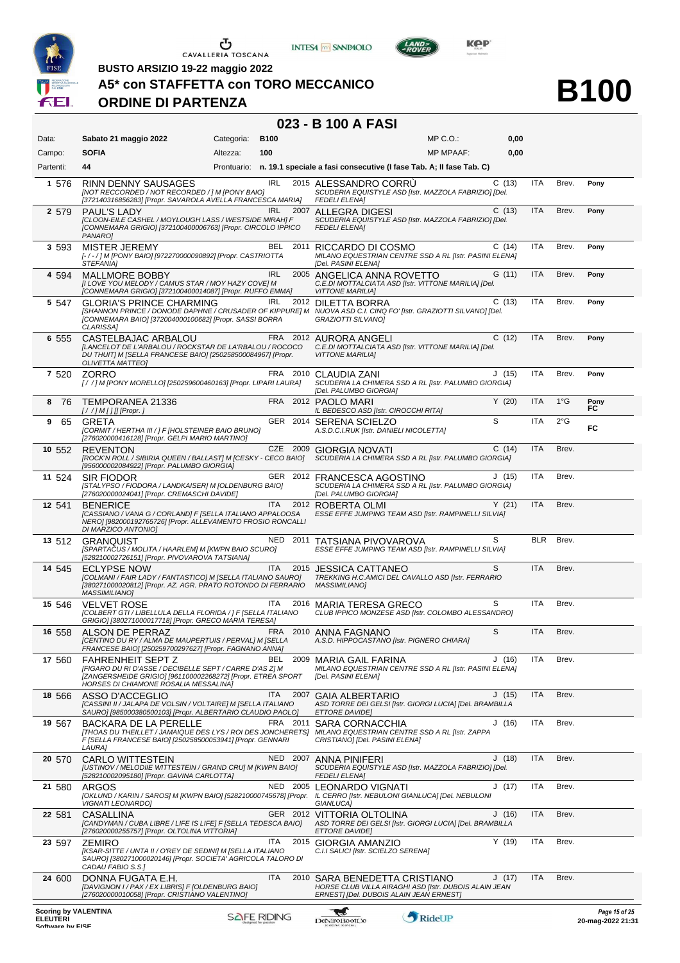

**INTESA** M SANPAOLO







**B100**

# **A5\* con STAFFETTA con TORO MECCANICO ORDINE DI PARTENZA**

# **023 - B 100 A FASI**

| Data:                                          | Sabato 21 maggio 2022                                                                                                                                                                                                      | Categoria: | <b>B100</b>        |          |                                                                                                                              | MP C.O.:         | 0,00  |            |               |                                        |
|------------------------------------------------|----------------------------------------------------------------------------------------------------------------------------------------------------------------------------------------------------------------------------|------------|--------------------|----------|------------------------------------------------------------------------------------------------------------------------------|------------------|-------|------------|---------------|----------------------------------------|
| Campo:                                         | <b>SOFIA</b>                                                                                                                                                                                                               | Altezza:   | 100                |          |                                                                                                                              | <b>MP MPAAF:</b> | 0,00  |            |               |                                        |
| Partenti:                                      | 44                                                                                                                                                                                                                         |            |                    |          | Prontuario: n. 19.1 speciale a fasi consecutive (I fase Tab. A; II fase Tab. C)                                              |                  |       |            |               |                                        |
| 1 576                                          | <b>RINN DENNY SAUSAGES</b><br>[NOT RECCORDED / NOT RECORDED / ] M [PONY BAIO]<br>[372140316856283] [Propr. SAVAROLA AVELLA FRANCESCA MARIA]                                                                                |            | <b>IRL</b>         |          | 2015 ALESSANDRO CORRU<br>SCUDERIA EQUISTYLE ASD [Istr. MAZZOLA FABRIZIO] [Del.<br><b>FEDELI ELENA]</b>                       |                  | C(13) | <b>ITA</b> | Brev.         | Pony                                   |
| 2 579                                          | <b>PAUL'S LADY</b><br>[CLOON-EILE CASHEL / MOYLOUGH LASS / WESTSIDE MIRAH] F<br>[CONNEMARA GRIGIO] [372100400006763] [Propr. CIRCOLO IPPICO<br>PANARO]                                                                     |            | <b>IRL</b>         | 2007     | ALLEGRA DIGESI<br>SCUDERIA EQUISTYLE ASD [Istr. MAZZOLA FABRIZIO] [Del.<br><b>FEDELI ELENA]</b>                              |                  | C(13) | <b>ITA</b> | Brev.         | Pony                                   |
| 3 5 9 3                                        | <b>MISTER JEREMY</b><br>[-/-/] M [PONY BAIO] [972270000090892] [Propr. CASTRIOTTA<br>STEFANIA]                                                                                                                             |            | BEL.               | 2011     | RICCARDO DI COSMO<br>MILANO EQUESTRIAN CENTRE SSD A RL [Istr. PASINI ELENA]<br>[Del. PASINI ELENA]                           |                  | C(14) | ITA        | Brev.         | Pony                                   |
| 4 594                                          | <b>MALLMORE BOBBY</b><br>[I LOVE YOU MELODY / CAMUS STAR / MOY HAZY COVE] M<br>[CONNEMARA GRIGIO] [372100400014087] [Propr. RUFFO EMMA]                                                                                    |            | <b>IRL</b>         |          | 2005 ANGELICA ANNA ROVETTO<br>C.E.DI MOTTALCIATA ASD [Istr. VITTONE MARILIA] [Del.<br><b>VITTONE MARILIA]</b>                |                  | G(11) | <b>ITA</b> | Brev.         | Pony                                   |
| 5 547                                          | <b>GLORIA'S PRINCE CHARMING</b><br>[SHANNON PRINCE / DONODE DAPHNE / CRUSADER OF KIPPURE] M NUOVA ASD C.I. CINQ FO' [Istr. GRAZIOTTI SILVANO] [Del.<br>[CONNEMARA BAIO] [372004000100682] [Propr. SASSI BORRA<br>CLARISSA] |            | IRL                |          | 2012 DILETTA BORRA<br>GRAZIOTTI SILVANO]                                                                                     |                  | C(13) | ITA        | Brev.         | Pony                                   |
| 6 555                                          | CASTELBAJAC ARBALOU<br>[LANCELOT DE L'ARBALOU / ROCKSTAR DE LA'RBALOU / ROCOCO<br>DU THUIT] M [SELLA FRANCESE BAIO] [250258500084967] [Propr.<br><b>OLIVETTA MATTEO]</b>                                                   |            |                    |          | FRA 2012 AURORA ANGELI<br>C.E.DI MOTTALCIATA ASD [Istr. VITTONE MARILIA] [Del.<br><b>VITTONE MARILIAI</b>                    |                  | C(12) | <b>ITA</b> | Brev.         | Pony                                   |
| 7 520                                          | ZORRO<br>[/ / ] M [PONY MORELLO] [250259600460163] [Propr. LIPARI LAURA]                                                                                                                                                   |            |                    | FRA 2010 | CLAUDIA ZANI<br>SCUDERIA LA CHIMERA SSD A RL [Istr. PALUMBO GIORGIA]<br>[Del. PALUMBO GIORGIA]                               |                  | J(15) | <b>ITA</b> | Brev.         | Pony                                   |
| 876                                            | TEMPORANEA 21336<br>$[!/]/M[]$ [Propr.]                                                                                                                                                                                    |            |                    |          | FRA 2012 PAOLO MARI<br>IL BEDESCO ASD [Istr. CIROCCHI RITA]                                                                  |                  | Y(20) | <b>ITA</b> | $1^{\circ}$ G | Pony<br>FC                             |
| 9<br>65                                        | GRETA<br>[CORMIT / HERTHA III / ] F [HOLSTEINER BAIO BRUNO]<br>[276020000416128] [Propr. GELPI MARIO MARTINO]                                                                                                              |            |                    |          | GER 2014 SERENA SCIELZO<br>A.S.D.C.I.RUK [Istr. DANIELI NICOLETTA]                                                           |                  | S     | <b>ITA</b> | $2^{\circ}$ G | FC                                     |
| 10 552                                         | <b>REVENTON</b><br>[ROCK'N ROLL / SIBIRIA QUEEN / BALLAST] M [CESKY - CECO BAIO]<br>[956000002084922] [Propr. PALUMBO GIORGIA]                                                                                             |            |                    |          | CZE 2009 GIORGIA NOVATI<br>SCUDERIA LA CHIMERA SSD A RL [Istr. PALUMBO GIORGIA]                                              |                  | C(14) | <b>ITA</b> | Brev.         |                                        |
| 11 524                                         | <b>SIR FIODOR</b><br>[STALYPSO / FIODORA / LANDKAISER] M [OLDENBURG BAIO]<br>[276020000024041] [Propr. CREMASCHI DAVIDE]                                                                                                   |            |                    |          | GER 2012 FRANCESCA AGOSTINO<br>SCUDERIA LA CHIMERA SSD A RL [Istr. PALUMBO GIORGIA]<br>[Del. PALUMBO GIORGIA]                |                  | J(15) | <b>ITA</b> | Brev.         |                                        |
| 12 541                                         | <b>BENERICE</b><br>[CASSIANO / VANA G / CORLAND] F [SELLA ITALIANO APPALOOSA<br>NERO] [982000192765726] [Propr. ALLEVAMENTO FROSIO RONCALLI<br>DI MARZICO ANTONIO]                                                         |            | ITA                |          | 2012 ROBERTA OLMI<br>ESSE EFFE JUMPING TEAM ASD [Istr. RAMPINELLI SILVIA]                                                    |                  | Y(21) | <b>ITA</b> | Brev.         |                                        |
| 13 512                                         | GRANQUIST<br>[SPARTACUS / MOLITA / HAARLEM] M [KWPN BAIO SCURO]<br>[528210002726151] [Propr. PIVOVAROVA TATSIANA]                                                                                                          |            |                    | NED 2011 | TATSIANA PIVOVAROVA<br>ESSE EFFE JUMPING TEAM ASD [Istr. RAMPINELLI SILVIA]                                                  |                  | S     | BLR        | Brev.         |                                        |
| 14 545                                         | <b>ECLYPSE NOW</b><br>[COLMANI / FAIR LADY / FANTASTICO] M [SELLA ITALIANO SAURO]<br>[380271000020812] [Propr. AZ. AGR. PRATO ROTONDO DI FERRARIO<br><b>MASSIMILIANO]</b>                                                  |            | ITA                | 2015     | <b>JESSICA CATTANEO</b><br>TREKKING H.C.AMICI DEL CAVALLO ASD [Istr. FERRARIO<br><b>MASSIMILIANO]</b>                        |                  | S     | ITA        | Brev.         |                                        |
| 15 546                                         | <b>VELVET ROSE</b><br>[COLBERT GTI / LIBELLULA DELLA FLORIDA / ] F [SELLA ITALIANO<br>GRIGIO] [380271000017718] [Propr. GRECO MARIA TERESA]                                                                                |            | ITA                |          | 2016 MARIA TERESA GRECO<br>CLUB IPPICO MONZESE ASD [Istr. COLOMBO ALESSANDRO]                                                |                  | S     | ITA        | Brev.         |                                        |
| 16 558                                         | <b>ALSON DE PERRAZ</b><br><b>ICENTINO DU RY / ALMA DE MAUPERTUIS / PERVALI M ISELLA</b><br>FRANCESE BAIO] [250259700297627] [Propr. FAGNANO ANNA]                                                                          |            |                    |          | FRA 2010 ANNA FAGNANO<br>A.S.D. HIPPOCASTANO [Istr. PIGNERO CHIARA]                                                          |                  | S     | ITA        | Brev.         |                                        |
| 17 560                                         | <b>FAHRENHEIT SEPT Z</b><br>[FIGARO DU RI D'ASSE / DECIBELLE SEPT / CARRE D'AS Z] M<br>[ZANGERSHEIDE GRIGIO] [961100002268272] [Propr. ETREA SPORT<br>HORSES DI CHIAMONE ROSALIA MESSALINA]                                |            | BEL                | 2009     | MARIA GAIL FARINA<br>MILANO EQUESTRIAN CENTRE SSD A RL [Istr. PASINI ELENA]<br>[Del. PASINI ELENA]                           |                  | J(16) | <b>ITA</b> | Brev.         |                                        |
| 18 566                                         | ASSO D'ACCEGLIO<br>[CASSINI II / JALAPA DE VOLSIN / VOLTAIRE] M [SELLA ITALIANO<br>SAURO] [985000380500103] [Propr. ALBERTARIO CLAUDIO PAOLO]                                                                              |            | ITA                | 2007     | <b>GAIA ALBERTARIO</b><br>ASD TORRE DEI GELSI [Istr. GIORGI LUCIA] [Del. BRAMBILLA<br>ETTORE DAVIDE]                         |                  | J(15) | <b>ITA</b> | Brev.         |                                        |
| 19 567                                         | BACKARA DE LA PERELLE<br>[THOAS DU THEILLET / JAMAIQUE DES LYS / ROI DES JONCHERETS]<br>F [SELLA FRANCESE BAIO] [250258500053941] [Propr. GENNARI<br>LAURA]                                                                |            |                    | FRA 2011 | SARA CORNACCHIA<br>MILANO EQUESTRIAN CENTRE SSD A RL [Istr. ZAPPA<br>CRISTIANO] [Del. PASINI ELENA]                          |                  | J(16) | ITA        | Brev.         |                                        |
| 20 570                                         | <b>CARLO WITTESTEIN</b><br>[USTINOV / MELODIIE WITTESTEIN / GRAND CRU] M [KWPN BAIO]<br>[528210002095180] [Propr. GAVINA CARLOTTA]                                                                                         |            |                    |          | NED 2007 ANNA PINIFERI<br>SCUDERIA EQUISTYLE ASD [Istr. MAZZOLA FABRIZIO] [Del.<br>FEDELI ELENA]                             |                  | J(18) | <b>ITA</b> | Brev.         |                                        |
| 21 580                                         | ARGOS<br>[OKLUND / KARIN / SAROS] M [KWPN BAIO] [528210000745678] [Propr. IL CERRO [Istr. NEBULONI GIANLUCA] [Del. NEBULONI<br>VIGNATI LEONARDO]                                                                           |            |                    |          | NED 2005 LEONARDO VIGNATI<br>GIANLUCA]                                                                                       |                  | J(17) | <b>ITA</b> | Brev.         |                                        |
| 22 581                                         | <b>CASALLINA</b><br>[CANDYMAN / CUBA LIBRE / LIFE IS LIFE] F [SELLA TEDESCA BAIO]<br>[276020000255757] [Propr. OLTOLINA VITTORIA]                                                                                          |            |                    |          | GER 2012 VITTORIA OLTOLINA<br>ASD TORRE DEI GELSI [Istr. GIORGI LUCIA] [Del. BRAMBILLA<br><i>ETTORE DAVIDE]</i>              |                  | J(16) | <b>ITA</b> | Brev.         |                                        |
| 23 597                                         | <b>ZEMIRO</b><br>[KSAR-SITTE / UNTA II / O'REY DE SEDINI] M [SELLA ITALIANO<br>SAUROJ [380271000020146] [Propr. SOCIETA' AGRICOLA TALORO DI<br>CADAU FABIO S.S.]                                                           |            | ITA.               |          | 2015 GIORGIA AMANZIO<br>C.I.I SALICI [Istr. SCIELZO SERENA]                                                                  |                  | Y(19) | ITA        | Brev.         |                                        |
| 24 600                                         | DONNA FUGATA E.H.<br>[DAVIGNON I / PAX / EX LIBRIS] F [OLDENBURG BAIO]<br>[276020000010058] [Propr. CRISTIANO VALENTINO]                                                                                                   |            | <b>ITA</b>         | 2010     | SARA BENEDETTA CRISTIANO<br>HORSE CLUB VILLA AIRAGHI ASD [Istr. DUBOIS ALAIN JEAN<br>ERNEST] [Del. DUBOIS ALAIN JEAN ERNEST] |                  | J(17) | <b>ITA</b> | Brev.         |                                        |
| <b>Scoring by VALENTINA</b><br><b>ELEUTERI</b> |                                                                                                                                                                                                                            |            | <b>SAFE RIDING</b> |          | T.<br>DeNiroBootCo                                                                                                           | RideUP           |       |            |               | Page 15 of 25<br>$20$ -man- $20222131$ |

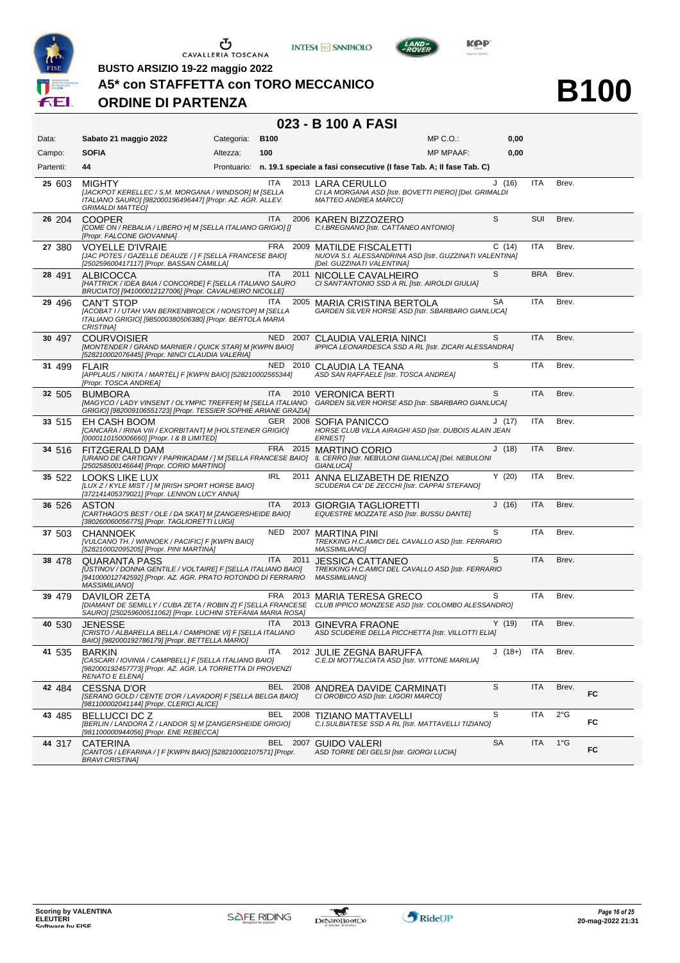





**BUSTO ARSIZIO 19-22 maggio 2022**

**A5\* con STAFFETTA con TORO MECCANICO**

# **ORDINE DI PARTENZA**

# **B100**

#### **023 - B 100 A FASI**

| Data:     | Sabato 21 maggio 2022                                                                                                                                                              | Categoria: | <b>B100</b> |          |                                                                                                                    | $MP C. O.$ :     | 0,00         |            |               |    |
|-----------|------------------------------------------------------------------------------------------------------------------------------------------------------------------------------------|------------|-------------|----------|--------------------------------------------------------------------------------------------------------------------|------------------|--------------|------------|---------------|----|
| Campo:    | <b>SOFIA</b>                                                                                                                                                                       | Altezza:   | 100         |          |                                                                                                                    | <b>MP MPAAF:</b> | 0,00         |            |               |    |
| Partenti: | 44                                                                                                                                                                                 |            |             |          | Prontuario: n. 19.1 speciale a fasi consecutive (I fase Tab. A; II fase Tab. C)                                    |                  |              |            |               |    |
| 25 603    | <b>MIGHTY</b><br>[JACKPOT KERELLEC / S.M. MORGANA / WINDSOR] M [SELLA<br>ITALIANO SAURO] [982000196496447] [Propr. AZ. AGR. ALLEV.<br><b>GRIMALDI MATTEO]</b>                      |            | ITA         |          | 2013 LARA CERULLO<br>CI LA MORGANA ASD [Istr. BOVETTI PIERO] [Del. GRIMALDI<br><b>MATTEO ANDREA MARCO]</b>         |                  | J(16)        | ITA        | Brev.         |    |
| 26 204    | <b>COOPER</b><br>[COME ON / REBALIA / LIBERO H] M [SELLA ITALIANO GRIGIO] []<br>[Propr. FALCONE GIOVANNA]                                                                          |            | ITA         |          | 2006 KAREN BIZZOZERO<br>C.I.BREGNANO [Istr. CATTANEO ANTONIO]                                                      |                  | S            | <b>SUI</b> | Brev.         |    |
| 27 380    | <b>VOYELLE D'IVRAIE</b><br>[JAC POTES / GAZELLE DEAUZE / ] F [SELLA FRANCESE BAIO]<br>[250259600417117] [Propr. BASSAN CAMILLA]                                                    |            |             | FRA 2009 | <b>MATILDE FISCALETTI</b><br>NUOVA S.I. ALESSANDRINA ASD [Istr. GUZZINATI VALENTINA]<br>[Del. GUZZINATI VALENTINA] |                  | C(14)        | <b>ITA</b> | Brev.         |    |
| 28 491    | ALBICOCCA<br>[HATTRICK / IDEA BAIA / CONCORDE] F [SELLA ITALIANO SAURO<br>BRUCIATO] [941000012127006] [Propr. CAVALHEIRO NICOLLE]                                                  |            | <b>ITA</b>  | 2011     | NICOLLE CAVALHEIRO<br>CI SANT'ANTONIO SSD A RL [Istr. AIROLDI GIULIA]                                              |                  | S            | <b>BRA</b> | Brev.         |    |
| 29 496    | <b>CAN'T STOP</b><br>[ACOBAT I / UTAH VAN BERKENBROECK / NONSTOP] M [SELLA<br>ITALIANO GRIGIO] [985000380506380] [Propr. BERTOLA MARIA<br>CRISTINA]                                |            | <b>ITA</b>  | 2005     | MARIA CRISTINA BERTOLA<br>GARDEN SILVER HORSE ASD [Istr. SBARBARO GIANLUCA]                                        |                  | <b>SA</b>    | <b>ITA</b> | Brev.         |    |
| 30 497    | <b>COURVOISIER</b><br>[MONTENDER / GRAND MARNIER / QUICK STAR] M [KWPN BAIO]<br>[528210002076445] [Propr. NINCI CLAUDIA VALERIA]                                                   |            |             | NED 2007 | CLAUDIA VALERIA NINCI<br>IPPICA LEONARDESCA SSD A RL [Istr. ZICARI ALESSANDRA]                                     |                  | S            | <b>ITA</b> | Brev.         |    |
| 31 499    | <b>FLAIR</b><br>[APPLAUS / NIKITA / MARTEL] F [KWPN BAIO] [528210002565344]<br>[Propr. TOSCA ANDREA]                                                                               |            |             | NED 2010 | CLAUDIA LA TEANA<br>ASD SAN RAFFAELE [Istr. TOSCA ANDREA]                                                          |                  | S            | <b>ITA</b> | Brev.         |    |
| 32 505    | <b>BUMBORA</b><br>[MAGYCO / LADY VINSENT / OLYMPIC TREFFER] M [SELLA ITALIANO<br>GRIGIO] [982009106551723] [Propr. TESSIER SOPHIE ARIANE GRAZIA]                                   |            | <b>ITA</b>  | 2010     | <b>VERONICA BERTI</b><br>GARDEN SILVER HORSE ASD [Istr. SBARBARO GIANLUCA]                                         |                  | S            | <b>ITA</b> | Brev.         |    |
| 33 515    | EH CASH BOOM<br>[CANCARA / IRINA VIII / EXORBITANT] M [HOLSTEINER GRIGIO]<br>[0000110150006660] [Propr. 1 & B LIMITED]                                                             |            |             |          | GER 2008 SOFIA PANICCO<br>HORSE CLUB VILLA AIRAGHI ASD [Istr. DUBOIS ALAIN JEAN<br><b>ERNESTI</b>                  |                  | J(17)        | <b>ITA</b> | Brev.         |    |
| 34 516    | <b>FITZGERALD DAM</b><br>[URANO DE CARTIGNY / PAPRIKADAM / ] M [SELLA FRANCESE BAIO] IL CERRO [Istr. NEBULONI GIANLUCA] [Del. NEBULONI<br>[250258500146644] [Propr. CORIO MARTINO] |            |             |          | FRA 2015 MARTINO CORIO<br>GIANLUCA]                                                                                |                  | J(18)        | <b>ITA</b> | Brev.         |    |
| 35 522    | <b>LOOKS LIKE LUX</b><br>[LUX Z / KYLE MIST / ] M [IRISH SPORT HORSE BAIO]<br>[372141405379021] [Propr. LENNON LUCY ANNA]                                                          |            | IRL         | 2011     | ANNA ELIZABETH DE RIENZO<br>SCUDERIA CA' DE ZECCHI [Istr. CAPPAI STEFANO]                                          |                  | Y(20)        | <b>ITA</b> | Brev.         |    |
| 36 526    | <b>ASTON</b><br>[CARTHAGO'S BEST / OLE / DA SKAT] M [ZANGERSHEIDE BAIO]<br>[380260060056775] [Propr. TAGLIORETTI LUIGI]                                                            |            | <b>ITA</b>  |          | 2013 GIORGIA TAGLIORETTI<br>EQUESTRE MOZZATE ASD [Istr. BUSSU DANTE]                                               |                  | J(16)        | <b>ITA</b> | Brev.         |    |
| 37 503    | <b>CHANNOEK</b><br>[VULCANO TH. / WINNOEK / PACIFIC] F [KWPN BAIO]<br>[528210002095205] [Propr. PINI MARTINA]                                                                      |            |             | NED 2007 | MARTINA PINI<br>TREKKING H.C.AMICI DEL CAVALLO ASD [Istr. FERRARIO<br><b>MASSIMILIANO]</b>                         |                  | S            | <b>ITA</b> | Brev.         |    |
| 38 478    | <b>QUARANTA PASS</b><br>[USTINOV / DONNA GENTILE / VOLTAIRE] F [SELLA ITALIANO BAIO]<br>[941000012742592] [Propr. AZ. AGR. PRATO ROTONDO DI FERRARIO<br><b>MASSIMILIANO]</b>       |            | <b>ITA</b>  | 2011     | <b>JESSICA CATTANEO</b><br>TREKKING H.C.AMICI DEL CAVALLO ASD [Istr. FERRARIO<br><b>MASSIMILIANO]</b>              |                  | S            | <b>ITA</b> | Brev.         |    |
| 39 479    | DAVILOR ZETA<br>[DIAMANT DE SEMILLY / CUBA ZETA / ROBIN Z] F [SELLA FRANCESE<br>SAURO] [250259600511062] [Propr. LUCHINI STEFANIA MARIA ROSA]                                      |            |             | FRA 2013 | <b>MARIA TERESA GRECO</b><br>CLUB IPPICO MONZESE ASD [Istr. COLOMBO ALESSANDRO]                                    |                  | S            | <b>ITA</b> | Brev.         |    |
| 40 530    | <b>JENESSE</b><br>[CRISTO / ALBARELLA BELLA / CAMPIONE VI] F [SELLA ITALIANO<br>BAIO] [982000192786179] [Propr. BETTELLA MARIO]                                                    |            | ITA.        | 2013     | <b>GINEVRA FRAONE</b><br>ASD SCUDERIE DELLA PICCHETTA [Istr. VILLOTTI ELIA]                                        |                  | Y(19)        | <b>ITA</b> | Brev.         |    |
| 41 535    | <b>BARKIN</b><br>[CASCARI / IOVINIA / CAMPBELL] F [SELLA ITALIANO BAIO]<br>[982000192457773] [Propr. AZ. AGR. LA TORRETTA DI PROVENZI<br><b>RENATO E ELENA]</b>                    |            | ITA         |          | 2012 JULIE ZEGNA BARUFFA<br>C.E.DI MOTTALCIATA ASD [Istr. VITTONE MARILIA]                                         |                  | $J(18+)$ ITA |            | Brev.         |    |
| 42 484    | CESSNA D'OR<br>[SERANO GOLD / CENTE D'OR / LAVADOR] F [SELLA BELGA BAIO]<br>[981100002041144] [Propr. CLERICI ALICE]                                                               |            | BEL.        | 2008     | ANDREA DAVIDE CARMINATI<br>CI OROBICO ASD [Istr. LIGORI MARCO]                                                     |                  | S            | <b>ITA</b> | Brev.         | FC |
| 43 485    | BELLUCCI DC Z<br>[BERLIN / LANDORA Z / LANDOR S] M [ZANGERSHEIDE GRIGIO]<br>[981100000944056] [Propr. ENE REBECCA]                                                                 |            | BEL         | 2008     | TIZIANO MATTAVELLI<br>C.I.SULBIATESE SSD A RL [Istr. MATTAVELLI TIZIANO]                                           |                  | S            | <b>ITA</b> | $2^{\circ}$ G | FC |
| 44 317    | <b>CATERINA</b><br>[CANTOS / LEFARINA / ] F [KWPN BAIO] [528210002107571] [Propr.<br><b>BRAVI CRISTINAI</b>                                                                        |            | BEL         | 2007     | GUIDO VALERI<br>ASD TORRE DEI GELSI [Istr. GIORGI LUCIA]                                                           |                  | <b>SA</b>    | <b>ITA</b> | $1^{\circ}$ G | FC |

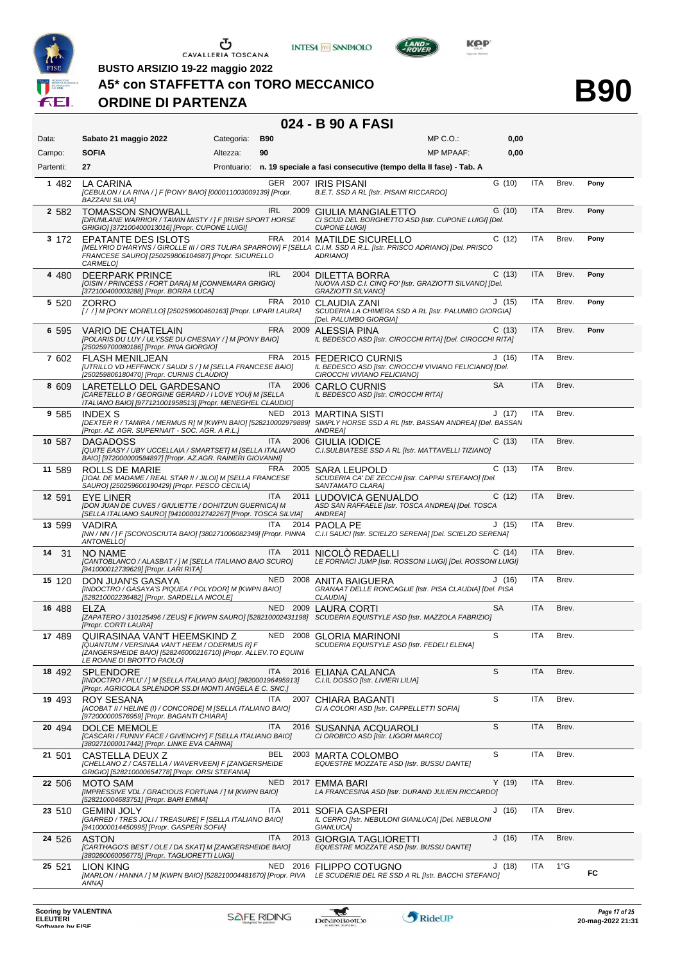

**BUSTO ARSIZIO 19-22 maggio 2022**

#### **A5\* con STAFFETTA con TORO MECCANICO**

#### **ORDINE DI PARTENZA**

### **024 - B 90 A FASI**

**INTESA** M SANPAOLO

| Data:      | Sabato 21 maggio 2022                                                                                                                                                                                                 | Categoria: | <b>B90</b> |          |                                                                                                                    | MP C. O.         | 0,00      |            |               |      |
|------------|-----------------------------------------------------------------------------------------------------------------------------------------------------------------------------------------------------------------------|------------|------------|----------|--------------------------------------------------------------------------------------------------------------------|------------------|-----------|------------|---------------|------|
| Campo:     | <b>SOFIA</b>                                                                                                                                                                                                          | Altezza:   | 90         |          |                                                                                                                    | <b>MP MPAAF:</b> | 0,00      |            |               |      |
| Partenti:  | 27                                                                                                                                                                                                                    |            |            |          | Prontuario: n. 19 speciale a fasi consecutive (tempo della II fase) - Tab. A                                       |                  |           |            |               |      |
| 1 482      | LA CARINA<br>[CEBULON / LA RINA / ] F [PONY BAIO] [000011003009139] [Propr.<br><b>BAZZANI SILVIA]</b>                                                                                                                 |            |            |          | GER 2007 IRIS PISANI<br>B.E.T. SSD A RL [Istr. PISANI RICCARDO]                                                    |                  | G(10)     | <b>ITA</b> | Brev.         | Pony |
| 2 5 8 2    | <b>TOMASSON SNOWBALL</b><br>[DRUMLANE WARRIOR / TAWIN MISTY / ] F [IRISH SPORT HORSE<br>GRIGIO] [372100400013016] [Propr. CUPONE LUIGI]                                                                               |            |            |          | IRL 2009 GIULIA MANGIALETTO<br>CI SCUD DEL BORGHETTO ASD [Istr. CUPONE LUIGI] [Del.<br><b>CUPONE LUIGII</b>        |                  | G(10)     | <b>ITA</b> | Brev.         | Pony |
| 3 172      | <b>EPATANTE DES ISLOTS</b><br>[MELYRIO D'HARYNS / GIROLLE III / ORS TULIRA SPARROW] F [SELLA C.I.M. SSD A R.L. [Istr. PRISCO ADRIANO] [Del. PRISCO<br>FRANCESE SAURO] [250259806104687] [Propr. SICURELLO<br>CARMELO] |            |            |          | FRA 2014 MATILDE SICURELLO<br>ADRIANO]                                                                             |                  | C(12)     | <b>ITA</b> | Brev.         | Pony |
| 4 4 8 0    | <b>DEERPARK PRINCE</b><br>[OISIN / PRINCESS / FORT DARA] M [CONNEMARA GRIGIO]<br>[372100400003288] [Propr. BORRA LUCA]                                                                                                |            | <b>IRL</b> |          | 2004 DILETTA BORRA<br>NUOVA ASD C.I. CINQ FO' [Istr. GRAZIOTTI SILVANO] [Del.<br>GRAZIOTTI SILVANO]                |                  | C(13)     | <b>ITA</b> | Brev.         | Pony |
| 5 5 2 0    | ZORRO<br>[/ / ] M [PONY MORELLO] [250259600460163] [Propr. LIPARI LAURA]                                                                                                                                              |            |            |          | FRA 2010 CLAUDIA ZANI<br>SCUDERIA LA CHIMERA SSD A RL [Istr. PALUMBO GIORGIA]<br>[Del. PALUMBO GIORGIA]            |                  | J(15)     | <b>ITA</b> | Brev.         | Pony |
| 6 595      | VARIO DE CHATELAIN<br>[POLARIS DU LUY / ULYSSE DU CHESNAY / ] M [PONY BAIO]<br>[250259700080186] [Propr. PINA GIORGIO]                                                                                                |            |            |          | FRA 2009 ALESSIA PINA<br>IL BEDESCO ASD [Istr. CIROCCHI RITA] [Del. CIROCCHI RITA]                                 |                  | C(13)     | ITA        | Brev.         | Pony |
| 7 602      | <b>FLASH MENILJEAN</b><br>[UTRILLO VD HEFFINCK / SAUDI S / ] M [SELLA FRANCESE BAIO]<br>[250259806180470] [Propr. CURNIS CLAUDIO]                                                                                     |            |            |          | FRA 2015 FEDERICO CURNIS<br>IL BEDESCO ASD [Istr. CIROCCHI VIVIANO FELICIANO] [Del.<br>CIROCCHI VIVIANO FELICIANO] |                  | J(16)     | ITA        | Brev.         |      |
| 8 609      | LARETELLO DEL GARDESANO<br>[CARETELLO B / GEORGINE GERARD / I LOVE YOU] M [SELLA<br>ITALIANO BAIO] [977121001958513] [Propr. MENEGHEL CLAUDIO]                                                                        |            | <b>ITA</b> |          | 2006 CARLO CURNIS<br>IL BEDESCO ASD [Istr. CIROCCHI RITA]                                                          |                  | <b>SA</b> | <b>ITA</b> | Brev.         |      |
| 9 585      | <b>INDEX S</b><br>[DEXTER R / TAMIRA / MERMUS R] M [KWPN BAIO] [528210002979889] SIMPLY HORSE SSD A RL [Istr. BASSAN ANDREA] [Del. BASSAN<br>[Propr. AZ. AGR. SUPERNAIT - SOC. AGR. A R.L.]                           |            |            |          | NED 2013 MARTINA SISTI<br>ANDREA]                                                                                  |                  | J(17)     | ITA        | Brev.         |      |
| 10 587     | <b>DAGADOSS</b><br>[QUITE EASY / UBY UCCELLAIA / SMARTSET] M [SELLA ITALIANO<br>BAIO] [972000000584897] [Propr. AZ.AGR. RAINERI GIOVANNI]                                                                             |            | <b>ITA</b> |          | 2006 GIULIA IODICE<br>C.I.SULBIATESE SSD A RL [Istr. MATTAVELLI TIZIANO]                                           |                  | C(13)     | <b>ITA</b> | Brev.         |      |
| 11 589     | ROLLS DE MARIE<br>[JOAL DE MADAME / REAL STAR II / JILOI] M [SELLA FRANCESE<br>SAURO] [250259600190429] [Propr. PESCO CECILIA]                                                                                        |            |            |          | FRA 2005 SARA LEUPOLD<br>SCUDERIA CA' DE ZECCHI [Istr. CAPPAI STEFANO] [Del.<br>SANTAMATO CLARA]                   |                  | C(13)     | ITA        | Brev.         |      |
| 12 591     | EYE LINER<br>[DON JUAN DE CUVES / GIULIETTE / DOHITZUN GUERNICA] M<br>[SELLA ITALIANO SAURO] [941000012742267] [Propr. TOSCA SILVIA]                                                                                  |            | ITA        |          | 2011 LUDOVICA GENUALDO<br>ASD SAN RAFFAELE [Istr. TOSCA ANDREA] [Del. TOSCA<br>ANDREA]                             |                  | C(12)     | ITA        | Brev.         |      |
| 13 599     | VADIRA<br>[NN / NN / ] F [SCONOSCIUTA BAIO] [380271006082349] [Propr. PINNA C.I.I SALICI [Istr. SCIELZO SERENA] [Del. SCIELZO SERENA]<br>ANTONELLOJ                                                                   |            | ITA        |          | 2014 PAOLA PE                                                                                                      |                  | J(15)     | ITA        | Brev.         |      |
| 14<br>- 31 | 3000<br>NO NAME<br>[CANTOBLANCO / ALASBAT / ] M [SELLA ITALIANO BAIO SCURO]<br>[941000012739629] [Propr. LARI RITA]                                                                                                   |            | ITA.       |          | 2011 NICOLO REDAELLI<br>LE FORNACI JUMP [Istr. ROSSONI LUIGI] [Del. ROSSONI LUIGI]                                 |                  | C(14)     | <b>ITA</b> | Brev.         |      |
| 15 120     | DON JUAN'S GASAYA<br>[INDOCTRO / GASAYA'S PIQUEA / POLYDOR] M [KWPN BAIO]<br>[528210002236482] [Propr. SARDELLA NICOLE]                                                                                               |            |            |          | NED 2008 ANITA BAIGUERA<br>GRANAAT DELLE RONCAGLIE [Istr. PISA CLAUDIA] [Del. PISA<br><b>CLAUDIA]</b>              |                  | J(16)     | <b>ITA</b> | Brev.         |      |
| 16 488     | ELZA<br>[ZAPATERO / 310125496 / ZEUS] F [KWPN SAURO] [528210002431198] SCUDERIA EQUISTYLE ASD [Istr. MAZZOLA FABRIZIO]<br>[Propr. CORTI LAURA]                                                                        |            |            |          | NED 2009 LAURA CORTI                                                                                               |                  | <b>SA</b> | <b>ITA</b> | Brev.         |      |
| 17 489     | QUIRASINAA VAN'T HEEMSKIND Z<br>[QUANTUM / VERSINAA VAN'T HEEM / ODERMUS R] F<br>[ZANGERSHEIDE BAIO] [528246000216710] [Propr. ALLEV.TO EQUINI<br>LE ROANE DI BROTTO PAOLO]                                           |            |            |          | NED 2008 GLORIA MARINONI<br>SCUDERIA EQUISTYLE ASD [Istr. FEDELI ELENA]                                            |                  | S         | ITA        | Brev.         |      |
| 18 492     | <b>SPLENDORE</b><br>[INDOCTRO / PILU' / ] M [SELLA ITALIANO BAIO] [982000196495913]<br>[Propr. AGRICOLA SPLENDOR SS.DI MONTI ANGELA E C. SNC.]                                                                        |            | <b>ITA</b> |          | 2016 ELIANA CALANCA<br>C.I.IL DOSSO [Istr. LIVIERI LILIA]                                                          |                  | S         | <b>ITA</b> | Brev.         |      |
| 19 493     | ROY SESANA<br>[ACOBAT II / HELINE (I) / CONCORDE] M [SELLA ITALIANO BAIO]<br>[972000000576959] [Propr. BAGANTI CHIARA]                                                                                                |            | <b>ITA</b> |          | 2007 CHIARA BAGANTI<br>CI A COLORI ASD [Istr. CAPPELLETTI SOFIA]                                                   |                  | S         | ITA        | Brev.         |      |
| 20 494     | <b>DOLCE MEMOLE</b><br>[CASCARI / FUNNY FACE / GIVENCHY] F [SELLA ITALIANO BAIO]<br>[380271000017442] [Propr. LINKE EVA CARINA]                                                                                       |            | ITA        |          | 2016 SUSANNA ACQUAROLI<br>CI OROBICO ASD [Istr. LIGORI MARCO]                                                      |                  | S         | <b>ITA</b> | Brev.         |      |
| 21 501     | CASTELLA DEUX Z<br>[CHELLANO Z / CASTELLA / WAVERVEEN] F [ZANGERSHEIDE<br>GRIGIO] [528210000654778] [Propr. ORSI STEFANIA]                                                                                            |            | BEL        |          | 2003 MARTA COLOMBO<br>EQUESTRE MOZZATE ASD [Istr. BUSSU DANTE]                                                     |                  | S         | ITA        | Brev.         |      |
| 22 506     | MOTO SAM<br>[IMPRESSIVE VDL / GRACIOUS FORTUNA / ] M [KWPN BAIO]<br>[528210004683751] [Propr. BARI EMMA]                                                                                                              |            | <b>NED</b> |          | 2017 EMMA BARI<br>LA FRANCESINA ASD [Istr. DURAND JULIEN RICCARDO]                                                 |                  | Y(19)     | <b>ITA</b> | Brev.         |      |
| 23 510     | <b>GEMINI JOLY</b><br>[GARRED / TRES JOLI / TREASURE] F [SELLA ITALIANO BAIO]<br>[9410000014450995] [Propr. GASPERI SOFIA]                                                                                            |            | ITA        | 2011     | SOFIA GASPERI<br>IL CERRO [Istr. NEBULONI GIANLUCA] [Del. NEBULONI<br>GIANLUCA]                                    |                  | J(16)     | ITA        | Brev.         |      |
| 24 526     | ASTON<br>[CARTHAGO'S BEST / OLE / DA SKAT] M [ZANGERSHEIDE BAIO]<br>[380260060056775] [Propr. TAGLIORETTI LUIGI]                                                                                                      |            | <b>ITA</b> | 2013     | <b>GIORGIA TAGLIORETTI</b><br>EQUESTRE MOZZATE ASD [Istr. BUSSU DANTE]                                             |                  | J(16)     | <b>ITA</b> | Brev.         |      |
| 25 521     | LION KING<br>[MARLON / HANNA / ] M [KWPN BAIO] [528210004481670] [Propr. PIVA<br>ANNA]                                                                                                                                |            |            | NED 2016 | <b>FILIPPO COTUGNO</b><br>LE SCUDERIE DEL RE SSD A RL [Istr. BACCHI STEFANO]                                       |                  | J (18)    | ITA        | $1^{\circ}$ G | FC   |





LAND-

**B90**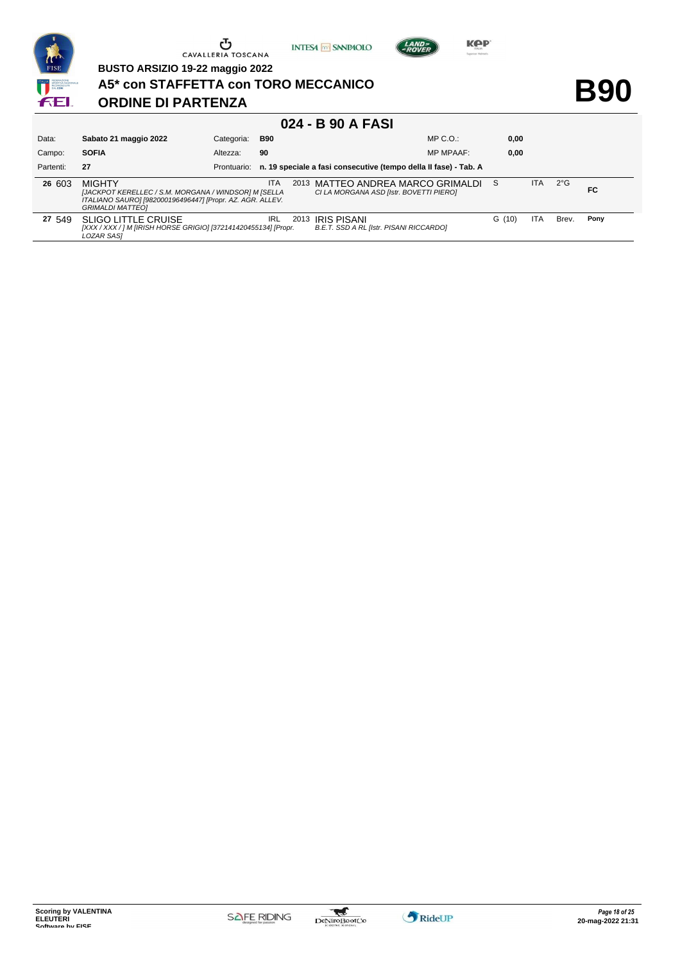

**BUSTO ARSIZIO 19-22 maggio 2022**

# **A5\* con STAFFETTA con TORO MECCANICO**

#### **ORDINE DI PARTENZA**

**B90**

**Kep** 

LAND-

**INTESA** M SANPAOLO

| Data:     | Sabato 21 maggio 2022                                                                                                                                         | Categoria:  | <b>B90</b> |      |                                                                                | $MP C. O.$ :     | 0,00   |            |              |      |
|-----------|---------------------------------------------------------------------------------------------------------------------------------------------------------------|-------------|------------|------|--------------------------------------------------------------------------------|------------------|--------|------------|--------------|------|
| Campo:    | <b>SOFIA</b>                                                                                                                                                  | Altezza:    | 90         |      |                                                                                | <b>MP MPAAF:</b> | 0,00   |            |              |      |
| Partenti: | 27                                                                                                                                                            | Prontuario: |            |      | n. 19 speciale a fasi consecutive (tempo della II fase) - Tab. A               |                  |        |            |              |      |
| 26 603    | <b>MIGHTY</b><br>[JACKPOT KERELLEC / S.M. MORGANA / WINDSOR] M [SELLA<br>ITALIANO SAURO] [982000196496447] [Propr. AZ. AGR. ALLEV.<br><b>GRIMALDI MATTEO1</b> |             | <b>ITA</b> |      | 2013 MATTEO ANDREA MARCO GRIMALDI S<br>CI LA MORGANA ASD [Istr. BOVETTI PIERO] |                  |        | ITA.       | $2^{\circ}G$ | FC   |
| 27 549    | <b>SLIGO LITTLE CRUISE</b><br>[XXX / XXX / ] M [IRISH HORSE GRIGIO] [372141420455134] [Propr.<br><b>LOZAR SASI</b>                                            |             | <b>IRL</b> | 2013 | <b>IRIS PISANI</b><br>B.E.T. SSD A RL [Istr. PISANI RICCARDO]                  |                  | G (10) | <b>ITA</b> | Brev.        | Pony |

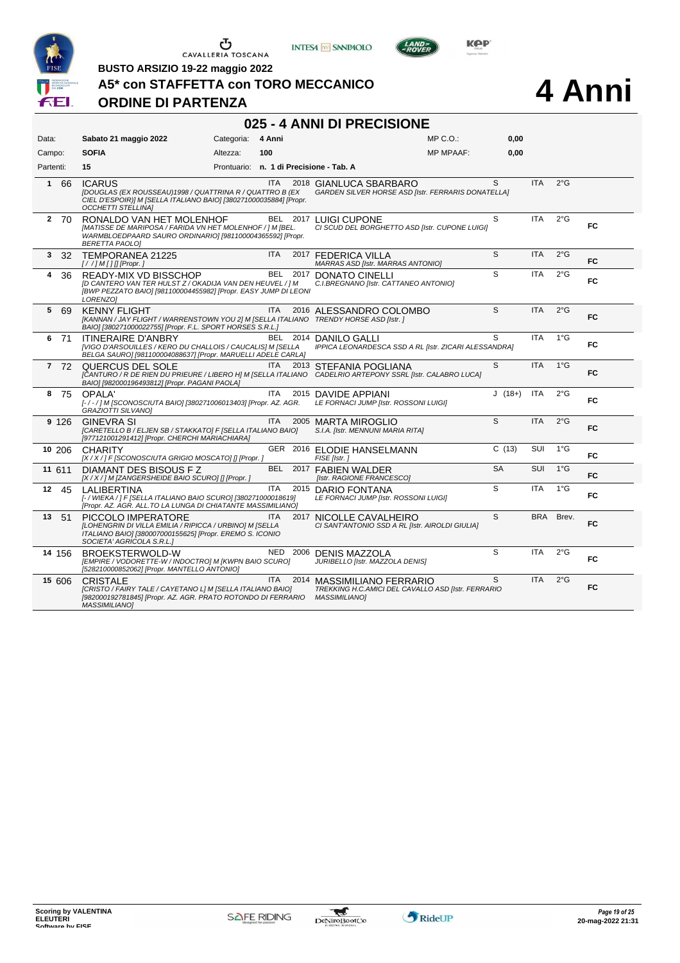





**BUSTO ARSIZIO 19-22 maggio 2022**

**A5\* con STAFFETTA con TORO MECCANICO**

### **ORDINE DI PARTENZA**

# **4 Anni**

| 025 - 4 ANNI DI PRECISIONE |                                                                                                                                                                                |                   |            |          |                                                                                                          |                  |           |            |               |           |  |
|----------------------------|--------------------------------------------------------------------------------------------------------------------------------------------------------------------------------|-------------------|------------|----------|----------------------------------------------------------------------------------------------------------|------------------|-----------|------------|---------------|-----------|--|
| Data:                      | Sabato 21 maggio 2022                                                                                                                                                          | Categoria: 4 Anni |            |          |                                                                                                          | MP C. O.         | 0,00      |            |               |           |  |
| Campo:                     | <b>SOFIA</b>                                                                                                                                                                   | Altezza:          | 100        |          |                                                                                                          | <b>MP MPAAF:</b> | 0,00      |            |               |           |  |
| Partenti:                  | 15                                                                                                                                                                             |                   |            |          | Prontuario: n. 1 di Precisione - Tab. A                                                                  |                  |           |            |               |           |  |
| - 66<br>$\mathbf 1$        | <b>ICARUS</b><br>[DOUGLAS (EX ROUSSEAU)1998 / QUATTRINA R / QUATTRO B (EX<br>CIEL D'ESPOIR)] M [SELLA ITALIANO BAIO] [380271000035884] [Propr.<br><b>OCCHETTI STELLINAI</b>    |                   | <b>ITA</b> |          | 2018 GIANLUCA SBARBARO<br><b>GARDEN SILVER HORSE ASD [Istr. FERRARIS DONATELLA]</b>                      |                  | S.        | <b>ITA</b> | $2^{\circ}$ G |           |  |
| 2 70                       | RONALDO VAN HET MOLENHOF<br>[MATISSE DE MARIPOSA / FARIDA VN HET MOLENHOF / ] M [BEL.<br>WARMBLOEDPAARD SAURO ORDINARIO] [981100004365592] [Propr.<br><b>BERETTA PAOLOI</b>    |                   |            |          | BEL 2017 LUIGI CUPONE<br>CI SCUD DEL BORGHETTO ASD [Istr. CUPONE LUIGI]                                  |                  | S         | <b>ITA</b> | $2^{\circ}$ G | FC        |  |
| 3<br>-32                   | TEMPORANEA 21225<br>$[!//]$ M [] [] [Propr. ]                                                                                                                                  |                   | <b>ITA</b> |          | 2017 FEDERICA VILLA<br>MARRAS ASD [Istr. MARRAS ANTONIO]                                                 |                  | S         | <b>ITA</b> | $2^{\circ}$ G | FC.       |  |
| 4<br>36                    | READY-MIX VD BISSCHOP<br>[D CANTERO VAN TER HULST Z / OKADIJA VAN DEN HEUVEL / ] M<br>[BWP PEZZATO BAIO] [981100004455982] [Propr. EASY JUMP DI LEONI<br>LORENZO1              |                   | <b>BEL</b> | 2017     | DONATO CINELLI<br>C.I.BREGNANO [Istr. CATTANEO ANTONIO]                                                  |                  | S         | <b>ITA</b> | $2^{\circ}$ G | FC        |  |
| 5 69                       | <b>KENNY FLIGHT</b><br>[KANNAN / JAY FLIGHT / WARRENSTOWN YOU 2] M [SELLA ITALIANO TRENDY HORSE ASD [Istr. ]<br>BAIO] [380271000022755] [Propr. F.L. SPORT HORSES S.R.L.]      |                   | <b>ITA</b> |          | 2016 ALESSANDRO COLOMBO                                                                                  |                  | S         | <b>ITA</b> | $2^{\circ}$ G | FC        |  |
| 6 71                       | <b>ITINFRAIRF D'ANBRY</b><br>[VIGO D'ARSOUILLES / KERO DU CHALLOIS / CAUCALIS] M [SELLA<br>BELGA SAURO] [981100004088637] [Propr. MARUELLI ADELE CARLA]                        |                   |            | BEL 2014 | DANILO GALLI<br>IPPICA LEONARDESCA SSD A RL [Istr. ZICARI ALESSANDRA]                                    |                  | S         | <b>ITA</b> | $1^{\circ}$ G | FC        |  |
| 7 72                       | QUERCUS DEL SOLE<br>[CANTURO / R DE RIEN DU PRIEURE / LIBERO H] M [SELLA ITALIANO CADELRIO ARTEPONY SSRL [Istr. CALABRO LUCA]<br>BAIO] [982000196493812] [Propr. PAGANI PAOLA] |                   | <b>ITA</b> | 2013     | STEFANIA POGLIANA                                                                                        |                  | S         | <b>ITA</b> | $1^{\circ}$ G | <b>FC</b> |  |
| 8<br>- 75                  | OPALA'<br>[-/-/] M [SCONOSCIUTA BAIO] [380271006013403] [Propr. AZ. AGR.<br><b>GRAZIOTTI SILVANO]</b>                                                                          |                   | <b>ITA</b> | 2015     | <b>DAVIDE APPIANI</b><br>LE FORNACI JUMP [Istr. ROSSONI LUIGI]                                           |                  | $J(18+)$  | <b>ITA</b> | $2^{\circ}$ G | FC        |  |
| 9 1 2 6                    | <b>GINEVRA SI</b><br>[CARETELLO B / ELJEN SB / STAKKATO] F [SELLA ITALIANO BAIO]<br>[977121001291412] [Propr. CHERCHI MARIACHIARA]                                             |                   | <b>ITA</b> |          | 2005 MARTA MIROGLIO<br>S.I.A. [Istr. MENNUNI MARIA RITA]                                                 |                  | S         | <b>ITA</b> | $2^{\circ}$ G | FC        |  |
| 10 206                     | <b>CHARITY</b><br>[X / X / ] F [SCONOSCIUTA GRIGIO MOSCATO] [] [Propr.]                                                                                                        |                   |            |          | GER 2016 ELODIE HANSELMANN<br>FISE [Istr.]                                                               |                  | C(13)     | <b>SUI</b> | $1^{\circ}G$  | FC        |  |
| 11 611                     | DIAMANT DES BISOUS FZ<br>[X / X / ] M [ZANGERSHEIDE BAIO SCURO] [] [Propr. ]                                                                                                   |                   | BEL        |          | 2017 FABIEN WALDER<br>[Istr. RAGIONE FRANCESCO]                                                          |                  | <b>SA</b> | SUI        | $1^{\circ}$ G | <b>FC</b> |  |
| 12 45                      | LALIBERTINA<br>[- / WIEKA / ] F [SELLA ITALIANO BAIO SCURO] [380271000018619]<br>[Propr. AZ. AGR. ALL.TO LA LUNGA DI CHIATANTE MASSIMILIANO]                                   |                   | <b>ITA</b> |          | 2015 DARIO FONTANA<br>LE FORNACI JUMP [Istr. ROSSONI LUIGI]                                              |                  | S         | <b>ITA</b> | $1^{\circ}$ G | FC        |  |
| 13<br>51                   | PICCOLO IMPERATORE<br>[LOHENGRIN DI VILLA EMILIA / RIPICCA / URBINO] M [SELLA<br>ITALIANO BAIO] [380007000155625] [Propr. EREMO S. ICONIO<br>SOCIETA' AGRICOLA S.R.L.]         |                   | <b>ITA</b> |          | 2017 NICOLLE CAVALHEIRO<br>CI SANT'ANTONIO SSD A RL [Istr. AIROLDI GIULIA]                               |                  | S         | <b>BRA</b> | Brev.         | FC        |  |
| 14 156                     | BROEKSTERWOLD-W<br>[EMPIRE / VODORETTE-W / INDOCTRO] M [KWPN BAIO SCURO]<br>[528210000852062] [Propr. MANTELLO ANTONIO]                                                        |                   | NED        |          | 2006 DENIS MAZZOLA<br>JURIBELLO [Istr. MAZZOLA DENIS]                                                    |                  | S         | <b>ITA</b> | $2^{\circ}$ G | FC.       |  |
| 15 606                     | <b>CRISTALE</b><br>[CRISTO / FAIRY TALE / CAYETANO L] M [SELLA ITALIANO BAIO]<br>[982000192781845] [Propr. AZ. AGR. PRATO ROTONDO DI FERRARIO<br><b>MASSIMILIANO1</b>          |                   | ITA.       |          | 2014 MASSIMILIANO FERRARIO<br>TREKKING H.C.AMICI DEL CAVALLO ASD [Istr. FERRARIO<br><b>MASSIMILIANOI</b> |                  | S         | <b>ITA</b> | $2^{\circ}$ G | FC        |  |

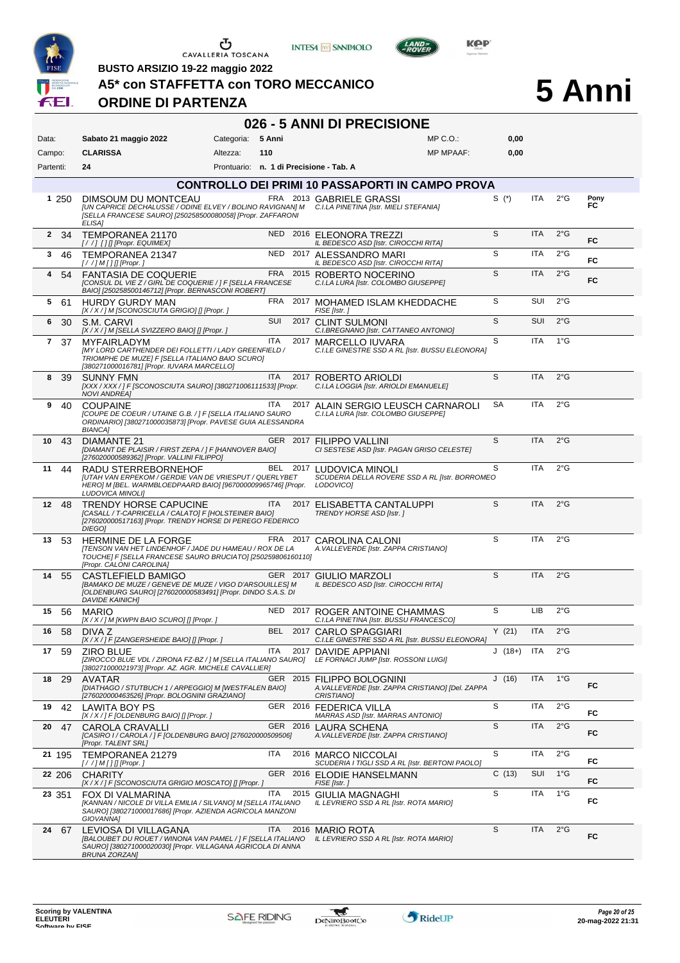





LAND-

**BUSTO ARSIZIO 19-22 maggio 2022**

**A5\* con STAFFETTA con TORO MECCANICO**

#### **ORDINE DI PARTENZA**

# **5 Anni**

| 026 - 5 ANNI DI PRECISIONE |                                                                                                                                                                                                 |                                         |            |          |                                                                                                     |                  |          |            |               |            |  |  |
|----------------------------|-------------------------------------------------------------------------------------------------------------------------------------------------------------------------------------------------|-----------------------------------------|------------|----------|-----------------------------------------------------------------------------------------------------|------------------|----------|------------|---------------|------------|--|--|
| Data:                      | Sabato 21 maggio 2022                                                                                                                                                                           | Categoria:                              | 5 Anni     |          |                                                                                                     | $MP C. O.$ :     | 0,00     |            |               |            |  |  |
| Campo:                     | <b>CLARISSA</b>                                                                                                                                                                                 | Altezza:                                | 110        |          |                                                                                                     | <b>MP MPAAF:</b> | 0,00     |            |               |            |  |  |
| Partenti:                  | 24                                                                                                                                                                                              | Prontuario: n. 1 di Precisione - Tab. A |            |          |                                                                                                     |                  |          |            |               |            |  |  |
|                            |                                                                                                                                                                                                 |                                         |            |          | <b>CONTROLLO DEI PRIMI 10 PASSAPORTI IN CAMPO PROVA</b>                                             |                  |          |            |               |            |  |  |
| 1 250                      | DIMSOUM DU MONTCEAU<br>[UN CAPRICE DECHALUSSE / ODINE ELVEY / BOLINO RAVIGNAN] M C.I.LA PINETINA [Istr. MIELI STEFANIA]<br>[SELLA FRANCESE SAURO] [250258500080058] [Propr. ZAFFARONI<br>ELISA] |                                         |            |          | FRA 2013 GABRIELE GRASSI                                                                            |                  | S $(*)$  | <b>ITA</b> | $2^{\circ}$ G | Pony<br>FC |  |  |
| $\mathbf{2}$<br>- 34       | TEMPORANEA 21170<br>[//] [] [[Propr. EQUIMEX]                                                                                                                                                   |                                         |            |          | NED 2016 ELEONORA TREZZI<br>IL BEDESCO ASD [Istr. CIROCCHI RITA]                                    |                  | S        | <b>ITA</b> | $2^{\circ}$ G | FC         |  |  |
| 3<br>46                    | TEMPORANEA 21347<br>[ / / ] M [ ] [] [Propr. ]                                                                                                                                                  |                                         | NED        |          | 2017 ALESSANDRO MARI<br>IL BEDESCO ASD [Istr. CIROCCHI RITA]                                        |                  | S        | ITA        | $2^{\circ}$ G | FC         |  |  |
| -54<br>4                   | <b>FANTASIA DE COQUERIE</b><br>[CONSUL DL VIE Z / GIRL DE COQUERIE / ] F [SELLA FRANCESE<br>BAIO] [250258500146712] [Propr. BERNASCONI ROBERT]                                                  |                                         |            |          | FRA 2015 ROBERTO NOCERINO<br>C.I.LA LURA [Istr. COLOMBO GIUSEPPE]                                   |                  | S        | <b>ITA</b> | $2^{\circ}$ G | FC         |  |  |
| 5<br>-61                   | <b>HURDY GURDY MAN</b><br>[X / X / ] M [SCONOSCIUTA GRIGIO] [] [Propr. ]                                                                                                                        |                                         | FRA        |          | 2017 MOHAMED ISLAM KHEDDACHE<br>FISE [Istr.]                                                        |                  | S        | SUI        | $2^{\circ}$ G |            |  |  |
| 6<br>30                    | S.M. CARVI<br>[X / X / ] M [SELLA SVIZZERO BAIO] [] [Propr. ]                                                                                                                                   |                                         | SUI        |          | 2017 CLINT SULMONI<br>C.I.BREGNANO [Istr. CATTANEO ANTONIO]                                         |                  | S        | SUI        | $2^{\circ}$ G |            |  |  |
| 7 37                       | <b>MYFAIRLADYM</b><br><b>IMY LORD CARTHENDER DEI FOLLETTI / LADY GREENFIELD /</b><br>TRIOMPHE DE MUZE] F [SELLA ITALIANO BAIO SCURO]<br>[380271000016781] [Propr. IUVARA MARCELLO]              |                                         | <b>ITA</b> | 2017     | MARCELLO IUVARA<br>C.I.LE GINESTRE SSD A RL [Istr. BUSSU ELEONORA]                                  |                  | S        | <b>ITA</b> | $1^{\circ}$ G |            |  |  |
| 8<br>-39                   | <b>SUNNY FMN</b><br>[XXX / XXX / ] F [SCONOSCIUTA SAURO] [380271006111533] [Propr.<br><b>NOVI ANDREA1</b>                                                                                       |                                         | <b>ITA</b> |          | 2017 ROBERTO ARIOLDI<br>C.I.LA LOGGIA [Istr. ARIOLDI EMANUELE]                                      |                  | S        | <b>ITA</b> | $2^{\circ}$ G |            |  |  |
| 9<br>40                    | <b>COUPAINE</b><br>[COUPE DE COEUR / UTAINE G.B. / ] F [SELLA ITALIANO SAURO<br>ORDINARIO] [380271000035873] [Propr. PAVESE GUIA ALESSANDRA<br><b>BIANCA]</b>                                   |                                         | <b>ITA</b> | 2017     | ALAIN SERGIO LEUSCH CARNAROLI<br>C.I.LA LURA [Istr. COLOMBO GIUSEPPE]                               |                  | SA       | <b>ITA</b> | $2^{\circ}$ G |            |  |  |
| 10<br>43                   | DIAMANTE 21<br>[DIAMANT DE PLAISIR / FIRST ZEPA / ] F [HANNOVER BAIO]<br>[276020000589362] [Propr. VALLINI FILIPPO]                                                                             |                                         |            | GER 2017 | <b>FILIPPO VALLINI</b><br>CI SESTESE ASD [Istr. PAGAN GRISO CELESTE]                                |                  | S        | <b>ITA</b> | $2^{\circ}$ G |            |  |  |
| 11<br>44                   | RADU STERREBORNEHOF<br>[UTAH VAN ERPEKOM / GERDIE VAN DE VRIESPUT / QUERLYBET<br>HERO] M [BEL. WARMBLOEDPAARD BAIO] [967000009965746] [Propr.<br>LUDOVICA MINOLI]                               |                                         | BEL        | 2017     | LUDOVICA MINOLI<br>SCUDERIA DELLA ROVERE SSD A RL [Istr. BORROMEO<br>LODOVICO]                      |                  | S        | <b>ITA</b> | $2^{\circ}$ G |            |  |  |
| 12<br>48                   | <b>TRENDY HORSE CAPUCINE</b><br>[CASALL / T-CAPRICELLA / CALATO] F [HOLSTEINER BAIO]<br>[276020000517163] [Propr. TRENDY HORSE DI PEREGO FEDERICO<br><b>DIEGOI</b>                              |                                         | <b>ITA</b> |          | 2017 ELISABETTA CANTALUPPI<br>TRENDY HORSE ASD [Istr.]                                              |                  | S        | <b>ITA</b> | $2^{\circ}$ G |            |  |  |
| 13<br>53                   | <b>HERMINE DE LA FORGE</b><br>[TENSON VAN HET LINDENHOF / JADE DU HAMEAU / ROX DE LA<br>TOUCHE] F [SELLA FRANCESE SAURO BRUCIATO] [250259806160110]<br>[Propr. CALONI CAROLINA]                 |                                         |            | FRA 2017 | CAROLINA CALONI<br>A. VALLEVERDE [Istr. ZAPPA CRISTIANO]                                            |                  | S        | ITA        | $2^{\circ}$ G |            |  |  |
| 14<br>55                   | CASTLEFIELD BAMIGO<br>[BAMAKO DE MUZE / GENEVE DE MUZE / VIGO D'ARSOUILLES] M<br>[OLDENBURG SAURO] [276020000583491] [Propr. DINDO S.A.S. DI<br><b>DAVIDE KAINICHI</b>                          |                                         |            |          | GER 2017 GIULIO MARZOLI<br>IL BEDESCO ASD [Istr. CIROCCHI RITA]                                     |                  | S        | <b>ITA</b> | $2^{\circ}$ G |            |  |  |
| 15<br>56                   | <b>MARIO</b><br>[X / X / ] M [KWPN BAIO SCURO] [] [Propr. ]                                                                                                                                     |                                         |            |          | NED 2017 ROGER ANTOINE CHAMMAS<br>C.I.LA PINETINA [Istr. BUSSU FRANCESCO]                           |                  | S        | LIB        | $2^{\circ}$ G |            |  |  |
| 16 58                      | DIVA Z<br>[X / X / ] F [ZANGERSHEIDE BAIO] [] [Propr. ]                                                                                                                                         |                                         |            |          | BEL 2017 CARLO SPAGGIARI<br>C.I.LE GINESTRE SSD A RL [Istr. BUSSU ELEONORA]                         |                  | Y(21)    | ITA        | $2^{\circ}$ G |            |  |  |
| 17<br>59                   | <b>ZIRO BLUE</b><br>[ZIROCCO BLUE VDL / ZIRONA FZ-BZ / ] M [SELLA ITALIANO SAURO]<br>[380271000021973] [Propr. AZ. AGR. MICHELE CAVALLIER]                                                      |                                         | ITA        |          | 2017 DAVIDE APPIANI<br>LE FORNACI JUMP [Istr. ROSSONI LUIGI]                                        |                  | $J(18+)$ | <b>ITA</b> | $2^{\circ}$ G |            |  |  |
| 18<br>29                   | AVATAR<br>[DIATHAGO / STUTBUCH 1 / ARPEGGIO] M [WESTFALEN BAIO]<br>[276020000463526] [Propr. BOLOGNINI GRAZIANO]                                                                                |                                         |            |          | GER 2015 FILIPPO BOLOGNINI<br>A. VALLEVERDE [Istr. ZAPPA CRISTIANO] [Del. ZAPPA<br><b>CRISTIANO</b> |                  | J(16)    | <b>ITA</b> | $1^{\circ}$ G | FC         |  |  |
| 19<br>42                   | LAWITA BOY PS<br>[X / X / ] F [OLDENBURG BAIO] [] [Propr. ]                                                                                                                                     |                                         |            |          | GER 2016 FEDERICA VILLA<br>MARRAS ASD [Istr. MARRAS ANTONIO]                                        |                  | S        | <b>ITA</b> | $2^{\circ}$ G | FC         |  |  |
| 20<br>47                   | <b>CAROLA CRAVALLI</b><br>[CASIRO I / CAROLA / ] F [OLDENBURG BAIO] [276020000509506]<br>[Propr. TALENT SRL]                                                                                    |                                         |            |          | GER 2016 LAURA SCHENA<br>A. VALLEVERDE [Istr. ZAPPA CRISTIANO]                                      |                  | S        | ITA        | $2^{\circ}$ G | FC         |  |  |
| 21 195                     | TEMPORANEA 21279                                                                                                                                                                                |                                         | <b>ITA</b> |          | 2016 MARCO NICCOLAI<br>SCUDERIA I TIGLI SSD A RL [Istr. BERTONI PAOLO]                              |                  | S        | ITA        | $2^{\circ}$ G | FC         |  |  |
| 22 206                     | <b>CHARITY</b><br>[X / X / ] F [SCONOSCIUTA GRIGIO MOSCATO] [] [Propr.]                                                                                                                         |                                         |            |          | GER 2016 ELODIE HANSELMANN<br>FISE [Istr.]                                                          |                  | C(13)    | SUI        | $1^{\circ}$ G | FC         |  |  |
| 23 351                     | FOX DI VALMARINA<br>[KANNAN / NICOLE DI VILLA EMILIA / SILVANO] M [SELLA ITALIANO<br>SAURO] [380271000017686] [Propr. AZIENDA AGRICOLA MANZONI<br>GIOVANNA]                                     |                                         | <b>ITA</b> |          | 2015 GIULIA MAGNAGHI<br>IL LEVRIERO SSD A RL [Istr. ROTA MARIO]                                     |                  | S        | <b>ITA</b> | $1^{\circ}$ G | FC         |  |  |
| 24<br>67                   | LEVIOSA DI VILLAGANA<br>[BALOUBET DU ROUET / WINONA VAN PAMEL / ] F [SELLA ITALIANO<br>SAURO] [380271000020030] [Propr. VILLAGANA AGRICOLA DI ANNA<br><b>BRUNA ZORZANI</b>                      |                                         | <b>ITA</b> |          | 2016 MARIO ROTA<br>IL LEVRIERO SSD A RL [Istr. ROTA MARIO]                                          |                  | S        | ITA        | $2^{\circ}$ G | FC         |  |  |

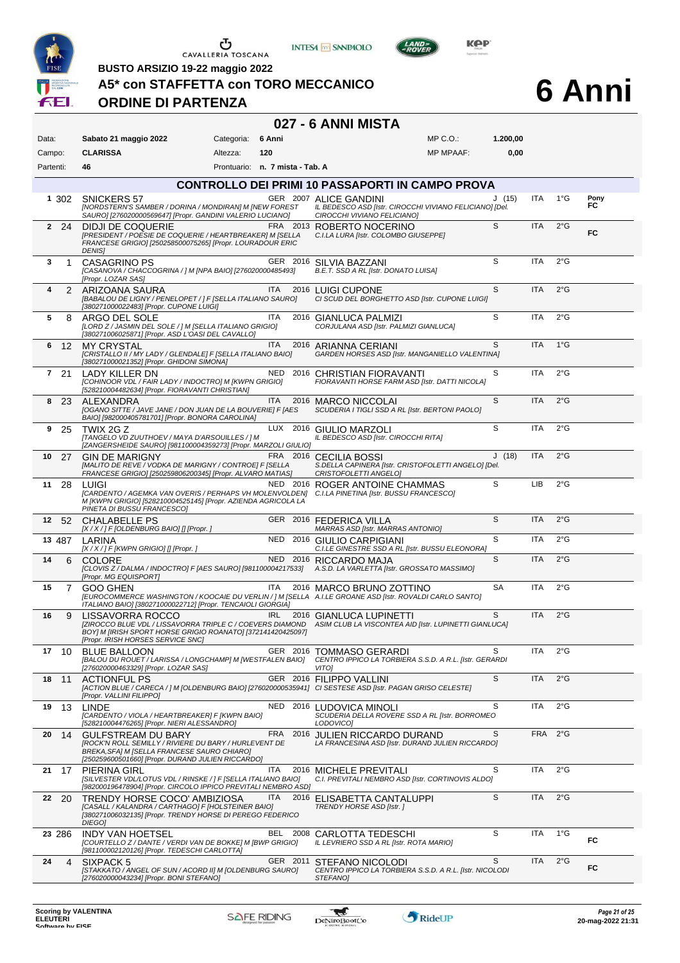

CAVALLERIA TOSCANA





**6 Anni**

**BUSTO ARSIZIO 19-22 maggio 2022**

**A5\* con STAFFETTA con TORO MECCANICO**

# **ORDINE DI PARTENZA**

#### **027 - 6 ANNI MISTA**

Data: Sabato 21 maggio 2022 **Categoria: 6 Anni** Prontuario: **n. 7 mista - Tab. A** Campo: **CLARISSA** Partenti: **46** Altezza: **120**  $MP \cap \bigcap$ MP MPAAF: **1.200,00 0,00** 1 302 SNICKERS 57 GER 2007 ALICE GANDINI *[NORDSTERN'S SAMBER / DORINA / MONDIRAN] M [NEW FOREST SAURO] [276020000569647] [Propr. GANDINI VALERIO LUCIANO] IL BEDESCO ASD [Istr. CIROCCHI VIVIANO FELICIANO] [Del. CIROCCHI VIVIANO FELICIANO]* J ITA **Pony** (15) **FC** 1°G **CONTROLLO DEI PRIMI 10 PASSAPORTI IN CAMPO PROVA 2** 24 DIDJI DE COQUERIE FRA 2013 ROBERTO NOCERINO *[PRESIDENT / POESIE DE COQUERIE / HEARTBREAKER] M [SELLA FRANCESE GRIGIO] [250258500075265] [Propr. LOURADOUR ERIC DENIS]* **FRA** 2013 **ROBERTO NOCERINO**<br>*IN ISELLA C.I.LA LURA [Istr. COLOMBO GIUSEPPE]* S ITA **FC** 2°G **3** 1 CASAGRINO PS GER 2016 SILVIA BAZZANI *[CASANOVA / CHACCOGRINA / ] M [NPA BAIO] [276020000485493] [Propr. LOZAR SAS] B.E.T. SSD A RL [Istr. DONATO LUISA]*  $S$  ITA  $2^{\circ}G$ ITA 2016 <u>LUIGI CUPONE (BABALOU DE LIGNY / PENELOPET / ]</u><br>IBABALOU DE LIGNY / PENELOPET / ] F [SELLA ITALIANO SAURO] CI SCUD DEL BORGI]<br>1380271000022483] [Propr. CUPONE LUIGI] *CI SCUD DEL BORGHETTO ASD [Istr. CUPONE LUIGI]* S ITA 2°G **5** 8 ARGO DEL SOLE **ITA 2016 GIANLUCA PALMIZI** *[LORD Z / JASMIN DEL SOLE / ] M [SELLA ITALIANO GRIGIO] [380271006025871] [Propr. ASD L'OASI DEL CAVALLO] CORJULANA ASD [Istr. PALMIZI GIANLUCA]*  $S$  ITA  $2^{\circ}G$ **6** 12 MY CRYSTAL ITA 2016 ARIANNA CERIANI *[CRISTALLO II / MY LADY / GLENDALE] F [SELLA ITALIANO BAIO] [380271000021352] [Propr. GHIDONI SIMONA] GARDEN HORSES ASD [Istr. MANGANIELLO VALENTINA]* S ITA 1°G **7** 21 LADY KILLER DN NED 2016 CHRISTIAN FIORAVANTI *[COHINOOR VDL / FAIR LADY / INDOCTRO] M [KWPN GRIGIO] [528210004482634] [Propr. FIORAVANTI CHRISTIAN] FIORAVANTI HORSE FARM ASD [Istr. DATTI NICOLA]*  $S$  ITA  $2^{\circ}G$ **8** 23 ALEXANDRA ITA 2016 MARCO NICCOLAI *[OGANO SITTE / JAVE JANE / DON JUAN DE LA BOUVERIE] F [AES BAIO] [982000405781701] [Propr. BONORA CAROLINA] SCUDERIA I TIGLI SSD A RL [Istr. BERTONI PAOLO]* S ITA 2°G **9** 25 TWIX 2G Z LUX 2016 GIULIO MARZOLI *[TANGELO VD ZUUTHOEV / MAYA D'ARSOUILLES / ] M [ZANGERSHEIDE SAURO] [981100004359273] [Propr. MARZOLI GIULIO] IL BEDESCO ASD [Istr. CIROCCHI RITA]* S ITA 2°G 10 27 GIN DE MARIGNY FRA 2016 CECILIA BOSSI *[MALITO DE REVE / VODKA DE MARIGNY / CONTROE] F [SELLA FRANCESE GRIGIO] [250259806200345] [Propr. ALVARO MATIAS] S.DELLA CAPINERA [Istr. CRISTOFOLETTI ANGELO] [Del. CRISTOFOLETTI ANGELO]* J (18) ITA 2°G 11 28 LUIGI NED 2016 ROGER ANTOINE CHAMMAS *[CARDENTO / AGEMKA VAN OVERIS / PERHAPS VH MOLENVOLDEN] M [KWPN GRIGIO] [528210004525145] [Propr. AZIENDA AGRICOLA LA PINETA DI BUSSU FRANCESCO] C.I.LA PINETINA [Istr. BUSSU FRANCESCO]* S LIB 2°G **12** 52 CHALABELLE PS **GER 2016 FEDERICA VILLA**<br>
[A/X/JF[OLDENBURG BAIO] [] [Propr. ] MARRAS ASD [Istr. MARRAS ANTONIO] *[X / X / ] F [OLDENBURG BAIO]* [*] [Propr.* ] S ITA 2°G **13** 487 LARINA *X/X/] F [KWPN GRIGIO] [] [Propr. ]* NED 2016 GIULIO CARPIGIANI *C.I.LE GINESTRE SSD A RL [X / X / ] F [KWPN GRIGIO] [] [Propr. ] C.I.LE GINESTRE SSD A RL [Istr. BUSSU ELEONORA]*  $S$  ITA  $2^{\circ}G$ 14 6 COLORE NED 2016 RICCARDO MAJA<br>*[CLOVIS Z / DALMA / INDOCTRO] F [AES SAURO] [981100004217533]* A.S.D. LA VARLETTA [Isi *[Propr. MG EQUISPORT] A.S.D. LA VARLETTA [Istr. GROSSATO MASSIMO]* S ITA 2°G 15 7 GOO GHEN<br>[EUROCOMMERCE WASHINGTON / KOOCAIE DU VERLIN / ] M [SELLA A.I.LE GROANE ASD [Istr. ROVALDI CARLO SANTO]<br>[TALIANO BAIO] [380271000022712] [Propr. TENCAIOLI GIORGIA] SA ITA 2°G **16 9 LISSAVORRA ROCCO IRL 2016 GIANLUCA LUPINETTI** *[ZIROCCO BLUE VDL / LISSAVORRA TRIPLE C / COEVERS DIAMOND BOY] M [IRISH SPORT HORSE GRIGIO ROANATO] [372141420425097] [Propr. IRISH HORSES SERVICE SNC] ASIM CLUB LA VISCONTEA AID [Istr. LUPINETTI GIANLUCA]* S ITA 2°G 17 10 BLUE BALLOON GER 2016 TOMMASO GERARDI *[BALOU DU ROUET / LARISSA / LONGCHAMP] M [WESTFALEN BAIO] [276020000463329] [Propr. LOZAR SAS] CENTRO IPPICO LA TORBIERA S.S.D. A R.L. [Istr. GERARDI VITO]* S ITA 2°G **18** 11 ACTIONFUL PS GER 2016 FILIPPO VALLINI *[ACTION BLUE / CARECA / ] M [OLDENBURG BAIO] [276020000535941] [Propr. VALLINI FILIPPO] CI SESTESE ASD [Istr. PAGAN GRISO CELESTE]* S ITA 2°G **19** 13 LINDE NED 2016 LUDOVICA MINOLI *SCUDERIA DELLA ROVERE SSD A RL [Istr. BORROMEO [CARDENTO / VIOLA / HEARTBREAKER] F [KWPN BAIO] [528210004476265] [Propr. NIERI ALESSANDRO] LODOVICO]*  $ITA$   $2^{\circ}G$ 20 14 GULFSTREAM DU BARY<br>FROCK'N ROLL SEMILLY / RIVIERE DU BARY / HURLEVENT DE LA FRANCESINA ASD [Istr. DURAND JU.<br>BREKA, SFAI, M [SELLA FRANCESE SAURO CHIARO]<br>[250259600501660] [Propr. DURAND JULIEN RICCARDO] *LA FRANCESINA ASD [Istr. DURAND JULIEN RICCARDO]* S FRA 2°G 21 17 PIERINA GIRL **ITA 2016 MICHELE PREVITALI** *[SILVESTER VDL/LOTUS VDL / RINSKE / ] F [SELLA ITALIANO BAIO] [982000196478904] [Propr. CIRCOLO IPPICO PREVITALI NEMBRO ASD] C.I. PREVITALI NEMBRO ASD [Istr. CORTINOVIS ALDO]*  $S$  ITA  $2^{\circ}G$ **22** 20 TRENDY HORSE COCO' AMBIZIOSA ITA 2016 ELISABETTA CANTALUPPI *[CASALL / KALANDRA / CARTHAGO] F [HOLSTEINER BAIO] [380271006032135] [Propr. TRENDY HORSE DI PEREGO FEDERICO DIEGO] TRENDY HORSE ASD [Istr. ]*  $S$  ITA  $2^{\circ}G$ **23** 286 INDY VAN HOETSEL BEL 2008 CARLOTTA TEDESCHI *[COURTELLO Z / DANTE / VERDI VAN DE BOKKE] M [BWP GRIGIO] [981100002120126] [Propr. TEDESCHI CARLOTTA] IL LEVRIERO SSD A RL [Istr. ROTA MARIO]* S ITA **FC** 1°G **24** 4 SIXPACK 5 GER 2011 STEFANO NICOLODI *CENTRO IPPICO LA TORBIERA S.S.D. A R.L. [Istr. NICOLODI* S ITA *[STAKKATO / ANGEL OF SUN / ACORD II] M [OLDENBURG SAURO] [276020000043234] [Propr. BONI STEFANO] STEFANO]* **FC**  $\overline{2^{\circ}G}$ 



-gaf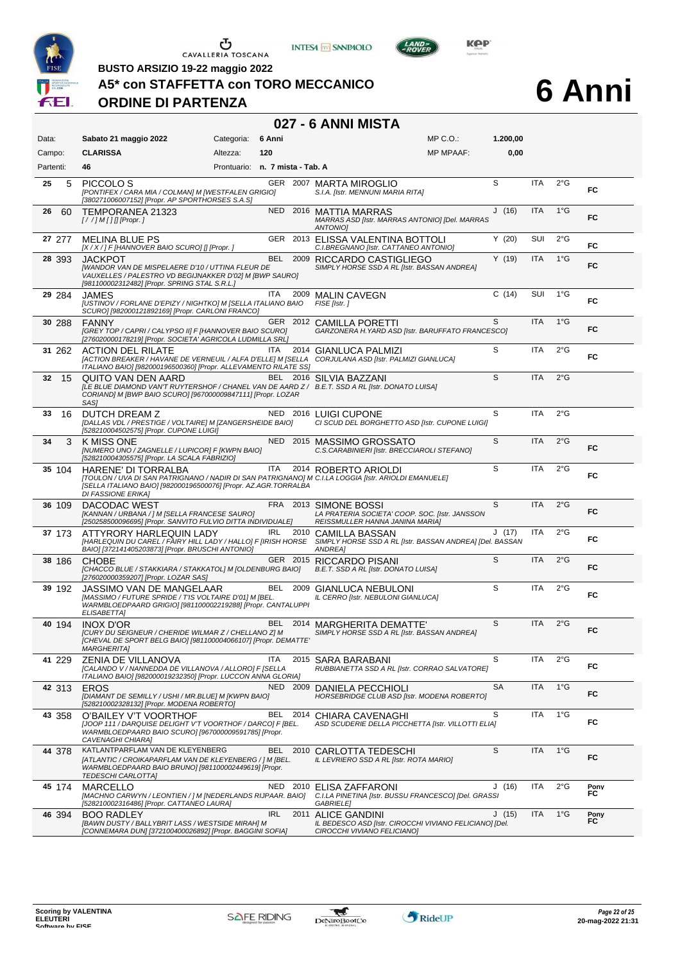





**BUSTO ARSIZIO 19-22 maggio 2022**

#### **A5\* con STAFFETTA con TORO MECCANICO**

# **ORDINE DI PARTENZA**

# **6 Anni**

| 027 - 6 ANNI MISTA |                                                                                                                                                                                                                            |                                 |            |          |                                                                                                                |                  |           |            |               |            |  |  |
|--------------------|----------------------------------------------------------------------------------------------------------------------------------------------------------------------------------------------------------------------------|---------------------------------|------------|----------|----------------------------------------------------------------------------------------------------------------|------------------|-----------|------------|---------------|------------|--|--|
| Data:              | Sabato 21 maggio 2022                                                                                                                                                                                                      | Categoria:                      | 6 Anni     |          |                                                                                                                | $MP C. O.$ :     | 1.200,00  |            |               |            |  |  |
| Campo:             | <b>CLARISSA</b>                                                                                                                                                                                                            | Altezza:                        | 120        |          |                                                                                                                | <b>MP MPAAF:</b> | 0,00      |            |               |            |  |  |
| Partenti:          | 46                                                                                                                                                                                                                         | Prontuario: n. 7 mista - Tab. A |            |          |                                                                                                                |                  |           |            |               |            |  |  |
| 5<br>25            | PICCOLO <sub>S</sub><br>[PONTIFEX / CARA MIA / COLMAN] M [WESTFALEN GRIGIO]<br>[380271006007152] [Propr. AP SPORTHORSES S.A.S]                                                                                             |                                 |            |          | GER 2007 MARTA MIROGLIO<br>S.I.A. [Istr. MENNUNI MARIA RITA]                                                   |                  | S         | <b>ITA</b> | $2^{\circ}$ G | FC         |  |  |
| 26<br>60           | TEMPORANEA 21323<br>$[!//]$ M [] [] [Propr. ]                                                                                                                                                                              |                                 |            |          | NED 2016 MATTIA MARRAS<br>MARRAS ASD [Istr. MARRAS ANTONIO] [Del. MARRAS<br><b>ANTONIOI</b>                    |                  | J(16)     | <b>ITA</b> | $1^{\circ}$ G | FC         |  |  |
| 27 277             | <b>MELINA BLUE PS</b><br>[X / X / ] F [HANNOVER BAIO SCURO] [] [Propr. ]                                                                                                                                                   |                                 |            |          | GER 2013 ELISSA VALENTINA BOTTOLI<br>C.I.BREGNANO [Istr. CATTANEO ANTONIO]                                     |                  | Y(20)     | SUI        | $2^{\circ}$ G | FC         |  |  |
| 28 393             | JACKPOT<br><b>[WANDOR VAN DE MISPELAERE D'10 / UTTINA FLEUR DE</b><br>VAUXELLES / PALESTRO VD BEGIJNAKKER D'02] M [BWP SAURO]<br>[981100002312482] [Propr. SPRING STAL S.R.L.]                                             |                                 |            |          | BEL 2009 RICCARDO CASTIGLIEGO<br>SIMPLY HORSE SSD A RL [Istr. BASSAN ANDREA]                                   |                  | Y(19)     | <b>ITA</b> | $1^{\circ}$ G | FC         |  |  |
| 29 284             | JAMES<br>[USTINOV / FORLANE D'EPIZY / NIGHTKO] M [SELLA ITALIANO BAIO<br>SCURO] [982000121892169] [Propr. CARLONI FRANCO]                                                                                                  |                                 | ITA        |          | 2009 MALIN CAVEGN<br>FISE [Istr.]                                                                              |                  | C(14)     | SUI        | $1^{\circ}G$  | FC         |  |  |
| 30 288             | <b>FANNY</b><br>[GREY TOP / CAPRI / CALYPSO II] F [HANNOVER BAIO SCURO]<br>[276020000178219] [Propr. SOCIETA' AGRICOLA LUDMILLA SRL]                                                                                       |                                 |            |          | GER 2012 CAMILLA PORETTI<br>GARZONERA H. YARD ASD [Istr. BARUFFATO FRANCESCO]                                  |                  | S         | <b>ITA</b> | $1^{\circ}$ G | <b>FC</b>  |  |  |
| 31 262             | <b>ACTION DEL RILATE</b><br>[ACTION BREAKER / HAVANE DE VERNEUIL / ALFA D'ELLE] M [SELLA<br>ITALIANO BAIO] [982000196500360] [Propr. ALLEVAMENTO RILATE SS]                                                                |                                 | <b>ITA</b> | 2014     | <b>GIANLUCA PALMIZI</b><br>CORJULANA ASD [Istr. PALMIZI GIANLUCA]                                              |                  | S         | ITA        | 2°G           | FC         |  |  |
| 32<br>15           | <b>OUITO VAN DEN AARD</b><br>[LE BLUE DIAMOND VAN'T RUYTERSHOF / CHANEL VAN DE AARD Z / B.E.T. SSD A RL [Istr. DONATO LUISA]<br>CORIAND] M [BWP BAIO SCURO] [967000009847111] [Propr. LOZAR<br>SAS1                        |                                 |            |          | BEL 2016 SILVIA BAZZANI                                                                                        |                  | S         | <b>ITA</b> | $2^{\circ}$ G |            |  |  |
| 33<br>16           | DUTCH DREAM Z<br>[DALLAS VDL / PRESTIGE / VOLTAIRE] M [ZANGERSHEIDE BAIO]<br>[528210004502575] [Propr. CUPONE LUIGI]                                                                                                       |                                 |            | NED 2016 | <b>LUIGI CUPONE</b><br>CI SCUD DEL BORGHETTO ASD [Istr. CUPONE LUIGI]                                          |                  | S         | <b>ITA</b> | $2^{\circ}$ G |            |  |  |
| 34<br>3            | K MISS ONE<br>[NUMERO UNO / ZAGNELLE / LUPICOR] F [KWPN BAIO]<br>[528210004305575] [Propr. LA SCALA FABRIZIO]                                                                                                              |                                 |            | NED 2015 | MASSIMO GROSSATO<br>C.S.CARABINIERI [Istr. BRECCIAROLI STEFANO]                                                |                  | S         | <b>ITA</b> | 2°G           | FC         |  |  |
| 35 104             | HARENE' DI TORRALBA<br>[TOULON / UVA DI SAN PATRIGNANO / NADIR DI SAN PATRIGNANO] M C.I.LA LOGGIA [Istr. ARIOLDI EMANUELE]<br>[SELLA ITALIANO BAIO] [982000196500076] [Propr. AZ.AGR.TORRALBA<br><b>DI FASSIONE ERIKA]</b> |                                 | ITA        |          | 2014 ROBERTO ARIOLDI                                                                                           |                  | S         | ITA        | $2^{\circ}$ G | FC         |  |  |
| 36 109             | DACODAC WEST<br>[KANNAN / URBANA / ] M [SELLA FRANCESE SAURO]<br>[250258500096695] [Propr. SANVITO FULVIO DITTA INDIVIDUALE]                                                                                               |                                 |            |          | FRA 2013 SIMONE BOSSI<br>LA PRATERIA SOCIETA' COOP. SOC. [Istr. JANSSON<br>REISSMULLER HANNA JANINA MARIA]     |                  | S         | <b>ITA</b> | $2^{\circ}$ G | FC         |  |  |
| 37 173             | ATTYRORY HARLEQUIN LADY<br>[HARLEQUIN DU CAREL / FAIRY HILL LADY / HALLO] F [IRISH HORSE SIMPLY HORSE SSD A RL [Istr. BASSAN ANDREA] [Del. BASSAN<br>BAIO] [372141405203873] [Propr. BRUSCHI ANTONIO]                      |                                 | IRL        | 2010     | CAMILLA BASSAN<br>ANDREA]                                                                                      |                  | J(17)     | ITA        | $2^{\circ}$ G | FC         |  |  |
| 38 186             | <b>CHOBE</b><br>[CHACCO BLUE / STAKKIARA / STAKKATOL] M [OLDENBURG BAIO]<br>[276020000359207] [Propr. LOZAR SAS]                                                                                                           |                                 |            |          | GER 2015 RICCARDO PISANI<br>B.E.T. SSD A RL [Istr. DONATO LUISA]                                               |                  | S         | <b>ITA</b> | $2^{\circ}$ G | FC         |  |  |
| 39 192             | JASSIMO VAN DE MANGELAAR<br>[MASSIMO / FUTURE SPRIDE / T'IS VOLTAIRE D'01] M [BEL.<br>WARMBLOEDPAARD GRIGIO] [981100002219288] [Propr. CANTALUPPI<br>ELISABETTA]                                                           |                                 |            |          | BEL 2009 GIANLUCA NEBULONI<br>IL CERRO [Istr. NEBULONI GIANLUCA]                                               |                  | S         | <b>ITA</b> | $2^{\circ}$ G | FC         |  |  |
| 40 194             | <b>INOX D'OR</b><br>[CURY DU SEIGNEUR / CHERIDE WILMAR Z / CHELLANO Z] M<br>[CHEVAL DE SPORT BELG BAIO] [981100004066107] [Propr. DEMATTE'<br><b>MARGHERITA]</b>                                                           |                                 | BEL        |          | 2014 MARGHERITA DEMATTE'<br>SIMPLY HORSE SSD A RL [Istr. BASSAN ANDREA]                                        |                  | S         | ITA        | 2°G           | FC         |  |  |
| 41 229             | ZENIA DE VILLANOVA<br>[CALANDO V / NANNEDDA DE VILLANOVA / ALLORO] F [SELLA<br>ITALIANO BAIO] [982000019232350] [Propr. LUCCON ANNA GLORIA]                                                                                |                                 | ITA        |          | 2015 SARA BARABANI<br>RUBBIANETTA SSD A RL [Istr. CORRAO SALVATORE]                                            |                  | S         | ITA        | 2°G           | FC         |  |  |
| 42 313             | <b>EROS</b><br>[DIAMANT DE SEMILLY / USHI / MR.BLUE] M [KWPN BAIO]<br>[528210002328132] [Propr. MODENA ROBERTO]                                                                                                            |                                 |            | NED 2009 | DANIELA PECCHIOLI<br><b>HORSEBRIDGE CLUB ASD [Istr. MODENA ROBERTO]</b>                                        |                  | <b>SA</b> | ITA        | $1^{\circ}$ G | FC         |  |  |
| 43 358             | O'BAILEY V'T VOORTHOF<br>[JOOP 111 / DARQUISE DELIGHT V'T VOORTHOF / DARCO] F [BEL.<br>WARMBLOEDPAARD BAIO SCURO] [967000009591785] [Propr.<br>CAVENAGHI CHIARA]                                                           |                                 | BEL        | 2014     | CHIARA CAVENAGHI<br>ASD SCUDERIE DELLA PICCHETTA [Istr. VILLOTTI ELIA]                                         |                  | S         | ITA        | $1^{\circ}G$  | FC         |  |  |
| 44 378             | KATLANTPARFLAM VAN DE KLEYENBERG<br>[ATLANTIC / CROIKAPARFLAM VAN DE KLEYENBERG / ] M [BEL.<br>WARMBLOEDPAARD BAIO BRUNO] [981100002449619] [Propr.<br>TEDESCHI CARLOTTAJ                                                  |                                 | BEL        | 2010     | CARLOTTA TEDESCHI<br>IL LEVRIERO SSD A RL [Istr. ROTA MARIO]                                                   |                  | S         | ITA        | $1^{\circ}$ G | FC         |  |  |
| 45 174             | <b>MARCELLO</b><br>[MACHNO CARWYN / LEONTIEN / ] M [NEDERLANDS RIJPAAR. BAIO]<br>[528210002316486] [Propr. CATTANEO LAURA]                                                                                                 |                                 |            | NED 2010 | ELISA ZAFFARONI<br>C.I.LA PINETINA [Istr. BUSSU FRANCESCO] [Del. GRASSI<br>GABRIELE]                           |                  | J(16)     | ITA        | $2^{\circ}$ G | Pony<br>FC |  |  |
| 46 394             | <b>BOO RADLEY</b><br>[BAWN DUSTY / BALLYBRIT LASS / WESTSIDE MIRAH] M<br>[CONNEMARA DUN] [372100400026892] [Propr. BAGGINI SOFIA]                                                                                          |                                 | <b>IRL</b> | 2011     | <b>ALICE GANDINI</b><br>IL BEDESCO ASD [Istr. CIROCCHI VIVIANO FELICIANO] [Del.<br>CIROCCHI VIVIANO FELICIANO] |                  | J(15)     | <b>ITA</b> | $1^{\circ}$ G | Pony<br>FC |  |  |

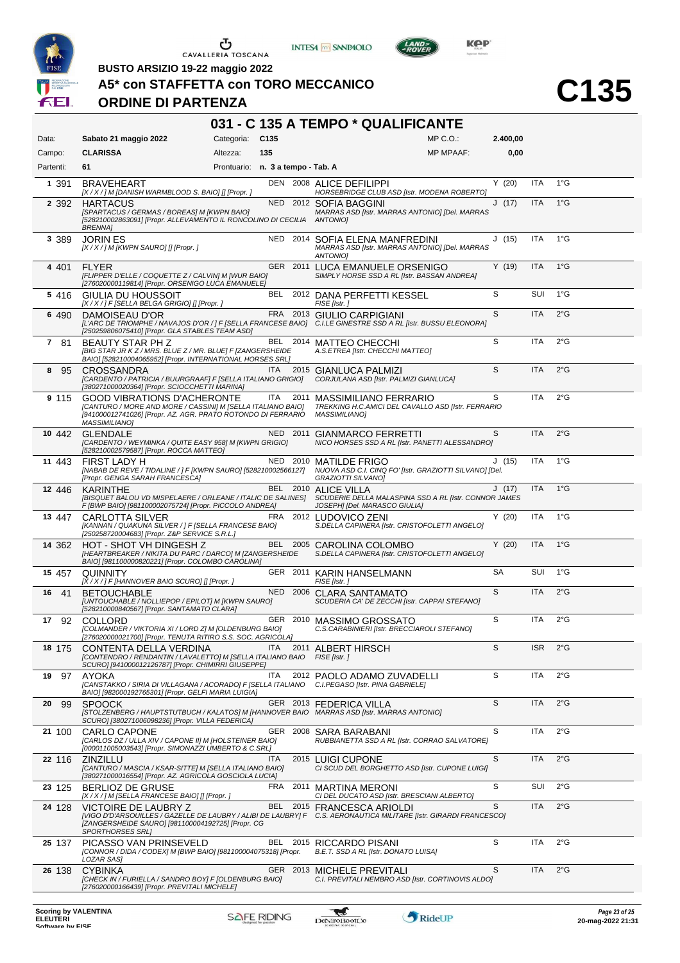

**INTESA** M SANPAOLO



**BUSTO ARSIZIO 19-22 maggio 2022**

# **A5\* con STAFFETTA con TORO MECCANICO**

# **ORDINE DI PARTENZA**

| Data:<br>Campo:<br>Partenti: | Sabato 21 maggio 2022<br><b>CLARISSA</b>                                                                                                                                                  | Categoria:                        | C <sub>135</sub> |      | $MP C. O.$ :                                                                                                                                                               | 2.400,00 |            | 031 - C 135 A TEMPO * QUALIFICANTE |  |  |  |  |  |  |  |  |  |  |  |  |
|------------------------------|-------------------------------------------------------------------------------------------------------------------------------------------------------------------------------------------|-----------------------------------|------------------|------|----------------------------------------------------------------------------------------------------------------------------------------------------------------------------|----------|------------|------------------------------------|--|--|--|--|--|--|--|--|--|--|--|--|
|                              |                                                                                                                                                                                           |                                   |                  |      |                                                                                                                                                                            |          |            |                                    |  |  |  |  |  |  |  |  |  |  |  |  |
|                              |                                                                                                                                                                                           | Altezza:                          | 135              |      | <b>MP MPAAF:</b>                                                                                                                                                           | 0,00     |            |                                    |  |  |  |  |  |  |  |  |  |  |  |  |
|                              | 61                                                                                                                                                                                        | Prontuario: n. 3 a tempo - Tab. A |                  |      |                                                                                                                                                                            |          |            |                                    |  |  |  |  |  |  |  |  |  |  |  |  |
| 1 391                        | <b>BRAVEHEART</b><br>[X / X / ] M [DANISH WARMBLOOD S. BAIO] [] [Propr. ]                                                                                                                 |                                   |                  |      | DEN 2008 ALICE DEFILIPPI<br>HORSEBRIDGE CLUB ASD [Istr. MODENA ROBERTO]                                                                                                    | Y(20)    | <b>ITA</b> | $1^{\circ}$ G                      |  |  |  |  |  |  |  |  |  |  |  |  |
| 2 3 9 2                      | <b>HARTACUS</b><br>[SPARTACUS / GERMAS / BOREAS] M [KWPN BAIO]<br>[528210002863091] [Propr. ALLEVAMENTO IL RONCOLINO DI CECILIA<br><b>BRENNA1</b>                                         |                                   |                  |      | NED 2012 SOFIA BAGGINI<br>MARRAS ASD [Istr. MARRAS ANTONIO] [Del. MARRAS<br><b>ANTONIOI</b>                                                                                | J(17)    | <b>ITA</b> | $1^{\circ}$ G                      |  |  |  |  |  |  |  |  |  |  |  |  |
| 3 3 8 9                      | <b>JORIN ES</b><br>$[X/X]/M$ [KWPN SAURO] [] [Propr. ]                                                                                                                                    |                                   |                  |      | NED 2014 SOFIA ELENA MANFREDINI<br>MARRAS ASD [Istr. MARRAS ANTONIO] [Del. MARRAS<br>ANTONIO]                                                                              | J(15)    | <b>ITA</b> | $1^{\circ}$ G                      |  |  |  |  |  |  |  |  |  |  |  |  |
| 4 401                        | <b>FLYER</b><br>[FLIPPER D'ELLE / COQUETTE Z / CALVIN] M [WUR BAIO]<br>[276020000119814] [Propr. ORSENIGO LUCA EMANUELE]                                                                  |                                   |                  |      | GER 2011 LUCA EMANUELE ORSENIGO<br>SIMPLY HORSE SSD A RL [Istr. BASSAN ANDREA]                                                                                             | Y(19)    | <b>ITA</b> | $1^{\circ}$ G                      |  |  |  |  |  |  |  |  |  |  |  |  |
| 5 4 1 6                      | GIULIA DU HOUSSOIT<br>[X / X / ] F [SELLA BELGA GRIGIO] [] [Propr. ]                                                                                                                      |                                   |                  |      | BEL 2012 DANA PERFETTI KESSEL<br>FISE [Istr.]                                                                                                                              | S        | SUI        | $1^{\circ}$ G                      |  |  |  |  |  |  |  |  |  |  |  |  |
| 6 4 9 0                      | DAMOISEAU D'OR<br>[250259806075410] [Propr. GLA STABLES TEAM ASD]                                                                                                                         |                                   |                  |      | FRA 2013 GIULIO CARPIGIANI<br>[L'ARC DE TRIOMPHE / NAVAJOS D'OR / ] F [SELLA FRANCESE BAIO] C.I.LE GINESTRE SSD A RL [Istr. BUSSU ELEONORA]                                | S        | <b>ITA</b> | 2°G                                |  |  |  |  |  |  |  |  |  |  |  |  |
| 7 81                         | BEAUTY STAR PH Z<br>[BIG STAR JR K Z / MRS. BLUE Z / MR. BLUE] F [ZANGERSHEIDE<br>BAIO] [528210004065952] [Propr. INTERNATIONAL HORSES SRL]                                               |                                   | BEL              |      | 2014 MATTEO CHECCHI<br>A.S.ETREA [Istr. CHECCHI MATTEO]                                                                                                                    | S        | <b>ITA</b> | $2^{\circ}$ G                      |  |  |  |  |  |  |  |  |  |  |  |  |
| 8<br>95                      | CROSSANDRA<br>[CARDENTO / PATRICIA / BUURGRAAF] F [SELLA ITALIANO GRIGIO]<br>[380271000020364] [Propr. SCIOCCHETTI MARINA]                                                                |                                   | ITA.             |      | 2015 GIANLUCA PALMIZI<br>CORJULANA ASD [Istr. PALMIZI GIANLUCA]                                                                                                            | S        | <b>ITA</b> | $2^{\circ}$ G                      |  |  |  |  |  |  |  |  |  |  |  |  |
| 9 1 1 5                      | <b>GOOD VIBRATIONS D'ACHERONTE</b><br>[CANTURO / MORE AND MORE / CASSINI] M [SELLA ITALIANO BAIO]<br>[941000012741026] [Propr. AZ. AGR. PRATO ROTONDO DI FERRARIO<br><b>MASSIMILIANO]</b> |                                   | ITA              | 2011 | <b>MASSIMILIANO FERRARIO</b><br>TREKKING H.C.AMICI DEL CAVALLO ASD [Istr. FERRARIO<br><b>MASSIMILIANO]</b>                                                                 | S        | <b>ITA</b> | 2°G                                |  |  |  |  |  |  |  |  |  |  |  |  |
| 10 442                       | <b>GLENDALE</b><br>[CARDENTO / WEYMINKA / QUITE EASY 958] M [KWPN GRIGIO]<br>[528210002579587] [Propr. ROCCA MATTEO]                                                                      |                                   |                  |      | NED 2011 GIANMARCO FERRETTI<br>NICO HORSES SSD A RL [Istr. PANETTI ALESSANDRO]                                                                                             | S        | <b>ITA</b> | $2^{\circ}$ G                      |  |  |  |  |  |  |  |  |  |  |  |  |
| 11 443                       | FIRST LADY H<br>[NABAB DE REVE / TIDALINE / ] F [KWPN SAURO] [528210002566127]<br>[Propr. GENGA SARAH FRANCESCA]                                                                          |                                   |                  |      | NED 2010 MATILDE FRIGO<br>NUOVA ASD C.I. CINQ FO' [Istr. GRAZIOTTI SILVANO] [Del.<br>GRAZIOTTI SILVANO]                                                                    | J(15)    | ITA        | $1^{\circ}G$                       |  |  |  |  |  |  |  |  |  |  |  |  |
| 12 446                       | KARINTHE<br>F [BWP BAIO] [981100002075724] [Propr. PICCOLO ANDREA]                                                                                                                        |                                   |                  |      | BEL 2010 ALICE VILLA<br>[BISQUET BALOU VD MISPELAERE / ORLEANE / ITALIC DE SALINES] SCUDERIE DELLA MALASPINA SSD A RL [Istr. CONNOR JAMES<br>JOSEPH] [Del. MARASCO GIULIA] | J(17)    | ITA        | $1^{\circ}$ G                      |  |  |  |  |  |  |  |  |  |  |  |  |
| 13 447                       | CARLOTTA SILVER<br>[KANNAN / QUAKUNA SILVER / ] F [SELLA FRANCESE BAIO]<br>[250258720004683] [Propr. Z&P SERVICE S.R.L.]                                                                  |                                   | <b>FRA</b>       |      | 2012 LUDOVICO ZENI<br>S.DELLA CAPINERA [Istr. CRISTOFOLETTI ANGELO]                                                                                                        | Y(20)    | ITA        | $1^{\circ}$ G                      |  |  |  |  |  |  |  |  |  |  |  |  |
| 14 362                       | HOT - SHOT VH DINGESH Z<br>[HEARTBREAKER / NIKITA DU PARC / DARCO] M [ZANGERSHEIDE<br>BAIO] [981100000820221] [Propr. COLOMBO CAROLINA]                                                   |                                   |                  |      | BEL 2005 CAROLINA COLOMBO<br>S.DELLA CAPINERA [Istr. CRISTOFOLETTI ANGELO]                                                                                                 | Y(20)    | <b>ITA</b> | $1^{\circ}$ G                      |  |  |  |  |  |  |  |  |  |  |  |  |
| 15 457                       | <b>QUINNITY</b><br>[X / X / ] F [HANNOVER BAIO SCURO] [] [Propr. ]                                                                                                                        |                                   |                  |      | GER 2011 KARIN HANSELMANN<br>FISE [Istr.]                                                                                                                                  | SA       | SUI        | $1^{\circ}G$                       |  |  |  |  |  |  |  |  |  |  |  |  |
| 41<br>16                     | <b>BETOUCHABLE</b><br>[UNTOUCHABLE / NOLLIEPOP / EPILOT] M [KWPN SAURO]<br>[528210000840567] [Propr. SANTAMATO CLARA]                                                                     |                                   |                  |      | NED 2006 CLARA SANTAMATO<br>SCUDERIA CA' DE ZECCHI [Istr. CAPPAI STEFANO]                                                                                                  | S        | <b>ITA</b> | $2^{\circ}$ G                      |  |  |  |  |  |  |  |  |  |  |  |  |
| 17<br>92                     | COLLORD<br>[COLMANDER / VIKTORIA XI / LORD Z] M [OLDENBURG BAIO]<br>[276020000021700] [Propr. TENUTA RITIRO S.S. SOC. AGRICOLA]                                                           |                                   |                  |      | GER 2010 MASSIMO GROSSATO<br>C.S.CARABINIERI [Istr. BRECCIAROLI STEFANO]                                                                                                   | S        | <b>ITA</b> | $2^{\circ}$ G                      |  |  |  |  |  |  |  |  |  |  |  |  |
| 18 175                       | CONTENTA DELLA VERDINA<br>[CONTENDRO / RENDANTIN / LAVALETTO] M [SELLA ITALIANO BAIO<br>SCURO] [941000012126787] [Propr. CHIMIRRI GIUSEPPE]                                               |                                   | <b>ITA</b>       |      | 2011 ALBERT HIRSCH<br>FISE [Istr. ]                                                                                                                                        | S        | <b>ISR</b> | $2^{\circ}$ G                      |  |  |  |  |  |  |  |  |  |  |  |  |
| 19<br>97                     | AYOKA<br>[CANSTAKKO / SIRIA DI VILLAGANA / ACORADO] F [SELLA ITALIANO<br>BAIO] [982000192765301] [Propr. GELFI MARIA LUIGIA]                                                              |                                   | ITA              |      | 2012 PAOLO ADAMO ZUVADELLI<br>C.I.PEGASO [Istr. PINA GABRIELE]                                                                                                             | S        | <b>ITA</b> | $2^{\circ}$ G                      |  |  |  |  |  |  |  |  |  |  |  |  |
| 20<br>99                     | <b>SPOOCK</b><br>SCURO] [380271006098236] [Propr. VILLA FEDERICA]                                                                                                                         |                                   |                  |      | GER 2013 FEDERICA VILLA<br>[STOLZENBERG / HAUPTSTUTBUCH / KALATOS] M [HANNOVER BAIO MARRAS ASD [Istr. MARRAS ANTONIO]                                                      | S        | <b>ITA</b> | $2^{\circ}$ G                      |  |  |  |  |  |  |  |  |  |  |  |  |
| 21 100                       | <b>CARLO CAPONE</b><br>[CARLOS DZ / ULLA XIV / CAPONE II] M [HOLSTEINER BAIO]<br>[000011005003543] [Propr. SIMONAZZI UMBERTO & C.SRL]                                                     |                                   |                  |      | GER 2008 SARA BARABANI<br>RUBBIANETTA SSD A RL [Istr. CORRAO SALVATORE]                                                                                                    | S        | <b>ITA</b> | 2°G                                |  |  |  |  |  |  |  |  |  |  |  |  |
| 22 116                       | <b>ZINZILLU</b><br>[CANTURO / MASCIA / KSAR-SITTE] M [SELLA ITALIANO BAIO]<br>[380271000016554] [Propr. AZ. AGRICOLA GOSCIOLA LUCIA]                                                      |                                   | ITA              |      | 2015 LUIGI CUPONE<br>CI SCUD DEL BORGHETTO ASD [Istr. CUPONE LUIGI]                                                                                                        | S        | <b>ITA</b> | 2°G                                |  |  |  |  |  |  |  |  |  |  |  |  |
| 23 125                       | <b>BERLIOZ DE GRUSE</b><br>[X / X / ] M [SELLA FRANCESE BAIO] [] [Propr. ]                                                                                                                |                                   | FRA              | 2011 | <b>MARTINA MERONI</b><br>CI DEL DUCATO ASD [Istr. BRESCIANI ALBERTO]                                                                                                       | S        | SUI        | $2^{\circ}$ G                      |  |  |  |  |  |  |  |  |  |  |  |  |
| 24 128                       | <b>VICTOIRE DE LAUBRY Z</b><br>[ZANGERSHEIDE SAURO] [981100004192725] [Propr. CG<br><b>SPORTHORSES SRLJ</b>                                                                               |                                   | BEL              |      | 2015 FRANCESCA ARIOLDI<br>[VIGO D'D'ARSOUILLES / GAZELLE DE LAUBRY / ALIBI DE LAUBRY] F C.S. AERONAUTICA MILITARE [Istr. GIRARDI FRANCESCO]                                | S        | ITA        | 2°G                                |  |  |  |  |  |  |  |  |  |  |  |  |
| 25 137                       | PICASSO VAN PRINSEVELD<br>[CONNOR / DIDA / CODEX] M [BWP BAIO] [981100004075318] [Propr.<br>LOZAR SAS]                                                                                    |                                   |                  |      | BEL 2015 RICCARDO PISANI<br>B.E.T. SSD A RL [Istr. DONATO LUISA]                                                                                                           | S        | ITA        | $2^{\circ}$ G                      |  |  |  |  |  |  |  |  |  |  |  |  |
| 26 138                       | <b>CYBINKA</b><br>[CHECK IN / FURIELLA / SANDRO BOY] F [OLDENBURG BAIO]<br>[276020000166439] [Propr. PREVITALI MICHELE]                                                                   |                                   |                  |      | GER 2013 MICHELE PREVITALI<br>C.I. PREVITALI NEMBRO ASD [Istr. CORTINOVIS ALDO]                                                                                            | S        | <b>ITA</b> | 2°G                                |  |  |  |  |  |  |  |  |  |  |  |  |

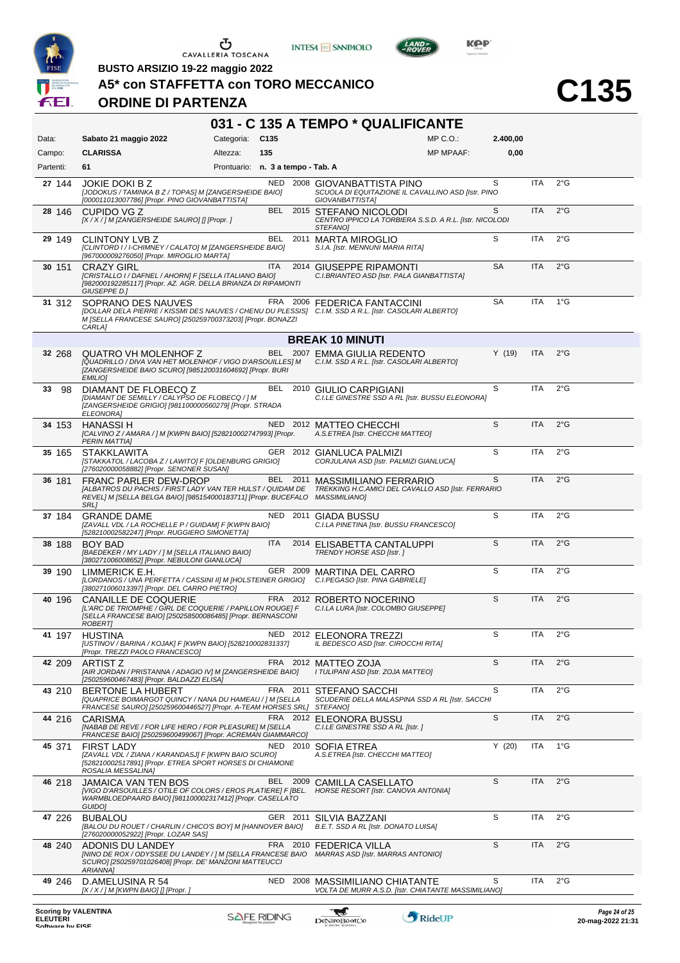





LAND-<br>-ROVER

**BUSTO ARSIZIO 19-22 maggio 2022**

**A5\* con STAFFETTA con TORO MECCANICO**

# **ORDINE DI PARTENZA**

|                                                |                                                                                                                                                                                                      |                                   |            |          | 031 - C 135 A TEMPO * QUALIFICANTE                                                                           |                  |           |            |               |                                        |
|------------------------------------------------|------------------------------------------------------------------------------------------------------------------------------------------------------------------------------------------------------|-----------------------------------|------------|----------|--------------------------------------------------------------------------------------------------------------|------------------|-----------|------------|---------------|----------------------------------------|
| Data:                                          | Sabato 21 maggio 2022                                                                                                                                                                                | Categoria: C135                   |            |          |                                                                                                              | $MP C. O.$ :     | 2.400,00  |            |               |                                        |
| Campo:                                         | <b>CLARISSA</b>                                                                                                                                                                                      | Altezza:                          | 135        |          |                                                                                                              | <b>MP MPAAF:</b> | 0,00      |            |               |                                        |
| Partenti:                                      | 61                                                                                                                                                                                                   | Prontuario: n. 3 a tempo - Tab. A |            |          |                                                                                                              |                  |           |            |               |                                        |
| 27 144                                         | <b>JOKIE DOKI B Z</b><br>[JODOKUS / TAMINKA B Z / TOPAS] M [ZANGERSHEIDE BAIO]<br>[000011013007786] [Propr. PINO GIOVANBATTISTA]                                                                     |                                   |            |          | NED 2008 GIOVANBATTISTA PINO<br>SCUOLA DI EQUITAZIONE IL CAVALLINO ASD [Istr. PINO<br>GIOVANBATTISTA]        |                  | S         | <b>ITA</b> | $2^{\circ}$ G |                                        |
| 28 146                                         | CUPIDO VG Z<br>[X / X / ] M [ZANGERSHEIDE SAURO] [] [Propr. ]                                                                                                                                        |                                   |            |          | BEL 2015 STEFANO NICOLODI<br>CENTRO IPPICO LA TORBIERA S.S.D. A R.L. [Istr. NICOLODI<br><b>STEFANOI</b>      |                  | S         | <b>ITA</b> | 2°G           |                                        |
| 29 149                                         | <b>CLINTONY LVB Z</b><br>[CLINTORD I / I-CHIMNEY / CALATO] M [ZANGERSHEIDE BAIO]<br>[967000009276050] [Propr. MIROGLIO MARTA]                                                                        |                                   | BEL        | 2011     | <b>MARTA MIROGLIO</b><br>S.I.A. [Istr. MENNUNI MARIA RITA]                                                   |                  | S         | <b>ITA</b> | $2^{\circ}$ G |                                        |
| 30 151                                         | <b>CRAZY GIRL</b><br>[CRISTALLO I / DAFNEL / AHORN] F [SELLA ITALIANO BAIO]<br>[982000192285117] [Propr. AZ. AGR. DELLA BRIANZA DI RIPAMONTI<br>GIUSEPPE D.]                                         |                                   | <b>ITA</b> |          | 2014 GIUSEPPE RIPAMONTI<br>C.I.BRIANTEO ASD [Istr. PALA GIANBATTISTA]                                        |                  | <b>SA</b> | <b>ITA</b> | $2^{\circ}$ G |                                        |
| 31 312                                         | SOPRANO DES NAUVES<br>[DOLLAR DELA PIERRE / KISSMI DES NAUVES / CHENU DU PLESSIS] C.I.M. SSD A R.L. [Istr. CASOLARI ALBERTO]<br>M [SELLA FRANCESE SAURO] [250259700373203] [Propr. BONAZZI<br>CARLA] |                                   |            |          | FRA 2006 FEDERICA FANTACCINI                                                                                 |                  | SA        | <b>ITA</b> | $1^{\circ}$ G |                                        |
|                                                |                                                                                                                                                                                                      |                                   |            |          | <b>BREAK 10 MINUTI</b>                                                                                       |                  |           |            |               |                                        |
| 32 268                                         | <b>QUATRO VH MOLENHOF Z</b><br>[QUADRILLO / DIVA VAN HET MOLENHOF / VIGO D'ARSOUILLES] M<br>[ZANGERSHEIDE BAIO SCURO] [985120031604692] [Propr. BURI<br><b>EMILIO]</b>                               |                                   |            |          | BEL 2007 EMMA GIULIA REDENTO<br>C.I.M. SSD A R.L. [Istr. CASOLARI ALBERTO]                                   |                  | Y(19)     | ITA        | 2°G           |                                        |
| 33<br>98                                       | DIAMANT DE FLOBECQ Z<br>[DIAMANT DE SEMILLY / CALYPSO DE FLOBECQ / ] M<br>[ZANGERSHEIDE GRIGIO] [981100000560279] [Propr. STRADA<br><b>ELEONORA]</b>                                                 |                                   | BEL        |          | 2010 GIULIO CARPIGIANI<br>C.I.LE GINESTRE SSD A RL [Istr. BUSSU ELEONORA]                                    |                  | S         | <b>ITA</b> | 2°G           |                                        |
| 34 153                                         | <b>HANASSI H</b><br>[CALVINO Z / AMARA / ] M [KWPN BAIO] [528210002747993] [Propr.<br><b>PERIN MATTIA1</b>                                                                                           |                                   |            |          | NED 2012 MATTEO CHECCHI<br>A.S.ETREA [Istr. CHECCHI MATTEO]                                                  |                  | S         | <b>ITA</b> | $2^{\circ}$ G |                                        |
| 35 165                                         | <b>STAKKLAWITA</b><br>[STAKKATOL / LACOBA Z / LAWITO] F [OLDENBURG GRIGIO]<br>[276020000058882] [Propr. SENONER SUSAN]                                                                               |                                   |            |          | GER 2012 GIANLUCA PALMIZI<br>CORJULANA ASD [Istr. PALMIZI GIANLUCA]                                          |                  | S         | <b>ITA</b> | $2^{\circ}$ G |                                        |
| 36 181                                         | <b>FRANC PARLER DEW-DROP</b><br>[ALBATROS DU PACHIS / FIRST LADY VAN TER HULST / QUIDAM DE<br>REVEL] M [SELLA BELGA BAIO] [985154000183711] [Propr. BUCEFALO<br>SRL]                                 |                                   |            |          | BEL 2011 MASSIMILIANO FERRARIO<br>TREKKING H.C.AMICI DEL CAVALLO ASD [Istr. FERRARIO<br><b>MASSIMILIANO]</b> |                  | S         | <b>ITA</b> | $2^{\circ}$ G |                                        |
| 37 184                                         | <b>GRANDE DAME</b><br>[ZAVALL VDL / LA ROCHELLE P / GUIDAM] F [KWPN BAIO]<br>[528210002582247] [Propr. RUGGIERO SIMONETTA]                                                                           |                                   |            |          | NED 2011 GIADA BUSSU<br>C.I.LA PINETINA [Istr. BUSSU FRANCESCO]                                              |                  | S         | ITA        | 2°G           |                                        |
| 38 188                                         | <b>BOY BAD</b><br>[BAEDEKER / MY LADY / ] M [SELLA ITALIANO BAIO]<br>[380271006008652] [Propr. NEBULONI GIANLUCA]                                                                                    |                                   | <b>ITA</b> |          | 2014 ELISABETTA CANTALUPPI<br>TRENDY HORSE ASD [Istr.]                                                       |                  | S         | <b>ITA</b> | $2^{\circ}$ G |                                        |
| 39 190                                         | LIMMERICK E.H.<br>[LORDANOS / UNA PERFETTA / CASSINI II] M [HOLSTEINER GRIGIO]<br>[380271006013397] [Propr. DEL CARRO PIETRO]                                                                        |                                   |            |          | GER 2009 MARTINA DEL CARRO<br>C.I.PEGASO [Istr. PINA GABRIELE]                                               |                  | S         | <b>ITA</b> | 2°G           |                                        |
| 40 196                                         | CANAILLE DE COQUERIE<br>[L'ARC DE TRIOMPHE / GIRL DE COQUERIE / PAPILLON ROUGE] F<br>[SELLA FRANCESE BAIO] [250258500086485] [Propr. BERNASCONI<br>ROBERTI                                           |                                   |            |          | FRA 2012 ROBERTO NOCERINO<br>C.I.LA LURA [Istr. COLOMBO GIUSEPPE]                                            |                  | S         | <b>ITA</b> | 2°G           |                                        |
|                                                | 41 197 HUSTINA<br>[USTINOV / BARINA / KOJAK] F [KWPN BAIO] [528210002831337]<br>[Propr. TREZZI PAOLO FRANCESCO]                                                                                      |                                   |            |          | NED 2012 ELEONORA TREZZI<br>IL BEDESCO ASD [Istr. CIROCCHI RITA]                                             |                  | S         | ITA        | $2^{\circ}$ G |                                        |
| 42 209                                         | ARTIST Z<br>[AIR JORDAN / PRISTANNA / ADAGIO IV] M [ZANGERSHEIDE BAIO]<br>[250259600467483] [Propr. BALDAZZI ELISA]                                                                                  |                                   |            |          | FRA 2012 MATTEO ZOJA<br>I TULIPANI ASD [Istr. ZOJA MATTEO]                                                   |                  | S         | <b>ITA</b> | 2°G           |                                        |
| 43 210                                         | <b>BERTONE LA HUBERT</b><br>[QUAPRICE BOIMARGOT QUINCY / NANA DU HAMEAU / ] M [SELLA<br>FRANCESE SAURO] [250259600446527] [Propr. A-TEAM HORSES SRL] STEFANO]                                        |                                   |            | FRA 2011 | STEFANO SACCHI<br>SCUDERIE DELLA MALASPINA SSD A RL [Istr. SACCHI                                            |                  | S         | ITA        | $2^{\circ}$ G |                                        |
| 44 216                                         | <b>CARISMA</b><br>[NABAB DE REVE / FOR LIFE HERO / FOR PLEASURE] M [SELLA<br>FRANCESE BAIO] [250259600499067] [Propr. ACREMAN GIAMMARCO]                                                             |                                   |            |          | FRA 2012 ELEONORA BUSSU<br>C.I.LE GINESTRE SSD A RL [Istr.]                                                  |                  | S         | <b>ITA</b> | 2°G           |                                        |
| 45 371                                         | <b>FIRST LADY</b><br>[ZAVALL VDL / ZIANA / KARANDASJ] F [KWPN BAIO SCURO]<br>[528210002517891] [Propr. ETREA SPORT HORSES DI CHIAMONE<br>ROSALIA MESSALINA]                                          |                                   |            |          | NED 2010 SOFIA ETREA<br>A.S.ETREA [Istr. CHECCHI MATTEO]                                                     |                  | Y(20)     | ITA        | $1^{\circ}$ G |                                        |
| 46 218                                         | JAMAICA VAN TEN BOS<br>[VIGO D'ARSOUILLES / OTILE OF COLORS / EROS PLATIERE] F [BEL.<br>WARMBLOEDPAARD BAIO] [981100002317412] [Propr. CASELLATO<br>GUIDO]                                           |                                   |            | BEL 2009 | CAMILLA CASELLATO<br>HORSE RESORT [Istr. CANOVA ANTONIA]                                                     |                  | S         | <b>ITA</b> | $2^{\circ}$ G |                                        |
| 47 226                                         | <b>BUBALOU</b><br>[BALOU DU ROUET / CHARLIN / CHICO'S BOY] M [HANNOVER BAIO]<br>[276020000052922] [Propr. LOZAR SAS]                                                                                 |                                   |            | GER 2011 | SILVIA BAZZANI<br>B.E.T. SSD A RL [Istr. DONATO LUISA]                                                       |                  | S         | ITA        | $2^{\circ}$ G |                                        |
| 48 240                                         | ADONIS DU LANDEY<br>[NINO DE ROX / ODYSSEE DU LANDEY / ] M [SELLA FRANCESE BAIO<br>SCURO] [250259701026408] [Propr. DE' MANZONI MATTEUCCI<br>ARIANNA]                                                |                                   |            | FRA 2010 | <b>FEDERICA VILLA</b><br>MARRAS ASD [Istr. MARRAS ANTONIO]                                                   |                  | S         | <b>ITA</b> | 2°G           |                                        |
| 49 246                                         | D.AMELUSINA R 54<br>$[X/X]/M$ [KWPN BAIO] [] [Propr. ]                                                                                                                                               |                                   | <b>NED</b> | 2008     | <b>MASSIMILIANO CHIATANTE</b><br>VOLTA DE MURR A.S.D. [Istr. CHIATANTE MASSIMILIANO]                         |                  | S         | ITA        | 2°G           |                                        |
| <b>Scoring by VALENTINA</b><br><b>ELEUTERI</b> |                                                                                                                                                                                                      | <b>SAFE RIDING</b>                |            |          | $\mathbf{f}$<br>DeNiroBoot('o                                                                                | RideUP           |           |            |               | Page 24 of 25<br>$20$ -man- $20222131$ |

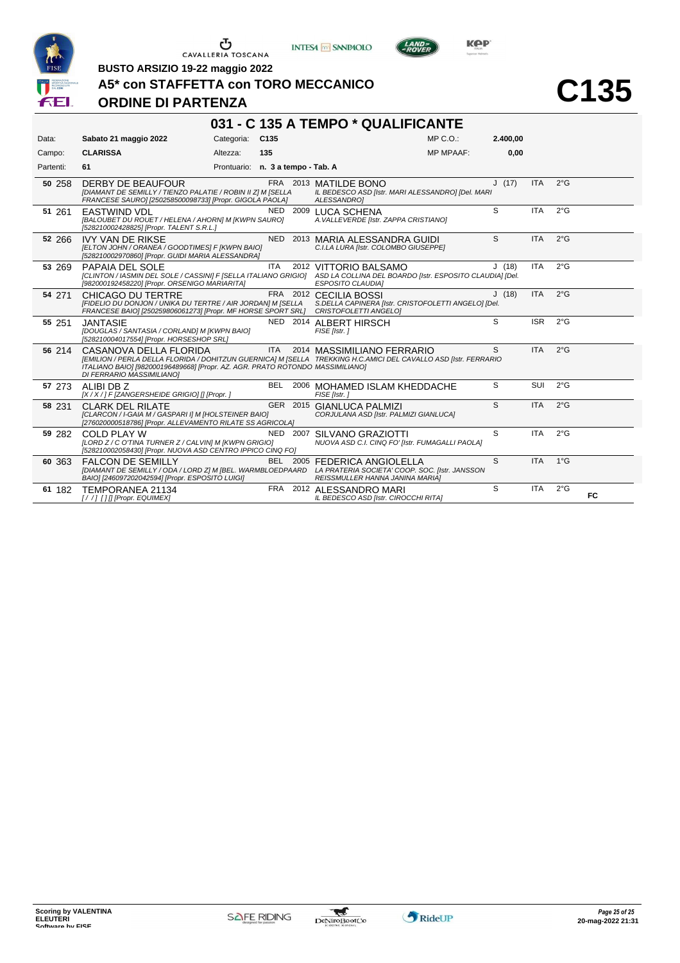





LAND-

**BUSTO ARSIZIO 19-22 maggio 2022**

#### **A5\* con STAFFETTA con TORO MECCANICO**

#### **ORDINE DI PARTENZA**

|           |                                                                                                                                                                        |                                   |            |          | 031 - C 135 A TEMPO * QUALIFICANTE                                                                                                                                            |          |            |               |    |
|-----------|------------------------------------------------------------------------------------------------------------------------------------------------------------------------|-----------------------------------|------------|----------|-------------------------------------------------------------------------------------------------------------------------------------------------------------------------------|----------|------------|---------------|----|
| Data:     | Sabato 21 maggio 2022                                                                                                                                                  | Categoria: C135                   |            |          | $MP C. O.$ :                                                                                                                                                                  | 2.400.00 |            |               |    |
| Campo:    | <b>CLARISSA</b>                                                                                                                                                        | Altezza:                          | 135        |          | <b>MP MPAAF:</b>                                                                                                                                                              | 0,00     |            |               |    |
| Partenti: | 61                                                                                                                                                                     | Prontuario: n. 3 a tempo - Tab. A |            |          |                                                                                                                                                                               |          |            |               |    |
| 50 258    | DERBY DE BEAUFOUR<br>[DIAMANT DE SEMILLY / TIENZO PALATIE / ROBIN II Z] M [SELLA<br>FRANCESE SAURO] [250258500098733] [Propr. GIGOLA PAOLA]                            |                                   |            |          | FRA 2013 MATILDE BONO<br>IL BEDESCO ASD [Istr. MARI ALESSANDRO] [Del. MARI<br><b>ALESSANDROI</b>                                                                              | J(17)    | <b>ITA</b> | $2^{\circ}$ G |    |
| 51 261    | <b>EASTWIND VDL</b><br>[BALOUBET DU ROUET / HELENA / AHORN] M [KWPN SAURO]<br>[528210002428825] [Propr. TALENT S.R.L.]                                                 |                                   | NED        |          | 2009 LUCA SCHENA<br>A. VALLEVERDE [Istr. ZAPPA CRISTIANO]                                                                                                                     | S        | <b>ITA</b> | $2^{\circ}$ G |    |
| 52 266    | <b>IVY VAN DE RIKSE</b><br>[ELTON JOHN / ORANEA / GOODTIMES] F [KWPN BAIO]<br>[528210002970860] [Propr. GUIDI MARIA ALESSANDRA]                                        |                                   |            |          | NED 2013 MARIA ALESSANDRA GUIDI<br>C.I.LA LURA [Istr. COLOMBO GIUSEPPE]                                                                                                       | S        | <b>ITA</b> | $2^{\circ}$ G |    |
| 53 269    | PAPAIA DEL SOLE<br>[982000192458220] [Propr. ORSENIGO MARIARITA]                                                                                                       |                                   | ITA        |          | 2012 VITTORIO BALSAMO<br>[CLINTON / IASMIN DEL SOLE / CASSINI] F [SELLA ITALIANO GRIGIO] ASD LA COLLINA DEL BOARDO [Istr. ESPOSITO CLAUDIA] [Del.<br><b>ESPOSITO CLAUDIAI</b> | J(18)    | <b>ITA</b> | $2^{\circ}$ G |    |
| 54 271    | CHICAGO DU TERTRE<br>[FIDELIO DU DONJON / UNIKA DU TERTRE / AIR JORDAN] M [SELLA<br>FRANCESE BAIO] [250259806061273] [Propr. MF HORSE SPORT SRL] CRISTOFOLETTI ANGELO] |                                   |            |          | FRA 2012 CECILIA BOSSI<br>S.DELLA CAPINERA [Istr. CRISTOFOLETTI ANGELO] [Del.                                                                                                 | J(18)    | <b>ITA</b> | $2^{\circ}$ G |    |
| 55 251    | <b>JANTASIE</b><br>[DOUGLAS / SANTASIA / CORLAND] M [KWPN BAIO]<br>[528210004017554] [Propr. HORSESHOP SRL]                                                            |                                   |            |          | NED 2014 ALBERT HIRSCH<br>FISE [Istr.]                                                                                                                                        | S        | <b>ISR</b> | $2^{\circ}$ G |    |
| 56 214    | CASANOVA DELLA FLORIDA<br>ITALIANO BAIO] [982000196489668] [Propr. AZ. AGR. PRATO ROTONDO MASSIMILIANO]<br>DI FERRARIO MASSIMILIANO]                                   |                                   | <b>ITA</b> |          | 2014 MASSIMILIANO FERRARIO<br>[EMILION / PERLA DELLA FLORIDA / DOHITZUN GUERNICA] M [SELLA TREKKING H.C.AMICI DEL CAVALLO ASD [Istr. FERRARIO                                 | S        | <b>ITA</b> | $2^{\circ}$ G |    |
| 57 273    | ALIBI DB Z<br>[X / X / ] F [ZANGERSHEIDE GRIGIO] [] [Propr. ]                                                                                                          |                                   | <b>BEL</b> |          | 2006 MOHAMED ISLAM KHEDDACHE<br>FISE [Istr.]                                                                                                                                  | S        | SUI        | $2^{\circ}$ G |    |
| 58 231    | <b>CLARK DEL RILATE</b><br>[CLARCON / I-GAIA M / GASPARI I] M [HOLSTEINER BAIO]<br>[276020000518786] [Propr. ALLEVAMENTO RILATE SS AGRICOLA]                           |                                   |            |          | GER 2015 GIANLUCA PALMIZI<br>CORJULANA ASD [Istr. PALMIZI GIANLUCA]                                                                                                           | S        | <b>ITA</b> | $2^{\circ}$ G |    |
| 59 282    | <b>COLD PLAY W</b><br>[LORD Z / C O'TINA TURNER Z / CALVIN] M [KWPN GRIGIO]<br>[528210002058430] [Propr. NUOVA ASD CENTRO IPPICO CINQ FO]                              |                                   |            | NED 2007 | SILVANO GRAZIOTTI<br>NUOVA ASD C.I. CINQ FO' [Istr. FUMAGALLI PAOLA]                                                                                                          | S        | <b>ITA</b> | $2^{\circ}$ G |    |
| 60 363    | <b>FALCON DE SEMILLY</b><br>BAIO] [246097202042594] [Propr. ESPOSITO LUIGI]                                                                                            |                                   |            |          | BEL 2005 FEDERICA ANGIOLELLA<br>[DIAMANT DE SEMILLY / ODA / LORD Z] M [BEL. WARMBLOEDPAARD LA PRATERIA SOCIETA' COOP. SOC. [Istr. JANSSON<br>REISSMULLER HANNA JANINA MARIAI  | S        | <b>ITA</b> | $1^{\circ}$ G |    |
| 61 182    | TEMPORANEA 21134<br>[//] [] [[Propr. EQUIMEX]                                                                                                                          |                                   |            |          | FRA 2012 ALESSANDRO MARI<br>IL BEDESCO ASD [Istr. CIROCCHI RITA]                                                                                                              | S        | <b>ITA</b> | $2^{\circ}$ G | FC |

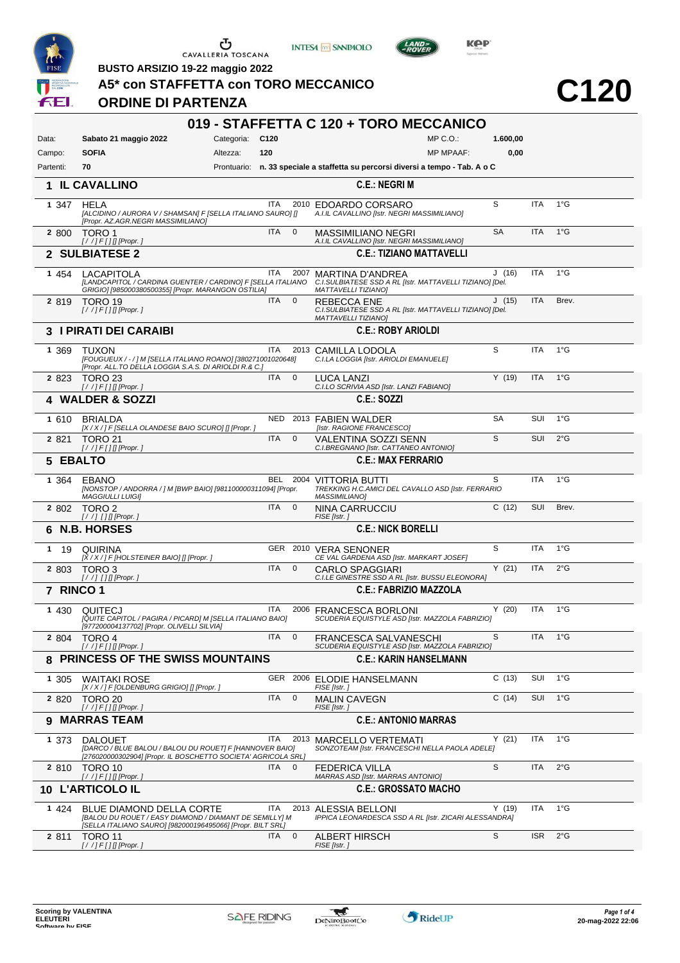

**ORDINE DI PARTENZA**

**INTESA** M SANPAOLO



**Kep** 

**BUSTO ARSIZIO 19-22 maggio 2022**

#### **A5\* con STAFFETTA con TORO MECCANICO**

|           |                                                                                                                                                  |                 |            |                         | 019 - STAFFETTA C 120 + TORO MECCANICO                                                                            |                  |           |            |               |
|-----------|--------------------------------------------------------------------------------------------------------------------------------------------------|-----------------|------------|-------------------------|-------------------------------------------------------------------------------------------------------------------|------------------|-----------|------------|---------------|
| Data:     | Sabato 21 maggio 2022                                                                                                                            | Categoria: C120 |            |                         |                                                                                                                   | MP C. O.         | 1.600,00  |            |               |
| Campo:    | <b>SOFIA</b>                                                                                                                                     | Altezza:        | 120        |                         |                                                                                                                   | <b>MP MPAAF:</b> | 0,00      |            |               |
| Partenti: | 70                                                                                                                                               |                 |            |                         | Prontuario: n. 33 speciale a staffetta su percorsi diversi a tempo - Tab. A o C                                   |                  |           |            |               |
|           | 1 IL CAVALLINO                                                                                                                                   |                 |            |                         | <b>C.E.: NEGRI M</b>                                                                                              |                  |           |            |               |
| 1 347     | <b>HELA</b><br>[ALCIDINO / AURORA V / SHAMSAN] F [SELLA ITALIANO SAURO] []<br>[Propr. AZ.AGR.NEGRI MASSIMILIANO]                                 |                 | <b>ITA</b> |                         | 2010 EDOARDO CORSARO<br>A.I.IL CAVALLINO [Istr. NEGRI MASSIMILIANO]                                               |                  | S         | <b>ITA</b> | $1^{\circ}$ G |
| 2 800     | TORO 1<br>$[!/]/F[]$ [Propr.]                                                                                                                    |                 | ITA.       | $\overline{0}$          | MASSIMILIANO NEGRI<br>A.I.IL CAVALLINO [Istr. NEGRI MASSIMILIANO]                                                 |                  | <b>SA</b> | <b>ITA</b> | $1^{\circ}$ G |
|           | 2 SULBIATESE 2                                                                                                                                   |                 |            |                         | <b>C.E.: TIZIANO MATTAVELLI</b>                                                                                   |                  |           |            |               |
| 1 454     | <b>LACAPITOLA</b><br>[LANDCAPITOL / CARDINA GUENTER / CARDINO] F [SELLA ITALIANO<br>GRIGIO] [985000380500355] [Propr. MARANGON OSTILIA]          |                 | <b>ITA</b> | 2007                    | <b>MARTINA D'ANDREA</b><br>C.I.SULBIATESE SSD A RL [Istr. MATTAVELLI TIZIANO] [Del.<br><b>MATTAVELLI TIZIANO]</b> |                  | J(16)     | <b>ITA</b> | $1^{\circ}$ G |
| 2 8 1 9   | TORO 19<br>$[!//]$ F[][[Propr.]                                                                                                                  |                 | <b>ITA</b> | $\mathbf{0}$            | <b>REBECCA ENE</b><br>C.I.SULBIATESE SSD A RL [Istr. MATTAVELLI TIZIANO] [Del.<br><b>MATTAVELLI TIZIANO]</b>      |                  | J(15)     | <b>ITA</b> | Brev.         |
|           | <b>3 I PIRATI DEI CARAIBI</b>                                                                                                                    |                 |            |                         | <b>C.E.: ROBY ARIOLDI</b>                                                                                         |                  |           |            |               |
| 1 3 6 9   | <b>TUXON</b><br>[FOUGUEUX / - / ] M [SELLA ITALIANO ROANO] [380271001020648]<br>[Propr. ALL.TO DELLA LOGGIA S.A.S. DI ARIOLDI R.& C.]            |                 | <b>ITA</b> |                         | 2013 CAMILLA LODOLA<br>C.I.LA LOGGIA [Istr. ARIOLDI EMANUELE]                                                     |                  | S         | <b>ITA</b> | $1^{\circ}$ G |
| 2 8 2 3   | <b>TORO 23</b><br>$[!/]/F[]$ [Propr.]                                                                                                            |                 | <b>ITA</b> | $\mathbf{0}$            | <b>LUCA LANZI</b><br>C.I.LO SCRIVIA ASD [Istr. LANZI FABIANO]                                                     |                  | Y(19)     | <b>ITA</b> | $1^{\circ}$ G |
|           | 4 WALDER & SOZZI                                                                                                                                 |                 |            |                         | C.E.: SOZZI                                                                                                       |                  |           |            |               |
| 1 610     | <b>BRIALDA</b><br>[X / X / ] F [SELLA OLANDESE BAIO SCURO] [] [Propr. ]                                                                          |                 |            |                         | NED 2013 FABIEN WALDER<br>[Istr. RAGIONE FRANCESCO]                                                               |                  | <b>SA</b> | <b>SUI</b> | $1^{\circ}$ G |
| 2 8 2 1   | <b>TORO 21</b>                                                                                                                                   |                 | ITA        | $\mathbf 0$             | VALENTINA SOZZI SENN<br>C.I.BREGNANO [Istr. CATTANEO ANTONIO]                                                     |                  | S         | <b>SUI</b> | $2^{\circ}$ G |
| 5 EBALTO  |                                                                                                                                                  |                 |            |                         | <b>C.E.: MAX FERRARIO</b>                                                                                         |                  |           |            |               |
| 1 364     | EBANO<br>[NONSTOP / ANDORRA / ] M [BWP BAIO] [981100000311094] [Propr.<br><b>MAGGIULLI LUIGI]</b>                                                |                 |            |                         | BEL 2004 VITTORIA BUTTI<br>TREKKING H.C.AMICI DEL CAVALLO ASD [Istr. FERRARIO<br>MASSIMILIANO]                    |                  | S         | <b>ITA</b> | $1^{\circ}$ G |
| 2 802     | TORO 2<br>$[!//]$ [] [] [Propr.]                                                                                                                 |                 | <b>ITA</b> | $\overline{0}$          | NINA CARRUCCIU<br>FISE [Istr.]                                                                                    |                  | C(12)     | SUI        | Brev.         |
| 6         | <b>N.B. HORSES</b>                                                                                                                               |                 |            |                         | <b>C.E.: NICK BORELLI</b>                                                                                         |                  |           |            |               |
| 19<br>1   | QUIRINA<br>$[X/X$ / ] F [HOLSTEINER BAIO] [] [Propr. ]                                                                                           |                 |            |                         | GER 2010 VERA SENONER<br>CE VAL GARDENA ASD [Istr. MARKART JOSEF]                                                 |                  | S         | <b>ITA</b> | $1^{\circ}G$  |
| 2 803     | TORO <sub>3</sub><br>$[!//]$ [] [] [Propr.]                                                                                                      |                 | <b>ITA</b> | $\mathbf 0$             | CARLO SPAGGIARI<br>C.I.LE GINESTRE SSD A RL [Istr. BUSSU ELEONORA]                                                |                  | Y(21)     | <b>ITA</b> | $2^{\circ}$ G |
| 7 RINCO 1 |                                                                                                                                                  |                 |            |                         | <b>C.E.: FABRIZIO MAZZOLA</b>                                                                                     |                  |           |            |               |
| 1 4 3 0   | QUITECJ<br>[QUITE CAPITOL / PAGIRA / PICARD] M [SELLA ITALIANO BAIO]<br>[977200004137702] [Propr. OLIVELLI SILVIA]                               |                 | ITA.       | 2006                    | <b>FRANCESCA BORLONI</b><br>SCUDERIA EQUISTYLE ASD [Istr. MAZZOLA FABRIZIO]                                       |                  | Y(20)     | <b>ITA</b> | $1^{\circ}$ G |
|           | 2 804 TORO 4                                                                                                                                     |                 | ITA.       | $\overline{\mathbf{0}}$ | <b>FRANCESCA SALVANESCHI</b><br>SCUDERIA EQUISTYLE ASD [Istr. MAZZOLA FABRIZIO]                                   |                  | S         | <b>ITA</b> | $1^{\circ}$ G |
|           | 8 PRINCESS OF THE SWISS MOUNTAINS                                                                                                                |                 |            |                         | <b>C.E.: KARIN HANSELMANN</b>                                                                                     |                  |           |            |               |
| 1 305     | <b>WAITAKI ROSE</b><br>[X / X / ] F [OLDENBURG GRIGIO] [] [Propr. ]                                                                              |                 |            |                         | GER 2006 ELODIE HANSELMANN<br>FISE [Istr.]                                                                        |                  | C(13)     | SUI        | $1^{\circ}$ G |
| 2 8 2 0   | TORO 20<br>$[!/$ /] $F[]$ [[Propr.]                                                                                                              |                 | <b>ITA</b> | $\mathbf 0$             | <b>MALIN CAVEGN</b><br>FISE [Istr.]                                                                               |                  | C(14)     | <b>SUI</b> | $1^{\circ}$ G |
|           | 9 MARRAS TEAM                                                                                                                                    |                 |            |                         | <b>C.E.: ANTONIO MARRAS</b>                                                                                       |                  |           |            |               |
| 1 373     | <b>DALOUET</b><br>[DARCO / BLUE BALOU / BALOU DU ROUET] F [HANNOVER BAIO]<br>[276020000302904] [Propr. IL BOSCHETTO SOCIETA' AGRICOLA SRL]       |                 | <b>ITA</b> |                         | 2013 MARCELLO VERTEMATI<br>SONZOTEAM [Istr. FRANCESCHI NELLA PAOLA ADELE]                                         |                  | Y(21)     | <b>ITA</b> | $1^{\circ}$ G |
| 2 8 1 0   | TORO 10                                                                                                                                          |                 | ITA.       | $\mathbf{0}$            | FEDERICA VILLA<br>MARRAS ASD [Istr. MARRAS ANTONIO]                                                               |                  | S         | ITA        | $2^{\circ}$ G |
|           | 10 L'ARTICOLO IL                                                                                                                                 |                 |            |                         | <b>C.E.: GROSSATO MACHO</b>                                                                                       |                  |           |            |               |
| 1 424     | BLUE DIAMOND DELLA CORTE<br>[BALOU DU ROUET / EASY DIAMOND / DIAMANT DE SEMILLY] M<br>[SELLA ITALIANO SAURO] [982000196495066] [Propr. BILT SRL] |                 | <b>ITA</b> |                         | 2013 ALESSIA BELLONI<br>IPPICA LEONARDESCA SSD A RL [Istr. ZICARI ALESSANDRA]                                     |                  | Y(19)     | <b>ITA</b> | $1^{\circ}$ G |
| 2 811     | <b>TORO 11</b><br>$[!/]/F[]$ [Propr.]                                                                                                            |                 | ITA.       | $\overline{0}$          | ALBERT HIRSCH<br>FISE [Istr.]                                                                                     |                  | S         | <b>ISR</b> | $2^{\circ}$ G |

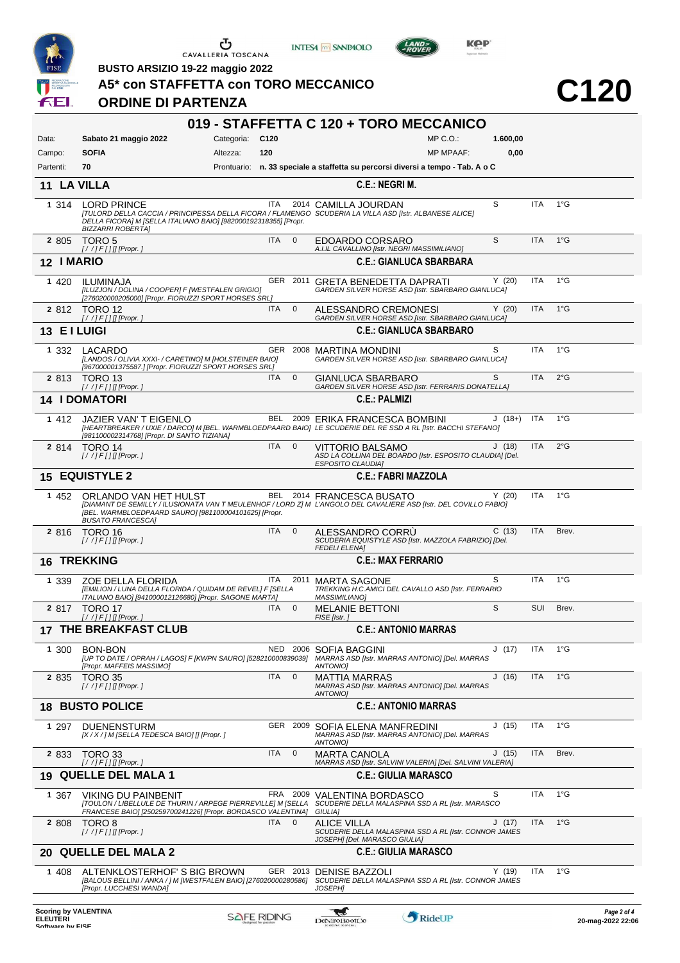

**BUSTO ARSIZIO 19-22 maggio 2022**

**ORDINE DI PARTENZA**

|  |  | A5* con STAFFETTA con TORO MECCANICO |
|--|--|--------------------------------------|

**INTESA M** SANPAOLO

**C120**

**KOP** 

 $L$ AND

|           |         |                                                                                                                                                                                                                                 |                 |             |                         | 019 - STAFFETTA C 120 + TORO MECCANICO                                                                       |                  |          |            |               |             |
|-----------|---------|---------------------------------------------------------------------------------------------------------------------------------------------------------------------------------------------------------------------------------|-----------------|-------------|-------------------------|--------------------------------------------------------------------------------------------------------------|------------------|----------|------------|---------------|-------------|
| Data:     |         | Sabato 21 maggio 2022                                                                                                                                                                                                           | Categoria: C120 |             |                         |                                                                                                              | $MP C. O.$ :     | 1.600,00 |            |               |             |
| Campo:    |         | <b>SOFIA</b>                                                                                                                                                                                                                    | Altezza:        | 120         |                         |                                                                                                              | <b>MP MPAAF:</b> | 0,00     |            |               |             |
| Partenti: |         | 70                                                                                                                                                                                                                              |                 |             |                         | Prontuario: n. 33 speciale a staffetta su percorsi diversi a tempo - Tab. A o C                              |                  |          |            |               |             |
|           |         | 11 LA VILLA                                                                                                                                                                                                                     |                 |             |                         | <b>C.E.: NEGRI M.</b>                                                                                        |                  |          |            |               |             |
|           | 1 3 1 4 | <b>LORD PRINCE</b><br>[TULORD DELLA CACCIA / PRINCIPESSA DELLA FICORA / FLAMENGO SCUDERIA LA VILLA ASD [Istr. ALBANESE ALICE]<br>DELLA FICORA] M [SELLA ITALIANO BAIO] [982000192318355] [Propr.<br><b>BIZZARRI ROBERTA]</b>    |                 |             |                         | ITA 2014 CAMILLA JOURDAN                                                                                     |                  | S        | <b>ITA</b> | $1^{\circ}$ G |             |
|           | 2 805   | TORO <sub>5</sub><br>$[!/]/F[]$ [Propr.]                                                                                                                                                                                        |                 | <b>ITA</b>  | $\overline{\mathbf{0}}$ | EDOARDO CORSARO<br>A.I.IL CAVALLINO [Istr. NEGRI MASSIMILIANO]                                               |                  | S        | <b>ITA</b> | $1^{\circ}$ G |             |
|           |         | 12 I MARIO                                                                                                                                                                                                                      |                 |             |                         | <b>C.E.: GIANLUCA SBARBARA</b>                                                                               |                  |          |            |               |             |
|           | 1 4 2 0 | ILUMINAJA<br>[ILUZJON / DOLINA / COOPER] F [WESTFALEN GRIGIO]<br>[276020000205000] [Propr. FIORUZZI SPORT HORSES SRL]                                                                                                           |                 |             |                         | GER 2011 GRETA BENEDETTA DAPRATI<br>GARDEN SILVER HORSE ASD [Istr. SBARBARO GIANLUCA]                        |                  | Y(20)    | <b>ITA</b> | $1^{\circ}$ G |             |
|           |         | 2 812 TORO 12                                                                                                                                                                                                                   |                 | <b>ITA</b>  | $\mathbf 0$             | ALESSANDRO CREMONESI                                                                                         |                  | Y(20)    | <b>ITA</b> | $1^{\circ}$ G |             |
|           |         | $[!/]/F[]$ [Propr.]<br>13 EI LUIGI                                                                                                                                                                                              |                 |             |                         | GARDEN SILVER HORSE ASD [Istr. SBARBARO GIANLUCA]<br><b>C.E.: GIANLUCA SBARBARO</b>                          |                  |          |            |               |             |
|           | 1 332   | LACARDO                                                                                                                                                                                                                         |                 |             |                         | GER 2008 MARTINA MONDINI                                                                                     |                  | S        | <b>ITA</b> | $1^{\circ}$ G |             |
|           |         | [LANDOS / OLIVIA XXXI- / CARETINO] M [HOLSTEINER BAIO]<br>[967000001375587.] [Propr. FIORUZZI SPORT HORSES SRL]                                                                                                                 |                 |             |                         | GARDEN SILVER HORSE ASD [Istr. SBARBARO GIANLUCA]                                                            |                  |          |            |               |             |
|           |         | 2 813 TORO 13<br>$[!/]/F[]$ [Propr.]                                                                                                                                                                                            |                 | ITA         | $\mathbf 0$             | GIANLUCA SBARBARO<br>GARDEN SILVER HORSE ASD [Istr. FERRARIS DONATELLA]                                      |                  | S        | <b>ITA</b> | $2^{\circ}$ G |             |
|           |         | <b>14 I DOMATORI</b>                                                                                                                                                                                                            |                 |             |                         | <b>C.E.: PALMIZI</b>                                                                                         |                  |          |            |               |             |
|           | 1 412   | JAZIER VAN'T EIGENLO<br>[HEARTBREAKER / UXIE / DARCO] M [BEL. WARMBLOEDPAARD BAIO] LE SCUDERIE DEL RE SSD A RL [Istr. BACCHI STEFANO]                                                                                           |                 | BEL         |                         | 2009 ERIKA FRANCESCA BOMBINI                                                                                 |                  | $J(18+)$ | ITA        | $1^{\circ}$ G |             |
|           | 2 8 1 4 | [981100002314768] [Propr. DI SANTO TIZIANA]<br>TORO 14<br>$[!//]$ F[] [[Propr.]                                                                                                                                                 |                 | ITA         | $\overline{0}$          | VITTORIO BALSAMO<br>ASD LA COLLINA DEL BOARDO [Istr. ESPOSITO CLAUDIA] [Del.<br><b>ESPOSITO CLAUDIA]</b>     |                  | J(18)    | ITA        | $2^{\circ}$ G |             |
|           |         | <b>15 EQUISTYLE 2</b>                                                                                                                                                                                                           |                 |             |                         | <b>C.E.: FABRI MAZZOLA</b>                                                                                   |                  |          |            |               |             |
|           | 1 452   | ORLANDO VAN HET HULST<br>[DIAMANT DE SEMILLY / ILUSIONATA VAN T MEULENHOF / LORD Z] M L'ANGOLO DEL CAVALIERE ASD [Istr. DEL COVILLO FABIO]<br>[BEL. WARMBLOEDPAARD SAURO] [981100004101625] [Propr.<br><b>BUSATO FRANCESCA]</b> |                 |             |                         | BEL 2014 FRANCESCA BUSATO                                                                                    |                  | Y(20)    | <b>ITA</b> | $1^{\circ}$ G |             |
|           | 2 8 1 6 | TORO 16<br>$[!//]$ F[][[Propr.]                                                                                                                                                                                                 |                 | <b>ITA</b>  | $\mathbf{0}$            | ALESSANDRO CORRU<br>SCUDERIA EQUISTYLE ASD [Istr. MAZZOLA FABRIZIO] [Del.<br><b>FEDELI ELENAI</b>            |                  | C(13)    | <b>ITA</b> | Brev.         |             |
|           |         | <b>16 TREKKING</b>                                                                                                                                                                                                              |                 |             |                         | <b>C.E.: MAX FERRARIO</b>                                                                                    |                  |          |            |               |             |
|           | 1 339   | ZOE DELLA FLORIDA<br>[EMILION / LUNA DELLA FLORIDA / QUIDAM DE REVEL] F [SELLA<br>ITALIANO BAIO] [941000012126680] [Propr. SAGONE MARTA]                                                                                        |                 | ITA         | 2011                    | <b>MARTA SAGONE</b><br>TREKKING H.C.AMICI DEL CAVALLO ASD [Istr. FERRARIO<br><b>MASSIMILIANO]</b>            |                  | S        | <b>ITA</b> | $1^{\circ}$ G |             |
|           |         | 2 817 TORO 17                                                                                                                                                                                                                   |                 | ITA.        | $\mathbf 0$             | <b>MELANIE BETTONI</b><br>FISE [Istr.]                                                                       |                  | S        | SUI        | Brev.         |             |
|           |         | $[!/]/F[]$ [Propr.]<br><b>17 THE BREAKFAST CLUB</b>                                                                                                                                                                             |                 |             |                         | <b>C.E.: ANTONIO MARRAS</b>                                                                                  |                  |          |            |               |             |
|           | 1 300   | <b>BON-BON</b><br>[UP TO DATE / OPRAH / LAGOS] F [KWPN SAURO] [528210000839039] MARRAS ASD [Istr. MARRAS ANTONIO] [Del. MARRAS<br>[Propr. MAFFEIS MASSIMO]                                                                      |                 | NED         |                         | 2006 SOFIA BAGGINI<br>ANTONIO]                                                                               |                  | J (17)   | ITA        | $1^{\circ}$ G |             |
|           | 2 835   | TORO 35<br>$[!//]$ F[][[Propr.]                                                                                                                                                                                                 |                 | <b>ITA</b>  | $\mathbf 0$             | MATTIA MARRAS<br>MARRAS ASD [Istr. MARRAS ANTONIO] [Del. MARRAS<br>ANTONIO]                                  |                  | J(16)    | <b>ITA</b> | $1^{\circ}$ G |             |
|           |         | <b>18 BUSTO POLICE</b>                                                                                                                                                                                                          |                 |             |                         | <b>C.E.: ANTONIO MARRAS</b>                                                                                  |                  |          |            |               |             |
|           | 1 297   | <b>DUENENSTURM</b><br>[X / X / ] M [SELLA TEDESCA BAIO] [] [Propr. ]                                                                                                                                                            |                 |             | GER 2009                | SOFIA ELENA MANFREDINI<br>MARRAS ASD [Istr. MARRAS ANTONIO] [Del. MARRAS<br>ANTONIO]                         |                  | J(15)    | <b>ITA</b> | $1^{\circ}$ G |             |
|           | 2 8 3 3 | TORO 33                                                                                                                                                                                                                         |                 | ITA         | $\mathbf 0$             | <b>MARTA CANOLA</b><br>MARRAS ASD [Istr. SALVINI VALERIA] [Del. SALVINI VALERIA]                             |                  | J(15)    | ITA        | Brev.         |             |
| 19        |         | <b>QUELLE DEL MALA 1</b>                                                                                                                                                                                                        |                 |             |                         | <b>C.E.: GIULIA MARASCO</b>                                                                                  |                  |          |            |               |             |
|           | 1 367   | VIKING DU PAINBENIT<br>[TOULON / LIBELLULE DE THURIN / ARPEGE PIERREVILLE] M [SELLA<br>FRANCESE BAIO] [250259700241226] [Propr. BORDASCO VALENTINA]                                                                             |                 |             | FRA 2009                | VALENTINA BORDASCO<br>SCUDERIE DELLA MALASPINA SSD A RL [Istr. MARASCO<br><b>GIULIAI</b>                     |                  | S        | ITA        | $1^{\circ}$ G |             |
|           | 2 808   | TORO 8<br>$[!/$ /] $F[]$ [Propr.]                                                                                                                                                                                               |                 | ITA.        | $\mathbf 0$             | <b>ALICE VILLA</b><br>SCUDERIE DELLA MALASPINA SSD A RL [Istr. CONNOR JAMES<br>JOSEPH] [Del. MARASCO GIULIA] |                  | J(17)    | ITA        | $1^{\circ}$ G |             |
|           |         | 20 QUELLE DEL MALA 2                                                                                                                                                                                                            |                 |             |                         | <b>C.E.: GIULIA MARASCO</b>                                                                                  |                  |          |            |               |             |
|           | 1 408   | ALTENKLOSTERHOF'S BIG BROWN<br>[BALOUS BELLINI / ANKA / ] M [WESTFALEN BAIO] [276020000280586]<br>[Propr. LUCCHESI WANDA]                                                                                                       |                 |             |                         | GER 2013 DENISE BAZZOLI<br>SCUDERIE DELLA MALASPINA SSD A RL [Istr. CONNOR JAMES<br><b>JOSEPH1</b>           |                  | Y(19)    | ITA        | $1^{\circ}$ G |             |
|           |         | <b>Scoring by VALENTINA</b>                                                                                                                                                                                                     |                 | CAFE DINNIC |                         | $\mathcal{L}$                                                                                                |                  |          |            |               | Page 2 of 4 |

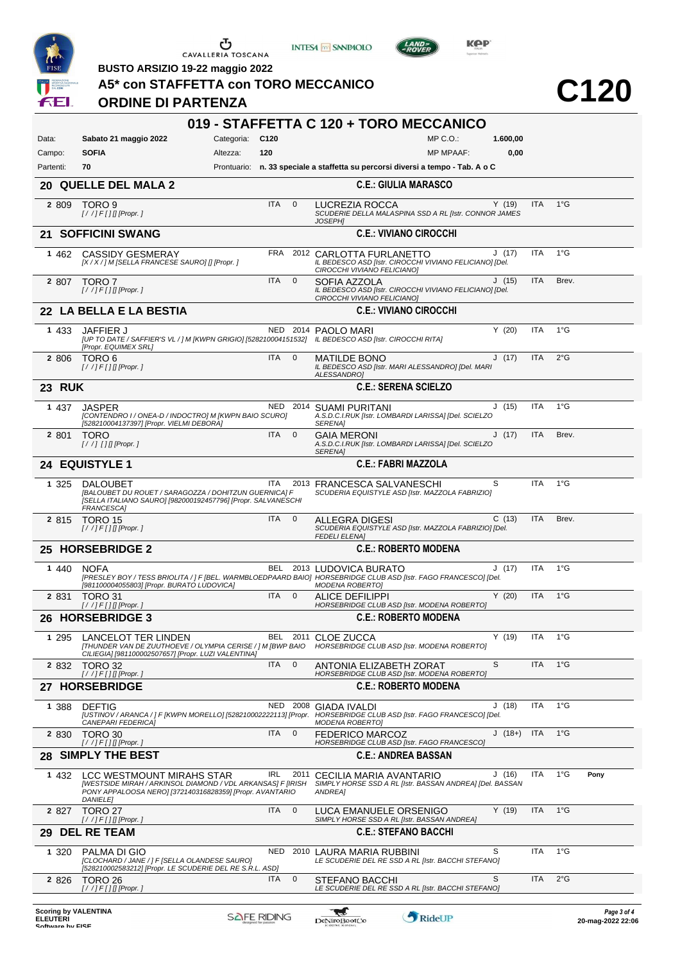

**INTESA M** SANPAOLO





**BUSTO ARSIZIO 19-22 maggio 2022**

| 019 - STAFFETTA C 120 + TORO MECCANICO<br>Categoria: C120<br>$MP C. O.$ :<br>Sabato 21 maggio 2022<br>1.600,00<br><b>SOFIA</b><br>0,00<br>Altezza:<br>120<br><b>MP MPAAF:</b><br>Prontuario: n. 33 speciale a staffetta su percorsi diversi a tempo - Tab. A o C<br>70<br>20 QUELLE DEL MALA 2<br><b>C.E.: GIULIA MARASCO</b><br>$1^{\circ}$ G<br><b>ITA</b><br>$\mathbf{0}$<br>Y(19)<br><b>ITA</b><br>TORO 9<br>LUCREZIA ROCCA<br>SCUDERIE DELLA MALASPINA SSD A RL [Istr. CONNOR JAMES<br>$[!//]$ F[][[Propr.]<br><b>JOSEPHI</b><br>21 SOFFICINI SWANG<br><b>C.E.: VIVIANO CIROCCHI</b><br>FRA 2012 CARLOTTA FURLANETTO<br>J(17)<br><b>ITA</b><br>$1^{\circ}G$<br><b>CASSIDY GESMERAY</b><br>[X / X / ] M [SELLA FRANCESE SAURO] [] [Propr. ]<br>IL BEDESCO ASD [Istr. CIROCCHI VIVIANO FELICIANO] [Del.<br>CIROCCHI VIVIANO FELICIANO]<br><b>ITA</b><br>J(15)<br><b>ITA</b><br>Brev.<br>TORO 7<br>$\mathbf 0$<br>SOFIA AZZOLA<br>IL BEDESCO ASD [Istr. CIROCCHI VIVIANO FELICIANO] [Del.<br>$[!/]/F[]$ [Propr.]<br>CIROCCHI VIVIANO FELICIANO]<br>22 LA BELLA E LA BESTIA<br><b>C.E.: VIVIANO CIROCCHI</b><br>Y(20)<br>ITA<br>$1^{\circ}G$<br>NED 2014 PAOLO MARI<br>JAFFIER J<br>[UP TO DATE / SAFFIER'S VL / ] M [KWPN GRIGIO] [528210004151532] IL BEDESCO ASD [Istr. CIROCCHI RITA]<br>[Propr. EQUIMEX SRL]<br><b>ITA</b><br>J(17)<br><b>ITA</b><br>$2^{\circ}$ G<br>TORO 6<br>$\mathbf{0}$<br><b>MATILDE BONO</b><br>IL BEDESCO ASD [Istr. MARI ALESSANDRO] [Del. MARI<br>$[!/$ /] $F[]$ [Propr.]<br>ALESSANDRO]<br><b>23 RUK</b><br><b>C.E.: SERENA SCIELZO</b><br>NED 2014 SUAMI PURITANI<br>ITA<br>$1^{\circ}G$<br><b>JASPER</b><br>J(15)<br>A.S.D.C.I.RUK [Istr. LOMBARDI LARISSA] [Del. SCIELZO<br>[CONTENDRO I / ONEA-D / INDOCTRO] M [KWPN BAIO SCURO]<br>[528210004137397] [Propr. VIELMI DEBORA]<br><b>SERENA1</b><br>ITA<br>$\mathbf{0}$<br>ITA<br>Brev.<br><b>TORO</b><br><b>GAIA MERONI</b><br>J(17)<br>A.S.D.C.I.RUK [Istr. LOMBARDI LARISSA] [Del. SCIELZO<br>$[!//]$ [] [] [Propr.]<br><b>SERENA1</b><br>24 EQUISTYLE 1<br><b>C.E.: FABRI MAZZOLA</b><br>S<br>$1^{\circ}$ G<br><b>ITA</b><br>ITA.<br>2013 FRANCESCA SALVANESCHI<br><b>DALOUBET</b><br>[BALOUBET DU ROUET / SARAGOZZA / DOHITZUN GUERNICA] F<br>SCUDERIA EQUISTYLE ASD [Istr. MAZZOLA FABRIZIO]<br>[SELLA ITALIANO SAURO] [982000192457796] [Propr. SALVANESCHI<br>FRANCESCA]<br><b>ITA</b><br>$\mathbf{0}$<br>C(13)<br><b>ITA</b><br>Brev.<br>TORO 15<br>ALLEGRA DIGESI<br>SCUDERIA EQUISTYLE ASD [Istr. MAZZOLA FABRIZIO] [Del.<br>$[!//]$ F[][[Propr.]<br><b>FEDELI ELENA]</b><br>25 HORSEBRIDGE 2<br><b>C.E.: ROBERTO MODENA</b><br>$1^{\circ}$ G<br><b>ITA</b><br>BEL 2013 LUDOVICA BURATO<br>J(17)<br><b>NOFA</b><br>[PRESLEY BOY / TESS BRIOLITA / ] F [BEL. WARMBLOEDPAARD BAIO] HORSEBRIDGE CLUB ASD [Istr. FAGO FRANCESCO] [Del.<br>[981100004055803] [Propr. BURATO LUDOVICA]<br>MODENA ROBERTO]<br><b>ITA</b><br>Y(20)<br><b>ITA</b><br>$1^{\circ}G$<br>$\mathbf 0$<br>TORO 31<br><b>ALICE DEFILIPPI</b><br>HORSEBRIDGE CLUB ASD [Istr. MODENA ROBERTO]<br>[//]F[][[Propr.]<br>26 HORSEBRIDGE 3<br><b>C.E.: ROBERTO MODENA</b><br>BEL 2011 CLOE ZUCCA<br>Y(19)<br>ITA<br>$1^{\circ}G$<br>LANCELOT TER LINDEN<br>[THUNDER VAN DE ZUUTHOEVE / OLYMPIA CERISE / ] M [BWP BAIO<br>HORSEBRIDGE CLUB ASD [Istr. MODENA ROBERTO]<br>CILIEGIA] [981100002507657] [Propr. LUZI VALENTINA]<br><b>ITA</b><br>S<br><b>ITA</b><br>$1^{\circ}$ G<br>TORO 32<br>$\mathbf{0}$<br>ANTONIA ELIZABETH ZORAT<br>HORSEBRIDGE CLUB ASD [Istr. MODENA ROBERTO]<br>[/ /] F [ ] [] [Propr. ]<br>27 HORSEBRIDGE<br><b>C.E.: ROBERTO MODENA</b><br>J(18)<br>ITA<br>$1^{\circ}$ G<br><b>DEFTIG</b><br>NED 2008 GIADA IVALDI<br>[USTINOV / ARANCA / ] F [KWPN MORELLO] [528210002222113] [Propr. HORSEBRIDGE CLUB ASD [Istr. FAGO FRANCESCO] [Del.<br>CANEPARI FEDERICA]<br><b>MODENA ROBERTOJ</b><br><b>ITA</b><br>$\mathbf 0$<br><b>ITA</b><br>$1^{\circ}$ G<br>$J(18+)$<br>TORO 30<br><b>FEDERICO MARCOZ</b><br>HORSEBRIDGE CLUB ASD [Istr. FAGO FRANCESCO]<br>[ / / ] F [ ] [] [Propr. ]<br><b>SIMPLY THE BEST</b><br><b>C.E.: ANDREA BASSAN</b><br>$1^{\circ}$ G<br>ITA<br>IRL<br>J(16)<br>Pony<br>LCC WESTMOUNT MIRAHS STAR<br>2011<br>CECILIA MARIA AVANTARIO<br>[WESTSIDE MIRAH / ARKINSOL DIAMOND / VDL ARKANSAS] F [IRISH<br>SIMPLY HORSE SSD A RL [Istr. BASSAN ANDREA] [Del. BASSAN<br>PONY APPALOOSA NERO] [372140316828359] [Propr. AVANTARIO<br>ANDREA]<br><b>DANIELEI</b><br>ITA<br><b>ITA</b><br>$1^{\circ}$ G<br><b>TORO 27</b><br>$\mathbf 0$<br>Y(19)<br>LUCA EMANUELE ORSENIGO<br>$[!/]/F[]$ [Propr.]<br>SIMPLY HORSE SSD A RL [Istr. BASSAN ANDREA]<br>29 DEL RE TEAM<br><b>C.E.: STEFANO BACCHI</b><br>S<br>ITA<br>$1^{\circ}G$<br>NED<br>PALMA DI GIO<br>2010 LAURA MARIA RUBBINI<br>[CLOCHARD / JANE / ] F [SELLA OLANDESE SAURO]<br>LE SCUDERIE DEL RE SSD A RL [Istr. BACCHI STEFANO]<br>[528210002583212] [Propr. LE SCUDERIE DEL RE S.R.L. ASD]<br>$\mathbf 0$<br>S<br><b>ITA</b><br>$2^{\circ}$ G<br><b>ITA</b><br>TORO 26<br><b>STEFANO BACCHI</b><br>LE SCUDERIE DEL RE SSD A RL [Istr. BACCHI STEFANO]<br>$[!/]/$ $F[]$ [Propr. ]<br><b>Scoring by VALENTINA</b><br>w | F+I       | A5* con STAFFETTA con TORO MECCANICO<br><b>ORDINE DI PARTENZA</b> |  |  |  | C120        |
|-----------------------------------------------------------------------------------------------------------------------------------------------------------------------------------------------------------------------------------------------------------------------------------------------------------------------------------------------------------------------------------------------------------------------------------------------------------------------------------------------------------------------------------------------------------------------------------------------------------------------------------------------------------------------------------------------------------------------------------------------------------------------------------------------------------------------------------------------------------------------------------------------------------------------------------------------------------------------------------------------------------------------------------------------------------------------------------------------------------------------------------------------------------------------------------------------------------------------------------------------------------------------------------------------------------------------------------------------------------------------------------------------------------------------------------------------------------------------------------------------------------------------------------------------------------------------------------------------------------------------------------------------------------------------------------------------------------------------------------------------------------------------------------------------------------------------------------------------------------------------------------------------------------------------------------------------------------------------------------------------------------------------------------------------------------------------------------------------------------------------------------------------------------------------------------------------------------------------------------------------------------------------------------------------------------------------------------------------------------------------------------------------------------------------------------------------------------------------------------------------------------------------------------------------------------------------------------------------------------------------------------------------------------------------------------------------------------------------------------------------------------------------------------------------------------------------------------------------------------------------------------------------------------------------------------------------------------------------------------------------------------------------------------------------------------------------------------------------------------------------------------------------------------------------------------------------------------------------------------------------------------------------------------------------------------------------------------------------------------------------------------------------------------------------------------------------------------------------------------------------------------------------------------------------------------------------------------------------------------------------------------------------------------------------------------------------------------------------------------------------------------------------------------------------------------------------------------------------------------------------------------------------------------------------------------------------------------------------------------------------------------------------------------------------------------------------------------------------------------------------------------------------------------------------------------------------------------------------------------------------------------------------------------------------------------------------------------------------------------------------------------------------------------------------------------------------------------------------------------------------------------------------------------------------------------------------------------------------------------------------------------------------------------------------------------------------------------------------------------------------------------------------------------------------------------------------------------------------------------------------------------------------------------------------------------------------------------------------------------------------------------------------------------------------------------------------------------------------------------------------------------------------------------------------------|-----------|-------------------------------------------------------------------|--|--|--|-------------|
|                                                                                                                                                                                                                                                                                                                                                                                                                                                                                                                                                                                                                                                                                                                                                                                                                                                                                                                                                                                                                                                                                                                                                                                                                                                                                                                                                                                                                                                                                                                                                                                                                                                                                                                                                                                                                                                                                                                                                                                                                                                                                                                                                                                                                                                                                                                                                                                                                                                                                                                                                                                                                                                                                                                                                                                                                                                                                                                                                                                                                                                                                                                                                                                                                                                                                                                                                                                                                                                                                                                                                                                                                                                                                                                                                                                                                                                                                                                                                                                                                                                                                                                                                                                                                                                                                                                                                                                                                                                                                                                                                                                                                                                                                                                                                                                                                                                                                                                                                                                                                                                                                                                                                                             |           |                                                                   |  |  |  |             |
|                                                                                                                                                                                                                                                                                                                                                                                                                                                                                                                                                                                                                                                                                                                                                                                                                                                                                                                                                                                                                                                                                                                                                                                                                                                                                                                                                                                                                                                                                                                                                                                                                                                                                                                                                                                                                                                                                                                                                                                                                                                                                                                                                                                                                                                                                                                                                                                                                                                                                                                                                                                                                                                                                                                                                                                                                                                                                                                                                                                                                                                                                                                                                                                                                                                                                                                                                                                                                                                                                                                                                                                                                                                                                                                                                                                                                                                                                                                                                                                                                                                                                                                                                                                                                                                                                                                                                                                                                                                                                                                                                                                                                                                                                                                                                                                                                                                                                                                                                                                                                                                                                                                                                                             | Data:     |                                                                   |  |  |  |             |
|                                                                                                                                                                                                                                                                                                                                                                                                                                                                                                                                                                                                                                                                                                                                                                                                                                                                                                                                                                                                                                                                                                                                                                                                                                                                                                                                                                                                                                                                                                                                                                                                                                                                                                                                                                                                                                                                                                                                                                                                                                                                                                                                                                                                                                                                                                                                                                                                                                                                                                                                                                                                                                                                                                                                                                                                                                                                                                                                                                                                                                                                                                                                                                                                                                                                                                                                                                                                                                                                                                                                                                                                                                                                                                                                                                                                                                                                                                                                                                                                                                                                                                                                                                                                                                                                                                                                                                                                                                                                                                                                                                                                                                                                                                                                                                                                                                                                                                                                                                                                                                                                                                                                                                             | Campo:    |                                                                   |  |  |  |             |
|                                                                                                                                                                                                                                                                                                                                                                                                                                                                                                                                                                                                                                                                                                                                                                                                                                                                                                                                                                                                                                                                                                                                                                                                                                                                                                                                                                                                                                                                                                                                                                                                                                                                                                                                                                                                                                                                                                                                                                                                                                                                                                                                                                                                                                                                                                                                                                                                                                                                                                                                                                                                                                                                                                                                                                                                                                                                                                                                                                                                                                                                                                                                                                                                                                                                                                                                                                                                                                                                                                                                                                                                                                                                                                                                                                                                                                                                                                                                                                                                                                                                                                                                                                                                                                                                                                                                                                                                                                                                                                                                                                                                                                                                                                                                                                                                                                                                                                                                                                                                                                                                                                                                                                             | Partenti: |                                                                   |  |  |  |             |
|                                                                                                                                                                                                                                                                                                                                                                                                                                                                                                                                                                                                                                                                                                                                                                                                                                                                                                                                                                                                                                                                                                                                                                                                                                                                                                                                                                                                                                                                                                                                                                                                                                                                                                                                                                                                                                                                                                                                                                                                                                                                                                                                                                                                                                                                                                                                                                                                                                                                                                                                                                                                                                                                                                                                                                                                                                                                                                                                                                                                                                                                                                                                                                                                                                                                                                                                                                                                                                                                                                                                                                                                                                                                                                                                                                                                                                                                                                                                                                                                                                                                                                                                                                                                                                                                                                                                                                                                                                                                                                                                                                                                                                                                                                                                                                                                                                                                                                                                                                                                                                                                                                                                                                             |           |                                                                   |  |  |  |             |
|                                                                                                                                                                                                                                                                                                                                                                                                                                                                                                                                                                                                                                                                                                                                                                                                                                                                                                                                                                                                                                                                                                                                                                                                                                                                                                                                                                                                                                                                                                                                                                                                                                                                                                                                                                                                                                                                                                                                                                                                                                                                                                                                                                                                                                                                                                                                                                                                                                                                                                                                                                                                                                                                                                                                                                                                                                                                                                                                                                                                                                                                                                                                                                                                                                                                                                                                                                                                                                                                                                                                                                                                                                                                                                                                                                                                                                                                                                                                                                                                                                                                                                                                                                                                                                                                                                                                                                                                                                                                                                                                                                                                                                                                                                                                                                                                                                                                                                                                                                                                                                                                                                                                                                             | 2 809     |                                                                   |  |  |  |             |
|                                                                                                                                                                                                                                                                                                                                                                                                                                                                                                                                                                                                                                                                                                                                                                                                                                                                                                                                                                                                                                                                                                                                                                                                                                                                                                                                                                                                                                                                                                                                                                                                                                                                                                                                                                                                                                                                                                                                                                                                                                                                                                                                                                                                                                                                                                                                                                                                                                                                                                                                                                                                                                                                                                                                                                                                                                                                                                                                                                                                                                                                                                                                                                                                                                                                                                                                                                                                                                                                                                                                                                                                                                                                                                                                                                                                                                                                                                                                                                                                                                                                                                                                                                                                                                                                                                                                                                                                                                                                                                                                                                                                                                                                                                                                                                                                                                                                                                                                                                                                                                                                                                                                                                             |           |                                                                   |  |  |  |             |
|                                                                                                                                                                                                                                                                                                                                                                                                                                                                                                                                                                                                                                                                                                                                                                                                                                                                                                                                                                                                                                                                                                                                                                                                                                                                                                                                                                                                                                                                                                                                                                                                                                                                                                                                                                                                                                                                                                                                                                                                                                                                                                                                                                                                                                                                                                                                                                                                                                                                                                                                                                                                                                                                                                                                                                                                                                                                                                                                                                                                                                                                                                                                                                                                                                                                                                                                                                                                                                                                                                                                                                                                                                                                                                                                                                                                                                                                                                                                                                                                                                                                                                                                                                                                                                                                                                                                                                                                                                                                                                                                                                                                                                                                                                                                                                                                                                                                                                                                                                                                                                                                                                                                                                             | 1 462     |                                                                   |  |  |  |             |
|                                                                                                                                                                                                                                                                                                                                                                                                                                                                                                                                                                                                                                                                                                                                                                                                                                                                                                                                                                                                                                                                                                                                                                                                                                                                                                                                                                                                                                                                                                                                                                                                                                                                                                                                                                                                                                                                                                                                                                                                                                                                                                                                                                                                                                                                                                                                                                                                                                                                                                                                                                                                                                                                                                                                                                                                                                                                                                                                                                                                                                                                                                                                                                                                                                                                                                                                                                                                                                                                                                                                                                                                                                                                                                                                                                                                                                                                                                                                                                                                                                                                                                                                                                                                                                                                                                                                                                                                                                                                                                                                                                                                                                                                                                                                                                                                                                                                                                                                                                                                                                                                                                                                                                             | 2 807     |                                                                   |  |  |  |             |
|                                                                                                                                                                                                                                                                                                                                                                                                                                                                                                                                                                                                                                                                                                                                                                                                                                                                                                                                                                                                                                                                                                                                                                                                                                                                                                                                                                                                                                                                                                                                                                                                                                                                                                                                                                                                                                                                                                                                                                                                                                                                                                                                                                                                                                                                                                                                                                                                                                                                                                                                                                                                                                                                                                                                                                                                                                                                                                                                                                                                                                                                                                                                                                                                                                                                                                                                                                                                                                                                                                                                                                                                                                                                                                                                                                                                                                                                                                                                                                                                                                                                                                                                                                                                                                                                                                                                                                                                                                                                                                                                                                                                                                                                                                                                                                                                                                                                                                                                                                                                                                                                                                                                                                             |           |                                                                   |  |  |  |             |
|                                                                                                                                                                                                                                                                                                                                                                                                                                                                                                                                                                                                                                                                                                                                                                                                                                                                                                                                                                                                                                                                                                                                                                                                                                                                                                                                                                                                                                                                                                                                                                                                                                                                                                                                                                                                                                                                                                                                                                                                                                                                                                                                                                                                                                                                                                                                                                                                                                                                                                                                                                                                                                                                                                                                                                                                                                                                                                                                                                                                                                                                                                                                                                                                                                                                                                                                                                                                                                                                                                                                                                                                                                                                                                                                                                                                                                                                                                                                                                                                                                                                                                                                                                                                                                                                                                                                                                                                                                                                                                                                                                                                                                                                                                                                                                                                                                                                                                                                                                                                                                                                                                                                                                             | 1 4 3 3   |                                                                   |  |  |  |             |
|                                                                                                                                                                                                                                                                                                                                                                                                                                                                                                                                                                                                                                                                                                                                                                                                                                                                                                                                                                                                                                                                                                                                                                                                                                                                                                                                                                                                                                                                                                                                                                                                                                                                                                                                                                                                                                                                                                                                                                                                                                                                                                                                                                                                                                                                                                                                                                                                                                                                                                                                                                                                                                                                                                                                                                                                                                                                                                                                                                                                                                                                                                                                                                                                                                                                                                                                                                                                                                                                                                                                                                                                                                                                                                                                                                                                                                                                                                                                                                                                                                                                                                                                                                                                                                                                                                                                                                                                                                                                                                                                                                                                                                                                                                                                                                                                                                                                                                                                                                                                                                                                                                                                                                             | 2 806     |                                                                   |  |  |  |             |
|                                                                                                                                                                                                                                                                                                                                                                                                                                                                                                                                                                                                                                                                                                                                                                                                                                                                                                                                                                                                                                                                                                                                                                                                                                                                                                                                                                                                                                                                                                                                                                                                                                                                                                                                                                                                                                                                                                                                                                                                                                                                                                                                                                                                                                                                                                                                                                                                                                                                                                                                                                                                                                                                                                                                                                                                                                                                                                                                                                                                                                                                                                                                                                                                                                                                                                                                                                                                                                                                                                                                                                                                                                                                                                                                                                                                                                                                                                                                                                                                                                                                                                                                                                                                                                                                                                                                                                                                                                                                                                                                                                                                                                                                                                                                                                                                                                                                                                                                                                                                                                                                                                                                                                             |           |                                                                   |  |  |  |             |
|                                                                                                                                                                                                                                                                                                                                                                                                                                                                                                                                                                                                                                                                                                                                                                                                                                                                                                                                                                                                                                                                                                                                                                                                                                                                                                                                                                                                                                                                                                                                                                                                                                                                                                                                                                                                                                                                                                                                                                                                                                                                                                                                                                                                                                                                                                                                                                                                                                                                                                                                                                                                                                                                                                                                                                                                                                                                                                                                                                                                                                                                                                                                                                                                                                                                                                                                                                                                                                                                                                                                                                                                                                                                                                                                                                                                                                                                                                                                                                                                                                                                                                                                                                                                                                                                                                                                                                                                                                                                                                                                                                                                                                                                                                                                                                                                                                                                                                                                                                                                                                                                                                                                                                             | 1 437     |                                                                   |  |  |  |             |
|                                                                                                                                                                                                                                                                                                                                                                                                                                                                                                                                                                                                                                                                                                                                                                                                                                                                                                                                                                                                                                                                                                                                                                                                                                                                                                                                                                                                                                                                                                                                                                                                                                                                                                                                                                                                                                                                                                                                                                                                                                                                                                                                                                                                                                                                                                                                                                                                                                                                                                                                                                                                                                                                                                                                                                                                                                                                                                                                                                                                                                                                                                                                                                                                                                                                                                                                                                                                                                                                                                                                                                                                                                                                                                                                                                                                                                                                                                                                                                                                                                                                                                                                                                                                                                                                                                                                                                                                                                                                                                                                                                                                                                                                                                                                                                                                                                                                                                                                                                                                                                                                                                                                                                             | 2 801     |                                                                   |  |  |  |             |
|                                                                                                                                                                                                                                                                                                                                                                                                                                                                                                                                                                                                                                                                                                                                                                                                                                                                                                                                                                                                                                                                                                                                                                                                                                                                                                                                                                                                                                                                                                                                                                                                                                                                                                                                                                                                                                                                                                                                                                                                                                                                                                                                                                                                                                                                                                                                                                                                                                                                                                                                                                                                                                                                                                                                                                                                                                                                                                                                                                                                                                                                                                                                                                                                                                                                                                                                                                                                                                                                                                                                                                                                                                                                                                                                                                                                                                                                                                                                                                                                                                                                                                                                                                                                                                                                                                                                                                                                                                                                                                                                                                                                                                                                                                                                                                                                                                                                                                                                                                                                                                                                                                                                                                             |           |                                                                   |  |  |  |             |
|                                                                                                                                                                                                                                                                                                                                                                                                                                                                                                                                                                                                                                                                                                                                                                                                                                                                                                                                                                                                                                                                                                                                                                                                                                                                                                                                                                                                                                                                                                                                                                                                                                                                                                                                                                                                                                                                                                                                                                                                                                                                                                                                                                                                                                                                                                                                                                                                                                                                                                                                                                                                                                                                                                                                                                                                                                                                                                                                                                                                                                                                                                                                                                                                                                                                                                                                                                                                                                                                                                                                                                                                                                                                                                                                                                                                                                                                                                                                                                                                                                                                                                                                                                                                                                                                                                                                                                                                                                                                                                                                                                                                                                                                                                                                                                                                                                                                                                                                                                                                                                                                                                                                                                             | 1 325     |                                                                   |  |  |  |             |
|                                                                                                                                                                                                                                                                                                                                                                                                                                                                                                                                                                                                                                                                                                                                                                                                                                                                                                                                                                                                                                                                                                                                                                                                                                                                                                                                                                                                                                                                                                                                                                                                                                                                                                                                                                                                                                                                                                                                                                                                                                                                                                                                                                                                                                                                                                                                                                                                                                                                                                                                                                                                                                                                                                                                                                                                                                                                                                                                                                                                                                                                                                                                                                                                                                                                                                                                                                                                                                                                                                                                                                                                                                                                                                                                                                                                                                                                                                                                                                                                                                                                                                                                                                                                                                                                                                                                                                                                                                                                                                                                                                                                                                                                                                                                                                                                                                                                                                                                                                                                                                                                                                                                                                             | 2 815     |                                                                   |  |  |  |             |
|                                                                                                                                                                                                                                                                                                                                                                                                                                                                                                                                                                                                                                                                                                                                                                                                                                                                                                                                                                                                                                                                                                                                                                                                                                                                                                                                                                                                                                                                                                                                                                                                                                                                                                                                                                                                                                                                                                                                                                                                                                                                                                                                                                                                                                                                                                                                                                                                                                                                                                                                                                                                                                                                                                                                                                                                                                                                                                                                                                                                                                                                                                                                                                                                                                                                                                                                                                                                                                                                                                                                                                                                                                                                                                                                                                                                                                                                                                                                                                                                                                                                                                                                                                                                                                                                                                                                                                                                                                                                                                                                                                                                                                                                                                                                                                                                                                                                                                                                                                                                                                                                                                                                                                             |           |                                                                   |  |  |  |             |
|                                                                                                                                                                                                                                                                                                                                                                                                                                                                                                                                                                                                                                                                                                                                                                                                                                                                                                                                                                                                                                                                                                                                                                                                                                                                                                                                                                                                                                                                                                                                                                                                                                                                                                                                                                                                                                                                                                                                                                                                                                                                                                                                                                                                                                                                                                                                                                                                                                                                                                                                                                                                                                                                                                                                                                                                                                                                                                                                                                                                                                                                                                                                                                                                                                                                                                                                                                                                                                                                                                                                                                                                                                                                                                                                                                                                                                                                                                                                                                                                                                                                                                                                                                                                                                                                                                                                                                                                                                                                                                                                                                                                                                                                                                                                                                                                                                                                                                                                                                                                                                                                                                                                                                             | 1440      |                                                                   |  |  |  |             |
|                                                                                                                                                                                                                                                                                                                                                                                                                                                                                                                                                                                                                                                                                                                                                                                                                                                                                                                                                                                                                                                                                                                                                                                                                                                                                                                                                                                                                                                                                                                                                                                                                                                                                                                                                                                                                                                                                                                                                                                                                                                                                                                                                                                                                                                                                                                                                                                                                                                                                                                                                                                                                                                                                                                                                                                                                                                                                                                                                                                                                                                                                                                                                                                                                                                                                                                                                                                                                                                                                                                                                                                                                                                                                                                                                                                                                                                                                                                                                                                                                                                                                                                                                                                                                                                                                                                                                                                                                                                                                                                                                                                                                                                                                                                                                                                                                                                                                                                                                                                                                                                                                                                                                                             | 2 8 3 1   |                                                                   |  |  |  |             |
|                                                                                                                                                                                                                                                                                                                                                                                                                                                                                                                                                                                                                                                                                                                                                                                                                                                                                                                                                                                                                                                                                                                                                                                                                                                                                                                                                                                                                                                                                                                                                                                                                                                                                                                                                                                                                                                                                                                                                                                                                                                                                                                                                                                                                                                                                                                                                                                                                                                                                                                                                                                                                                                                                                                                                                                                                                                                                                                                                                                                                                                                                                                                                                                                                                                                                                                                                                                                                                                                                                                                                                                                                                                                                                                                                                                                                                                                                                                                                                                                                                                                                                                                                                                                                                                                                                                                                                                                                                                                                                                                                                                                                                                                                                                                                                                                                                                                                                                                                                                                                                                                                                                                                                             |           |                                                                   |  |  |  |             |
|                                                                                                                                                                                                                                                                                                                                                                                                                                                                                                                                                                                                                                                                                                                                                                                                                                                                                                                                                                                                                                                                                                                                                                                                                                                                                                                                                                                                                                                                                                                                                                                                                                                                                                                                                                                                                                                                                                                                                                                                                                                                                                                                                                                                                                                                                                                                                                                                                                                                                                                                                                                                                                                                                                                                                                                                                                                                                                                                                                                                                                                                                                                                                                                                                                                                                                                                                                                                                                                                                                                                                                                                                                                                                                                                                                                                                                                                                                                                                                                                                                                                                                                                                                                                                                                                                                                                                                                                                                                                                                                                                                                                                                                                                                                                                                                                                                                                                                                                                                                                                                                                                                                                                                             | 1 295     |                                                                   |  |  |  |             |
|                                                                                                                                                                                                                                                                                                                                                                                                                                                                                                                                                                                                                                                                                                                                                                                                                                                                                                                                                                                                                                                                                                                                                                                                                                                                                                                                                                                                                                                                                                                                                                                                                                                                                                                                                                                                                                                                                                                                                                                                                                                                                                                                                                                                                                                                                                                                                                                                                                                                                                                                                                                                                                                                                                                                                                                                                                                                                                                                                                                                                                                                                                                                                                                                                                                                                                                                                                                                                                                                                                                                                                                                                                                                                                                                                                                                                                                                                                                                                                                                                                                                                                                                                                                                                                                                                                                                                                                                                                                                                                                                                                                                                                                                                                                                                                                                                                                                                                                                                                                                                                                                                                                                                                             | 2 832     |                                                                   |  |  |  |             |
|                                                                                                                                                                                                                                                                                                                                                                                                                                                                                                                                                                                                                                                                                                                                                                                                                                                                                                                                                                                                                                                                                                                                                                                                                                                                                                                                                                                                                                                                                                                                                                                                                                                                                                                                                                                                                                                                                                                                                                                                                                                                                                                                                                                                                                                                                                                                                                                                                                                                                                                                                                                                                                                                                                                                                                                                                                                                                                                                                                                                                                                                                                                                                                                                                                                                                                                                                                                                                                                                                                                                                                                                                                                                                                                                                                                                                                                                                                                                                                                                                                                                                                                                                                                                                                                                                                                                                                                                                                                                                                                                                                                                                                                                                                                                                                                                                                                                                                                                                                                                                                                                                                                                                                             |           |                                                                   |  |  |  |             |
|                                                                                                                                                                                                                                                                                                                                                                                                                                                                                                                                                                                                                                                                                                                                                                                                                                                                                                                                                                                                                                                                                                                                                                                                                                                                                                                                                                                                                                                                                                                                                                                                                                                                                                                                                                                                                                                                                                                                                                                                                                                                                                                                                                                                                                                                                                                                                                                                                                                                                                                                                                                                                                                                                                                                                                                                                                                                                                                                                                                                                                                                                                                                                                                                                                                                                                                                                                                                                                                                                                                                                                                                                                                                                                                                                                                                                                                                                                                                                                                                                                                                                                                                                                                                                                                                                                                                                                                                                                                                                                                                                                                                                                                                                                                                                                                                                                                                                                                                                                                                                                                                                                                                                                             | 1 388     |                                                                   |  |  |  |             |
|                                                                                                                                                                                                                                                                                                                                                                                                                                                                                                                                                                                                                                                                                                                                                                                                                                                                                                                                                                                                                                                                                                                                                                                                                                                                                                                                                                                                                                                                                                                                                                                                                                                                                                                                                                                                                                                                                                                                                                                                                                                                                                                                                                                                                                                                                                                                                                                                                                                                                                                                                                                                                                                                                                                                                                                                                                                                                                                                                                                                                                                                                                                                                                                                                                                                                                                                                                                                                                                                                                                                                                                                                                                                                                                                                                                                                                                                                                                                                                                                                                                                                                                                                                                                                                                                                                                                                                                                                                                                                                                                                                                                                                                                                                                                                                                                                                                                                                                                                                                                                                                                                                                                                                             | 2 8 3 0   |                                                                   |  |  |  |             |
|                                                                                                                                                                                                                                                                                                                                                                                                                                                                                                                                                                                                                                                                                                                                                                                                                                                                                                                                                                                                                                                                                                                                                                                                                                                                                                                                                                                                                                                                                                                                                                                                                                                                                                                                                                                                                                                                                                                                                                                                                                                                                                                                                                                                                                                                                                                                                                                                                                                                                                                                                                                                                                                                                                                                                                                                                                                                                                                                                                                                                                                                                                                                                                                                                                                                                                                                                                                                                                                                                                                                                                                                                                                                                                                                                                                                                                                                                                                                                                                                                                                                                                                                                                                                                                                                                                                                                                                                                                                                                                                                                                                                                                                                                                                                                                                                                                                                                                                                                                                                                                                                                                                                                                             | 28.       |                                                                   |  |  |  |             |
|                                                                                                                                                                                                                                                                                                                                                                                                                                                                                                                                                                                                                                                                                                                                                                                                                                                                                                                                                                                                                                                                                                                                                                                                                                                                                                                                                                                                                                                                                                                                                                                                                                                                                                                                                                                                                                                                                                                                                                                                                                                                                                                                                                                                                                                                                                                                                                                                                                                                                                                                                                                                                                                                                                                                                                                                                                                                                                                                                                                                                                                                                                                                                                                                                                                                                                                                                                                                                                                                                                                                                                                                                                                                                                                                                                                                                                                                                                                                                                                                                                                                                                                                                                                                                                                                                                                                                                                                                                                                                                                                                                                                                                                                                                                                                                                                                                                                                                                                                                                                                                                                                                                                                                             | 1 432     |                                                                   |  |  |  |             |
|                                                                                                                                                                                                                                                                                                                                                                                                                                                                                                                                                                                                                                                                                                                                                                                                                                                                                                                                                                                                                                                                                                                                                                                                                                                                                                                                                                                                                                                                                                                                                                                                                                                                                                                                                                                                                                                                                                                                                                                                                                                                                                                                                                                                                                                                                                                                                                                                                                                                                                                                                                                                                                                                                                                                                                                                                                                                                                                                                                                                                                                                                                                                                                                                                                                                                                                                                                                                                                                                                                                                                                                                                                                                                                                                                                                                                                                                                                                                                                                                                                                                                                                                                                                                                                                                                                                                                                                                                                                                                                                                                                                                                                                                                                                                                                                                                                                                                                                                                                                                                                                                                                                                                                             | 2 8 2 7   |                                                                   |  |  |  |             |
|                                                                                                                                                                                                                                                                                                                                                                                                                                                                                                                                                                                                                                                                                                                                                                                                                                                                                                                                                                                                                                                                                                                                                                                                                                                                                                                                                                                                                                                                                                                                                                                                                                                                                                                                                                                                                                                                                                                                                                                                                                                                                                                                                                                                                                                                                                                                                                                                                                                                                                                                                                                                                                                                                                                                                                                                                                                                                                                                                                                                                                                                                                                                                                                                                                                                                                                                                                                                                                                                                                                                                                                                                                                                                                                                                                                                                                                                                                                                                                                                                                                                                                                                                                                                                                                                                                                                                                                                                                                                                                                                                                                                                                                                                                                                                                                                                                                                                                                                                                                                                                                                                                                                                                             |           |                                                                   |  |  |  |             |
|                                                                                                                                                                                                                                                                                                                                                                                                                                                                                                                                                                                                                                                                                                                                                                                                                                                                                                                                                                                                                                                                                                                                                                                                                                                                                                                                                                                                                                                                                                                                                                                                                                                                                                                                                                                                                                                                                                                                                                                                                                                                                                                                                                                                                                                                                                                                                                                                                                                                                                                                                                                                                                                                                                                                                                                                                                                                                                                                                                                                                                                                                                                                                                                                                                                                                                                                                                                                                                                                                                                                                                                                                                                                                                                                                                                                                                                                                                                                                                                                                                                                                                                                                                                                                                                                                                                                                                                                                                                                                                                                                                                                                                                                                                                                                                                                                                                                                                                                                                                                                                                                                                                                                                             | 1 3 2 0   |                                                                   |  |  |  |             |
|                                                                                                                                                                                                                                                                                                                                                                                                                                                                                                                                                                                                                                                                                                                                                                                                                                                                                                                                                                                                                                                                                                                                                                                                                                                                                                                                                                                                                                                                                                                                                                                                                                                                                                                                                                                                                                                                                                                                                                                                                                                                                                                                                                                                                                                                                                                                                                                                                                                                                                                                                                                                                                                                                                                                                                                                                                                                                                                                                                                                                                                                                                                                                                                                                                                                                                                                                                                                                                                                                                                                                                                                                                                                                                                                                                                                                                                                                                                                                                                                                                                                                                                                                                                                                                                                                                                                                                                                                                                                                                                                                                                                                                                                                                                                                                                                                                                                                                                                                                                                                                                                                                                                                                             | 2 8 2 6   |                                                                   |  |  |  |             |
|                                                                                                                                                                                                                                                                                                                                                                                                                                                                                                                                                                                                                                                                                                                                                                                                                                                                                                                                                                                                                                                                                                                                                                                                                                                                                                                                                                                                                                                                                                                                                                                                                                                                                                                                                                                                                                                                                                                                                                                                                                                                                                                                                                                                                                                                                                                                                                                                                                                                                                                                                                                                                                                                                                                                                                                                                                                                                                                                                                                                                                                                                                                                                                                                                                                                                                                                                                                                                                                                                                                                                                                                                                                                                                                                                                                                                                                                                                                                                                                                                                                                                                                                                                                                                                                                                                                                                                                                                                                                                                                                                                                                                                                                                                                                                                                                                                                                                                                                                                                                                                                                                                                                                                             |           |                                                                   |  |  |  | Page 3 of 4 |